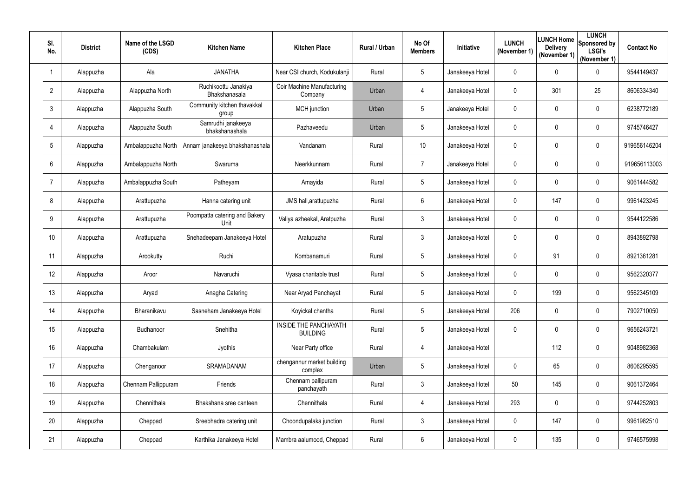| SI.<br>No.      | <b>District</b> | Name of the LSGD<br>(CDS) | <b>Kitchen Name</b>                   | <b>Kitchen Place</b>                            | Rural / Urban | No Of<br><b>Members</b> | <b>Initiative</b> | <b>LUNCH</b><br>(November 1) | <b>Delivery</b><br>(November 1) | <b>LUNCH</b><br><b>ILUNCH Home</b> Sponsored by<br><b>LSGI's</b><br>(November 1) | <b>Contact No</b> |
|-----------------|-----------------|---------------------------|---------------------------------------|-------------------------------------------------|---------------|-------------------------|-------------------|------------------------------|---------------------------------|----------------------------------------------------------------------------------|-------------------|
|                 | Alappuzha       | Ala                       | <b>JANATHA</b>                        | Near CSI church, Kodukulanji                    | Rural         | $5\overline{)}$         | Janakeeya Hotel   | $\mathbf{0}$                 | 0                               | $\mathbf 0$                                                                      | 9544149437        |
| $\overline{2}$  | Alappuzha       | Alappuzha North           | Ruchikoottu Janakiya<br>Bhakshanasala | <b>Coir Machine Manufacturing</b><br>Company    | Urban         | 4                       | Janakeeya Hotel   | $\mathbf 0$                  | 301                             | 25                                                                               | 8606334340        |
| $\mathbf{3}$    | Alappuzha       | Alappuzha South           | Community kitchen thavakkal<br>group  | <b>MCH</b> junction                             | Urban         | $5\overline{)}$         | Janakeeya Hotel   | 0                            | $\mathbf 0$                     | $\mathbf 0$                                                                      | 6238772189        |
| $\overline{4}$  | Alappuzha       | Alappuzha South           | Samrudhi janakeeya<br>bhakshanashala  | Pazhaveedu                                      | Urban         | $5\overline{)}$         | Janakeeya Hotel   | $\mathbf 0$                  | $\mathbf 0$                     | $\mathbf 0$                                                                      | 9745746427        |
| $5\overline{)}$ | Alappuzha       | Ambalappuzha North        | Annam janakeeya bhakshanashala        | Vandanam                                        | Rural         | 10 <sup>°</sup>         | Janakeeya Hotel   | 0                            | 0                               | $\mathbf 0$                                                                      | 919656146204      |
| $6\phantom{.}6$ | Alappuzha       | Ambalappuzha North        | Swaruma                               | Neerkkunnam                                     | Rural         | $7^{\circ}$             | Janakeeya Hotel   | $\mathbf 0$                  | $\mathbf 0$                     | $\mathbf 0$                                                                      | 919656113003      |
| $\overline{7}$  | Alappuzha       | Ambalappuzha South        | Patheyam                              | Amayida                                         | Rural         | $5\overline{)}$         | Janakeeya Hotel   | 0                            | 0                               | $\mathbf 0$                                                                      | 9061444582        |
| 8               | Alappuzha       | Arattupuzha               | Hanna catering unit                   | JMS hall, arattupuzha                           | Rural         | 6                       | Janakeeya Hotel   | $\mathbf 0$                  | 147                             | $\mathbf 0$                                                                      | 9961423245        |
| 9               | Alappuzha       | Arattupuzha               | Poompatta catering and Bakery<br>Unit | Valiya azheekal, Aratpuzha                      | Rural         | $\mathfrak{Z}$          | Janakeeya Hotel   | $\mathbf 0$                  | $\mathbf 0$                     | $\mathbf 0$                                                                      | 9544122586        |
| 10              | Alappuzha       | Arattupuzha               | Snehadeepam Janakeeya Hotel           | Aratupuzha                                      | Rural         | 3 <sup>1</sup>          | Janakeeya Hotel   | $\mathbf 0$                  | 0                               | $\mathbf 0$                                                                      | 8943892798        |
| 11              | Alappuzha       | Arookutty                 | Ruchi                                 | Kombanamuri                                     | Rural         | $5\overline{)}$         | Janakeeya Hotel   | 0                            | 91                              | $\mathbf 0$                                                                      | 8921361281        |
| 12              | Alappuzha       | Aroor                     | Navaruchi                             | Vyasa charitable trust                          | Rural         | $5\overline{)}$         | Janakeeya Hotel   | $\mathbf 0$                  | $\mathbf 0$                     | $\mathbf 0$                                                                      | 9562320377        |
| 13              | Alappuzha       | Aryad                     | Anagha Catering                       | Near Aryad Panchayat                            | Rural         | 5                       | Janakeeya Hotel   | $\mathbf 0$                  | 199                             | $\pmb{0}$                                                                        | 9562345109        |
| 14              | Alappuzha       | Bharanikavu               | Sasneham Janakeeya Hotel              | Koyickal chantha                                | Rural         | $5\overline{)}$         | Janakeeya Hotel   | 206                          | 0                               | $\boldsymbol{0}$                                                                 | 7902710050        |
| 15              | Alappuzha       | Budhanoor                 | Snehitha                              | <b>INSIDE THE PANCHAYATH</b><br><b>BUILDING</b> | Rural         | $5\overline{)}$         | Janakeeya Hotel   | $\mathbf 0$                  | $\overline{0}$                  | $\boldsymbol{0}$                                                                 | 9656243721        |
| 16              | Alappuzha       | Chambakulam               | Jyothis                               | Near Party office                               | Rural         | 4                       | Janakeeya Hotel   |                              | 112                             | $\boldsymbol{0}$                                                                 | 9048982368        |
| 17              | Alappuzha       | Chenganoor                | SRAMADANAM                            | chengannur market building<br>complex           | Urban         | $5\overline{)}$         | Janakeeya Hotel   | $\mathbf 0$                  | 65                              | $\boldsymbol{0}$                                                                 | 8606295595        |
| 18              | Alappuzha       | Chennam Pallippuram       | Friends                               | Chennam pallipuram<br>panchayath                | Rural         | $\mathfrak{Z}$          | Janakeeya Hotel   | 50                           | 145                             | $\boldsymbol{0}$                                                                 | 9061372464        |
| 19              | Alappuzha       | Chennithala               | Bhakshana sree canteen                | Chennithala                                     | Rural         | 4                       | Janakeeya Hotel   | 293                          | $\overline{0}$                  | $\boldsymbol{0}$                                                                 | 9744252803        |
| 20              | Alappuzha       | Cheppad                   | Sreebhadra catering unit              | Choondupalaka junction                          | Rural         | $\mathfrak{Z}$          | Janakeeya Hotel   | 0                            | 147                             | $\boldsymbol{0}$                                                                 | 9961982510        |
| 21              | Alappuzha       | Cheppad                   | Karthika Janakeeya Hotel              | Mambra aalumood, Cheppad                        | Rural         | 6                       | Janakeeya Hotel   | $\mathbf 0$                  | 135                             | $\pmb{0}$                                                                        | 9746575998        |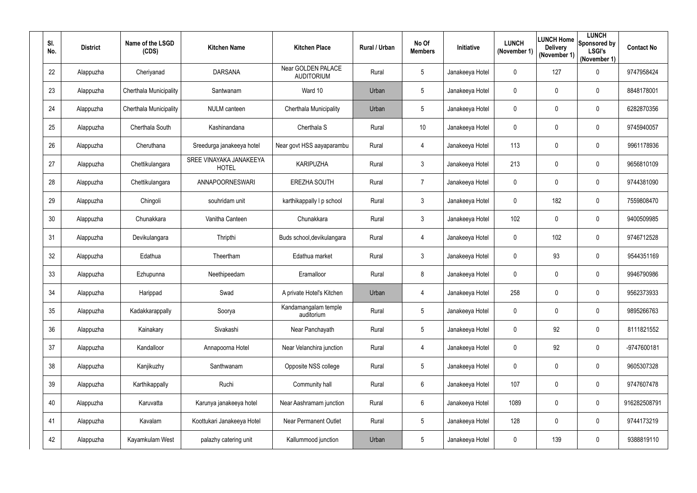| SI.<br>No. | <b>District</b> | Name of the LSGD<br>(CDS) | <b>Kitchen Name</b>                     | <b>Kitchen Place</b>                    | Rural / Urban | No Of<br><b>Members</b> | Initiative      | <b>LUNCH</b><br>(November 1) | <b>Delivery</b><br>(November 1) | <b>LUNCH</b><br><b>ILUNCH Home</b> Sponsored by<br><b>LSGI's</b><br>(November 1) | <b>Contact No</b> |
|------------|-----------------|---------------------------|-----------------------------------------|-----------------------------------------|---------------|-------------------------|-----------------|------------------------------|---------------------------------|----------------------------------------------------------------------------------|-------------------|
| 22         | Alappuzha       | Cheriyanad                | <b>DARSANA</b>                          | Near GOLDEN PALACE<br><b>AUDITORIUM</b> | Rural         | $5\overline{)}$         | Janakeeya Hotel | $\mathbf 0$                  | 127                             | $\pmb{0}$                                                                        | 9747958424        |
| 23         | Alappuzha       | Cherthala Municipality    | Santwanam                               | Ward 10                                 | Urban         | $5\overline{)}$         | Janakeeya Hotel | $\mathbf 0$                  | $\mathbf 0$                     | $\mathbf 0$                                                                      | 8848178001        |
| 24         | Alappuzha       | Cherthala Municipality    | NULM canteen                            | Cherthala Municipality                  | Urban         | $5\overline{)}$         | Janakeeya Hotel | 0                            | 0                               | $\mathbf 0$                                                                      | 6282870356        |
| 25         | Alappuzha       | Cherthala South           | Kashinandana                            | Cherthala S                             | Rural         | 10 <sup>°</sup>         | Janakeeya Hotel | $\mathbf 0$                  | $\mathbf 0$                     | $\overline{0}$                                                                   | 9745940057        |
| 26         | Alappuzha       | Cheruthana                | Sreedurga janakeeya hotel               | Near govt HSS aayaparambu               | Rural         | 4                       | Janakeeya Hotel | 113                          | 0                               | $\pmb{0}$                                                                        | 9961178936        |
| 27         | Alappuzha       | Chettikulangara           | SREE VINAYAKA JANAKEEYA<br><b>HOTEL</b> | <b>KARIPUZHA</b>                        | Rural         | 3                       | Janakeeya Hotel | 213                          | $\mathbf 0$                     | $\mathbf 0$                                                                      | 9656810109        |
| 28         | Alappuzha       | Chettikulangara           | ANNAPOORNESWARI                         | <b>EREZHA SOUTH</b>                     | Rural         | $7^{\circ}$             | Janakeeya Hotel | 0                            | 0                               | $\pmb{0}$                                                                        | 9744381090        |
| 29         | Alappuzha       | Chingoli                  | souhridam unit                          | karthikappally I p school               | Rural         | $\mathfrak{Z}$          | Janakeeya Hotel | $\mathbf 0$                  | 182                             | $\mathbf 0$                                                                      | 7559808470        |
| 30         | Alappuzha       | Chunakkara                | Vanitha Canteen                         | Chunakkara                              | Rural         | $\mathfrak{Z}$          | Janakeeya Hotel | 102                          | $\mathbf 0$                     | $\pmb{0}$                                                                        | 9400509985        |
| 31         | Alappuzha       | Devikulangara             | Thripthi                                | Buds school, devikulangara              | Rural         | 4                       | Janakeeya Hotel | $\mathbf 0$                  | 102                             | $\boldsymbol{0}$                                                                 | 9746712528        |
| 32         | Alappuzha       | Edathua                   | Theertham                               | Edathua market                          | Rural         | 3 <sup>7</sup>          | Janakeeya Hotel | 0                            | 93                              | $\pmb{0}$                                                                        | 9544351169        |
| 33         | Alappuzha       | Ezhupunna                 | Neethipeedam                            | Eramalloor                              | Rural         | 8                       | Janakeeya Hotel | $\mathbf 0$                  | $\overline{0}$                  | $\pmb{0}$                                                                        | 9946790986        |
| 34         | Alappuzha       | Harippad                  | Swad                                    | A private Hotel's Kitchen               | Urban         |                         | Janakeeya Hotel | 258                          | $\mathbf 0$                     | 0                                                                                | 9562373933        |
| 35         | Alappuzha       | Kadakkarappally           | Soorya                                  | Kandamangalam temple<br>auditorium      | Rural         | $5\overline{)}$         | Janakeeya Hotel | $\mathbf 0$                  | $\mathbf 0$                     | $\pmb{0}$                                                                        | 9895266763        |
| 36         | Alappuzha       | Kainakary                 | Sivakashi                               | Near Panchayath                         | Rural         | $5\phantom{.0}$         | Janakeeya Hotel | $\mathbf 0$                  | 92                              | $\boldsymbol{0}$                                                                 | 8111821552        |
| 37         | Alappuzha       | Kandalloor                | Annapoorna Hotel                        | Near Velanchira junction                | Rural         | 4                       | Janakeeya Hotel | $\mathbf 0$                  | 92                              | $\boldsymbol{0}$                                                                 | -9747600181       |
| 38         | Alappuzha       | Kanjikuzhy                | Santhwanam                              | Opposite NSS college                    | Rural         | $5\phantom{.0}$         | Janakeeya Hotel | $\mathbf 0$                  | $\overline{0}$                  | $\boldsymbol{0}$                                                                 | 9605307328        |
| 39         | Alappuzha       | Karthikappally            | Ruchi                                   | Community hall                          | Rural         | 6                       | Janakeeya Hotel | 107                          | $\overline{0}$                  | $\pmb{0}$                                                                        | 9747607478        |
| 40         | Alappuzha       | Karuvatta                 | Karunya janakeeya hotel                 | Near Aashramam junction                 | Rural         | 6                       | Janakeeya Hotel | 1089                         | $\mathbf 0$                     | $\pmb{0}$                                                                        | 916282508791      |
| 41         | Alappuzha       | Kavalam                   | Koottukari Janakeeya Hotel              | <b>Near Permanent Outlet</b>            | Rural         | $5\phantom{.0}$         | Janakeeya Hotel | 128                          | $\overline{0}$                  | $\boldsymbol{0}$                                                                 | 9744173219        |
| 42         | Alappuzha       | Kayamkulam West           | palazhy catering unit                   | Kallummood junction                     | Urban         | $5\phantom{.0}$         | Janakeeya Hotel | $\mathbf 0$                  | 139                             | $\pmb{0}$                                                                        | 9388819110        |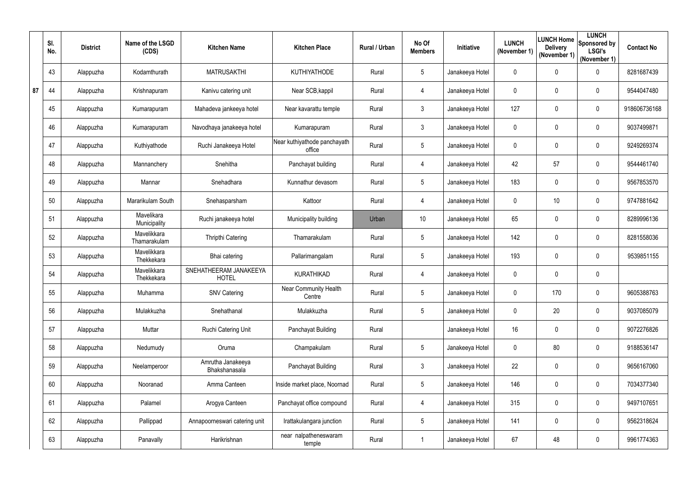|    | SI.<br>No. | <b>District</b> | Name of the LSGD<br>(CDS)   | <b>Kitchen Name</b>                    | <b>Kitchen Place</b>                   | Rural / Urban | No Of<br><b>Members</b> | Initiative      | <b>LUNCH</b><br>(November 1) | <b>Delivery</b><br>(November 1) | <b>LUNCH</b><br><b>ILUNCH Home</b> Sponsored by<br><b>LSGI's</b><br>(November 1) | <b>Contact No</b> |
|----|------------|-----------------|-----------------------------|----------------------------------------|----------------------------------------|---------------|-------------------------|-----------------|------------------------------|---------------------------------|----------------------------------------------------------------------------------|-------------------|
|    | 43         | Alappuzha       | Kodamthurath                | <b>MATRUSAKTHI</b>                     | <b>KUTHIYATHODE</b>                    | Rural         | $5\phantom{.0}$         | Janakeeya Hotel | $\mathbf 0$                  | $\mathbf 0$                     | $\pmb{0}$                                                                        | 8281687439        |
| 87 | 44         | Alappuzha       | Krishnapuram                | Kanivu catering unit                   | Near SCB, kappil                       | Rural         | 4                       | Janakeeya Hotel | $\mathbf 0$                  | $\mathbf 0$                     | $\mathbf 0$                                                                      | 9544047480        |
|    | 45         | Alappuzha       | Kumarapuram                 | Mahadeva jankeeya hotel                | Near kavarattu temple                  | Rural         | 3                       | Janakeeya Hotel | 127                          | 0                               | $\mathbf 0$                                                                      | 918606736168      |
|    | 46         | Alappuzha       | Kumarapuram                 | Navodhaya janakeeya hotel              | Kumarapuram                            | Rural         | $\mathfrak{Z}$          | Janakeeya Hotel | $\overline{0}$               | $\mathbf 0$                     | $\pmb{0}$                                                                        | 9037499871        |
|    | 47         | Alappuzha       | Kuthiyathode                | Ruchi Janakeeya Hotel                  | Near kuthiyathode panchayath<br>office | Rural         | $5\overline{)}$         | Janakeeya Hotel | $\mathbf 0$                  | 0                               | $\pmb{0}$                                                                        | 9249269374        |
|    | 48         | Alappuzha       | Mannanchery                 | Snehitha                               | Panchayat building                     | Rural         | 4                       | Janakeeya Hotel | 42                           | 57                              | $\pmb{0}$                                                                        | 9544461740        |
|    | 49         | Alappuzha       | Mannar                      | Snehadhara                             | Kunnathur devasom                      | Rural         | $5\overline{)}$         | Janakeeya Hotel | 183                          | $\mathbf 0$                     | $\mathbf 0$                                                                      | 9567853570        |
|    | 50         | Alappuzha       | Mararikulam South           | Snehasparsham                          | Kattoor                                | Rural         | 4                       | Janakeeya Hotel | $\mathbf 0$                  | 10                              | $\mathbf 0$                                                                      | 9747881642        |
|    | 51         | Alappuzha       | Mavelikara<br>Municipality  | Ruchi janakeeya hotel                  | Municipality building                  | Urban         | 10 <sup>°</sup>         | Janakeeya Hotel | 65                           | $\mathbf 0$                     | $\mathbf 0$                                                                      | 8289996136        |
|    | 52         | Alappuzha       | Mavelikkara<br>Thamarakulam | Thripthi Catering                      | Thamarakulam                           | Rural         | 5                       | Janakeeya Hotel | 142                          | $\mathbf 0$                     | $\mathbf 0$                                                                      | 8281558036        |
|    | 53         | Alappuzha       | Mavelikkara<br>Thekkekara   | Bhai catering                          | Pallarimangalam                        | Rural         | 5                       | Janakeeya Hotel | 193                          | $\mathbf 0$                     | $\mathbf 0$                                                                      | 9539851155        |
|    | 54         | Alappuzha       | Mavelikkara<br>Thekkekara   | SNEHATHEERAM JANAKEEYA<br><b>HOTEL</b> | <b>KURATHIKAD</b>                      | Rural         | 4                       | Janakeeya Hotel | $\mathbf 0$                  | 0                               | $\mathbf 0$                                                                      |                   |
|    | 55         | Alappuzha       | Muhamma                     | <b>SNV Catering</b>                    | Near Community Health<br>Centre        | Rural         | 5                       | Janakeeya Hotel | $\mathbf 0$                  | 170                             | $\pmb{0}$                                                                        | 9605388763        |
|    | 56         | Alappuzha       | Mulakkuzha                  | Snehathanal                            | Mulakkuzha                             | Rural         | $5\phantom{.0}$         | Janakeeya Hotel | $\mathbf 0$                  | 20                              | $\pmb{0}$                                                                        | 9037085079        |
|    | 57         | Alappuzha       | Muttar                      | Ruchi Catering Unit                    | Panchayat Building                     | Rural         |                         | Janakeeya Hotel | 16                           | $\mathbf 0$                     | $\boldsymbol{0}$                                                                 | 9072276826        |
|    | 58         | Alappuzha       | Nedumudy                    | Oruma                                  | Champakulam                            | Rural         | $5\phantom{.0}$         | Janakeeya Hotel | $\mathbf 0$                  | 80                              | $\pmb{0}$                                                                        | 9188536147        |
|    | 59         | Alappuzha       | Neelamperoor                | Amrutha Janakeeya<br>Bhakshanasala     | Panchayat Building                     | Rural         | $\mathfrak{Z}$          | Janakeeya Hotel | 22                           | $\mathbf 0$                     | $\boldsymbol{0}$                                                                 | 9656167060        |
|    | 60         | Alappuzha       | Nooranad                    | Amma Canteen                           | Inside market place, Noornad           | Rural         | $5\phantom{.0}$         | Janakeeya Hotel | 146                          | $\mathbf 0$                     | $\pmb{0}$                                                                        | 7034377340        |
|    | 61         | Alappuzha       | Palamel                     | Arogya Canteen                         | Panchayat office compound              | Rural         | 4                       | Janakeeya Hotel | 315                          | $\mathbf 0$                     | $\boldsymbol{0}$                                                                 | 9497107651        |
|    | 62         | Alappuzha       | Pallippad                   | Annapoorneswari catering unit          | Irattakulangara junction               | Rural         | $5\phantom{.0}$         | Janakeeya Hotel | 141                          | $\mathbf 0$                     | $\boldsymbol{0}$                                                                 | 9562318624        |
|    | 63         | Alappuzha       | Panavally                   | Harikrishnan                           | near nalpatheneswaram<br>temple        | Rural         |                         | Janakeeya Hotel | 67                           | 48                              | $\pmb{0}$                                                                        | 9961774363        |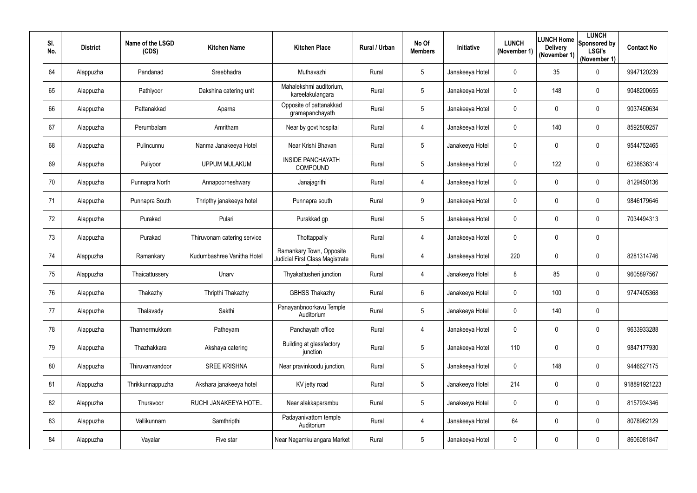| SI.<br>No. | <b>District</b> | Name of the LSGD<br>(CDS) | <b>Kitchen Name</b>         | <b>Kitchen Place</b>                                        | Rural / Urban | No Of<br><b>Members</b> | Initiative      | <b>LUNCH</b><br>(November 1) | LUNCH Home<br><b>Delivery</b><br>(November 1) | <b>LUNCH</b><br>Sponsored by<br><b>LSGI's</b><br>(November 1) | <b>Contact No</b> |
|------------|-----------------|---------------------------|-----------------------------|-------------------------------------------------------------|---------------|-------------------------|-----------------|------------------------------|-----------------------------------------------|---------------------------------------------------------------|-------------------|
| 64         | Alappuzha       | Pandanad                  | Sreebhadra                  | Muthavazhi                                                  | Rural         | 5                       | Janakeeya Hotel | 0                            | 35                                            | $\pmb{0}$                                                     | 9947120239        |
| 65         | Alappuzha       | Pathiyoor                 | Dakshina catering unit      | Mahalekshmi auditorium,<br>kareelakulangara                 | Rural         | 5                       | Janakeeya Hotel | $\mathbf 0$                  | 148                                           | $\mathbf 0$                                                   | 9048200655        |
| 66         | Alappuzha       | Pattanakkad               | Aparna                      | Opposite of pattanakkad<br>gramapanchayath                  | Rural         | 5                       | Janakeeya Hotel | $\mathbf 0$                  | 0                                             | $\pmb{0}$                                                     | 9037450634        |
| 67         | Alappuzha       | Perumbalam                | Amritham                    | Near by govt hospital                                       | Rural         | 4                       | Janakeeya Hotel | $\mathbf 0$                  | 140                                           | $\mathbf 0$                                                   | 8592809257        |
| 68         | Alappuzha       | Pulincunnu                | Nanma Janakeeya Hotel       | Near Krishi Bhavan                                          | Rural         | $5\overline{)}$         | Janakeeya Hotel | $\mathbf 0$                  | 0                                             | $\pmb{0}$                                                     | 9544752465        |
| 69         | Alappuzha       | Puliyoor                  | <b>UPPUM MULAKUM</b>        | <b>INSIDE PANCHAYATH</b><br>COMPOUND                        | Rural         | 5                       | Janakeeya Hotel | $\mathbf 0$                  | 122                                           | $\mathbf 0$                                                   | 6238836314        |
| 70         | Alappuzha       | Punnapra North            | Annapoorneshwary            | Janajagrithi                                                | Rural         | 4                       | Janakeeya Hotel | $\mathbf 0$                  | $\mathbf 0$                                   | $\pmb{0}$                                                     | 8129450136        |
| 71         | Alappuzha       | Punnapra South            | Thripthy janakeeya hotel    | Punnapra south                                              | Rural         | 9                       | Janakeeya Hotel | 0                            | 0                                             | $\pmb{0}$                                                     | 9846179646        |
| 72         | Alappuzha       | Purakad                   | Pulari                      | Purakkad gp                                                 | Rural         | 5                       | Janakeeya Hotel | $\mathbf 0$                  | $\mathbf 0$                                   | $\mathbf 0$                                                   | 7034494313        |
| 73         | Alappuzha       | Purakad                   | Thiruvonam catering service | Thottappally                                                | Rural         | 4                       | Janakeeya Hotel | 0                            | 0                                             | $\mathbf 0$                                                   |                   |
| 74         | Alappuzha       | Ramankary                 | Kudumbashree Vanitha Hotel  | Ramankary Town, Opposite<br>Judicial First Class Magistrate | Rural         | 4                       | Janakeeya Hotel | 220                          | $\mathbf 0$                                   | $\mathbf 0$                                                   | 8281314746        |
| 75         | Alappuzha       | Thaicattussery            | Unarv                       | Thyakattusheri junction                                     | Rural         | 4                       | Janakeeya Hotel | 8                            | 85                                            | $\pmb{0}$                                                     | 9605897567        |
| 76         | Alappuzha       | Thakazhy                  | Thripthi Thakazhy           | <b>GBHSS Thakazhy</b>                                       | Rural         | 6                       | Janakeeya Hotel | $\mathbf{0}$                 | 100                                           | $\boldsymbol{0}$                                              | 9747405368        |
| 77         | Alappuzha       | Thalavady                 | Sakthi                      | Panayanbnoorkavu Temple<br>Auditorium                       | Rural         | $5\overline{)}$         | Janakeeya Hotel | $\mathbf{0}$                 | 140                                           | $\pmb{0}$                                                     |                   |
| 78         | Alappuzha       | Thannermukkom             | Patheyam                    | Panchayath office                                           | Rural         | 4                       | Janakeeya Hotel | $\mathbf 0$                  | $\overline{0}$                                | $\pmb{0}$                                                     | 9633933288        |
| 79         | Alappuzha       | Thazhakkara               | Akshaya catering            | Building at glassfactory<br>junction                        | Rural         | 5                       | Janakeeya Hotel | 110                          | $\mathbf 0$                                   | $\boldsymbol{0}$                                              | 9847177930        |
| 80         | Alappuzha       | Thiruvanvandoor           | <b>SREE KRISHNA</b>         | Near pravinkoodu junction,                                  | Rural         | 5                       | Janakeeya Hotel | $\mathbf 0$                  | 148                                           | $\mathbf 0$                                                   | 9446627175        |
| 81         | Alappuzha       | Thrikkunnappuzha          | Akshara janakeeya hotel     | KV jetty road                                               | Rural         | $5\overline{)}$         | Janakeeya Hotel | 214                          | $\mathbf 0$                                   | $\pmb{0}$                                                     | 918891921223      |
| 82         | Alappuzha       | Thuravoor                 | RUCHI JANAKEEYA HOTEL       | Near alakkaparambu                                          | Rural         | 5                       | Janakeeya Hotel | $\mathbf{0}$                 | $\mathbf 0$                                   | $\pmb{0}$                                                     | 8157934346        |
| 83         | Alappuzha       | Vallikunnam               | Samthripthi                 | Padayanivattom temple<br>Auditorium                         | Rural         | 4                       | Janakeeya Hotel | 64                           | $\mathbf 0$                                   | $\boldsymbol{0}$                                              | 8078962129        |
| 84         | Alappuzha       | Vayalar                   | Five star                   | Near Nagamkulangara Market                                  | Rural         | $5\overline{)}$         | Janakeeya Hotel | $\mathbf 0$                  | $\boldsymbol{0}$                              | $\pmb{0}$                                                     | 8606081847        |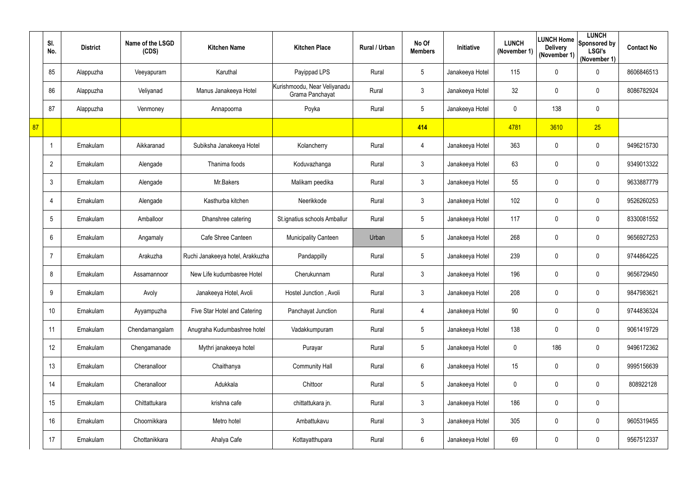|    | SI.<br>No.      | <b>District</b> | Name of the LSGD<br>(CDS) | <b>Kitchen Name</b>              | <b>Kitchen Place</b>                            | Rural / Urban | No Of<br><b>Members</b> | Initiative      | <b>LUNCH</b><br>(November 1) | <b>Delivery</b><br>(November 1) | <b>LUNCH</b><br> LUNCH Home  Sponsored by '<br><b>LSGI's</b><br>(November 1) | <b>Contact No</b> |
|----|-----------------|-----------------|---------------------------|----------------------------------|-------------------------------------------------|---------------|-------------------------|-----------------|------------------------------|---------------------------------|------------------------------------------------------------------------------|-------------------|
|    | 85              | Alappuzha       | Veeyapuram                | Karuthal                         | Payippad LPS                                    | Rural         | $5\phantom{.0}$         | Janakeeya Hotel | 115                          | 0                               | $\mathbf 0$                                                                  | 8606846513        |
|    | 86              | Alappuzha       | Veliyanad                 | Manus Janakeeya Hotel            | Kurishmoodu, Near Veliyanadu<br>Grama Panchayat | Rural         | $3\overline{3}$         | Janakeeya Hotel | 32                           | 0                               | $\boldsymbol{0}$                                                             | 8086782924        |
|    | 87              | Alappuzha       | Venmoney                  | Annapoorna                       | Poyka                                           | Rural         | $5\phantom{.0}$         | Janakeeya Hotel | $\mathbf 0$                  | 138                             | $\mathbf 0$                                                                  |                   |
| 87 |                 |                 |                           |                                  |                                                 |               | 414                     |                 | 4781                         | 3610                            | 25                                                                           |                   |
|    |                 | Ernakulam       | Aikkaranad                | Subiksha Janakeeya Hotel         | Kolancherry                                     | Rural         | 4                       | Janakeeya Hotel | 363                          | 0                               | $\mathbf 0$                                                                  | 9496215730        |
|    | $\overline{2}$  | Ernakulam       | Alengade                  | Thanima foods                    | Koduvazhanga                                    | Rural         | $\mathfrak{Z}$          | Janakeeya Hotel | 63                           | 0                               | $\mathbf 0$                                                                  | 9349013322        |
|    | $\mathbf{3}$    | Ernakulam       | Alengade                  | Mr.Bakers                        | Malikam peedika                                 | Rural         | $\mathfrak{Z}$          | Janakeeya Hotel | 55                           | 0                               | $\mathbf 0$                                                                  | 9633887779        |
|    | 4               | Ernakulam       | Alengade                  | Kasthurba kitchen                | Neerikkode                                      | Rural         | $3\overline{3}$         | Janakeeya Hotel | 102                          | 0                               | $\mathbf 0$                                                                  | 9526260253        |
|    | $5\phantom{.0}$ | Ernakulam       | Amballoor                 | Dhanshree catering               | St.ignatius schools Amballur                    | Rural         | $5\phantom{.0}$         | Janakeeya Hotel | 117                          | $\mathbf 0$                     | $\mathbf 0$                                                                  | 8330081552        |
|    | $6\phantom{.}6$ | Ernakulam       | Angamaly                  | Cafe Shree Canteen               | <b>Municipality Canteen</b>                     | Urban         | $5\phantom{.0}$         | Janakeeya Hotel | 268                          | 0                               | $\mathbf 0$                                                                  | 9656927253        |
|    | $\overline{7}$  | Ernakulam       | Arakuzha                  | Ruchi Janakeeya hotel, Arakkuzha | Pandappilly                                     | Rural         | $5\phantom{.0}$         | Janakeeya Hotel | 239                          | 0                               | $\mathbf 0$                                                                  | 9744864225        |
|    | 8               | Ernakulam       | Assamannoor               | New Life kudumbasree Hotel       | Cherukunnam                                     | Rural         | $\mathfrak{Z}$          | Janakeeya Hotel | 196                          | $\boldsymbol{0}$                | $\boldsymbol{0}$                                                             | 9656729450        |
|    | 9               | Ernakulam       | Avoly                     | Janakeeya Hotel, Avoli           | Hostel Junction, Avoli                          | Rural         | $\mathfrak{Z}$          | Janakeeya Hotel | 208                          | $\boldsymbol{0}$                | $\boldsymbol{0}$                                                             | 9847983621        |
|    | 10 <sup>°</sup> | Ernakulam       | Ayyampuzha                | Five Star Hotel and Catering     | Panchayat Junction                              | Rural         | 4                       | Janakeeya Hotel | 90                           | 0                               | $\pmb{0}$                                                                    | 9744836324        |
|    | 11              | Ernakulam       | Chendamangalam            | Anugraha Kudumbashree hotel      | Vadakkumpuram                                   | Rural         | $5\phantom{.0}$         | Janakeeya Hotel | 138                          | $\mathbf 0$                     | $\pmb{0}$                                                                    | 9061419729        |
|    | 12              | Ernakulam       | Chengamanade              | Mythri janakeeya hotel           | Purayar                                         | Rural         | $\overline{5}$          | Janakeeya Hotel | $\mathbf 0$                  | 186                             | $\pmb{0}$                                                                    | 9496172362        |
|    | 13              | Ernakulam       | Cheranalloor              | Chaithanya                       | <b>Community Hall</b>                           | Rural         | $6\phantom{.}6$         | Janakeeya Hotel | 15                           | $\boldsymbol{0}$                | $\pmb{0}$                                                                    | 9995156639        |
|    | 14              | Ernakulam       | Cheranalloor              | Adukkala                         | Chittoor                                        | Rural         | $\overline{5}$          | Janakeeya Hotel | $\mathbf 0$                  | 0                               | $\pmb{0}$                                                                    | 808922128         |
|    | 15              | Ernakulam       | Chittattukara             | krishna cafe                     | chittattukara jn.                               | Rural         | $\mathfrak{Z}$          | Janakeeya Hotel | 186                          | 0                               | $\pmb{0}$                                                                    |                   |
|    | 16              | Ernakulam       | Choornikkara              | Metro hotel                      | Ambattukavu                                     | Rural         | $\mathfrak{Z}$          | Janakeeya Hotel | 305                          | 0                               | $\pmb{0}$                                                                    | 9605319455        |
|    | 17              | Ernakulam       | Chottanikkara             | Ahalya Cafe                      | Kottayatthupara                                 | Rural         | $6\phantom{.0}$         | Janakeeya Hotel | 69                           | $\mathbf 0$                     | $\pmb{0}$                                                                    | 9567512337        |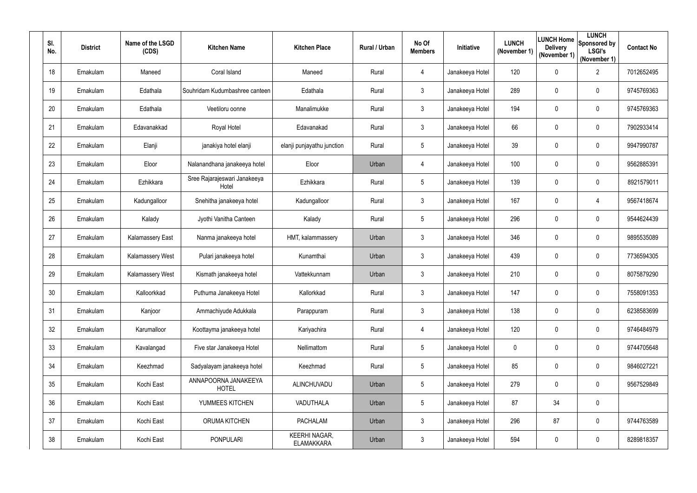| SI.<br>No.      | <b>District</b> | Name of the LSGD<br>(CDS) | <b>Kitchen Name</b>                   | <b>Kitchen Place</b>                      | Rural / Urban | No Of<br><b>Members</b> | <b>Initiative</b> | <b>LUNCH</b><br>(November 1) | <b>Delivery</b><br>(November 1) | <b>LUNCH</b><br><b>ILUNCH Home</b> Sponsored by<br><b>LSGI's</b><br>(November 1) | <b>Contact No</b> |
|-----------------|-----------------|---------------------------|---------------------------------------|-------------------------------------------|---------------|-------------------------|-------------------|------------------------------|---------------------------------|----------------------------------------------------------------------------------|-------------------|
| 18              | Ernakulam       | Maneed                    | Coral Island                          | Maneed                                    | Rural         | 4                       | Janakeeya Hotel   | 120                          | $\overline{0}$                  | $\overline{2}$                                                                   | 7012652495        |
| 19              | Ernakulam       | Edathala                  | Souhridam Kudumbashree canteen        | Edathala                                  | Rural         | 3 <sup>1</sup>          | Janakeeya Hotel   | 289                          | $\mathbf 0$                     | $\mathbf 0$                                                                      | 9745769363        |
| 20              | Ernakulam       | Edathala                  | Veetiloru oonne                       | Manalimukke                               | Rural         | $\mathfrak{Z}$          | Janakeeya Hotel   | 194                          | 0                               | $\mathbf 0$                                                                      | 9745769363        |
| 21              | Ernakulam       | Edavanakkad               | Royal Hotel                           | Edavanakad                                | Rural         | 3 <sup>1</sup>          | Janakeeya Hotel   | 66                           | $\overline{0}$                  | $\pmb{0}$                                                                        | 7902933414        |
| 22              | Ernakulam       | Elanji                    | janakiya hotel elanji                 | elanji punjayathu junction                | Rural         | $5\overline{)}$         | Janakeeya Hotel   | 39                           | 0                               | $\mathbf 0$                                                                      | 9947990787        |
| 23              | Ernakulam       | Eloor                     | Nalanandhana janakeeya hotel          | Eloor                                     | Urban         | 4                       | Janakeeya Hotel   | 100                          | $\mathbf 0$                     | $\mathbf 0$                                                                      | 9562885391        |
| 24              | Ernakulam       | Ezhikkara                 | Sree Rajarajeswari Janakeeya<br>Hotel | Ezhikkara                                 | Rural         | $5\overline{)}$         | Janakeeya Hotel   | 139                          | 0                               | $\mathbf 0$                                                                      | 8921579011        |
| 25              | Ernakulam       | Kadungalloor              | Snehitha janakeeya hotel              | Kadungalloor                              | Rural         | 3 <sup>1</sup>          | Janakeeya Hotel   | 167                          | 0                               | 4                                                                                | 9567418674        |
| 26              | Ernakulam       | Kalady                    | Jyothi Vanitha Canteen                | Kalady                                    | Rural         | $5\overline{)}$         | Janakeeya Hotel   | 296                          | $\overline{0}$                  | $\mathbf 0$                                                                      | 9544624439        |
| 27              | Ernakulam       | <b>Kalamassery East</b>   | Nanma janakeeya hotel                 | HMT, kalammassery                         | Urban         | 3 <sup>1</sup>          | Janakeeya Hotel   | 346                          | 0                               | $\mathbf 0$                                                                      | 9895535089        |
| 28              | Ernakulam       | Kalamassery West          | Pulari janakeeya hotel                | Kunamthai                                 | Urban         | 3 <sup>1</sup>          | Janakeeya Hotel   | 439                          | 0                               | $\mathbf 0$                                                                      | 7736594305        |
| 29              | Ernakulam       | Kalamassery West          | Kismath janakeeya hotel               | Vattekkunnam                              | Urban         | 3 <sup>1</sup>          | Janakeeya Hotel   | 210                          | $\overline{0}$                  | $\mathbf 0$                                                                      | 8075879290        |
| 30 <sup>°</sup> | Ernakulam       | Kalloorkkad               | Puthuma Janakeeya Hotel               | Kallorkkad                                | Rural         | 3                       | Janakeeya Hotel   | 147                          | $\mathbf 0$                     | $\pmb{0}$                                                                        | 7558091353        |
| 31              | Ernakulam       | Kanjoor                   | Ammachiyude Adukkala                  | Parappuram                                | Rural         | $\mathfrak{Z}$          | Janakeeya Hotel   | 138                          | $\mathbf 0$                     | $\pmb{0}$                                                                        | 6238583699        |
| 32              | Ernakulam       | Karumalloor               | Koottayma janakeeya hotel             | Kariyachira                               | Rural         | 4                       | Janakeeya Hotel   | 120                          | $\overline{0}$                  | $\boldsymbol{0}$                                                                 | 9746484979        |
| 33              | Ernakulam       | Kavalangad                | Five star Janakeeya Hotel             | Nellimattom                               | Rural         | $5\phantom{.0}$         | Janakeeya Hotel   | $\mathbf 0$                  | $\overline{0}$                  | $\boldsymbol{0}$                                                                 | 9744705648        |
| 34              | Ernakulam       | Keezhmad                  | Sadyalayam janakeeya hotel            | Keezhmad                                  | Rural         | $5\phantom{.0}$         | Janakeeya Hotel   | 85                           | $\overline{0}$                  | $\boldsymbol{0}$                                                                 | 9846027221        |
| 35              | Ernakulam       | Kochi East                | ANNAPOORNA JANAKEEYA<br><b>HOTEL</b>  | ALINCHUVADU                               | Urban         | $5\overline{)}$         | Janakeeya Hotel   | 279                          | $\overline{0}$                  | $\pmb{0}$                                                                        | 9567529849        |
| 36              | Ernakulam       | Kochi East                | YUMMEES KITCHEN                       | VADUTHALA                                 | Urban         | $5\overline{)}$         | Janakeeya Hotel   | 87                           | 34                              | $\pmb{0}$                                                                        |                   |
| 37              | Ernakulam       | Kochi East                | ORUMA KITCHEN                         | <b>PACHALAM</b>                           | Urban         | $\mathfrak{Z}$          | Janakeeya Hotel   | 296                          | 87                              | $\pmb{0}$                                                                        | 9744763589        |
| 38              | Ernakulam       | Kochi East                | <b>PONPULARI</b>                      | <b>KEERHI NAGAR,</b><br><b>ELAMAKKARA</b> | Urban         | $\mathfrak{Z}$          | Janakeeya Hotel   | 594                          | $\mathbf 0$                     | $\pmb{0}$                                                                        | 8289818357        |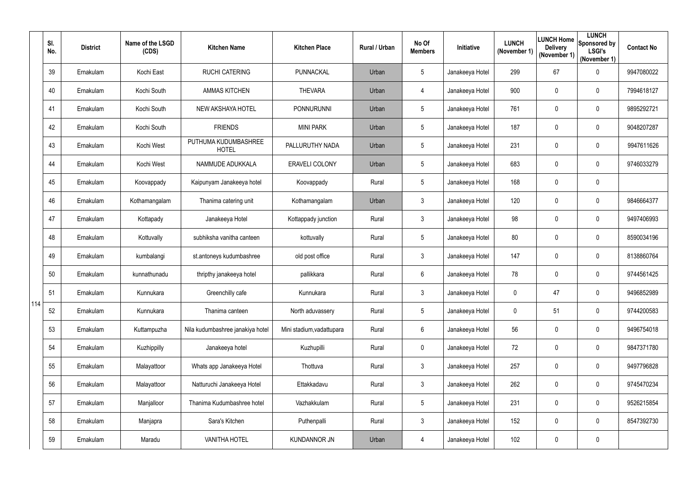|     | SI.<br>No. | <b>District</b> | Name of the LSGD<br>(CDS) | <b>Kitchen Name</b>                  | <b>Kitchen Place</b>      | Rural / Urban | No Of<br><b>Members</b> | Initiative      | <b>LUNCH</b><br>(November 1) | <b>Delivery</b><br>(November 1) | <b>LUNCH</b><br>LUNCH Home Sponsored by<br><b>LSGI's</b><br>(November 1) | <b>Contact No</b> |
|-----|------------|-----------------|---------------------------|--------------------------------------|---------------------------|---------------|-------------------------|-----------------|------------------------------|---------------------------------|--------------------------------------------------------------------------|-------------------|
|     | 39         | Ernakulam       | Kochi East                | <b>RUCHI CATERING</b>                | PUNNACKAL                 | Urban         | 5                       | Janakeeya Hotel | 299                          | 67                              | $\mathbf 0$                                                              | 9947080022        |
|     | 40         | Ernakulam       | Kochi South               | <b>AMMAS KITCHEN</b>                 | <b>THEVARA</b>            | Urban         | 4                       | Janakeeya Hotel | 900                          | $\mathbf 0$                     | $\pmb{0}$                                                                | 7994618127        |
|     | 41         | Ernakulam       | Kochi South               | NEW AKSHAYA HOTEL                    | <b>PONNURUNNI</b>         | Urban         | 5                       | Janakeeya Hotel | 761                          | 0                               | $\mathbf 0$                                                              | 9895292721        |
|     | 42         | Ernakulam       | Kochi South               | <b>FRIENDS</b>                       | <b>MINI PARK</b>          | Urban         | 5                       | Janakeeya Hotel | 187                          | $\mathbf 0$                     | $\pmb{0}$                                                                | 9048207287        |
|     | 43         | Ernakulam       | Kochi West                | PUTHUMA KUDUMBASHREE<br><b>HOTEL</b> | PALLURUTHY NADA           | Urban         | 5                       | Janakeeya Hotel | 231                          | 0                               | $\mathbf 0$                                                              | 9947611626        |
|     | 44         | Ernakulam       | Kochi West                | NAMMUDE ADUKKALA                     | <b>ERAVELI COLONY</b>     | Urban         | 5                       | Janakeeya Hotel | 683                          | $\mathbf 0$                     | $\mathbf 0$                                                              | 9746033279        |
|     | 45         | Ernakulam       | Koovappady                | Kaipunyam Janakeeya hotel            | Koovappady                | Rural         | 5                       | Janakeeya Hotel | 168                          | $\mathbf 0$                     | $\mathbf 0$                                                              |                   |
|     | 46         | Ernakulam       | Kothamangalam             | Thanima catering unit                | Kothamangalam             | Urban         | 3                       | Janakeeya Hotel | 120                          | $\mathbf 0$                     | $\mathbf 0$                                                              | 9846664377        |
|     | 47         | Ernakulam       | Kottapady                 | Janakeeya Hotel                      | Kottappady junction       | Rural         | $\mathfrak{S}$          | Janakeeya Hotel | 98                           | $\mathbf 0$                     | $\pmb{0}$                                                                | 9497406993        |
|     | 48         | Ernakulam       | Kottuvally                | subhiksha vanitha canteen            | kottuvally                | Rural         | 5                       | Janakeeya Hotel | 80                           | $\mathbf 0$                     | $\mathbf 0$                                                              | 8590034196        |
|     | 49         | Ernakulam       | kumbalangi                | st.antoneys kudumbashree             | old post office           | Rural         | $\mathfrak{S}$          | Janakeeya Hotel | 147                          | $\mathbf 0$                     | $\pmb{0}$                                                                | 8138860764        |
|     | 50         | Ernakulam       | kunnathunadu              | thripthy janakeeya hotel             | pallikkara                | Rural         | $6\phantom{.}$          | Janakeeya Hotel | 78                           | $\overline{0}$                  | $\mathbf 0$                                                              | 9744561425        |
|     | 51         | Ernakulam       | Kunnukara                 | Greenchilly cafe                     | Kunnukara                 | Rural         | 3                       | Janakeeya Hotel | $\mathbf{0}$                 | 47                              | $\pmb{0}$                                                                | 9496852989        |
| 114 | 52         | Ernakulam       | Kunnukara                 | Thanima canteen                      | North aduvassery          | Rural         | 5                       | Janakeeya Hotel | $\mathbf 0$                  | 51                              | $\pmb{0}$                                                                | 9744200583        |
|     | 53         | Ernakulam       | Kuttampuzha               | Nila kudumbashree janakiya hotel     | Mini stadium, vadattupara | Rural         | $6\phantom{.0}$         | Janakeeya Hotel | 56                           | $\mathbf 0$                     | $\pmb{0}$                                                                | 9496754018        |
|     | 54         | Ernakulam       | Kuzhippilly               | Janakeeya hotel                      | Kuzhupilli                | Rural         | $\mathbf 0$             | Janakeeya Hotel | 72                           | $\mathbf 0$                     | $\pmb{0}$                                                                | 9847371780        |
|     | 55         | Ernakulam       | Malayattoor               | Whats app Janakeeya Hotel            | Thottuva                  | Rural         | $\mathfrak{Z}$          | Janakeeya Hotel | 257                          | $\mathbf 0$                     | $\pmb{0}$                                                                | 9497796828        |
|     | 56         | Ernakulam       | Malayattoor               | Natturuchi Janakeeya Hotel           | Ettakkadavu               | Rural         | 3                       | Janakeeya Hotel | 262                          | $\mathbf 0$                     | $\pmb{0}$                                                                | 9745470234        |
|     | 57         | Ernakulam       | Manjalloor                | Thanima Kudumbashree hotel           | Vazhakkulam               | Rural         | 5                       | Janakeeya Hotel | 231                          | $\mathbf 0$                     | $\pmb{0}$                                                                | 9526215854        |
|     | 58         | Ernakulam       | Manjapra                  | Sara's Kitchen                       | Puthenpalli               | Rural         | $\mathfrak{S}$          | Janakeeya Hotel | 152                          | 0                               | $\pmb{0}$                                                                | 8547392730        |
|     | 59         | Ernakulam       | Maradu                    | <b>VANITHA HOTEL</b>                 | <b>KUNDANNOR JN</b>       | Urban         | 4                       | Janakeeya Hotel | 102                          | $\pmb{0}$                       | $\pmb{0}$                                                                |                   |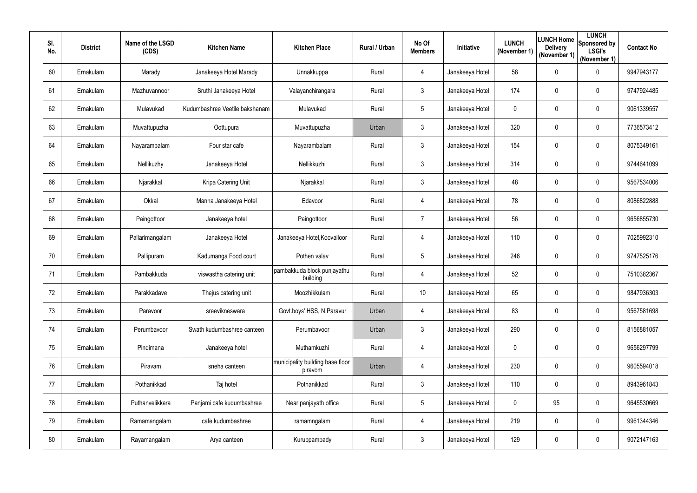| SI.<br>No. | <b>District</b> | Name of the LSGD<br>(CDS) | <b>Kitchen Name</b>            | <b>Kitchen Place</b>                        | Rural / Urban | No Of<br><b>Members</b> | Initiative      | <b>LUNCH</b><br>(November 1) | <b>LUNCH Home</b><br><b>Delivery</b><br>(November 1) | <b>LUNCH</b><br>Sponsored by<br><b>LSGI's</b><br>(November 1) | <b>Contact No</b> |
|------------|-----------------|---------------------------|--------------------------------|---------------------------------------------|---------------|-------------------------|-----------------|------------------------------|------------------------------------------------------|---------------------------------------------------------------|-------------------|
| 60         | Ernakulam       | Marady                    | Janakeeya Hotel Marady         | Unnakkuppa                                  | Rural         | 4                       | Janakeeya Hotel | 58                           | 0                                                    | $\pmb{0}$                                                     | 9947943177        |
| 61         | Ernakulam       | Mazhuvannoor              | Sruthi Janakeeya Hotel         | Valayanchirangara                           | Rural         | 3 <sup>1</sup>          | Janakeeya Hotel | 174                          | 0                                                    | $\mathbf 0$                                                   | 9747924485        |
| 62         | Ernakulam       | Mulavukad                 | Kudumbashree Veetile bakshanam | Mulavukad                                   | Rural         | 5                       | Janakeeya Hotel | $\mathbf 0$                  | 0                                                    | $\mathbf 0$                                                   | 9061339557        |
| 63         | Ernakulam       | Muvattupuzha              | Oottupura                      | Muvattupuzha                                | Urban         | 3 <sup>1</sup>          | Janakeeya Hotel | 320                          | 0                                                    | $\mathbf 0$                                                   | 7736573412        |
| 64         | Ernakulam       | Nayarambalam              | Four star cafe                 | Nayarambalam                                | Rural         | 3 <sup>1</sup>          | Janakeeya Hotel | 154                          | 0                                                    | $\mathbf 0$                                                   | 8075349161        |
| 65         | Ernakulam       | Nellikuzhy                | Janakeeya Hotel                | Nellikkuzhi                                 | Rural         | 3                       | Janakeeya Hotel | 314                          | $\mathbf 0$                                          | $\mathbf 0$                                                   | 9744641099        |
| 66         | Ernakulam       | Njarakkal                 | Kripa Catering Unit            | Njarakkal                                   | Rural         | $\mathfrak{Z}$          | Janakeeya Hotel | 48                           | 0                                                    | $\mathbf 0$                                                   | 9567534006        |
| 67         | Ernakulam       | Okkal                     | Manna Janakeeya Hotel          | Edavoor                                     | Rural         | 4                       | Janakeeya Hotel | 78                           | 0                                                    | $\mathbf 0$                                                   | 8086822888        |
| 68         | Ernakulam       | Paingottoor               | Janakeeya hotel                | Paingottoor                                 | Rural         | $\overline{7}$          | Janakeeya Hotel | 56                           | $\boldsymbol{0}$                                     | $\mathbf 0$                                                   | 9656855730        |
| 69         | Ernakulam       | Pallarimangalam           | Janakeeya Hotel                | Janakeeya Hotel, Koovalloor                 | Rural         | 4                       | Janakeeya Hotel | 110                          | 0                                                    | $\mathbf 0$                                                   | 7025992310        |
| 70         | Ernakulam       | Pallipuram                | Kadumanga Food court           | Pothen valav                                | Rural         | 5                       | Janakeeya Hotel | 246                          | $\mathbf 0$                                          | $\mathbf 0$                                                   | 9747525176        |
| 71         | Ernakulam       | Pambakkuda                | viswastha catering unit        | pambakkuda block punjayathu<br>building     | Rural         | 4                       | Janakeeya Hotel | 52                           | 0                                                    | $\mathbf 0$                                                   | 7510382367        |
| 72         | Ernakulam       | Parakkadave               | Thejus catering unit           | Moozhikkulam                                | Rural         | 10                      | Janakeeya Hotel | 65                           | $\mathbf 0$                                          | 0                                                             | 9847936303        |
| 73         | Ernakulam       | Paravoor                  | sreevikneswara                 | Govt.boys' HSS, N.Paravur                   | Urban         | 4                       | Janakeeya Hotel | 83                           | $\boldsymbol{0}$                                     | $\mathbf 0$                                                   | 9567581698        |
| 74         | Ernakulam       | Perumbavoor               | Swath kudumbashree canteen     | Perumbavoor                                 | Urban         | $\mathfrak{Z}$          | Janakeeya Hotel | 290                          | $\mathbf 0$                                          | $\mathbf 0$                                                   | 8156881057        |
| 75         | Ernakulam       | Pindimana                 | Janakeeya hotel                | Muthamkuzhi                                 | Rural         | 4                       | Janakeeya Hotel | $\mathbf 0$                  | $\pmb{0}$                                            | $\mathbf 0$                                                   | 9656297799        |
| 76         | Ernakulam       | Piravam                   | sneha canteen                  | municipality building base floor<br>piravom | Urban         | 4                       | Janakeeya Hotel | 230                          | $\pmb{0}$                                            | $\mathbf 0$                                                   | 9605594018        |
| 77         | Ernakulam       | Pothanikkad               | Taj hotel                      | Pothanikkad                                 | Rural         | $\mathfrak{Z}$          | Janakeeya Hotel | 110                          | $\boldsymbol{0}$                                     | $\pmb{0}$                                                     | 8943961843        |
| 78         | Ernakulam       | Puthanvelikkara           | Panjami cafe kudumbashree      | Near panjayath office                       | Rural         | $5\overline{)}$         | Janakeeya Hotel | $\mathbf 0$                  | 95                                                   | $\pmb{0}$                                                     | 9645530669        |
| 79         | Ernakulam       | Ramamangalam              | cafe kudumbashree              | ramamngalam                                 | Rural         | 4                       | Janakeeya Hotel | 219                          | $\boldsymbol{0}$                                     | $\mathbf 0$                                                   | 9961344346        |
| 80         | Ernakulam       | Rayamangalam              | Arya canteen                   | Kuruppampady                                | Rural         | $\mathfrak{Z}$          | Janakeeya Hotel | 129                          | $\mathbf 0$                                          | $\pmb{0}$                                                     | 9072147163        |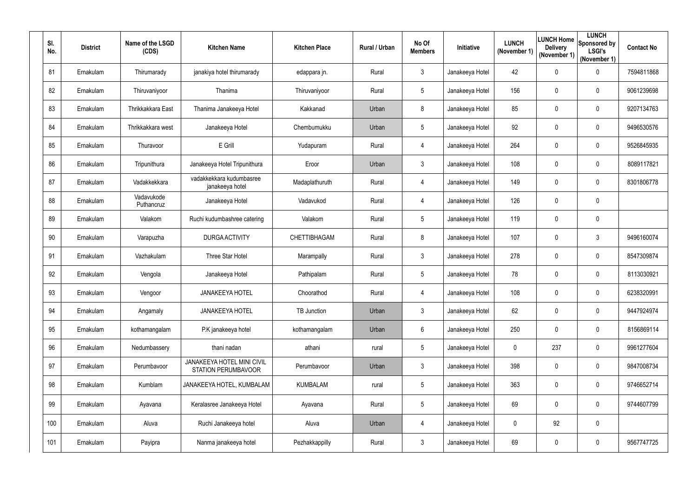| SI.<br>No. | <b>District</b> | Name of the LSGD<br>(CDS) | <b>Kitchen Name</b>                                      | <b>Kitchen Place</b> | Rural / Urban | No Of<br><b>Members</b> | <b>Initiative</b> | <b>LUNCH</b><br>(November 1) | <b>Delivery</b><br>(November 1) | <b>LUNCH</b><br><b>ILUNCH Home</b> Sponsored by<br><b>LSGI's</b><br>(November 1) | <b>Contact No</b> |
|------------|-----------------|---------------------------|----------------------------------------------------------|----------------------|---------------|-------------------------|-------------------|------------------------------|---------------------------------|----------------------------------------------------------------------------------|-------------------|
| 81         | Ernakulam       | Thirumarady               | janakiya hotel thirumarady                               | edappara jn.         | Rural         | $\mathfrak{Z}$          | Janakeeya Hotel   | 42                           | $\mathbf 0$                     | $\pmb{0}$                                                                        | 7594811868        |
| 82         | Ernakulam       | Thiruvaniyoor             | Thanima                                                  | Thiruvaniyoor        | Rural         | $5\overline{)}$         | Janakeeya Hotel   | 156                          | $\mathbf 0$                     | $\mathbf 0$                                                                      | 9061239698        |
| 83         | Ernakulam       | Thrikkakkara East         | Thanima Janakeeya Hotel                                  | Kakkanad             | Urban         | 8                       | Janakeeya Hotel   | 85                           | $\mathbf 0$                     | $\mathbf 0$                                                                      | 9207134763        |
| 84         | Ernakulam       | Thrikkakkara west         | Janakeeya Hotel                                          | Chembumukku          | Urban         | $5\phantom{.0}$         | Janakeeya Hotel   | 92                           | $\mathbf 0$                     | $\overline{0}$                                                                   | 9496530576        |
| 85         | Ernakulam       | Thuravoor                 | E Grill                                                  | Yudapuram            | Rural         | 4                       | Janakeeya Hotel   | 264                          | 0                               | $\pmb{0}$                                                                        | 9526845935        |
| 86         | Ernakulam       | Tripunithura              | Janakeeya Hotel Tripunithura                             | Eroor                | Urban         | 3 <sup>1</sup>          | Janakeeya Hotel   | 108                          | $\mathbf 0$                     | $\mathbf 0$                                                                      | 8089117821        |
| 87         | Ernakulam       | Vadakkekkara              | vadakkekkara kudumbasree<br>janakeeya hotel              | Madaplathuruth       | Rural         | 4                       | Janakeeya Hotel   | 149                          | $\mathbf 0$                     | $\pmb{0}$                                                                        | 8301806778        |
| 88         | Ernakulam       | Vadavukode<br>Puthancruz  | Janakeeya Hotel                                          | Vadavukod            | Rural         | 4                       | Janakeeya Hotel   | 126                          | $\mathbf 0$                     | $\mathbf 0$                                                                      |                   |
| 89         | Ernakulam       | Valakom                   | Ruchi kudumbashree catering                              | Valakom              | Rural         | $5\overline{)}$         | Janakeeya Hotel   | 119                          | $\mathbf 0$                     | $\mathbf 0$                                                                      |                   |
| 90         | Ernakulam       | Varapuzha                 | <b>DURGA ACTIVITY</b>                                    | CHETTIBHAGAM         | Rural         | 8                       | Janakeeya Hotel   | 107                          | $\overline{0}$                  | $\mathfrak{Z}$                                                                   | 9496160074        |
| 91         | Ernakulam       | Vazhakulam                | Three Star Hotel                                         | Marampally           | Rural         | 3 <sup>1</sup>          | Janakeeya Hotel   | 278                          | $\overline{0}$                  | $\pmb{0}$                                                                        | 8547309874        |
| 92         | Ernakulam       | Vengola                   | Janakeeya Hotel                                          | Pathipalam           | Rural         | $5\overline{)}$         | Janakeeya Hotel   | 78                           | $\overline{0}$                  | $\mathbf 0$                                                                      | 8113030921        |
| 93         | Ernakulam       | Vengoor                   | <b>JANAKEEYA HOTEL</b>                                   | Choorathod           | Rural         | 4                       | Janakeeya Hotel   | 108                          | $\mathbf 0$                     | 0                                                                                | 6238320991        |
| 94         | Ernakulam       | Angamaly                  | <b>JANAKEEYA HOTEL</b>                                   | TB Junction          | Urban         | $\mathfrak{Z}$          | Janakeeya Hotel   | 62                           | $\mathbf 0$                     | $\pmb{0}$                                                                        | 9447924974        |
| 95         | Ernakulam       | kothamangalam             | P.K janakeeya hotel                                      | kothamangalam        | Urban         | 6                       | Janakeeya Hotel   | 250                          | $\overline{0}$                  | $\boldsymbol{0}$                                                                 | 8156869114        |
| 96         | Ernakulam       | Nedumbassery              | thani nadan                                              | athani               | rural         | $5\phantom{.0}$         | Janakeeya Hotel   | $\mathbf 0$                  | 237                             | $\boldsymbol{0}$                                                                 | 9961277604        |
| 97         | Ernakulam       | Perumbavoor               | JANAKEEYA HOTEL MINI CIVIL<br><b>STATION PERUMBAVOOR</b> | Perumbavoor          | Urban         | $\mathfrak{Z}$          | Janakeeya Hotel   | 398                          | $\overline{0}$                  | $\boldsymbol{0}$                                                                 | 9847008734        |
| 98         | Ernakulam       | Kumblam                   | JANAKEEYA HOTEL, KUMBALAM                                | <b>KUMBALAM</b>      | rural         | $5\overline{)}$         | Janakeeya Hotel   | 363                          | $\overline{0}$                  | $\pmb{0}$                                                                        | 9746652714        |
| 99         | Ernakulam       | Ayavana                   | Keralasree Janakeeya Hotel                               | Ayavana              | Rural         | $5\phantom{.0}$         | Janakeeya Hotel   | 69                           | $\overline{0}$                  | $\pmb{0}$                                                                        | 9744607799        |
| 100        | Ernakulam       | Aluva                     | Ruchi Janakeeya hotel                                    | Aluva                | Urban         | 4                       | Janakeeya Hotel   | $\mathbf 0$                  | 92                              | $\pmb{0}$                                                                        |                   |
| 101        | Ernakulam       | Payipra                   | Nanma janakeeya hotel                                    | Pezhakkappilly       | Rural         | $\mathfrak{Z}$          | Janakeeya Hotel   | 69                           | $\overline{0}$                  | $\pmb{0}$                                                                        | 9567747725        |
|            |                 |                           |                                                          |                      |               |                         |                   |                              |                                 |                                                                                  |                   |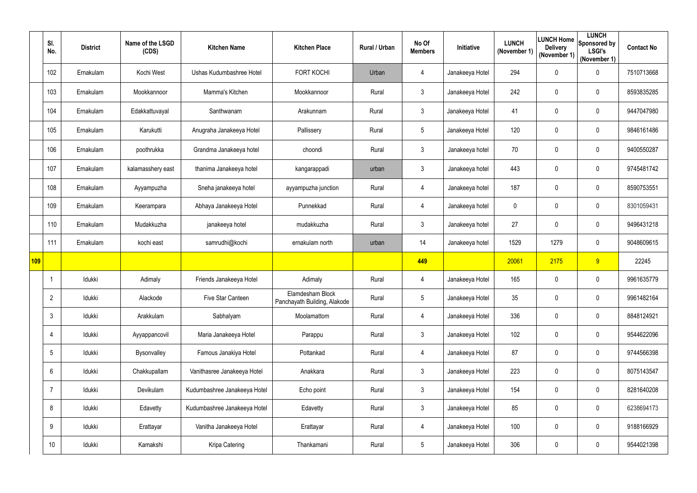|     | SI.<br>No.      | <b>District</b> | Name of the LSGD<br>(CDS) | <b>Kitchen Name</b>          | <b>Kitchen Place</b>                             | Rural / Urban | No Of<br><b>Members</b> | Initiative      | <b>LUNCH</b><br>(November 1) | <b>Delivery</b><br>(November 1) | <b>LUNCH</b><br>LUNCH Home Sponsored by<br><b>LSGI's</b><br>(November 1) | <b>Contact No</b> |
|-----|-----------------|-----------------|---------------------------|------------------------------|--------------------------------------------------|---------------|-------------------------|-----------------|------------------------------|---------------------------------|--------------------------------------------------------------------------|-------------------|
|     | 102             | Ernakulam       | Kochi West                | Ushas Kudumbashree Hotel     | FORT KOCHI                                       | Urban         | 4                       | Janakeeya Hotel | 294                          | $\mathbf 0$                     | $\mathbf 0$                                                              | 7510713668        |
|     | 103             | Ernakulam       | Mookkannoor               | Mamma's Kitchen              | Mookkannoor                                      | Rural         | $3\overline{3}$         | Janakeeya Hotel | 242                          | 0                               | $\boldsymbol{0}$                                                         | 8593835285        |
|     | 104             | Ernakulam       | Edakkattuvayal            | Santhwanam                   | Arakunnam                                        | Rural         | $\mathfrak{Z}$          | Janakeeya Hotel | 41                           | 0                               | $\mathbf 0$                                                              | 9447047980        |
|     | 105             | Ernakulam       | Karukutti                 | Anugraha Janakeeya Hotel     | Pallissery                                       | Rural         | $5\phantom{.0}$         | Janakeeya Hotel | 120                          | $\mathbf 0$                     | $\mathbf 0$                                                              | 9846161486        |
|     | 106             | Ernakulam       | poothrukka                | Grandma Janakeeya hotel      | choondi                                          | Rural         | $\mathfrak{Z}$          | Janakeeya hotel | 70                           | $\mathbf 0$                     | $\mathbf 0$                                                              | 9400550287        |
|     | 107             | Ernakulam       | kalamasshery east         | thanima Janakeeya hotel      | kangarappadi                                     | urban         | $\mathfrak{Z}$          | Janakeeya hotel | 443                          | 0                               | $\mathbf 0$                                                              | 9745481742        |
|     | 108             | Ernakulam       | Ayyampuzha                | Sneha janakeeya hotel        | ayyampuzha junction                              | Rural         | 4                       | Janakeeya hotel | 187                          | 0                               | $\mathbf 0$                                                              | 8590753551        |
|     | 109             | Ernakulam       | Keerampara                | Abhaya Janakeeya Hotel       | Punnekkad                                        | Rural         | 4                       | Janakeeya hotel | $\mathbf 0$                  | $\mathbf 0$                     | $\boldsymbol{0}$                                                         | 8301059431        |
|     | 110             | Ernakulam       | Mudakkuzha                | janakeeya hotel              | mudakkuzha                                       | Rural         | $\mathfrak{Z}$          | Janakeeya hotel | 27                           | $\boldsymbol{0}$                | $\boldsymbol{0}$                                                         | 9496431218        |
|     | 111             | Ernakulam       | kochi east                | samrudhi@kochi               | ernakulam north                                  | urban         | 14                      | Janakeeya hotel | 1529                         | 1279                            | $\mathbf 0$                                                              | 9048609615        |
| 109 |                 |                 |                           |                              |                                                  |               | 449                     |                 | 20061                        | 2175                            | 9                                                                        | 22245             |
|     |                 | Idukki          | Adimaly                   | Friends Janakeeya Hotel      | Adimaly                                          | Rural         | 4                       | Janakeeya Hotel | 165                          | $\boldsymbol{0}$                | $\boldsymbol{0}$                                                         | 9961635779        |
|     | $\overline{2}$  | Idukki          | Alackode                  | Five Star Canteen            | Elamdesham Block<br>Panchayath Building, Alakode | Rural         | $5\phantom{.0}$         | Janakeeya Hotel | 35                           | $\mathbf 0$                     | $\mathbf 0$                                                              | 9961482164        |
|     | $\mathbf{3}$    | Idukki          | Arakkulam                 | Sabhalyam                    | Moolamattom                                      | Rural         | 4                       | Janakeeya Hotel | 336                          | $\boldsymbol{0}$                | $\mathbf 0$                                                              | 8848124921        |
|     | 4               | Idukki          | Ayyappancovil             | Maria Janakeeya Hotel        | Parappu                                          | Rural         | 3 <sup>1</sup>          | Janakeeya Hotel | 102                          | $\mathbf 0$                     | $\pmb{0}$                                                                | 9544622096        |
|     | $5\phantom{.0}$ | Idukki          | Bysonvalley               | Famous Janakiya Hotel        | Pottankad                                        | Rural         | 4                       | Janakeeya Hotel | 87                           | 0                               | $\pmb{0}$                                                                | 9744566398        |
|     | $6\phantom{.}6$ | Idukki          | Chakkupallam              | Vanithasree Janakeeya Hotel  | Anakkara                                         | Rural         | $\mathfrak{Z}$          | Janakeeya Hotel | 223                          | $\mathbf 0$                     | $\pmb{0}$                                                                | 8075143547        |
|     | $\overline{7}$  | Idukki          | Devikulam                 | Kudumbashree Janakeeya Hotel | Echo point                                       | Rural         | $\mathfrak{Z}$          | Janakeeya Hotel | 154                          | $\mathbf 0$                     | $\pmb{0}$                                                                | 8281640208        |
|     | 8               | Idukki          | Edavetty                  | Kudumbashree Janakeeya Hotel | Edavetty                                         | Rural         | 3 <sup>1</sup>          | Janakeeya Hotel | 85                           | $\boldsymbol{0}$                | $\pmb{0}$                                                                | 6238694173        |
|     | 9               | Idukki          | Erattayar                 | Vanitha Janakeeya Hotel      | Erattayar                                        | Rural         | 4                       | Janakeeya Hotel | 100                          | $\mathbf 0$                     | $\pmb{0}$                                                                | 9188166929        |
|     | 10              | Idukki          | Kamakshi                  | Kripa Catering               | Thankamani                                       | Rural         | $\overline{5}$          | Janakeeya Hotel | 306                          | $\mathbf 0$                     | $\pmb{0}$                                                                | 9544021398        |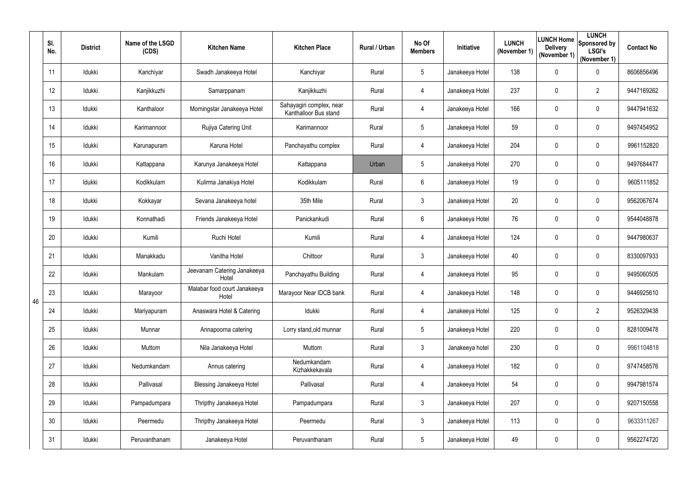|    | SI.<br>No. | <b>District</b> | Name of the LSGD<br>(CDS) | <b>Kitchen Name</b>                   | <b>Kitchen Place</b>                              | Rural / Urban | No Of<br><b>Members</b> | Initiative      | <b>LUNCH</b><br>(November 1) | <b>Delivery</b><br>(November 1) | <b>LUNCH</b><br>LUNCH Home Sponsored by<br><b>LSGI's</b><br>(November 1) | <b>Contact No</b> |
|----|------------|-----------------|---------------------------|---------------------------------------|---------------------------------------------------|---------------|-------------------------|-----------------|------------------------------|---------------------------------|--------------------------------------------------------------------------|-------------------|
|    | 11         | Idukki          | Kanchiyar                 | Swadh Janakeeya Hotel                 | Kanchiyar                                         | Rural         | $5\overline{)}$         | Janakeeya Hotel | 138                          | $\mathbf 0$                     | $\mathbf 0$                                                              | 8606856496        |
|    | 12         | Idukki          | Kanjikkuzhi               | Samarppanam                           | Kanjikkuzhi                                       | Rural         | 4                       | Janakeeya Hotel | 237                          | $\mathbf 0$                     | $\overline{2}$                                                           | 9447169262        |
|    | 13         | Idukki          | Kanthaloor                | Morningstar Janakeeya Hotel           | Sahayagiri complex, near<br>Kanthalloor Bus stand | Rural         | 4                       | Janakeeya Hotel | 166                          | $\mathbf 0$                     | $\mathbf 0$                                                              | 9447941632        |
|    | 14         | Idukki          | Karimannoor               | Rujiya Catering Unit                  | Karimannoor                                       | Rural         | 5                       | Janakeeya Hotel | 59                           | $\mathbf 0$                     | 0                                                                        | 9497454952        |
|    | 15         | Idukki          | Karunapuram               | Karuna Hotel                          | Panchayathu complex                               | Rural         | 4                       | Janakeeya Hotel | 204                          | 0                               | $\mathbf 0$                                                              | 9961152820        |
|    | 16         | Idukki          | Kattappana                | Karunya Janakeeya Hotel               | Kattappana                                        | Urban         | 5                       | Janakeeya Hotel | 270                          | $\mathbf 0$                     | $\mathbf 0$                                                              | 9497684477        |
|    | 17         | Idukki          | Kodikkulam                | Kulirma Janakiya Hotel                | Kodikkulam                                        | Rural         | 6                       | Janakeeya Hotel | 19                           | 0                               | $\mathbf 0$                                                              | 9605111852        |
|    | 18         | ldukki          | Kokkayar                  | Sevana Janakeeya hotel                | 35th Mile                                         | Rural         | 3                       | Janakeeya Hotel | 20                           | $\mathbf 0$                     | $\mathbf 0$                                                              | 9562067674        |
|    | 19         | Idukki          | Konnathadi                | Friends Janakeeya Hotel               | Panickankudi                                      | Rural         | 6                       | Janakeeya Hotel | 76                           | 0                               | $\mathbf 0$                                                              | 9544048878        |
|    | 20         | Idukki          | Kumili                    | Ruchi Hotel                           | Kumili                                            | Rural         | 4                       | Janakeeya Hotel | 124                          | $\mathbf 0$                     | $\mathbf 0$                                                              | 9447980637        |
|    | 21         | Idukki          | Manakkadu                 | Vanitha Hotel                         | Chittoor                                          | Rural         | 3                       | Janakeeya Hotel | 40                           | 0                               | $\mathbf 0$                                                              | 8330097933        |
|    | 22         | Idukki          | Mankulam                  | Jeevanam Catering Janakeeya<br>Hotel  | Panchayathu Building                              | Rural         | 4                       | Janakeeya Hotel | 95                           | 0                               | 0                                                                        | 9495060505        |
| 46 | 23         | Idukki          | Marayoor                  | Malabar food court Janakeeya<br>Hotel | Marayoor Near IDCB bank                           | Rural         |                         | Janakeeya Hotel | 148                          | 0                               | 0                                                                        | 9446925610        |
|    | 24         | Idukki          | Mariyapuram               | Anaswara Hotel & Catering             | Idukki                                            | Rural         | 4                       | Janakeeya Hotel | 125                          | 0                               | $\overline{2}$                                                           | 9526329438        |
|    | 25         | Idukki          | Munnar                    | Annapoorna catering                   | Lorry stand, old munnar                           | Rural         | $5\phantom{.0}$         | Janakeeya Hotel | 220                          | 0                               | $\boldsymbol{0}$                                                         | 8281009478        |
|    | 26         | Idukki          | Muttom                    | Nila Janakeeya Hotel                  | Muttom                                            | Rural         | $\mathfrak{Z}$          | Janakeeya hotel | 230                          | $\mathbf 0$                     | $\boldsymbol{0}$                                                         | 9961104818        |
|    | 27         | Idukki          | Nedumkandam               | Annus catering                        | Nedumkandam<br>Kizhakkekavala                     | Rural         | 4                       | Janakeeya Hotel | 182                          | 0                               | $\boldsymbol{0}$                                                         | 9747458576        |
|    | 28         | Idukki          | Pallivasal                | <b>Blessing Janakeeya Hotel</b>       | Pallivasal                                        | Rural         | 4                       | Janakeeya Hotel | 54                           | 0                               | $\pmb{0}$                                                                | 9947981574        |
|    | 29         | Idukki          | Pampadumpara              | Thripthy Janakeeya Hotel              | Pampadumpara                                      | Rural         | $\mathfrak{Z}$          | Janakeeya Hotel | 207                          | 0                               | $\pmb{0}$                                                                | 9207150558        |
|    | 30         | Idukki          | Peermedu                  | Thripthy Janakeeya Hotel              | Peermedu                                          | Rural         | $\mathfrak{Z}$          | Janakeeya Hotel | 113                          | 0                               | $\boldsymbol{0}$                                                         | 9633311267        |
|    | 31         | Idukki          | Peruvanthanam             | Janakeeya Hotel                       | Peruvanthanam                                     | Rural         | $5\phantom{.0}$         | Janakeeya Hotel | 49                           | 0                               | $\pmb{0}$                                                                | 9562274720        |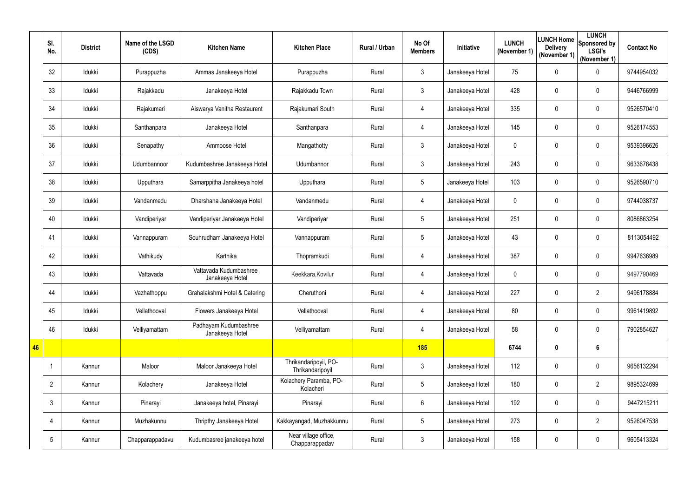|    | SI.<br>No.     | <b>District</b> | Name of the LSGD<br>(CDS) | <b>Kitchen Name</b>                       | <b>Kitchen Place</b>                      | Rural / Urban | No Of<br><b>Members</b> | Initiative      | <b>LUNCH</b><br>(November 1) | <b>LUNCH Home</b><br><b>Delivery</b><br>(November 1) | <b>LUNCH</b><br>Sponsored by<br><b>LSGI's</b><br>(November 1) | <b>Contact No</b> |
|----|----------------|-----------------|---------------------------|-------------------------------------------|-------------------------------------------|---------------|-------------------------|-----------------|------------------------------|------------------------------------------------------|---------------------------------------------------------------|-------------------|
|    | 32             | Idukki          | Purappuzha                | Ammas Janakeeya Hotel                     | Purappuzha                                | Rural         | 3                       | Janakeeya Hotel | 75                           | 0                                                    | $\mathbf 0$                                                   | 9744954032        |
|    | 33             | Idukki          | Rajakkadu                 | Janakeeya Hotel                           | Rajakkadu Town                            | Rural         | 3 <sup>1</sup>          | Janakeeya Hotel | 428                          | $\mathbf 0$                                          | $\mathbf 0$                                                   | 9446766999        |
|    | 34             | Idukki          | Rajakumari                | Aiswarya Vanitha Restaurent               | Rajakumari South                          | Rural         | 4                       | Janakeeya Hotel | 335                          | $\mathbf 0$                                          | $\mathbf 0$                                                   | 9526570410        |
|    | 35             | Idukki          | Santhanpara               | Janakeeya Hotel                           | Santhanpara                               | Rural         | 4                       | Janakeeya Hotel | 145                          | $\mathbf 0$                                          | $\mathbf 0$                                                   | 9526174553        |
|    | 36             | Idukki          | Senapathy                 | Ammoose Hotel                             | Mangathotty                               | Rural         | $\mathfrak{Z}$          | Janakeeya Hotel | $\mathbf 0$                  | $\mathbf 0$                                          | $\mathbf 0$                                                   | 9539396626        |
|    | 37             | Idukki          | Udumbannoor               | Kudumbashree Janakeeya Hotel              | Udumbannor                                | Rural         | 3                       | Janakeeya Hotel | 243                          | 0                                                    | $\mathbf 0$                                                   | 9633678438        |
|    | 38             | Idukki          | Upputhara                 | Samarppitha Janakeeya hotel               | Upputhara                                 | Rural         | 5                       | Janakeeya Hotel | 103                          | 0                                                    | $\mathbf 0$                                                   | 9526590710        |
|    | 39             | Idukki          | Vandanmedu                | Dharshana Janakeeya Hotel                 | Vandanmedu                                | Rural         | 4                       | Janakeeya Hotel | $\mathbf 0$                  | $\mathbf 0$                                          | $\mathbf 0$                                                   | 9744038737        |
|    | 40             | Idukki          | Vandiperiyar              | Vandiperiyar Janakeeya Hotel              | Vandiperiyar                              | Rural         | $5\overline{)}$         | Janakeeya Hotel | 251                          | 0                                                    | $\mathbf 0$                                                   | 8086863254        |
|    | 41             | Idukki          | Vannappuram               | Souhrudham Janakeeya Hotel                | Vannappuram                               | Rural         | 5                       | Janakeeya Hotel | 43                           | 0                                                    | 0                                                             | 8113054492        |
|    | 42             | Idukki          | Vathikudy                 | Karthika                                  | Thopramkudi                               | Rural         | 4                       | Janakeeya Hotel | 387                          | 0                                                    | 0                                                             | 9947636989        |
|    | 43             | Idukki          | Vattavada                 | Vattavada Kudumbashree<br>Janakeeya Hotel | Keekkara, Kovilur                         | Rural         | 4                       | Janakeeya Hotel | 0                            | 0                                                    | $\mathbf 0$                                                   | 9497790469        |
|    | 44             | Idukki          | Vazhathoppu               | Grahalakshmi Hotel & Catering             | Cheruthoni                                | Rural         |                         | Janakeeya Hotel | 227                          | $\mathbf 0$                                          | $\overline{2}$                                                | 9496178884        |
|    | 45             | Idukki          | Vellathooval              | Flowers Janakeeya Hotel                   | Vellathooval                              | Rural         | 4                       | Janakeeya Hotel | 80                           | 0                                                    | $\pmb{0}$                                                     | 9961419892        |
|    | 46             | Idukki          | Velliyamattam             | Padhayam Kudumbashree<br>Janakeeya Hotel  | Velliyamattam                             | Rural         | 4                       | Janakeeya Hotel | 58                           | $\mathbf 0$                                          | $\pmb{0}$                                                     | 7902854627        |
| 46 |                |                 |                           |                                           |                                           |               | 185                     |                 | 6744                         | $\mathbf 0$                                          | $6\phantom{1}$                                                |                   |
|    |                | Kannur          | Maloor                    | Maloor Janakeeya Hotel                    | Thrikandaripoyil, PO-<br>Thrikandaripoyil | Rural         | $\mathfrak{Z}$          | Janakeeya Hotel | 112                          | 0                                                    | $\pmb{0}$                                                     | 9656132294        |
|    | $\overline{2}$ | Kannur          | Kolachery                 | Janakeeya Hotel                           | Kolachery Paramba, PO-<br>Kolacheri       | Rural         | $5\overline{)}$         | Janakeeya Hotel | 180                          | 0                                                    | $\overline{2}$                                                | 9895324699        |
|    | $\mathfrak{Z}$ | Kannur          | Pinarayi                  | Janakeeya hotel, Pinarayi                 | Pinarayi                                  | Rural         | 6                       | Janakeeya Hotel | 192                          | 0                                                    | $\boldsymbol{0}$                                              | 9447215211        |
|    | 4              | Kannur          | Muzhakunnu                | Thripthy Janakeeya Hotel                  | Kakkayangad, Muzhakkunnu                  | Rural         | $5\overline{)}$         | Janakeeya Hotel | 273                          | 0                                                    | $\overline{2}$                                                | 9526047538        |
|    | 5              | Kannur          | Chapparappadavu           | Kudumbasree janakeeya hotel               | Near village office,<br>Chapparappadav    | Rural         | $\mathfrak{Z}$          | Janakeeya Hotel | 158                          | 0                                                    | $\pmb{0}$                                                     | 9605413324        |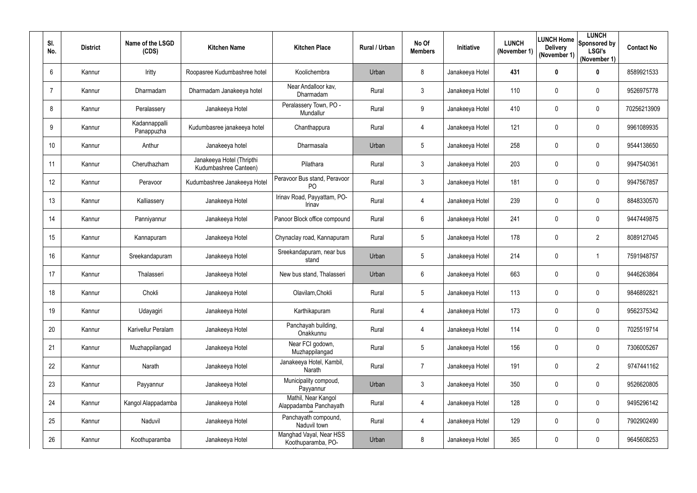| SI.<br>No.      | <b>District</b> | Name of the LSGD<br>(CDS)   | <b>Kitchen Name</b>                                | <b>Kitchen Place</b>                           | Rural / Urban | No Of<br><b>Members</b> | Initiative      | <b>LUNCH</b><br>(November 1) | LUNCH Home<br><b>Delivery</b><br>(November 1) | <b>LUNCH</b><br>Sponsored by<br><b>LSGI's</b><br>(November 1) | <b>Contact No</b> |
|-----------------|-----------------|-----------------------------|----------------------------------------------------|------------------------------------------------|---------------|-------------------------|-----------------|------------------------------|-----------------------------------------------|---------------------------------------------------------------|-------------------|
| 6               | Kannur          | Iritty                      | Roopasree Kudumbashree hotel                       | Koolichembra                                   | Urban         | 8                       | Janakeeya Hotel | 431                          | $\mathbf 0$                                   | $\mathbf 0$                                                   | 8589921533        |
|                 | Kannur          | Dharmadam                   | Dharmadam Janakeeya hotel                          | Near Andalloor kav,<br>Dharmadam               | Rural         | 3 <sup>1</sup>          | Janakeeya Hotel | 110                          | $\mathbf 0$                                   | $\pmb{0}$                                                     | 9526975778        |
| 8               | Kannur          | Peralassery                 | Janakeeya Hotel                                    | Peralassery Town, PO -<br>Mundallur            | Rural         | 9                       | Janakeeya Hotel | 410                          | $\mathbf 0$                                   | $\pmb{0}$                                                     | 70256213909       |
| 9               | Kannur          | Kadannappalli<br>Panappuzha | Kudumbasree janakeeya hotel                        | Chanthappura                                   | Rural         | 4                       | Janakeeya Hotel | 121                          | $\mathbf 0$                                   | $\mathbf 0$                                                   | 9961089935        |
| 10 <sup>°</sup> | Kannur          | Anthur                      | Janakeeya hotel                                    | Dharmasala                                     | Urban         | 5                       | Janakeeya Hotel | 258                          | $\mathbf 0$                                   | $\pmb{0}$                                                     | 9544138650        |
| 11              | Kannur          | Cheruthazham                | Janakeeya Hotel (Thripthi<br>Kudumbashree Canteen) | Pilathara                                      | Rural         | 3 <sup>1</sup>          | Janakeeya Hotel | 203                          | $\mathbf 0$                                   | $\pmb{0}$                                                     | 9947540361        |
| 12              | Kannur          | Peravoor                    | Kudumbashree Janakeeya Hotel                       | Peravoor Bus stand, Peravoor<br>P <sub>O</sub> | Rural         | $\mathfrak{Z}$          | Janakeeya Hotel | 181                          | $\mathbf 0$                                   | $\pmb{0}$                                                     | 9947567857        |
| 13              | Kannur          | Kalliassery                 | Janakeeya Hotel                                    | Irinav Road, Payyattam, PO-<br>Irinav          | Rural         | 4                       | Janakeeya Hotel | 239                          | $\mathbf 0$                                   | $\mathbf 0$                                                   | 8848330570        |
| 14              | Kannur          | Panniyannur                 | Janakeeya Hotel                                    | Panoor Block office compound                   | Rural         | 6                       | Janakeeya Hotel | 241                          | $\mathbf 0$                                   | $\pmb{0}$                                                     | 9447449875        |
| 15              | Kannur          | Kannapuram                  | Janakeeya Hotel                                    | Chynaclay road, Kannapuram                     | Rural         | 5                       | Janakeeya Hotel | 178                          | 0                                             | $\overline{2}$                                                | 8089127045        |
| 16              | Kannur          | Sreekandapuram              | Janakeeya Hotel                                    | Sreekandapuram, near bus<br>stand              | Urban         | 5                       | Janakeeya Hotel | 214                          | $\mathbf 0$                                   | -1                                                            | 7591948757        |
| 17              | Kannur          | Thalasseri                  | Janakeeya Hotel                                    | New bus stand, Thalasseri                      | Urban         | 6                       | Janakeeya Hotel | 663                          | $\mathbf 0$                                   | $\mathbf 0$                                                   | 9446263864        |
| 18              | Kannur          | Chokli                      | Janakeeya Hotel                                    | Olavilam, Chokli                               | Rural         |                         | Janakeeya Hotel | 113                          | $\mathbf 0$                                   | $\pmb{0}$                                                     | 9846892821        |
| 19              | Kannur          | Udayagiri                   | Janakeeya Hotel                                    | Karthikapuram                                  | Rural         | 4                       | Janakeeya Hotel | 173                          | $\mathbf 0$                                   | $\pmb{0}$                                                     | 9562375342        |
| 20              | Kannur          | Karivellur Peralam          | Janakeeya Hotel                                    | Panchayah building,<br>Onakkunnu               | Rural         | 4                       | Janakeeya Hotel | 114                          | $\overline{0}$                                | $\boldsymbol{0}$                                              | 7025519714        |
| 21              | Kannur          | Muzhappilangad              | Janakeeya Hotel                                    | Near FCI godown,<br>Muzhappilangad             | Rural         | $5\phantom{.0}$         | Janakeeya Hotel | 156                          | $\mathbf 0$                                   | $\boldsymbol{0}$                                              | 7306005267        |
| 22              | Kannur          | Narath                      | Janakeeya Hotel                                    | Janakeeya Hotel, Kambil,<br>Narath             | Rural         | $\overline{7}$          | Janakeeya Hotel | 191                          | $\mathbf 0$                                   | $\overline{2}$                                                | 9747441162        |
| 23              | Kannur          | Payyannur                   | Janakeeya Hotel                                    | Municipality compoud,<br>Payyannur             | Urban         | $\mathfrak{Z}$          | Janakeeya Hotel | 350                          | $\pmb{0}$                                     | $\pmb{0}$                                                     | 9526620805        |
| 24              | Kannur          | Kangol Alappadamba          | Janakeeya Hotel                                    | Mathil, Near Kangol<br>Alappadamba Panchayath  | Rural         | 4                       | Janakeeya Hotel | 128                          | $\mathbf 0$                                   | $\pmb{0}$                                                     | 9495296142        |
| 25              | Kannur          | Naduvil                     | Janakeeya Hotel                                    | Panchayath compound,<br>Naduvil town           | Rural         | 4                       | Janakeeya Hotel | 129                          | $\mathbf 0$                                   | $\boldsymbol{0}$                                              | 7902902490        |
| 26              | Kannur          | Koothuparamba               | Janakeeya Hotel                                    | Manghad Vayal, Near HSS<br>Koothuparamba, PO-  | Urban         | 8                       | Janakeeya Hotel | 365                          | 0                                             | $\pmb{0}$                                                     | 9645608253        |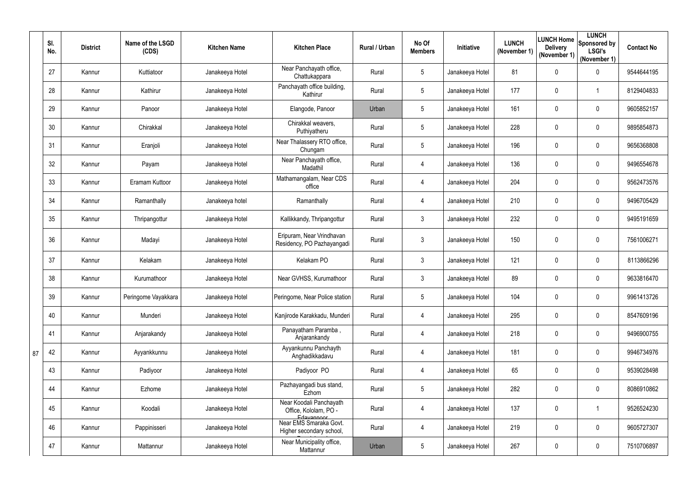|    | SI.<br>No. | <b>District</b> | Name of the LSGD<br>(CDS) | <b>Kitchen Name</b> | <b>Kitchen Place</b>                                           | Rural / Urban | No Of<br><b>Members</b> | <b>Initiative</b> | <b>LUNCH</b><br>(November 1) | <b>LUNCH Home</b><br><b>Delivery</b><br>(November 1) | <b>LUNCH</b><br>Sponsored by<br><b>LSGI's</b><br>(November 1) | <b>Contact No</b> |
|----|------------|-----------------|---------------------------|---------------------|----------------------------------------------------------------|---------------|-------------------------|-------------------|------------------------------|------------------------------------------------------|---------------------------------------------------------------|-------------------|
|    | 27         | Kannur          | Kuttiatoor                | Janakeeya Hotel     | Near Panchayath office,<br>Chattukappara                       | Rural         | 5                       | Janakeeya Hotel   | 81                           | $\mathbf 0$                                          | $\mathbf 0$                                                   | 9544644195        |
|    | 28         | Kannur          | Kathirur                  | Janakeeya Hotel     | Panchayath office building,<br>Kathirur                        | Rural         | 5                       | Janakeeya Hotel   | 177                          | $\mathbf 0$                                          | $\overline{\mathbf{1}}$                                       | 8129404833        |
|    | 29         | Kannur          | Panoor                    | Janakeeya Hotel     | Elangode, Panoor                                               | Urban         | 5                       | Janakeeya Hotel   | 161                          | $\mathbf 0$                                          | $\mathbf 0$                                                   | 9605852157        |
|    | 30         | Kannur          | Chirakkal                 | Janakeeya Hotel     | Chirakkal weavers,<br>Puthiyatheru                             | Rural         | 5                       | Janakeeya Hotel   | 228                          | 0                                                    | $\mathbf 0$                                                   | 9895854873        |
|    | 31         | Kannur          | Eranjoli                  | Janakeeya Hotel     | Near Thalassery RTO office,<br>Chungam                         | Rural         | 5                       | Janakeeya Hotel   | 196                          | 0                                                    | $\mathbf 0$                                                   | 9656368808        |
|    | 32         | Kannur          | Payam                     | Janakeeya Hotel     | Near Panchayath office,<br>Madathil                            | Rural         | 4                       | Janakeeya Hotel   | 136                          | $\mathbf 0$                                          | $\mathbf 0$                                                   | 9496554678        |
|    | 33         | Kannur          | Eramam Kuttoor            | Janakeeya Hotel     | Mathamangalam, Near CDS<br>office                              | Rural         | 4                       | Janakeeya Hotel   | 204                          | $\overline{0}$                                       | $\mathbf 0$                                                   | 9562473576        |
|    | 34         | Kannur          | Ramanthally               | Janakeeya hotel     | Ramanthally                                                    | Rural         | 4                       | Janakeeya Hotel   | 210                          | $\mathbf 0$                                          | $\mathbf 0$                                                   | 9496705429        |
|    | 35         | Kannur          | Thripangottur             | Janakeeya Hotel     | Kallikkandy, Thripangottur                                     | Rural         | 3                       | Janakeeya Hotel   | 232                          | $\overline{0}$                                       | $\mathbf 0$                                                   | 9495191659        |
|    | 36         | Kannur          | Madayi                    | Janakeeya Hotel     | Eripuram, Near Vrindhavan<br>Residency, PO Pazhayangadi        | Rural         | 3                       | Janakeeya Hotel   | 150                          | $\mathbf 0$                                          | $\mathbf 0$                                                   | 7561006271        |
|    | 37         | Kannur          | Kelakam                   | Janakeeya Hotel     | Kelakam PO                                                     | Rural         | 3                       | Janakeeya Hotel   | 121                          | $\mathbf 0$                                          | $\mathbf 0$                                                   | 8113866296        |
|    | 38         | Kannur          | Kurumathoor               | Janakeeya Hotel     | Near GVHSS, Kurumathoor                                        | Rural         | $\mathfrak{Z}$          | Janakeeya Hotel   | 89                           | $\mathbf 0$                                          | $\mathbf 0$                                                   | 9633816470        |
|    | 39         | Kannur          | Peringome Vayakkara       | Janakeeya Hotel     | Peringome, Near Police station                                 | Rural         | 5                       | Janakeeya Hotel   | 104                          | 0                                                    | $\mathbf 0$                                                   | 9961413726        |
|    | 40         | Kannur          | Munderi                   | Janakeeya Hotel     | Kanjirode Karakkadu, Munderi                                   | Rural         | 4                       | Janakeeya Hotel   | 295                          | $\overline{0}$                                       | $\boldsymbol{0}$                                              | 8547609196        |
|    | 41         | Kannur          | Anjarakandy               | Janakeeya Hotel     | Panayatham Paramba,<br>Anjarankandy                            | Rural         | 4                       | Janakeeya Hotel   | 218                          | 0                                                    | $\boldsymbol{0}$                                              | 9496900755        |
| 87 | 42         | Kannur          | Ayyankkunnu               | Janakeeya Hotel     | Ayyankunnu Panchayth<br>Anghadikkadavu                         | Rural         | 4                       | Janakeeya Hotel   | 181                          | $\overline{0}$                                       | $\mathbf 0$                                                   | 9946734976        |
|    | 43         | Kannur          | Padiyoor                  | Janakeeya Hotel     | Padiyoor PO                                                    | Rural         | 4                       | Janakeeya Hotel   | 65                           | $\mathbf 0$                                          | $\pmb{0}$                                                     | 9539028498        |
|    | 44         | Kannur          | Ezhome                    | Janakeeya Hotel     | Pazhayangadi bus stand,<br>Ezhom                               | Rural         | 5                       | Janakeeya Hotel   | 282                          | 0                                                    | $\pmb{0}$                                                     | 8086910862        |
|    | 45         | Kannur          | Koodali                   | Janakeeya Hotel     | Near Koodali Panchayath<br>Office, Kololam, PO -<br>Edavannoor | Rural         | 4                       | Janakeeya Hotel   | 137                          | $\overline{0}$                                       | $\overline{1}$                                                | 9526524230        |
|    | 46         | Kannur          | Pappinisseri              | Janakeeya Hotel     | Near EMS Smaraka Govt.<br>Higher secondary school,             | Rural         | 4                       | Janakeeya Hotel   | 219                          | $\overline{0}$                                       | $\pmb{0}$                                                     | 9605727307        |
|    | 47         | Kannur          | Mattannur                 | Janakeeya Hotel     | Near Municipality office,<br>Mattannur                         | Urban         | $5\phantom{.0}$         | Janakeeya Hotel   | 267                          | 0                                                    | $\pmb{0}$                                                     | 7510706897        |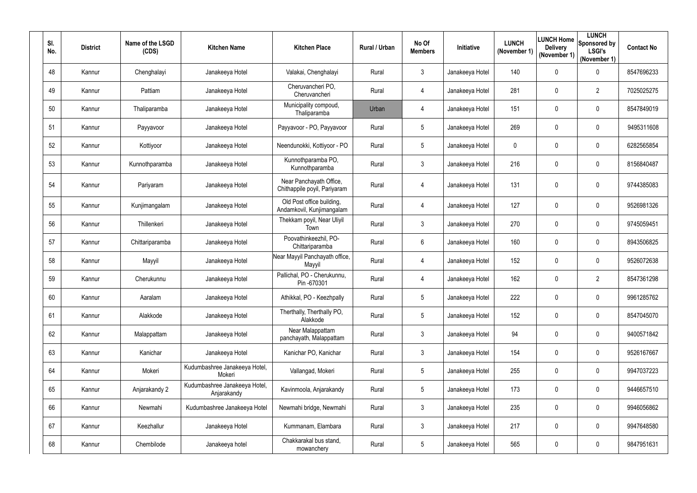| SI.<br>No. | <b>District</b> | Name of the LSGD<br>(CDS) | <b>Kitchen Name</b>                          | <b>Kitchen Place</b>                                    | Rural / Urban | No Of<br><b>Members</b> | <b>Initiative</b> | <b>LUNCH</b><br>(November 1) | <b>LUNCH Home</b>  <br><b>Delivery</b><br>(November 1) | <b>LUNCH</b><br>Sponsored by<br><b>LSGI's</b><br>(November 1) | <b>Contact No</b> |
|------------|-----------------|---------------------------|----------------------------------------------|---------------------------------------------------------|---------------|-------------------------|-------------------|------------------------------|--------------------------------------------------------|---------------------------------------------------------------|-------------------|
| 48         | Kannur          | Chenghalayi               | Janakeeya Hotel                              | Valakai, Chenghalayi                                    | Rural         | $\mathfrak{Z}$          | Janakeeya Hotel   | 140                          | $\mathbf 0$                                            | $\mathbf 0$                                                   | 8547696233        |
| 49         | Kannur          | Pattiam                   | Janakeeya Hotel                              | Cheruvancheri PO,<br>Cheruvancheri                      | Rural         | 4                       | Janakeeya Hotel   | 281                          | 0                                                      | $\overline{2}$                                                | 7025025275        |
| 50         | Kannur          | Thaliparamba              | Janakeeya Hotel                              | Municipality compoud,<br>Thaliparamba                   | Urban         | 4                       | Janakeeya Hotel   | 151                          | $\mathbf 0$                                            | $\mathbf 0$                                                   | 8547849019        |
| 51         | Kannur          | Payyavoor                 | Janakeeya Hotel                              | Payyavoor - PO, Payyavoor                               | Rural         | $5\overline{)}$         | Janakeeya Hotel   | 269                          | 0                                                      | $\mathbf 0$                                                   | 9495311608        |
| 52         | Kannur          | Kottiyoor                 | Janakeeya Hotel                              | Neendunokki, Kottiyoor - PO                             | Rural         | $5\overline{)}$         | Janakeeya Hotel   | $\mathbf{0}$                 | $\mathbf 0$                                            | $\mathbf 0$                                                   | 6282565854        |
| 53         | Kannur          | Kunnothparamba            | Janakeeya Hotel                              | Kunnothparamba PO,<br>Kunnothparamba                    | Rural         | $\mathfrak{Z}$          | Janakeeya Hotel   | 216                          | $\mathbf 0$                                            | $\pmb{0}$                                                     | 8156840487        |
| 54         | Kannur          | Pariyaram                 | Janakeeya Hotel                              | Near Panchayath Office,<br>Chithappile poyil, Pariyaram | Rural         | $\overline{4}$          | Janakeeya Hotel   | 131                          | 0                                                      | $\pmb{0}$                                                     | 9744385083        |
| 55         | Kannur          | Kunjimangalam             | Janakeeya Hotel                              | Old Post office building,<br>Andamkovil, Kunjimangalam  | Rural         | 4                       | Janakeeya Hotel   | 127                          | $\mathbf 0$                                            | $\pmb{0}$                                                     | 9526981326        |
| 56         | Kannur          | Thillenkeri               | Janakeeya Hotel                              | Thekkam poyil, Near Uliyil<br>Town                      | Rural         | 3 <sup>1</sup>          | Janakeeya Hotel   | 270                          | 0                                                      | $\mathbf 0$                                                   | 9745059451        |
| 57         | Kannur          | Chittariparamba           | Janakeeya Hotel                              | Poovathinkeezhil, PO-<br>Chittariparamba                | Rural         | 6                       | Janakeeya Hotel   | 160                          | 0                                                      | $\mathbf 0$                                                   | 8943506825        |
| 58         | Kannur          | Mayyil                    | Janakeeya Hotel                              | Near Mayyil Panchayath office,<br>Mayyil                | Rural         | 4                       | Janakeeya Hotel   | 152                          | $\mathbf 0$                                            | $\mathbf 0$                                                   | 9526072638        |
| 59         | Kannur          | Cherukunnu                | Janakeeya Hotel                              | Pallichal, PO - Cherukunnu,<br>Pin -670301              | Rural         | 4                       | Janakeeya Hotel   | 162                          | 0                                                      | $\overline{2}$                                                | 8547361298        |
| 60         | Kannur          | Aaralam                   | Janakeeya Hotel                              | Athikkal, PO - Keezhpally                               | Rural         | $5\phantom{.0}$         | Janakeeya Hotel   | 222                          | 0                                                      | $\mathbf 0$                                                   | 9961285762        |
| 61         | Kannur          | Alakkode                  | Janakeeya Hotel                              | Therthally, Therthally PO,<br>Alakkode                  | Rural         | $5\overline{)}$         | Janakeeya Hotel   | 152                          | $\overline{0}$                                         | $\pmb{0}$                                                     | 8547045070        |
| 62         | Kannur          | Malappattam               | Janakeeya Hotel                              | Near Malappattam<br>panchayath, Malappattam             | Rural         | $\mathfrak{Z}$          | Janakeeya Hotel   | 94                           | 0                                                      | $\pmb{0}$                                                     | 9400571842        |
| 63         | Kannur          | Kanichar                  | Janakeeya Hotel                              | Kanichar PO, Kanichar                                   | Rural         | $\mathfrak{Z}$          | Janakeeya Hotel   | 154                          | $\overline{0}$                                         | $\boldsymbol{0}$                                              | 9526167667        |
| 64         | Kannur          | Mokeri                    | Kudumbashree Janakeeya Hotel,<br>Mokeri      | Vallangad, Mokeri                                       | Rural         | $5\overline{)}$         | Janakeeya Hotel   | 255                          | $\overline{0}$                                         | $\pmb{0}$                                                     | 9947037223        |
| 65         | Kannur          | Anjarakandy 2             | Kudumbashree Janakeeya Hotel,<br>Anjarakandy | Kavinmoola, Anjarakandy                                 | Rural         | $5\phantom{.0}$         | Janakeeya Hotel   | 173                          | $\overline{0}$                                         | $\boldsymbol{0}$                                              | 9446657510        |
| 66         | Kannur          | Newmahi                   | Kudumbashree Janakeeya Hotel                 | Newmahi bridge, Newmahi                                 | Rural         | $\mathfrak{Z}$          | Janakeeya Hotel   | 235                          | $\overline{0}$                                         | $\boldsymbol{0}$                                              | 9946056862        |
| 67         | Kannur          | Keezhallur                | Janakeeya Hotel                              | Kummanam, Elambara                                      | Rural         | $\mathfrak{Z}$          | Janakeeya Hotel   | 217                          | $\overline{0}$                                         | $\pmb{0}$                                                     | 9947648580        |
| 68         | Kannur          | Chembilode                | Janakeeya hotel                              | Chakkarakal bus stand,<br>mowanchery                    | Rural         | $5\phantom{.0}$         | Janakeeya Hotel   | 565                          | 0                                                      | $\pmb{0}$                                                     | 9847951631        |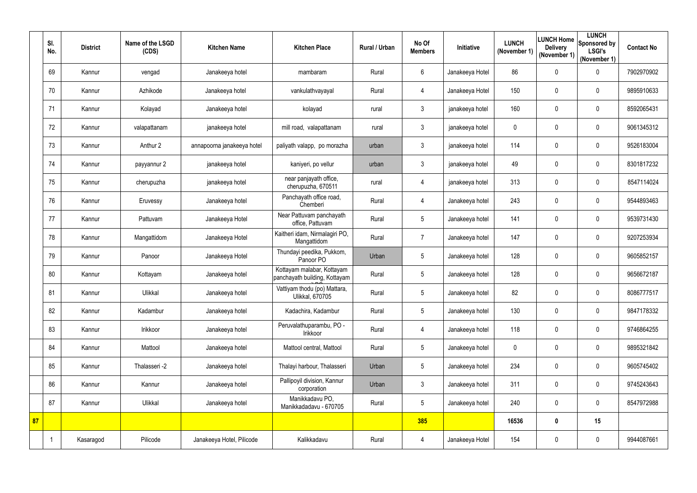|    | SI.<br>No.              | <b>District</b> | Name of the LSGD<br>(CDS) | <b>Kitchen Name</b>        | <b>Kitchen Place</b>                                        | <b>Rural / Urban</b> | No Of<br><b>Members</b> | Initiative      | <b>LUNCH</b><br>(November 1) | <b>Delivery</b><br>(November 1) | <b>LUNCH</b><br>LUNCH Home Sponsored by<br><b>LSGI's</b><br>(November 1) | <b>Contact No</b> |
|----|-------------------------|-----------------|---------------------------|----------------------------|-------------------------------------------------------------|----------------------|-------------------------|-----------------|------------------------------|---------------------------------|--------------------------------------------------------------------------|-------------------|
|    | 69                      | Kannur          | vengad                    | Janakeeya hotel            | mambaram                                                    | Rural                | $6\phantom{.}$          | Janakeeya Hotel | 86                           | $\mathbf 0$                     | $\mathbf 0$                                                              | 7902970902        |
|    | 70                      | Kannur          | Azhikode                  | Janakeeya hotel            | vankulathvayayal                                            | Rural                | 4                       | Janakeeya Hotel | 150                          | $\mathbf 0$                     | $\mathbf 0$                                                              | 9895910633        |
|    | 71                      | Kannur          | Kolayad                   | Janakeeya hotel            | kolayad                                                     | rural                | 3                       | janakeeya hotel | 160                          | $\mathbf 0$                     | $\mathbf 0$                                                              | 8592065431        |
|    | 72                      | Kannur          | valapattanam              | janakeeya hotel            | mill road, valapattanam                                     | rural                | $\mathfrak{Z}$          | janakeeya hotel | $\mathbf 0$                  | $\mathbf 0$                     | $\pmb{0}$                                                                | 9061345312        |
|    | 73                      | Kannur          | Anthur 2                  | annapoorna janakeeya hotel | paliyath valapp, po morazha                                 | urban                | $\mathfrak{Z}$          | janakeeya hotel | 114                          | $\mathbf 0$                     | $\pmb{0}$                                                                | 9526183004        |
|    | 74                      | Kannur          | payyannur 2               | janakeeya hotel            | kaniyeri, po vellur                                         | urban                | $\mathfrak{Z}$          | janakeeya hotel | 49                           | $\mathbf 0$                     | $\pmb{0}$                                                                | 8301817232        |
|    | 75                      | Kannur          | cherupuzha                | janakeeya hotel            | near panjayath office,<br>cherupuzha, 670511                | rural                | 4                       | janakeeya hotel | 313                          | $\mathbf 0$                     | $\mathbf 0$                                                              | 8547114024        |
|    | 76                      | Kannur          | Eruvessy                  | Janakeeya hotel            | Panchayath office road,<br>Chemberi                         | Rural                | 4                       | Janakeeya hotel | 243                          | 0                               | $\mathbf 0$                                                              | 9544893463        |
|    | 77                      | Kannur          | Pattuvam                  | Janakeeya Hotel            | Near Pattuvam panchayath<br>office, Pattuvam                | Rural                | $\overline{5}$          | Janakeeya hotel | 141                          | $\mathbf 0$                     | $\mathbf 0$                                                              | 9539731430        |
|    | 78                      | Kannur          | Mangattidom               | Janakeeya Hotel            | Kaitheri idam, Nirmalagiri PO,<br>Mangattidom               | Rural                | $\overline{7}$          | Janakeeya hotel | 147                          | $\mathbf 0$                     | $\mathbf 0$                                                              | 9207253934        |
|    | 79                      | Kannur          | Panoor                    | Janakeeya Hotel            | Thundayi peedika, Pukkom,<br>Panoor PO                      | Urban                | $\sqrt{5}$              | Janakeeya hotel | 128                          | $\mathbf 0$                     | $\mathbf 0$                                                              | 9605852157        |
|    | 80                      | Kannur          | Kottayam                  | Janakeeya hotel            | Kottayam malabar, Kottayam<br>panchayath building, Kottayam | Rural                | $\sqrt{5}$              | Janakeeya hotel | 128                          | $\mathbf 0$                     | $\mathbf 0$                                                              | 9656672187        |
|    | 81                      | Kannur          | Ulikkal                   | Janakeeya hotel            | Vattiyam thodu (po) Mattara,<br><b>Ulikkal, 670705</b>      | Rural                | $5\overline{)}$         | Janakeeya hotel | 82                           | $\mathbf 0$                     | $\mathbf 0$                                                              | 8086777517        |
|    | 82                      | Kannur          | Kadambur                  | Janakeeya hotel            | Kadachira, Kadambur                                         | Rural                | $\sqrt{5}$              | Janakeeya hotel | 130                          | $\mathbf 0$                     | $\pmb{0}$                                                                | 9847178332        |
|    | 83                      | Kannur          | Irikkoor                  | Janakeeya hotel            | Peruvalathuparambu, PO -<br>Irikkoor                        | Rural                | 4                       | Janakeeya hotel | 118                          | $\mathbf 0$                     | $\pmb{0}$                                                                | 9746864255        |
|    | 84                      | Kannur          | Mattool                   | Janakeeya hotel            | Mattool central, Mattool                                    | Rural                | $\sqrt{5}$              | Janakeeya hotel | $\mathbf 0$                  | $\mathbf 0$                     | $\pmb{0}$                                                                | 9895321842        |
|    | 85                      | Kannur          | Thalasseri -2             | Janakeeya hotel            | Thalayi harbour, Thalasseri                                 | Urban                | $\sqrt{5}$              | Janakeeya hotel | 234                          | $\mathbf 0$                     | $\pmb{0}$                                                                | 9605745402        |
|    | 86                      | Kannur          | Kannur                    | Janakeeya hotel            | Pallipoyil division, Kannur<br>corporation                  | Urban                | $\mathfrak{Z}$          | Janakeeya hotel | 311                          | $\mathbf 0$                     | $\pmb{0}$                                                                | 9745243643        |
|    | 87                      | Kannur          | Ulikkal                   | Janakeeya hotel            | Manikkadavu PO,<br>Manikkadadavu - 670705                   | Rural                | $\sqrt{5}$              | Janakeeya hotel | 240                          | 0                               | $\mathbf 0$                                                              | 8547972988        |
| 87 |                         |                 |                           |                            |                                                             |                      | 385                     |                 | 16536                        | 0                               | 15                                                                       |                   |
|    | $\overline{\mathbf{1}}$ | Kasaragod       | Pilicode                  | Janakeeya Hotel, Pilicode  | Kalikkadavu                                                 | Rural                | 4                       | Janakeeya Hotel | 154                          | 0                               | $\pmb{0}$                                                                | 9944087661        |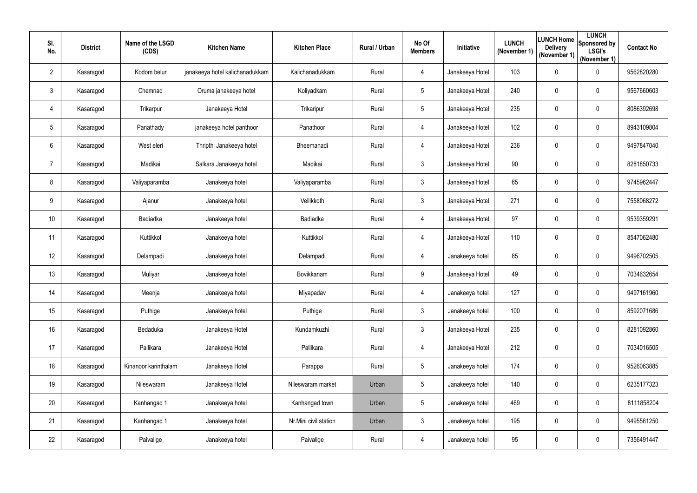| SI.<br>No.     | <b>District</b> | Name of the LSGD<br>(CDS) | <b>Kitchen Name</b>             | <b>Kitchen Place</b>  | Rural / Urban | No Of<br><b>Members</b> | Initiative      | <b>LUNCH</b><br>(November 1) | <b>Delivery</b><br>(November 1) | <b>LUNCH</b><br> LUNCH Home  Sponsored by '<br><b>LSGI's</b><br>(November 1) | <b>Contact No</b> |
|----------------|-----------------|---------------------------|---------------------------------|-----------------------|---------------|-------------------------|-----------------|------------------------------|---------------------------------|------------------------------------------------------------------------------|-------------------|
| $\overline{2}$ | Kasaragod       | Kodom belur               | janakeeya hotel kalichanadukkam | Kalichanadukkam       | Rural         | 4                       | Janakeeya Hotel | 103                          | $\mathbf 0$                     | $\mathbf 0$                                                                  | 9562820280        |
| $\mathfrak{Z}$ | Kasaragod       | Chemnad                   | Oruma janakeeya hotel           | Koliyadkam            | Rural         | $5\phantom{.0}$         | Janakeeya Hotel | 240                          | 0                               | $\boldsymbol{0}$                                                             | 9567660603        |
| $\overline{4}$ | Kasaragod       | Trikarpur                 | Janakeeya Hotel                 | Trikaripur            | Rural         | $\sqrt{5}$              | Janakeeya Hotel | 235                          | 0                               | $\boldsymbol{0}$                                                             | 8086392698        |
| 5              | Kasaragod       | Panathady                 | janakeeya hotel panthoor        | Panathoor             | Rural         | 4                       | Janakeeya Hotel | 102                          | $\mathbf 0$                     | $\pmb{0}$                                                                    | 8943109804        |
| 6              | Kasaragod       | West eleri                | Thripthi Janakeeya hotel        | Bheemanadi            | Rural         | 4                       | Janakeeya Hotel | 236                          | 0                               | $\mathbf 0$                                                                  | 9497847040        |
| 7              | Kasaragod       | Madikai                   | Salkara Janakeeya hotel         | Madikai               | Rural         | $\mathfrak{Z}$          | Janakeeya Hotel | 90                           | 0                               | $\pmb{0}$                                                                    | 8281850733        |
| 8              | Kasaragod       | Valiyaparamba             | Janakeeya hotel                 | Valiyaparamba         | Rural         | $\mathfrak{Z}$          | Janakeeya Hotel | 65                           | 0                               | $\mathbf 0$                                                                  | 9745962447        |
| 9              | Kasaragod       | Ajanur                    | Janakeeya hotel                 | Vellikkoth            | Rural         | $\mathfrak{Z}$          | Janakeeya Hotel | 271                          | 0                               | $\boldsymbol{0}$                                                             | 7558068272        |
| 10             | Kasaragod       | Badiadka                  | Janakeeya hotel                 | Badiadka              | Rural         | 4                       | Janakeeya Hotel | 97                           | $\mathbf 0$                     | $\pmb{0}$                                                                    | 9539359291        |
| 11             | Kasaragod       | Kuttikkol                 | Janakeeya hotel                 | Kuttikkol             | Rural         | 4                       | Janakeeya Hotel | 110                          | 0                               | $\boldsymbol{0}$                                                             | 8547062480        |
| 12             | Kasaragod       | Delampadi                 | Janakeeya hotel                 | Delampadi             | Rural         | 4                       | Janakeeya hotel | 85                           | $\mathbf 0$                     | $\mathbf 0$                                                                  | 9496702505        |
| 13             | Kasaragod       | Muliyar                   | Janakeeya hotel                 | Bovikkanam            | Rural         | 9                       | Janakeeya Hotel | 49                           | $\mathbf 0$                     | $\pmb{0}$                                                                    | 7034632654        |
| 14             | Kasaragod       | Meenja                    | Janakeeya hotel                 | Miyapadav             | Rural         | 4                       | Janakeeya hotel | 127                          | $\boldsymbol{0}$                | $\pmb{0}$                                                                    | 9497161960        |
| 15             | Kasaragod       | Puthige                   | Janakeeya hotel                 | Puthige               | Rural         | $\mathfrak{Z}$          | Janakeeya hotel | 100                          | 0                               | $\pmb{0}$                                                                    | 8592071686        |
| 16             | Kasaragod       | Bedaduka                  | Janakeeya Hotel                 | Kundamkuzhi           | Rural         | $\mathfrak{Z}$          | Janakeeya Hotel | 235                          | $\mathbf 0$                     | $\mathbf 0$                                                                  | 8281092860        |
| 17             | Kasaragod       | Pallikara                 | Janakeeya Hotel                 | Pallikara             | Rural         | 4                       | Janakeeya Hotel | 212                          | $\mathbf 0$                     | $\mathbf 0$                                                                  | 7034016505        |
| 18             | Kasaragod       | Kinanoor karinthalam      | Janakeeya Hotel                 | Parappa               | Rural         | $5\phantom{.0}$         | Janakeeya hotel | 174                          | $\mathbf 0$                     | $\pmb{0}$                                                                    | 9526063885        |
| 19             | Kasaragod       | Nileswaram                | Janakeeya Hotel                 | Nileswaram market     | Urban         | $\sqrt{5}$              | Janakeeya hotel | 140                          | $\mathbf 0$                     | $\pmb{0}$                                                                    | 6235177323        |
| 20             | Kasaragod       | Kanhangad 1               | Janakeeya hotel                 | Kanhangad town        | Urban         | $5\phantom{.0}$         | Janakeeya hotel | 469                          | 0                               | $\mathbf 0$                                                                  | 8111858204        |
| 21             | Kasaragod       | Kanhangad 1               | Janakeeya hotel                 | Nr.Mini civil station | Urban         | $\mathfrak{Z}$          | Janakeeya hotel | 195                          | $\mathbf 0$                     | $\pmb{0}$                                                                    | 9495561250        |
| 22             | Kasaragod       | Paivalige                 | Janakeeya hotel                 | Paivalige             | Rural         | $\overline{4}$          | Janakeeya hotel | 95                           | 0                               | $\pmb{0}$                                                                    | 7356491447        |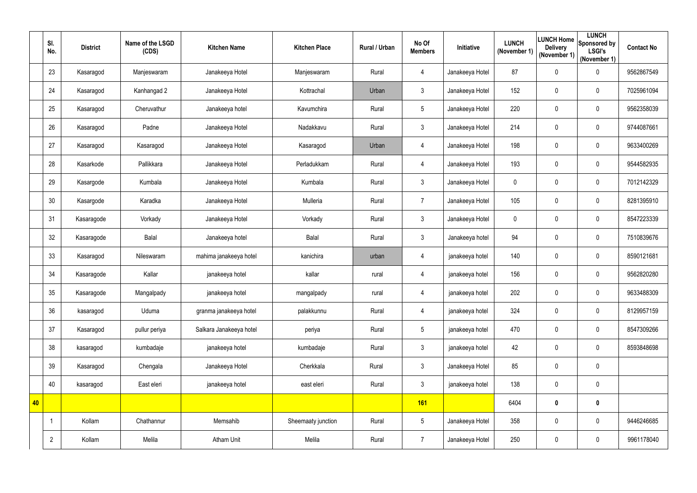|    | SI.<br>No.     | <b>District</b> | Name of the LSGD<br>(CDS) | <b>Kitchen Name</b>     | <b>Kitchen Place</b> | Rural / Urban | No Of<br><b>Members</b> | Initiative      | <b>LUNCH</b><br>(November 1) | <b>Delivery</b><br>(November 1) | <b>LUNCH</b><br>LUNCH Home Sponsored by<br><b>LSGI's</b><br>(November 1) | <b>Contact No</b> |
|----|----------------|-----------------|---------------------------|-------------------------|----------------------|---------------|-------------------------|-----------------|------------------------------|---------------------------------|--------------------------------------------------------------------------|-------------------|
|    | 23             | Kasaragod       | Manjeswaram               | Janakeeya Hotel         | Manjeswaram          | Rural         | 4                       | Janakeeya Hotel | 87                           | $\mathbf 0$                     | $\pmb{0}$                                                                | 9562867549        |
|    | 24             | Kasaragod       | Kanhangad 2               | Janakeeya Hotel         | Kottrachal           | Urban         | $\mathfrak{Z}$          | Janakeeya Hotel | 152                          | 0                               | $\mathbf 0$                                                              | 7025961094        |
|    | 25             | Kasaragod       | Cheruvathur               | Janakeeya hotel         | Kavumchira           | Rural         | $\sqrt{5}$              | Janakeeya Hotel | 220                          | 0                               | $\pmb{0}$                                                                | 9562358039        |
|    | 26             | Kasaragod       | Padne                     | Janakeeya Hotel         | Nadakkavu            | Rural         | $\mathfrak{Z}$          | Janakeeya Hotel | 214                          | $\mathbf 0$                     | $\pmb{0}$                                                                | 9744087661        |
|    | 27             | Kasaragod       | Kasaragod                 | Janakeeya Hotel         | Kasaragod            | Urban         | 4                       | Janakeeya Hotel | 198                          | 0                               | $\pmb{0}$                                                                | 9633400269        |
|    | 28             | Kasarkode       | Pallikkara                | Janakeeya Hotel         | Perladukkam          | Rural         | 4                       | Janakeeya Hotel | 193                          | 0                               | $\mathbf 0$                                                              | 9544582935        |
|    | 29             | Kasargode       | Kumbala                   | Janakeeya Hotel         | Kumbala              | Rural         | $\mathfrak{Z}$          | Janakeeya Hotel | $\mathbf 0$                  | 0                               | $\pmb{0}$                                                                | 7012142329        |
|    | 30             | Kasargode       | Karadka                   | Janakeeya Hotel         | Mulleria             | Rural         | $\overline{7}$          | Janakeeya Hotel | 105                          | 0                               | $\pmb{0}$                                                                | 8281395910        |
|    | 31             | Kasaragode      | Vorkady                   | Janakeeya Hotel         | Vorkady              | Rural         | $\mathfrak{Z}$          | Janakeeya Hotel | $\mathbf 0$                  | $\mathbf 0$                     | $\pmb{0}$                                                                | 8547223339        |
|    | 32             | Kasaragode      | Balal                     | Janakeeya hotel         | Balal                | Rural         | $\mathfrak{Z}$          | Janakeeya hotel | 94                           | 0                               | $\pmb{0}$                                                                | 7510839676        |
|    | 33             | Kasaragod       | Nileswaram                | mahima janakeeya hotel  | kanichira            | urban         | 4                       | janakeeya hotel | 140                          | $\mathbf 0$                     | $\pmb{0}$                                                                | 8590121681        |
|    | 34             | Kasaragode      | Kallar                    | janakeeya hotel         | kallar               | rural         | $\overline{4}$          | janakeeya hotel | 156                          | $\mathbf 0$                     | $\pmb{0}$                                                                | 9562820280        |
|    | 35             | Kasaragode      | Mangalpady                | janakeeya hotel         | mangalpady           | rural         | 4                       | janakeeya hotel | 202                          | $\mathbf 0$                     | $\pmb{0}$                                                                | 9633488309        |
|    | 36             | kasaragod       | Uduma                     | granma janakeeya hotel  | palakkunnu           | Rural         | 4                       | janakeeya hotel | 324                          | $\mathbf 0$                     | $\pmb{0}$                                                                | 8129957159        |
|    | 37             | Kasaragod       | pullur periya             | Salkara Janakeeya hotel | periya               | Rural         | $5\phantom{.0}$         | janakeeya hotel | 470                          | $\mathbf 0$                     | $\mathbf 0$                                                              | 8547309266        |
|    | 38             | kasaragod       | kumbadaje                 | janakeeya hotel         | kumbadaje            | Rural         | $\mathfrak{Z}$          | janakeeya hotel | 42                           | 0                               | $\pmb{0}$                                                                | 8593848698        |
|    | 39             | Kasaragod       | Chengala                  | Janakeeya Hotel         | Cherkkala            | Rural         | 3 <sup>1</sup>          | Janakeeya Hotel | 85                           | $\mathbf 0$                     | $\pmb{0}$                                                                |                   |
|    | 40             | kasaragod       | East eleri                | janakeeya hotel         | east eleri           | Rural         | $\mathfrak{Z}$          | janakeeya hotel | 138                          | $\mathbf 0$                     | $\pmb{0}$                                                                |                   |
| 40 |                |                 |                           |                         |                      |               | 161                     |                 | 6404                         | 0                               | $\pmb{0}$                                                                |                   |
|    |                | Kollam          | Chathannur                | Memsahib                | Sheemaaty junction   | Rural         | $5\phantom{.0}$         | Janakeeya Hotel | 358                          | $\mathbf 0$                     | $\pmb{0}$                                                                | 9446246685        |
|    | $\overline{2}$ | Kollam          | Melila                    | <b>Atham Unit</b>       | Melila               | Rural         | $\overline{7}$          | Janakeeya Hotel | 250                          | $\boldsymbol{0}$                | $\pmb{0}$                                                                | 9961178040        |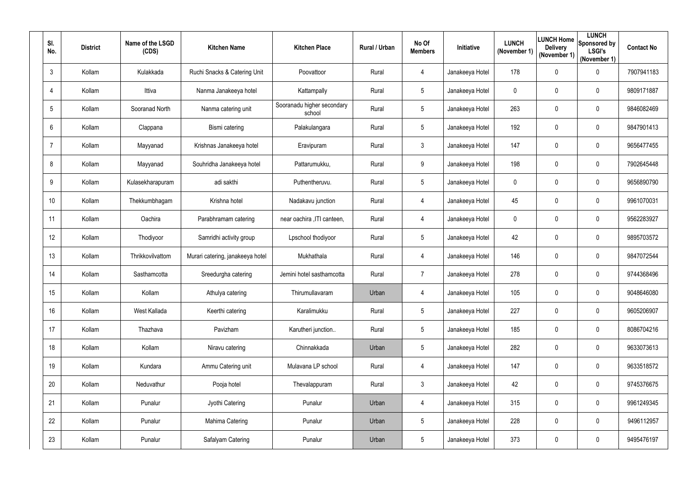| SI.<br>No. | <b>District</b> | Name of the LSGD<br>(CDS) | <b>Kitchen Name</b>              | <b>Kitchen Place</b>                 | Rural / Urban | No Of<br><b>Members</b> | Initiative      | <b>LUNCH</b><br>(November 1) | <b>LUNCH Home</b><br><b>Delivery</b><br>(November 1) | <b>LUNCH</b><br>Sponsored by<br><b>LSGI's</b><br>(November 1) | <b>Contact No</b> |
|------------|-----------------|---------------------------|----------------------------------|--------------------------------------|---------------|-------------------------|-----------------|------------------------------|------------------------------------------------------|---------------------------------------------------------------|-------------------|
| 3          | Kollam          | Kulakkada                 | Ruchi Snacks & Catering Unit     | Poovattoor                           | Rural         | 4                       | Janakeeya Hotel | 178                          | $\mathbf 0$                                          | $\pmb{0}$                                                     | 7907941183        |
| 4          | Kollam          | Ittiva                    | Nanma Janakeeya hotel            | Kattampally                          | Rural         | $5\overline{)}$         | Janakeeya Hotel | $\mathbf 0$                  | $\mathbf 0$                                          | $\pmb{0}$                                                     | 9809171887        |
| 5          | Kollam          | Sooranad North            | Nanma catering unit              | Sooranadu higher secondary<br>school | Rural         | $5\phantom{.0}$         | Janakeeya Hotel | 263                          | $\mathbf 0$                                          | $\mathbf 0$                                                   | 9846082469        |
| 6          | Kollam          | Clappana                  | Bismi catering                   | Palakulangara                        | Rural         | 5                       | Janakeeya Hotel | 192                          | $\mathbf 0$                                          | $\mathbf 0$                                                   | 9847901413        |
| 7          | Kollam          | Mayyanad                  | Krishnas Janakeeya hotel         | Eravipuram                           | Rural         | $3\overline{3}$         | Janakeeya Hotel | 147                          | $\mathbf 0$                                          | $\pmb{0}$                                                     | 9656477455        |
| 8          | Kollam          | Mayyanad                  | Souhridha Janakeeya hotel        | Pattarumukku,                        | Rural         | 9                       | Janakeeya Hotel | 198                          | $\mathbf 0$                                          | $\pmb{0}$                                                     | 7902645448        |
| 9          | Kollam          | Kulasekharapuram          | adi sakthi                       | Puthentheruvu.                       | Rural         | $5\phantom{.0}$         | Janakeeya Hotel | $\mathbf 0$                  | $\mathbf 0$                                          | $\mathbf 0$                                                   | 9656890790        |
| 10         | Kollam          | Thekkumbhagam             | Krishna hotel                    | Nadakavu junction                    | Rural         | 4                       | Janakeeya Hotel | 45                           | $\mathbf 0$                                          | $\mathbf 0$                                                   | 9961070031        |
| 11         | Kollam          | Oachira                   | Parabhramam catering             | near oachira , ITI canteen,          | Rural         | 4                       | Janakeeya Hotel | $\mathbf 0$                  | $\overline{0}$                                       | $\pmb{0}$                                                     | 9562283927        |
| 12         | Kollam          | Thodiyoor                 | Samridhi activity group          | Lpschool thodiyoor                   | Rural         | $5\overline{)}$         | Janakeeya Hotel | 42                           | 0                                                    | $\mathbf 0$                                                   | 9895703572        |
| 13         | Kollam          | Thrikkovilvattom          | Murari catering, janakeeya hotel | Mukhathala                           | Rural         | 4                       | Janakeeya Hotel | 146                          | $\mathbf 0$                                          | $\mathbf 0$                                                   | 9847072544        |
| 14         | Kollam          | Sasthamcotta              | Sreedurgha catering              | Jemini hotel sasthamcotta            | Rural         | $\overline{7}$          | Janakeeya Hotel | 278                          | $\mathbf 0$                                          | $\mathbf 0$                                                   | 9744368496        |
| 15         | Kollam          | Kollam                    | Athulya catering                 | Thirumullavaram                      | Urban         | 4                       | Janakeeya Hotel | 105                          | $\mathbf 0$                                          | $\pmb{0}$                                                     | 9048646080        |
| 16         | Kollam          | West Kallada              | Keerthi catering                 | Karalimukku                          | Rural         | $5\phantom{.0}$         | Janakeeya Hotel | 227                          | $\mathbf 0$                                          | $\pmb{0}$                                                     | 9605206907        |
| 17         | Kollam          | Thazhava                  | Pavizham                         | Karutheri junction                   | Rural         | $5\phantom{.0}$         | Janakeeya Hotel | 185                          | $\overline{0}$                                       | $\boldsymbol{0}$                                              | 8086704216        |
| 18         | Kollam          | Kollam                    | Niravu catering                  | Chinnakkada                          | Urban         | $5\phantom{.0}$         | Janakeeya Hotel | 282                          | 0                                                    | $\boldsymbol{0}$                                              | 9633073613        |
| 19         | Kollam          | Kundara                   | Ammu Catering unit               | Mulavana LP school                   | Rural         | 4                       | Janakeeya Hotel | 147                          | $\mathbf 0$                                          | $\boldsymbol{0}$                                              | 9633518572        |
| 20         | Kollam          | Neduvathur                | Pooja hotel                      | Thevalappuram                        | Rural         | $\mathfrak{Z}$          | Janakeeya Hotel | 42                           | $\overline{0}$                                       | $\pmb{0}$                                                     | 9745376675        |
| 21         | Kollam          | Punalur                   | Jyothi Catering                  | Punalur                              | Urban         | 4                       | Janakeeya Hotel | 315                          | $\overline{0}$                                       | $\pmb{0}$                                                     | 9961249345        |
| 22         | Kollam          | Punalur                   | Mahima Catering                  | Punalur                              | Urban         | $5\phantom{.0}$         | Janakeeya Hotel | 228                          | $\overline{0}$                                       | $\boldsymbol{0}$                                              | 9496112957        |
| 23         | Kollam          | Punalur                   | Safalyam Catering                | Punalur                              | Urban         | $5\phantom{.0}$         | Janakeeya Hotel | 373                          | $\boldsymbol{0}$                                     | $\pmb{0}$                                                     | 9495476197        |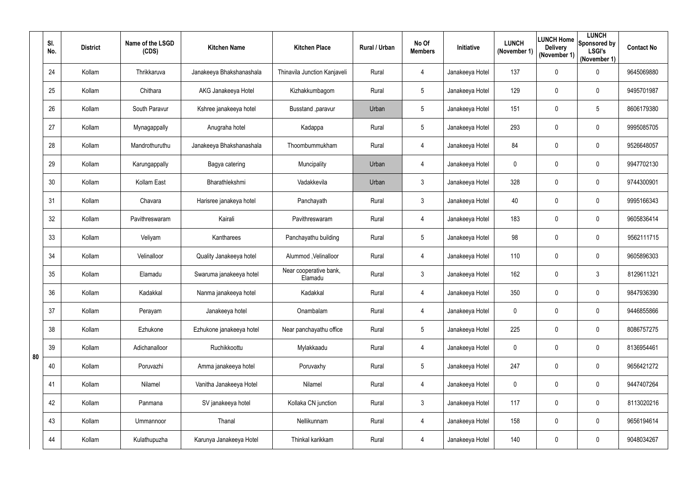|    | SI.<br>No. | <b>District</b> | Name of the LSGD<br>(CDS) | <b>Kitchen Name</b>      | <b>Kitchen Place</b>              | Rural / Urban | No Of<br><b>Members</b> | Initiative      | <b>LUNCH</b><br>(November 1) | <b>LUNCH Home</b><br><b>Delivery</b><br>(November 1) | <b>LUNCH</b><br>Sponsored by<br><b>LSGI's</b><br>(November 1) | <b>Contact No</b> |
|----|------------|-----------------|---------------------------|--------------------------|-----------------------------------|---------------|-------------------------|-----------------|------------------------------|------------------------------------------------------|---------------------------------------------------------------|-------------------|
|    | 24         | Kollam          | Thrikkaruva               | Janakeeya Bhakshanashala | Thinavila Junction Kanjaveli      | Rural         | 4                       | Janakeeya Hotel | 137                          | $\mathbf 0$                                          | $\mathbf 0$                                                   | 9645069880        |
|    | 25         | Kollam          | Chithara                  | AKG Janakeeya Hotel      | Kizhakkumbagom                    | Rural         | 5                       | Janakeeya Hotel | 129                          | $\mathbf 0$                                          | $\mathbf 0$                                                   | 9495701987        |
|    | 26         | Kollam          | South Paravur             | Kshree janakeeya hotel   | Busstand , paravur                | Urban         | $\overline{5}$          | Janakeeya Hotel | 151                          | $\mathbf 0$                                          | $5\phantom{.0}$                                               | 8606179380        |
|    | 27         | Kollam          | Mynagappally              | Anugraha hotel           | Kadappa                           | Rural         | $5\phantom{.0}$         | Janakeeya Hotel | 293                          | $\mathbf 0$                                          | $\mathbf 0$                                                   | 9995085705        |
|    | 28         | Kollam          | Mandrothuruthu            | Janakeeya Bhakshanashala | Thoombummukham                    | Rural         | 4                       | Janakeeya Hotel | 84                           | $\mathbf 0$                                          | $\mathbf 0$                                                   | 9526648057        |
|    | 29         | Kollam          | Karungappally             | Bagya catering           | Muncipality                       | Urban         | 4                       | Janakeeya Hotel | $\mathbf 0$                  | $\mathbf 0$                                          | $\pmb{0}$                                                     | 9947702130        |
|    | 30         | Kollam          | Kollam East               | Bharathlekshmi           | Vadakkevila                       | Urban         | $\mathfrak{Z}$          | Janakeeya Hotel | 328                          | $\mathbf 0$                                          | $\mathbf 0$                                                   | 9744300901        |
|    | 31         | Kollam          | Chavara                   | Harisree janakeya hotel  | Panchayath                        | Rural         | $\mathbf{3}$            | Janakeeya Hotel | 40                           | $\mathbf 0$                                          | $\mathbf 0$                                                   | 9995166343        |
|    | 32         | Kollam          | Pavithreswaram            | Kairali                  | Pavithreswaram                    | Rural         | 4                       | Janakeeya Hotel | 183                          | $\mathbf 0$                                          | $\mathbf 0$                                                   | 9605836414        |
|    | 33         | Kollam          | Veliyam                   | Kantharees               | Panchayathu building              | Rural         | $5\overline{)}$         | Janakeeya Hotel | 98                           | $\mathbf 0$                                          | $\pmb{0}$                                                     | 9562111715        |
|    | 34         | Kollam          | Velinalloor               | Quality Janakeeya hotel  | Alummod, Velinalloor              | Rural         | 4                       | Janakeeya Hotel | 110                          | $\mathbf 0$                                          | $\overline{0}$                                                | 9605896303        |
|    | 35         | Kollam          | Elamadu                   | Swaruma janakeeya hotel  | Near cooperative bank,<br>Elamadu | Rural         | $\mathfrak{Z}$          | Janakeeya Hotel | 162                          | 0                                                    | $\mathfrak{Z}$                                                | 8129611321        |
|    | 36         | Kollam          | Kadakkal                  | Nanma janakeeya hotel    | Kadakkal                          | Rural         | 4                       | Janakeeya Hotel | 350                          | $\mathbf 0$                                          | 0                                                             | 9847936390        |
|    | 37         | Kollam          | Perayam                   | Janakeeya hotel          | Onambalam                         | Rural         | 4                       | Janakeeya Hotel | $\mathbf 0$                  | $\mathbf 0$                                          | $\mathbf 0$                                                   | 9446855866        |
|    | 38         | Kollam          | Ezhukone                  | Ezhukone janakeeya hotel | Near panchayathu office           | Rural         | $5\phantom{.0}$         | Janakeeya Hotel | 225                          | $\mathbf 0$                                          | $\boldsymbol{0}$                                              | 8086757275        |
| 80 | 39         | Kollam          | Adichanalloor             | Ruchikkoottu             | Mylakkaadu                        | Rural         | 4                       | Janakeeya Hotel | $\mathbf 0$                  | $\mathbf 0$                                          | $\boldsymbol{0}$                                              | 8136954461        |
|    | 40         | Kollam          | Poruvazhi                 | Amma janakeeya hotel     | Poruvaxhy                         | Rural         | $5\phantom{.0}$         | Janakeeya Hotel | 247                          | $\mathbf 0$                                          | $\boldsymbol{0}$                                              | 9656421272        |
|    | 41         | Kollam          | Nilamel                   | Vanitha Janakeeya Hotel  | Nilamel                           | Rural         | 4                       | Janakeeya Hotel | $\mathbf 0$                  | $\mathbf 0$                                          | $\boldsymbol{0}$                                              | 9447407264        |
|    | 42         | Kollam          | Panmana                   | SV janakeeya hotel       | Kollaka CN junction               | Rural         | $\mathfrak{Z}$          | Janakeeya Hotel | 117                          | $\mathbf 0$                                          | $\boldsymbol{0}$                                              | 8113020216        |
|    | 43         | Kollam          | Ummannoor                 | Thanal                   | Nellikunnam                       | Rural         | 4                       | Janakeeya Hotel | 158                          | $\mathbf 0$                                          | $\boldsymbol{0}$                                              | 9656194614        |
|    | 44         | Kollam          | Kulathupuzha              | Karunya Janakeeya Hotel  | Thinkal karikkam                  | Rural         | 4                       | Janakeeya Hotel | 140                          | 0                                                    | $\pmb{0}$                                                     | 9048034267        |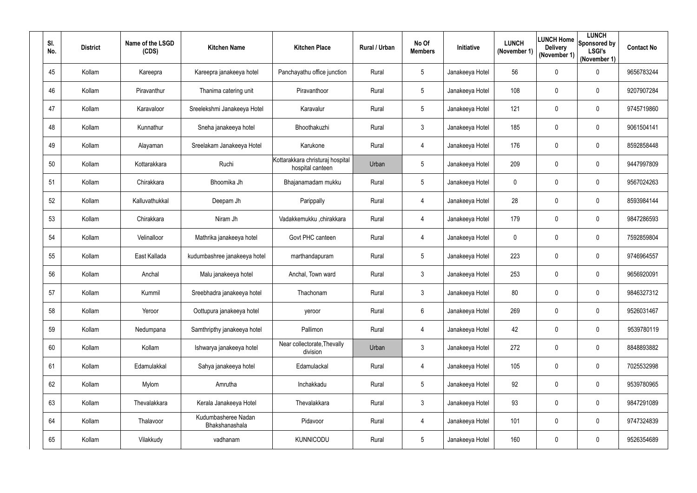| SI.<br>No. | <b>District</b> | Name of the LSGD<br>(CDS) | <b>Kitchen Name</b>                   | <b>Kitchen Place</b>                                 | Rural / Urban | No Of<br><b>Members</b> | Initiative      | <b>LUNCH</b><br>(November 1) | <b>Delivery</b><br>(November 1) | <b>LUNCH</b><br><b>ILUNCH Home</b> Sponsored by<br><b>LSGI's</b><br>(November 1) | <b>Contact No</b> |
|------------|-----------------|---------------------------|---------------------------------------|------------------------------------------------------|---------------|-------------------------|-----------------|------------------------------|---------------------------------|----------------------------------------------------------------------------------|-------------------|
| 45         | Kollam          | Kareepra                  | Kareepra janakeeya hotel              | Panchayathu office junction                          | Rural         | $5\overline{)}$         | Janakeeya Hotel | 56                           | $\mathbf 0$                     | $\pmb{0}$                                                                        | 9656783244        |
| 46         | Kollam          | Piravanthur               | Thanima catering unit                 | Piravanthoor                                         | Rural         | $5\overline{)}$         | Janakeeya Hotel | 108                          | $\mathbf 0$                     | $\mathbf 0$                                                                      | 9207907284        |
| 47         | Kollam          | Karavaloor                | Sreelekshmi Janakeeya Hotel           | Karavalur                                            | Rural         | $5\overline{)}$         | Janakeeya Hotel | 121                          | $\mathbf 0$                     | $\mathbf 0$                                                                      | 9745719860        |
| 48         | Kollam          | Kunnathur                 | Sneha janakeeya hotel                 | Bhoothakuzhi                                         | Rural         | 3 <sup>1</sup>          | Janakeeya Hotel | 185                          | $\mathbf 0$                     | $\overline{0}$                                                                   | 9061504141        |
| 49         | Kollam          | Alayaman                  | Sreelakam Janakeeya Hotel             | Karukone                                             | Rural         | 4                       | Janakeeya Hotel | 176                          | 0                               | $\pmb{0}$                                                                        | 8592858448        |
| 50         | Kollam          | Kottarakkara              | Ruchi                                 | Kottarakkara christuraj hospital<br>hospital canteen | Urban         | $5\phantom{.0}$         | Janakeeya Hotel | 209                          | $\mathbf 0$                     | $\mathbf 0$                                                                      | 9447997809        |
| 51         | Kollam          | Chirakkara                | Bhoomika Jh                           | Bhajanamadam mukku                                   | Rural         | 5 <sup>5</sup>          | Janakeeya Hotel | 0                            | 0                               | 0                                                                                | 9567024263        |
| 52         | Kollam          | Kalluvathukkal            | Deepam Jh                             | Parippally                                           | Rural         | 4                       | Janakeeya Hotel | 28                           | 0                               | $\mathbf 0$                                                                      | 8593984144        |
| 53         | Kollam          | Chirakkara                | Niram Jh                              | Vadakkemukku ,chirakkara                             | Rural         | 4                       | Janakeeya Hotel | 179                          | $\mathbf 0$                     | $\pmb{0}$                                                                        | 9847286593        |
| 54         | Kollam          | Velinalloor               | Mathrika janakeeya hotel              | Govt PHC canteen                                     | Rural         | 4                       | Janakeeya Hotel | $\mathbf 0$                  | 0                               | $\mathbf 0$                                                                      | 7592859804        |
| 55         | Kollam          | East Kallada              | kudumbashree janakeeya hotel          | marthandapuram                                       | Rural         | $5\overline{)}$         | Janakeeya Hotel | 223                          | $\mathbf 0$                     | $\pmb{0}$                                                                        | 9746964557        |
| 56         | Kollam          | Anchal                    | Malu janakeeya hotel                  | Anchal, Town ward                                    | Rural         | 3 <sup>1</sup>          | Janakeeya Hotel | 253                          | $\overline{0}$                  | $\pmb{0}$                                                                        | 9656920091        |
| 57         | Kollam          | Kummil                    | Sreebhadra janakeeya hotel            | Thachonam                                            | Rural         | 3                       | Janakeeya Hotel | 80                           | $\mathbf 0$                     | 0                                                                                | 9846327312        |
| 58         | Kollam          | Yeroor                    | Oottupura janakeeya hotel             | yeroor                                               | Rural         | 6                       | Janakeeya Hotel | 269                          | $\mathbf 0$                     | $\pmb{0}$                                                                        | 9526031467        |
| 59         | Kollam          | Nedumpana                 | Samthripthy janakeeya hotel           | Pallimon                                             | Rural         | 4                       | Janakeeya Hotel | 42                           | $\overline{0}$                  | $\boldsymbol{0}$                                                                 | 9539780119        |
| 60         | Kollam          | Kollam                    | Ishwarya janakeeya hotel              | Near collectorate, Thevally<br>division              | Urban         | 3 <sup>7</sup>          | Janakeeya Hotel | 272                          | $\overline{0}$                  | $\boldsymbol{0}$                                                                 | 8848893882        |
| 61         | Kollam          | Edamulakkal               | Sahya janakeeya hotel                 | Edamulackal                                          | Rural         | 4                       | Janakeeya Hotel | 105                          | $\overline{0}$                  | $\boldsymbol{0}$                                                                 | 7025532998        |
| 62         | Kollam          | Mylom                     | Amrutha                               | Inchakkadu                                           | Rural         | $5\overline{)}$         | Janakeeya Hotel | 92                           | $\overline{0}$                  | $\pmb{0}$                                                                        | 9539780965        |
| 63         | Kollam          | Thevalakkara              | Kerala Janakeeya Hotel                | Thevalakkara                                         | Rural         | $\mathfrak{Z}$          | Janakeeya Hotel | 93                           | $\mathbf 0$                     | $\boldsymbol{0}$                                                                 | 9847291089        |
| 64         | Kollam          | Thalavoor                 | Kudumbasheree Nadan<br>Bhakshanashala | Pidavoor                                             | Rural         | 4                       | Janakeeya Hotel | 101                          | $\overline{0}$                  | $\pmb{0}$                                                                        | 9747324839        |
| 65         | Kollam          | Vilakkudy                 | vadhanam                              | <b>KUNNICODU</b>                                     | Rural         | $5\phantom{.0}$         | Janakeeya Hotel | 160                          | $\overline{0}$                  | $\pmb{0}$                                                                        | 9526354689        |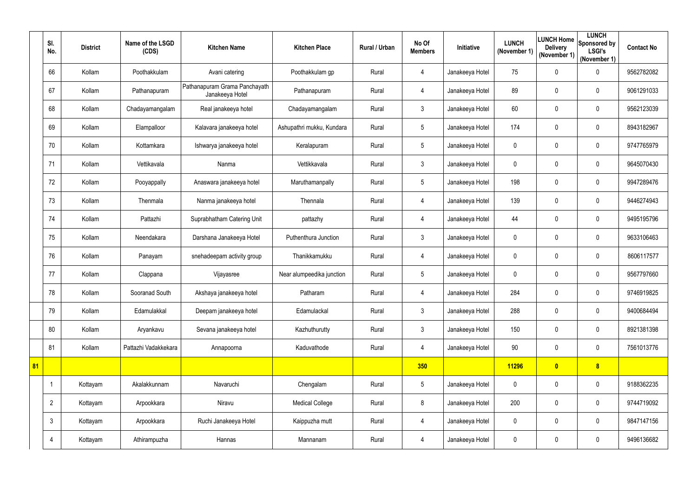|    | SI.<br>No.              | <b>District</b> | Name of the LSGD<br>(CDS) | <b>Kitchen Name</b>                              | <b>Kitchen Place</b>      | <b>Rural / Urban</b> | No Of<br><b>Members</b> | Initiative      | <b>LUNCH</b><br>(November 1) | <b>Delivery</b><br>(November 1) | <b>LUNCH</b><br> LUNCH Home  Sponsored by '<br><b>LSGI's</b><br>(November 1) | <b>Contact No</b> |
|----|-------------------------|-----------------|---------------------------|--------------------------------------------------|---------------------------|----------------------|-------------------------|-----------------|------------------------------|---------------------------------|------------------------------------------------------------------------------|-------------------|
|    | 66                      | Kollam          | Poothakkulam              | Avani catering                                   | Poothakkulam gp           | Rural                | 4                       | Janakeeya Hotel | 75                           | $\mathbf 0$                     | $\mathbf 0$                                                                  | 9562782082        |
|    | 67                      | Kollam          | Pathanapuram              | Pathanapuram Grama Panchayath<br>Janakeeya Hotel | Pathanapuram              | Rural                | 4                       | Janakeeya Hotel | 89                           | $\mathbf 0$                     | $\mathbf 0$                                                                  | 9061291033        |
|    | 68                      | Kollam          | Chadayamangalam           | Real janakeeya hotel                             | Chadayamangalam           | Rural                | $\mathfrak{Z}$          | Janakeeya Hotel | 60                           | $\mathbf 0$                     | $\mathbf 0$                                                                  | 9562123039        |
|    | 69                      | Kollam          | Elampalloor               | Kalavara janakeeya hotel                         | Ashupathri mukku, Kundara | Rural                | $5\phantom{.0}$         | Janakeeya Hotel | 174                          | $\mathbf 0$                     | $\pmb{0}$                                                                    | 8943182967        |
|    | 70                      | Kollam          | Kottamkara                | Ishwarya janakeeya hotel                         | Keralapuram               | Rural                | $5\phantom{.0}$         | Janakeeya Hotel | 0                            | 0                               | $\mathbf 0$                                                                  | 9747765979        |
|    | 71                      | Kollam          | Vettikavala               | Nanma                                            | Vettikkavala              | Rural                | $\mathfrak{Z}$          | Janakeeya Hotel | $\mathbf 0$                  | $\mathbf 0$                     | $\mathbf 0$                                                                  | 9645070430        |
|    | 72                      | Kollam          | Pooyappally               | Anaswara janakeeya hotel                         | Maruthamanpally           | Rural                | $\overline{5}$          | Janakeeya Hotel | 198                          | $\mathbf 0$                     | $\mathbf 0$                                                                  | 9947289476        |
|    | 73                      | Kollam          | Thenmala                  | Nanma janakeeya hotel                            | Thennala                  | Rural                | 4                       | Janakeeya Hotel | 139                          | $\mathbf 0$                     | $\mathbf 0$                                                                  | 9446274943        |
|    | 74                      | Kollam          | Pattazhi                  | Suprabhatham Catering Unit                       | pattazhy                  | Rural                | 4                       | Janakeeya Hotel | 44                           | $\mathbf 0$                     | $\pmb{0}$                                                                    | 9495195796        |
|    | 75                      | Kollam          | Neendakara                | Darshana Janakeeya Hotel                         | Puthenthura Junction      | Rural                | $\mathfrak{Z}$          | Janakeeya Hotel | 0                            | $\mathbf 0$                     | $\mathbf 0$                                                                  | 9633106463        |
|    | 76                      | Kollam          | Panayam                   | snehadeepam activity group                       | Thanikkamukku             | Rural                | 4                       | Janakeeya Hotel | $\mathbf 0$                  | $\mathbf 0$                     | $\pmb{0}$                                                                    | 8606117577        |
|    | 77                      | Kollam          | Clappana                  | Vijayasree                                       | Near alumpeedika junction | Rural                | $5\phantom{.0}$         | Janakeeya Hotel | 0                            | $\mathbf 0$                     | $\mathbf 0$                                                                  | 9567797660        |
|    | 78                      | Kollam          | Sooranad South            | Akshaya janakeeya hotel                          | Patharam                  | Rural                | 4                       | Janakeeya Hotel | 284                          | $\mathbf 0$                     | $\mathbf 0$                                                                  | 9746919825        |
|    | 79                      | Kollam          | Edamulakkal               | Deepam janakeeya hotel                           | Edamulackal               | Rural                | $\mathfrak{Z}$          | Janakeeya Hotel | 288                          | $\mathbf 0$                     | $\boldsymbol{0}$                                                             | 9400684494        |
|    | 80                      | Kollam          | Aryankavu                 | Sevana janakeeya hotel                           | Kazhuthurutty             | Rural                | $\mathfrak{Z}$          | Janakeeya Hotel | 150                          | $\pmb{0}$                       | $\boldsymbol{0}$                                                             | 8921381398        |
|    | 81                      | Kollam          | Pattazhi Vadakkekara      | Annapoorna                                       | Kaduvathode               | Rural                | 4                       | Janakeeya Hotel | 90 <sup>°</sup>              | 0                               | $\boldsymbol{0}$                                                             | 7561013776        |
| 81 |                         |                 |                           |                                                  |                           |                      | 350                     |                 | 11296                        | $\bullet$                       | $\boldsymbol{8}$                                                             |                   |
|    | $\overline{\mathbf{1}}$ | Kottayam        | Akalakkunnam              | Navaruchi                                        | Chengalam                 | Rural                | $5\phantom{.0}$         | Janakeeya Hotel | $\mathbf 0$                  | $\pmb{0}$                       | $\pmb{0}$                                                                    | 9188362235        |
|    | $\overline{2}$          | Kottayam        | Arpookkara                | Niravu                                           | <b>Medical College</b>    | Rural                | 8                       | Janakeeya Hotel | 200                          | 0                               | $\boldsymbol{0}$                                                             | 9744719092        |
|    | $\mathbf{3}$            | Kottayam        | Arpookkara                | Ruchi Janakeeya Hotel                            | Kaippuzha mutt            | Rural                | 4                       | Janakeeya Hotel | $\mathbf 0$                  | 0                               | $\boldsymbol{0}$                                                             | 9847147156        |
|    | $\overline{4}$          | Kottayam        | Athirampuzha              | Hannas                                           | Mannanam                  | Rural                | 4                       | Janakeeya Hotel | $\pmb{0}$                    | 0                               | $\pmb{0}$                                                                    | 9496136682        |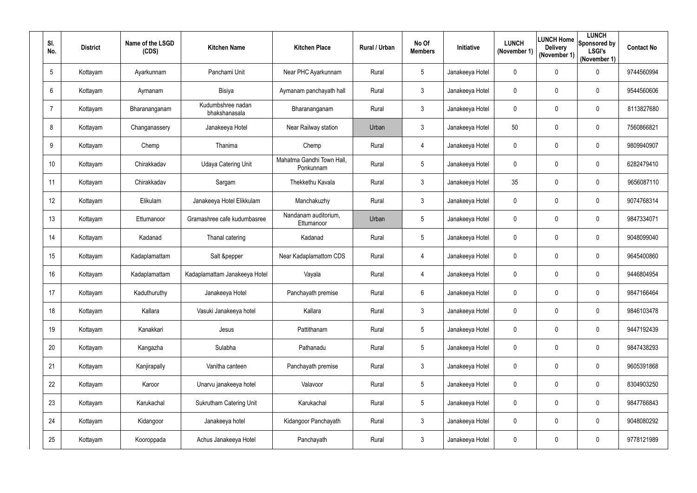| SI.<br>No.      | <b>District</b> | Name of the LSGD<br>(CDS) | <b>Kitchen Name</b>                | <b>Kitchen Place</b>                   | Rural / Urban | No Of<br><b>Members</b> | <b>Initiative</b> | <b>LUNCH</b><br>(November 1) | <b>Delivery</b><br>(November 1) | <b>LUNCH</b><br><b>LUNCH Home</b> Sponsored by<br><b>LSGI's</b><br>(November 1) | <b>Contact No</b> |
|-----------------|-----------------|---------------------------|------------------------------------|----------------------------------------|---------------|-------------------------|-------------------|------------------------------|---------------------------------|---------------------------------------------------------------------------------|-------------------|
| $5\phantom{.0}$ | Kottayam        | Ayarkunnam                | Panchami Unit                      | Near PHC Ayarkunnam                    | Rural         | 5                       | Janakeeya Hotel   | $\mathbf 0$                  | $\mathbf 0$                     | $\pmb{0}$                                                                       | 9744560994        |
| $6\phantom{.}6$ | Kottayam        | Aymanam                   | <b>Bisiya</b>                      | Aymanam panchayath hall                | Rural         | 3 <sup>1</sup>          | Janakeeya Hotel   | $\mathbf 0$                  | $\mathbf 0$                     | $\mathbf 0$                                                                     | 9544560606        |
| $\overline{7}$  | Kottayam        | Bharananganam             | Kudumbshree nadan<br>bhakshanasala | Bharananganam                          | Rural         | 3 <sup>1</sup>          | Janakeeya Hotel   | $\mathbf 0$                  | 0                               | $\mathbf 0$                                                                     | 8113827680        |
| 8               | Kottayam        | Changanassery             | Janakeeya Hotel                    | Near Railway station                   | Urban         | 3 <sup>1</sup>          | Janakeeya Hotel   | 50                           | $\mathbf 0$                     | $\overline{0}$                                                                  | 7560866821        |
| 9               | Kottayam        | Chemp                     | Thanima                            | Chemp                                  | Rural         | 4                       | Janakeeya Hotel   | $\mathbf 0$                  | 0                               | $\mathbf 0$                                                                     | 9809940907        |
| 10 <sup>°</sup> | Kottayam        | Chirakkadav               | <b>Udaya Catering Unit</b>         | Mahatma Gandhi Town Hall,<br>Ponkunnam | Rural         | 5                       | Janakeeya Hotel   | $\mathbf 0$                  | $\mathbf 0$                     | $\mathbf 0$                                                                     | 6282479410        |
| 11              | Kottayam        | Chirakkadav               | Sargam                             | Thekkethu Kavala                       | Rural         | $\mathfrak{Z}$          | Janakeeya Hotel   | 35                           | $\mathbf 0$                     | $\pmb{0}$                                                                       | 9656087110        |
| 12              | Kottayam        | Elikulam                  | Janakeeya Hotel Elikkulam          | Manchakuzhy                            | Rural         | 3 <sup>1</sup>          | Janakeeya Hotel   | $\mathbf 0$                  | $\mathbf 0$                     | $\mathbf 0$                                                                     | 9074768314        |
| 13              | Kottayam        | Ettumanoor                | Gramashree cafe kudumbasree        | Nandanam auditorium,<br>Ettumanoor     | Urban         | $5\overline{)}$         | Janakeeya Hotel   | $\mathbf 0$                  | $\mathbf 0$                     | $\mathbf 0$                                                                     | 9847334071        |
| 14              | Kottayam        | Kadanad                   | Thanal catering                    | Kadanad                                | Rural         | $5\overline{)}$         | Janakeeya Hotel   | $\mathbf 0$                  | $\mathbf 0$                     | $\mathbf 0$                                                                     | 9048099040        |
| 15              | Kottayam        | Kadaplamattam             | Salt &pepper                       | Near Kadaplamattom CDS                 | Rural         | 4                       | Janakeeya Hotel   | $\boldsymbol{0}$             | 0                               | $\pmb{0}$                                                                       | 9645400860        |
| 16              | Kottayam        | Kadaplamattam             | Kadaplamattam Janakeeya Hotel      | Vayala                                 | Rural         | 4                       | Janakeeya Hotel   | $\mathbf 0$                  | $\mathbf 0$                     | $\mathbf 0$                                                                     | 9446804954        |
| 17              | Kottayam        | Kaduthuruthy              | Janakeeya Hotel                    | Panchayath premise                     | Rural         | 6                       | Janakeeya Hotel   | $\mathbf{0}$                 | $\overline{0}$                  | 0                                                                               | 9847166464        |
| 18              | Kottayam        | Kallara                   | Vasuki Janakeeya hotel             | Kallara                                | Rural         | $\mathfrak{Z}$          | Janakeeya Hotel   | $\mathbf 0$                  | $\mathbf 0$                     | $\pmb{0}$                                                                       | 9846103478        |
| 19              | Kottayam        | Kanakkari                 | Jesus                              | Pattithanam                            | Rural         | $5\overline{)}$         | Janakeeya Hotel   | $\mathbf{0}$                 | $\mathbf 0$                     | $\boldsymbol{0}$                                                                | 9447192439        |
| 20              | Kottayam        | Kangazha                  | Sulabha                            | Pathanadu                              | Rural         | $5\overline{)}$         | Janakeeya Hotel   | $\mathbf 0$                  | $\mathbf 0$                     | $\boldsymbol{0}$                                                                | 9847438293        |
| 21              | Kottayam        | Kanjirapally              | Vanitha canteen                    | Panchayath premise                     | Rural         | $\mathfrak{Z}$          | Janakeeya Hotel   | $\mathbf 0$                  | $\mathbf 0$                     | $\boldsymbol{0}$                                                                | 9605391868        |
| 22              | Kottayam        | Karoor                    | Unarvu janakeeya hotel             | Valavoor                               | Rural         | $5\overline{)}$         | Janakeeya Hotel   | $\mathbf 0$                  | $\overline{0}$                  | $\pmb{0}$                                                                       | 8304903250        |
| 23              | Kottayam        | Karukachal                | Sukrutham Catering Unit            | Karukachal                             | Rural         | 5                       | Janakeeya Hotel   | $\mathbf 0$                  | $\mathbf 0$                     | $\boldsymbol{0}$                                                                | 9847766843        |
| 24              | Kottayam        | Kidangoor                 | Janakeeya hotel                    | Kidangoor Panchayath                   | Rural         | $\mathfrak{Z}$          | Janakeeya Hotel   | $\mathbf 0$                  | $\mathbf 0$                     | $\pmb{0}$                                                                       | 9048080292        |
| 25              | Kottayam        | Kooroppada                | Achus Janakeeya Hotel              | Panchayath                             | Rural         | $\mathfrak{Z}$          | Janakeeya Hotel   | $\mathbf 0$                  | $\mathbf 0$                     | $\pmb{0}$                                                                       | 9778121989        |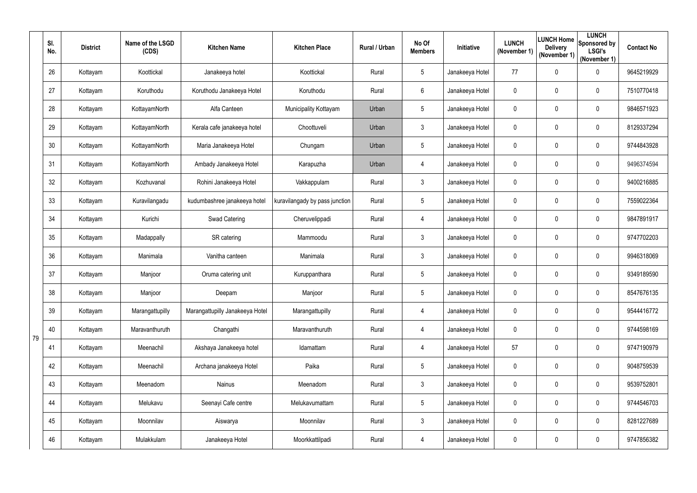|    | SI.<br>No. | <b>District</b> | Name of the LSGD<br>(CDS) | <b>Kitchen Name</b>             | <b>Kitchen Place</b>           | Rural / Urban | No Of<br><b>Members</b> | <b>Initiative</b> | <b>LUNCH</b><br>(November 1) | LUNCH Home<br><b>Delivery</b><br>(November 1) | <b>LUNCH</b><br>Sponsored by<br><b>LSGI's</b><br>(November 1) | <b>Contact No</b> |
|----|------------|-----------------|---------------------------|---------------------------------|--------------------------------|---------------|-------------------------|-------------------|------------------------------|-----------------------------------------------|---------------------------------------------------------------|-------------------|
|    | 26         | Kottayam        | Koottickal                | Janakeeya hotel                 | Koottickal                     | Rural         | 5                       | Janakeeya Hotel   | 77                           | $\mathbf 0$                                   | $\pmb{0}$                                                     | 9645219929        |
|    | 27         | Kottayam        | Koruthodu                 | Koruthodu Janakeeya Hotel       | Koruthodu                      | Rural         | 6                       | Janakeeya Hotel   | $\mathbf 0$                  | 0                                             | $\boldsymbol{0}$                                              | 7510770418        |
|    | 28         | Kottayam        | KottayamNorth             | Alfa Canteen                    | Municipality Kottayam          | Urban         | $5\overline{)}$         | Janakeeya Hotel   | 0                            | $\mathbf 0$                                   | $\boldsymbol{0}$                                              | 9846571923        |
|    | 29         | Kottayam        | KottayamNorth             | Kerala cafe janakeeya hotel     | Choottuveli                    | Urban         | $\mathfrak{Z}$          | Janakeeya Hotel   | $\mathbf 0$                  | $\mathbf 0$                                   | $\mathbf 0$                                                   | 8129337294        |
|    | 30         | Kottayam        | KottayamNorth             | Maria Janakeeya Hotel           | Chungam                        | Urban         | $5\overline{)}$         | Janakeeya Hotel   | $\mathbf 0$                  | $\mathbf 0$                                   | $\mathbf 0$                                                   | 9744843928        |
|    | 31         | Kottayam        | KottayamNorth             | Ambady Janakeeya Hotel          | Karapuzha                      | Urban         | 4                       | Janakeeya Hotel   | $\mathbf 0$                  | $\mathbf 0$                                   | $\boldsymbol{0}$                                              | 9496374594        |
|    | 32         | Kottayam        | Kozhuvanal                | Rohini Janakeeya Hotel          | Vakkappulam                    | Rural         | $\mathfrak{Z}$          | Janakeeya Hotel   | $\mathbf 0$                  | $\overline{0}$                                | $\overline{0}$                                                | 9400216885        |
|    | 33         | Kottayam        | Kuravilangadu             | kudumbashree janakeeya hotel    | kuravilangady by pass junction | Rural         | $5\overline{)}$         | Janakeeya Hotel   | $\mathbf 0$                  | $\mathbf 0$                                   | $\mathbf 0$                                                   | 7559022364        |
|    | 34         | Kottayam        | Kurichi                   | Swad Catering                   | Cheruvelippadi                 | Rural         | 4                       | Janakeeya Hotel   | $\mathbf 0$                  | $\mathbf 0$                                   | $\overline{0}$                                                | 9847891917        |
|    | 35         | Kottayam        | Madappally                | SR catering                     | Mammoodu                       | Rural         | $\mathfrak{Z}$          | Janakeeya Hotel   | $\mathbf 0$                  | 0                                             | $\mathbf 0$                                                   | 9747702203        |
|    | 36         | Kottayam        | Manimala                  | Vanitha canteen                 | Manimala                       | Rural         | 3                       | Janakeeya Hotel   | $\mathbf 0$                  | $\mathbf 0$                                   | $\overline{0}$                                                | 9946318069        |
|    | 37         | Kottayam        | Manjoor                   | Oruma catering unit             | Kuruppanthara                  | Rural         | $5\phantom{.0}$         | Janakeeya Hotel   | $\pmb{0}$                    | $\overline{0}$                                | 0                                                             | 9349189590        |
|    | 38         | Kottayam        | Manjoor                   | Deepam                          | Manjoor                        | Rural         | 5                       | Janakeeya Hotel   | $\mathbf{0}$                 | $\overline{0}$                                | 0                                                             | 8547676135        |
|    | 39         | Kottayam        | Marangattupilly           | Marangattupilly Janakeeya Hotel | Marangattupilly                | Rural         | 4                       | Janakeeya Hotel   | $\mathbf 0$                  | $\mathbf 0$                                   | $\pmb{0}$                                                     | 9544416772        |
|    | 40         | Kottayam        | Maravanthuruth            | Changathi                       | Maravanthuruth                 | Rural         | 4                       | Janakeeya Hotel   | $\mathbf 0$                  | $\overline{0}$                                | $\boldsymbol{0}$                                              | 9744598169        |
| 79 | 41         | Kottayam        | Meenachil                 | Akshaya Janakeeya hotel         | Idamattam                      | Rural         | 4                       | Janakeeya Hotel   | 57                           | $\overline{0}$                                | $\boldsymbol{0}$                                              | 9747190979        |
|    | 42         | Kottayam        | Meenachil                 | Archana janakeeya Hotel         | Paika                          | Rural         | $5\phantom{.0}$         | Janakeeya Hotel   | $\mathbf 0$                  | $\overline{0}$                                | $\boldsymbol{0}$                                              | 9048759539        |
|    | 43         | Kottayam        | Meenadom                  | Nainus                          | Meenadom                       | Rural         | $\mathfrak{Z}$          | Janakeeya Hotel   | $\mathbf 0$                  | $\overline{0}$                                | $\boldsymbol{0}$                                              | 9539752801        |
|    | 44         | Kottayam        | Melukavu                  | Seenayi Cafe centre             | Melukavumattam                 | Rural         | $5\overline{)}$         | Janakeeya Hotel   | $\mathbf 0$                  | $\overline{0}$                                | $\boldsymbol{0}$                                              | 9744546703        |
|    | 45         | Kottayam        | Moonnilav                 | Aiswarya                        | Moonnilav                      | Rural         | $\mathfrak{Z}$          | Janakeeya Hotel   | $\mathbf 0$                  | $\mathbf 0$                                   | $\boldsymbol{0}$                                              | 8281227689        |
|    | 46         | Kottayam        | Mulakkulam                | Janakeeya Hotel                 | Moorkkattilpadi                | Rural         | 4                       | Janakeeya Hotel   | $\mathbf 0$                  | $\overline{0}$                                | $\pmb{0}$                                                     | 9747856382        |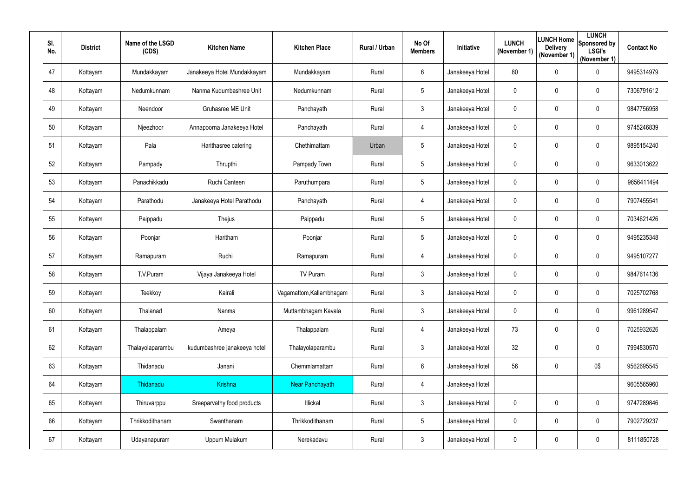| SI.<br>No. | <b>District</b> | Name of the LSGD<br>(CDS) | <b>Kitchen Name</b>          | <b>Kitchen Place</b>     | Rural / Urban | No Of<br><b>Members</b> | Initiative      | <b>LUNCH</b><br>(November 1) | <b>LUNCH Home</b><br><b>Delivery</b><br>(November 1) | <b>LUNCH</b><br>Sponsored by<br><b>LSGI's</b><br>(November 1) | <b>Contact No</b> |
|------------|-----------------|---------------------------|------------------------------|--------------------------|---------------|-------------------------|-----------------|------------------------------|------------------------------------------------------|---------------------------------------------------------------|-------------------|
| 47         | Kottayam        | Mundakkayam               | Janakeeya Hotel Mundakkayam  | Mundakkayam              | Rural         | 6                       | Janakeeya Hotel | 80                           | $\boldsymbol{0}$                                     | $\mathbf 0$                                                   | 9495314979        |
| 48         | Kottayam        | Nedumkunnam               | Nanma Kudumbashree Unit      | Nedumkunnam              | Rural         | 5                       | Janakeeya Hotel | $\mathbf 0$                  | 0                                                    | $\mathbf 0$                                                   | 7306791612        |
| 49         | Kottayam        | Neendoor                  | <b>Gruhasree ME Unit</b>     | Panchayath               | Rural         | 3 <sup>1</sup>          | Janakeeya Hotel | $\mathbf 0$                  | 0                                                    | $\mathbf 0$                                                   | 9847756958        |
| 50         | Kottayam        | Njeezhoor                 | Annapoorna Janakeeya Hotel   | Panchayath               | Rural         | 4                       | Janakeeya Hotel | $\pmb{0}$                    | $\pmb{0}$                                            | $\boldsymbol{0}$                                              | 9745246839        |
| 51         | Kottayam        | Pala                      | Harithasree catering         | Chethimattam             | Urban         | $5\overline{)}$         | Janakeeya Hotel | $\mathbf 0$                  | 0                                                    | $\mathbf 0$                                                   | 9895154240        |
| 52         | Kottayam        | Pampady                   | Thrupthi                     | Pampady Town             | Rural         | 5                       | Janakeeya Hotel | $\mathbf 0$                  | 0                                                    | $\mathbf 0$                                                   | 9633013622        |
| 53         | Kottayam        | Panachikkadu              | Ruchi Canteen                | Paruthumpara             | Rural         | 5                       | Janakeeya Hotel | $\mathbf 0$                  | 0                                                    | $\mathbf 0$                                                   | 9656411494        |
| 54         | Kottayam        | Parathodu                 | Janakeeya Hotel Parathodu    | Panchayath               | Rural         | 4                       | Janakeeya Hotel | $\mathbf 0$                  | 0                                                    | $\mathbf 0$                                                   | 7907455541        |
| 55         | Kottayam        | Paippadu                  | Thejus                       | Paippadu                 | Rural         | $5\overline{)}$         | Janakeeya Hotel | $\mathbf 0$                  | $\mathbf 0$                                          | $\mathbf 0$                                                   | 7034621426        |
| 56         | Kottayam        | Poonjar                   | Haritham                     | Poonjar                  | Rural         | 5                       | Janakeeya Hotel | $\mathbf 0$                  | 0                                                    | $\mathbf 0$                                                   | 9495235348        |
| 57         | Kottayam        | Ramapuram                 | Ruchi                        | Ramapuram                | Rural         | 4                       | Janakeeya Hotel | $\mathbf 0$                  | $\mathbf 0$                                          | $\mathbf 0$                                                   | 9495107277        |
| 58         | Kottayam        | T.V.Puram                 | Vijaya Janakeeya Hotel       | TV Puram                 | Rural         | 3 <sup>1</sup>          | Janakeeya Hotel | $\pmb{0}$                    | $\pmb{0}$                                            | $\mathbf 0$                                                   | 9847614136        |
| 59         | Kottayam        | Teekkoy                   | Kairali                      | Vagamattom, Kallambhagam | Rural         | 3                       | Janakeeya Hotel | $\mathbf 0$                  | $\mathbf 0$                                          | $\boldsymbol{0}$                                              | 7025702768        |
| 60         | Kottayam        | Thalanad                  | Nanma                        | Muttambhagam Kavala      | Rural         | $\mathfrak{Z}$          | Janakeeya Hotel | $\mathbf 0$                  | $\mathbf 0$                                          | $\pmb{0}$                                                     | 9961289547        |
| 61         | Kottayam        | Thalappalam               | Ameya                        | Thalappalam              | Rural         | 4                       | Janakeeya Hotel | 73                           | $\boldsymbol{0}$                                     | $\pmb{0}$                                                     | 7025932626        |
| 62         | Kottayam        | Thalayolaparambu          | kudumbashree janakeeya hotel | Thalayolaparambu         | Rural         | $\mathfrak{Z}$          | Janakeeya Hotel | 32                           | $\pmb{0}$                                            | $\mathbf 0$                                                   | 7994830570        |
| 63         | Kottayam        | Thidanadu                 | Janani                       | Chemmlamattam            | Rural         | 6                       | Janakeeya Hotel | 56                           | $\pmb{0}$                                            | 0\$                                                           | 9562695545        |
| 64         | Kottayam        | Thidanadu                 | Krishna                      | Near Panchayath          | Rural         | 4                       | Janakeeya Hotel |                              |                                                      |                                                               | 9605565960        |
| 65         | Kottayam        | Thiruvarppu               | Sreeparvathy food products   | Illickal                 | Rural         | $\mathfrak{Z}$          | Janakeeya Hotel | $\mathbf 0$                  | 0                                                    | $\mathbf 0$                                                   | 9747289846        |
| 66         | Kottayam        | Thrikkodithanam           | Swanthanam                   | Thrikkodithanam          | Rural         | 5                       | Janakeeya Hotel | $\mathbf 0$                  | $\boldsymbol{0}$                                     | $\pmb{0}$                                                     | 7902729237        |
| 67         | Kottayam        | Udayanapuram              | Uppum Mulakum                | Nerekadavu               | Rural         | $\mathfrak{Z}$          | Janakeeya Hotel | $\pmb{0}$                    | $\mathbf 0$                                          | $\pmb{0}$                                                     | 8111850728        |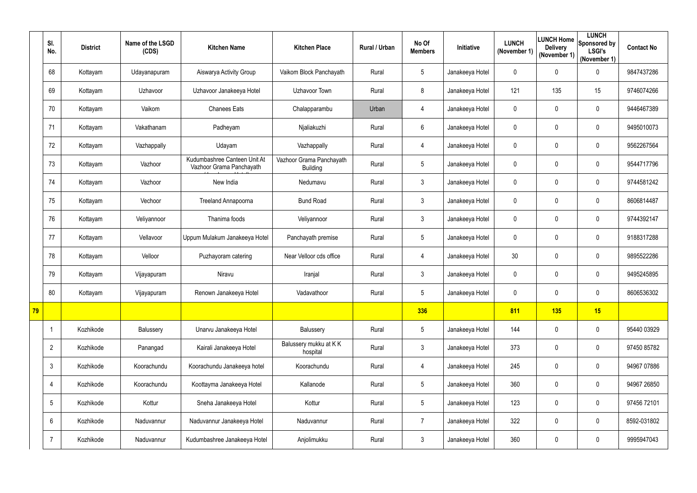|    | SI.<br>No.      | <b>District</b> | Name of the LSGD<br>(CDS) | <b>Kitchen Name</b>                                      | <b>Kitchen Place</b>                        | Rural / Urban | No Of<br><b>Members</b> | Initiative      | <b>LUNCH</b><br>(November 1) | <b>Delivery</b><br>(November 1) | <b>LUNCH</b><br>LUNCH Home Sponsored by<br><b>LSGI's</b><br>(November 1) | <b>Contact No</b> |
|----|-----------------|-----------------|---------------------------|----------------------------------------------------------|---------------------------------------------|---------------|-------------------------|-----------------|------------------------------|---------------------------------|--------------------------------------------------------------------------|-------------------|
|    | 68              | Kottayam        | Udayanapuram              | Aiswarya Activity Group                                  | Vaikom Block Panchayath                     | Rural         | $5\overline{)}$         | Janakeeya Hotel | $\mathbf 0$                  | $\mathbf 0$                     | $\mathbf 0$                                                              | 9847437286        |
|    | 69              | Kottayam        | Uzhavoor                  | Uzhavoor Janakeeya Hotel                                 | Uzhavoor Town                               | Rural         | 8                       | Janakeeya Hotel | 121                          | 135                             | 15                                                                       | 9746074266        |
|    | 70              | Kottayam        | Vaikom                    | <b>Chanees Eats</b>                                      | Chalapparambu                               | Urban         | 4                       | Janakeeya Hotel | $\mathbf 0$                  | $\mathbf 0$                     | $\mathbf 0$                                                              | 9446467389        |
|    | 71              | Kottayam        | Vakathanam                | Padheyam                                                 | Njaliakuzhi                                 | Rural         | 6                       | Janakeeya Hotel | $\mathbf 0$                  | $\mathbf 0$                     | 0                                                                        | 9495010073        |
|    | 72              | Kottayam        | Vazhappally               | Udayam                                                   | Vazhappally                                 | Rural         | 4                       | Janakeeya Hotel | 0                            | 0                               | $\mathbf 0$                                                              | 9562267564        |
|    | 73              | Kottayam        | Vazhoor                   | Kudumbashree Canteen Unit At<br>Vazhoor Grama Panchayath | Vazhoor Grama Panchayath<br><b>Building</b> | Rural         | $5\overline{)}$         | Janakeeya Hotel | $\mathbf 0$                  | $\mathbf 0$                     | $\mathbf 0$                                                              | 9544717796        |
|    | 74              | Kottayam        | Vazhoor                   | New India                                                | Nedumavu                                    | Rural         | 3                       | Janakeeya Hotel | $\boldsymbol{0}$             | $\mathbf 0$                     | $\mathbf 0$                                                              | 9744581242        |
|    | 75              | Kottayam        | Vechoor                   | <b>Treeland Annapoorna</b>                               | <b>Bund Road</b>                            | Rural         | $\mathfrak{Z}$          | Janakeeya Hotel | 0                            | 0                               | $\mathbf 0$                                                              | 8606814487        |
|    | 76              | Kottayam        | Veliyannoor               | Thanima foods                                            | Veliyannoor                                 | Rural         | $\mathfrak{Z}$          | Janakeeya Hotel | $\mathbf 0$                  | $\mathbf 0$                     | $\mathbf 0$                                                              | 9744392147        |
|    | 77              | Kottayam        | Vellavoor                 | Uppum Mulakum Janakeeya Hotel                            | Panchayath premise                          | Rural         | $5\overline{)}$         | Janakeeya Hotel | $\mathbf 0$                  | 0                               | 0                                                                        | 9188317288        |
|    | 78              | Kottayam        | Velloor                   | Puzhayoram catering                                      | Near Velloor cds office                     | Rural         | 4                       | Janakeeya Hotel | 30                           | 0                               | $\mathbf 0$                                                              | 9895522286        |
|    | 79              | Kottayam        | Vijayapuram               | Niravu                                                   | Iranjal                                     | Rural         | 3                       | Janakeeya Hotel | $\mathbf 0$                  | 0                               | 0                                                                        | 9495245895        |
|    | 80              | Kottayam        | Vijayapuram               | Renown Janakeeya Hotel                                   | Vadavathoor                                 | Rural         | $5\overline{)}$         | Janakeeya Hotel | $\mathbf 0$                  | $\overline{0}$                  | 0                                                                        | 8606536302        |
| 79 |                 |                 |                           |                                                          |                                             |               | 336                     |                 | 811                          | 135                             | 15                                                                       |                   |
|    |                 | Kozhikode       | Balussery                 | Unarvu Janakeeya Hotel                                   | Balussery                                   | Rural         | $5\phantom{.0}$         | Janakeeya Hotel | 144                          | $\mathbf 0$                     | $\boldsymbol{0}$                                                         | 95440 03929       |
|    | $\overline{2}$  | Kozhikode       | Panangad                  | Kairali Janakeeya Hotel                                  | Balussery mukku at KK<br>hospital           | Rural         | $\mathfrak{Z}$          | Janakeeya Hotel | 373                          | $\mathbf 0$                     | $\pmb{0}$                                                                | 97450 85782       |
|    | $\mathfrak{Z}$  | Kozhikode       | Koorachundu               | Koorachundu Janakeeya hotel                              | Koorachundu                                 | Rural         | 4                       | Janakeeya Hotel | 245                          | 0                               | $\boldsymbol{0}$                                                         | 94967 07886       |
|    | 4               | Kozhikode       | Koorachundu               | Koottayma Janakeeya Hotel                                | Kallanode                                   | Rural         | $5\overline{)}$         | Janakeeya Hotel | 360                          | $\mathbf 0$                     | $\pmb{0}$                                                                | 94967 26850       |
|    | $5\phantom{.0}$ | Kozhikode       | Kottur                    | Sneha Janakeeya Hotel                                    | Kottur                                      | Rural         | $5\phantom{.0}$         | Janakeeya Hotel | 123                          | 0                               | $\pmb{0}$                                                                | 97456 72101       |
|    | $6\phantom{.}$  | Kozhikode       | Naduvannur                | Naduvannur Janakeeya Hotel                               | Naduvannur                                  | Rural         | $7^{\circ}$             | Janakeeya Hotel | 322                          | $\mathbf 0$                     | $\pmb{0}$                                                                | 8592-031802       |
|    | $\overline{7}$  | Kozhikode       | Naduvannur                | Kudumbashree Janakeeya Hotel                             | Anjolimukku                                 | Rural         | $\mathfrak{Z}$          | Janakeeya Hotel | 360                          | 0                               | $\pmb{0}$                                                                | 9995947043        |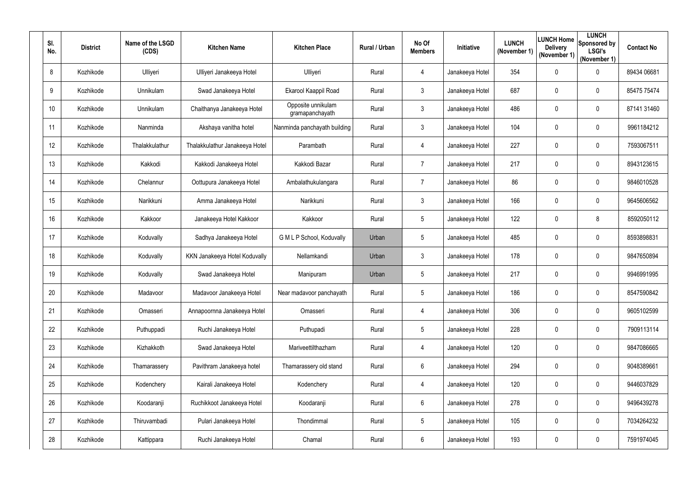| SI.<br>No.      | <b>District</b> | Name of the LSGD<br>(CDS) | <b>Kitchen Name</b>            | <b>Kitchen Place</b>                  | Rural / Urban | No Of<br><b>Members</b> | <b>Initiative</b> | <b>LUNCH</b><br>(November 1) | LUNCH Home<br><b>Delivery</b><br>(November 1) | <b>LUNCH</b><br>Sponsored by<br><b>LSGI's</b><br>(November 1) | <b>Contact No</b> |
|-----------------|-----------------|---------------------------|--------------------------------|---------------------------------------|---------------|-------------------------|-------------------|------------------------------|-----------------------------------------------|---------------------------------------------------------------|-------------------|
| 8               | Kozhikode       | Ulliyeri                  | Ulliyeri Janakeeya Hotel       | Ulliyeri                              | Rural         | 4                       | Janakeeya Hotel   | 354                          | $\mathbf 0$                                   | $\pmb{0}$                                                     | 89434 06681       |
| 9               | Kozhikode       | Unnikulam                 | Swad Janakeeya Hotel           | Ekarool Kaappil Road                  | Rural         | 3 <sup>1</sup>          | Janakeeya Hotel   | 687                          | 0                                             | $\pmb{0}$                                                     | 85475 75474       |
| 10 <sup>°</sup> | Kozhikode       | Unnikulam                 | Chaithanya Janakeeya Hotel     | Opposite unnikulam<br>gramapanchayath | Rural         | $\mathfrak{Z}$          | Janakeeya Hotel   | 486                          | $\mathbf 0$                                   | $\pmb{0}$                                                     | 87141 31460       |
| 11              | Kozhikode       | Nanminda                  | Akshaya vanitha hotel          | Nanminda panchayath building          | Rural         | 3 <sup>1</sup>          | Janakeeya Hotel   | 104                          | $\mathbf 0$                                   | 0                                                             | 9961184212        |
| 12              | Kozhikode       | Thalakkulathur            | Thalakkulathur Janakeeya Hotel | Parambath                             | Rural         | 4                       | Janakeeya Hotel   | 227                          | 0                                             | $\pmb{0}$                                                     | 7593067511        |
| 13              | Kozhikode       | Kakkodi                   | Kakkodi Janakeeya Hotel        | Kakkodi Bazar                         | Rural         | $\overline{7}$          | Janakeeya Hotel   | 217                          | $\mathbf 0$                                   | $\pmb{0}$                                                     | 8943123615        |
| 14              | Kozhikode       | Chelannur                 | Oottupura Janakeeya Hotel      | Ambalathukulangara                    | Rural         | $\overline{7}$          | Janakeeya Hotel   | 86                           | $\mathbf 0$                                   | $\pmb{0}$                                                     | 9846010528        |
| 15              | Kozhikode       | Narikkuni                 | Amma Janakeeya Hotel           | Narikkuni                             | Rural         | 3 <sup>1</sup>          | Janakeeya Hotel   | 166                          | 0                                             | 0                                                             | 9645606562        |
| 16              | Kozhikode       | Kakkoor                   | Janakeeya Hotel Kakkoor        | Kakkoor                               | Rural         | $5\overline{)}$         | Janakeeya Hotel   | 122                          | $\mathbf 0$                                   | 8                                                             | 8592050112        |
| 17              | Kozhikode       | Koduvally                 | Sadhya Janakeeya Hotel         | G M L P School, Koduvally             | Urban         | 5                       | Janakeeya Hotel   | 485                          | 0                                             | 0                                                             | 8593898831        |
| 18              | Kozhikode       | Koduvally                 | KKN Janakeeya Hotel Koduvally  | Nellamkandi                           | Urban         | $\mathfrak{Z}$          | Janakeeya Hotel   | 178                          | $\mathbf 0$                                   | $\mathbf 0$                                                   | 9847650894        |
| 19              | Kozhikode       | Koduvally                 | Swad Janakeeya Hotel           | Manipuram                             | Urban         | 5 <sub>5</sub>          | Janakeeya Hotel   | 217                          | $\mathbf 0$                                   | 0                                                             | 9946991995        |
| 20              | Kozhikode       | Madavoor                  | Madavoor Janakeeya Hotel       | Near madavoor panchayath              | Rural         | 5                       | Janakeeya Hotel   | 186                          | $\mathbf 0$                                   | 0                                                             | 8547590842        |
| 21              | Kozhikode       | Omasseri                  | Annapoornna Janakeeya Hotel    | Omasseri                              | Rural         | 4                       | Janakeeya Hotel   | 306                          | $\mathbf 0$                                   | $\boldsymbol{0}$                                              | 9605102599        |
| 22              | Kozhikode       | Puthuppadi                | Ruchi Janakeeya Hotel          | Puthupadi                             | Rural         | $5\overline{)}$         | Janakeeya Hotel   | 228                          | $\mathbf 0$                                   | $\boldsymbol{0}$                                              | 7909113114        |
| 23              | Kozhikode       | Kizhakkoth                | Swad Janakeeya Hotel           | Mariveettilthazham                    | Rural         | 4                       | Janakeeya Hotel   | 120                          | $\overline{0}$                                | $\boldsymbol{0}$                                              | 9847086665        |
| 24              | Kozhikode       | Thamarassery              | Pavithram Janakeeya hotel      | Thamarassery old stand                | Rural         | 6                       | Janakeeya Hotel   | 294                          | $\mathbf 0$                                   | $\mathbf 0$                                                   | 9048389661        |
| 25              | Kozhikode       | Kodenchery                | Kairali Janakeeya Hotel        | Kodenchery                            | Rural         | 4                       | Janakeeya Hotel   | 120                          | $\overline{0}$                                | $\boldsymbol{0}$                                              | 9446037829        |
| 26              | Kozhikode       | Koodaranji                | Ruchikkoot Janakeeya Hotel     | Koodaranji                            | Rural         | 6                       | Janakeeya Hotel   | 278                          | $\overline{0}$                                | $\boldsymbol{0}$                                              | 9496439278        |
| 27              | Kozhikode       | Thiruvambadi              | Pulari Janakeeya Hotel         | Thondimmal                            | Rural         | $5\phantom{.0}$         | Janakeeya Hotel   | 105                          | $\overline{0}$                                | $\boldsymbol{0}$                                              | 7034264232        |
| 28              | Kozhikode       | Kattippara                | Ruchi Janakeeya Hotel          | Chamal                                | Rural         | 6                       | Janakeeya Hotel   | 193                          | $\overline{0}$                                | 0                                                             | 7591974045        |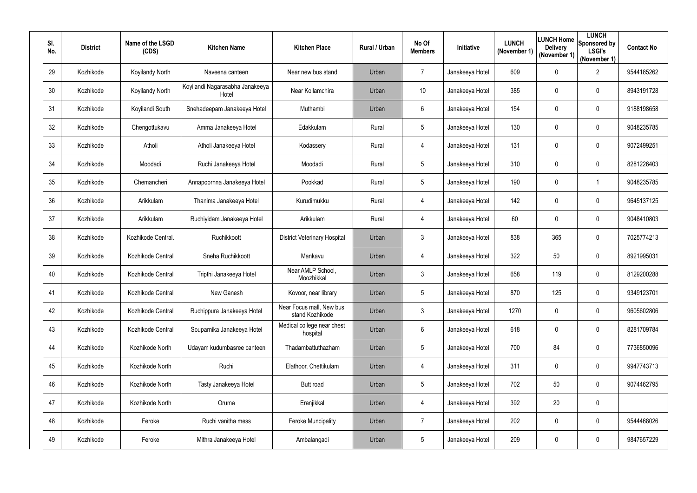| SI.<br>No. | <b>District</b> | Name of the LSGD<br>(CDS) | <b>Kitchen Name</b>                      | <b>Kitchen Place</b>                        | Rural / Urban | No Of<br><b>Members</b> | Initiative      | <b>LUNCH</b><br>(November 1) | <b>Delivery</b><br>(November 1) | <b>LUNCH</b><br><b>ILUNCH Home</b> Sponsored by<br><b>LSGI's</b><br>(November 1) | <b>Contact No</b> |
|------------|-----------------|---------------------------|------------------------------------------|---------------------------------------------|---------------|-------------------------|-----------------|------------------------------|---------------------------------|----------------------------------------------------------------------------------|-------------------|
| 29         | Kozhikode       | Koyilandy North           | Naveena canteen                          | Near new bus stand                          | Urban         | $\overline{7}$          | Janakeeya Hotel | 609                          | $\mathbf 0$                     | $\overline{2}$                                                                   | 9544185262        |
| 30         | Kozhikode       | Koyilandy North           | Koyilandi Nagarasabha Janakeeya<br>Hotel | Near Kollamchira                            | Urban         | 10                      | Janakeeya Hotel | 385                          | $\mathbf 0$                     | 0                                                                                | 8943191728        |
| 31         | Kozhikode       | Koyilandi South           | Snehadeepam Janakeeya Hotel              | Muthambi                                    | Urban         | 6                       | Janakeeya Hotel | 154                          | $\mathbf 0$                     | 0                                                                                | 9188198658        |
| 32         | Kozhikode       | Chengottukavu             | Amma Janakeeya Hotel                     | Edakkulam                                   | Rural         | 5                       | Janakeeya Hotel | 130                          | $\mathbf 0$                     | 0                                                                                | 9048235785        |
| 33         | Kozhikode       | Atholi                    | Atholi Janakeeya Hotel                   | Kodassery                                   | Rural         | 4                       | Janakeeya Hotel | 131                          | 0                               | $\pmb{0}$                                                                        | 9072499251        |
| 34         | Kozhikode       | Moodadi                   | Ruchi Janakeeya Hotel                    | Moodadi                                     | Rural         | $5\phantom{.0}$         | Janakeeya Hotel | 310                          | $\mathbf 0$                     | $\mathbf 0$                                                                      | 8281226403        |
| 35         | Kozhikode       | Chemancheri               | Annapoornna Janakeeya Hotel              | Pookkad                                     | Rural         | 5 <sub>5</sub>          | Janakeeya Hotel | 190                          | $\mathbf 0$                     | -1                                                                               | 9048235785        |
| 36         | Kozhikode       | Arikkulam                 | Thanima Janakeeya Hotel                  | Kurudimukku                                 | Rural         | 4                       | Janakeeya Hotel | 142                          | $\mathbf 0$                     | $\mathbf 0$                                                                      | 9645137125        |
| 37         | Kozhikode       | Arikkulam                 | Ruchiyidam Janakeeya Hotel               | Arikkulam                                   | Rural         | 4                       | Janakeeya Hotel | 60                           | $\mathbf 0$                     | $\pmb{0}$                                                                        | 9048410803        |
| 38         | Kozhikode       | Kozhikode Central.        | Ruchikkoott                              | <b>District Veterinary Hospital</b>         | Urban         | 3 <sup>1</sup>          | Janakeeya Hotel | 838                          | 365                             | $\mathbf 0$                                                                      | 7025774213        |
| 39         | Kozhikode       | Kozhikode Central         | Sneha Ruchikkoott                        | Mankavu                                     | Urban         | 4                       | Janakeeya Hotel | 322                          | 50                              | 0                                                                                | 8921995031        |
| 40         | Kozhikode       | Kozhikode Central         | Tripthi Janakeeya Hotel                  | Near AMLP School,<br>Moozhikkal             | Urban         | 3 <sup>1</sup>          | Janakeeya Hotel | 658                          | 119                             | 0                                                                                | 8129200288        |
| 41         | Kozhikode       | Kozhikode Central         | New Ganesh                               | Kovoor, near library                        | Urban         | 5                       | Janakeeya Hotel | 870                          | 125                             | 0                                                                                | 9349123701        |
| 42         | Kozhikode       | Kozhikode Central         | Ruchippura Janakeeya Hotel               | Near Focus mall, New bus<br>stand Kozhikode | Urban         | $\mathfrak{Z}$          | Janakeeya Hotel | 1270                         | $\mathbf 0$                     | $\pmb{0}$                                                                        | 9605602806        |
| 43         | Kozhikode       | Kozhikode Central         | Souparnika Janakeeya Hotel               | Medical college near chest<br>hospital      | Urban         | 6                       | Janakeeya Hotel | 618                          | $\mathbf 0$                     | $\boldsymbol{0}$                                                                 | 8281709784        |
| 44         | Kozhikode       | Kozhikode North           | Udayam kudumbasree canteen               | Thadambattuthazham                          | Urban         | $5\phantom{.0}$         | Janakeeya Hotel | 700                          | 84                              | $\boldsymbol{0}$                                                                 | 7736850096        |
| 45         | Kozhikode       | Kozhikode North           | Ruchi                                    | Elathoor, Chettikulam                       | Urban         | 4                       | Janakeeya Hotel | 311                          | $\overline{0}$                  | $\boldsymbol{0}$                                                                 | 9947743713        |
| 46         | Kozhikode       | Kozhikode North           | Tasty Janakeeya Hotel                    | Butt road                                   | Urban         | $5\overline{)}$         | Janakeeya Hotel | 702                          | 50                              | $\pmb{0}$                                                                        | 9074462795        |
| 47         | Kozhikode       | Kozhikode North           | Oruma                                    | Eranjikkal                                  | Urban         | 4                       | Janakeeya Hotel | 392                          | 20                              | $\boldsymbol{0}$                                                                 |                   |
| 48         | Kozhikode       | Feroke                    | Ruchi vanitha mess                       | <b>Feroke Muncipality</b>                   | Urban         | $7\overline{ }$         | Janakeeya Hotel | 202                          | $\overline{0}$                  | $\boldsymbol{0}$                                                                 | 9544468026        |
| 49         | Kozhikode       | Feroke                    | Mithra Janakeeya Hotel                   | Ambalangadi                                 | Urban         | $5\phantom{.0}$         | Janakeeya Hotel | 209                          | $\mathbf 0$                     | $\pmb{0}$                                                                        | 9847657229        |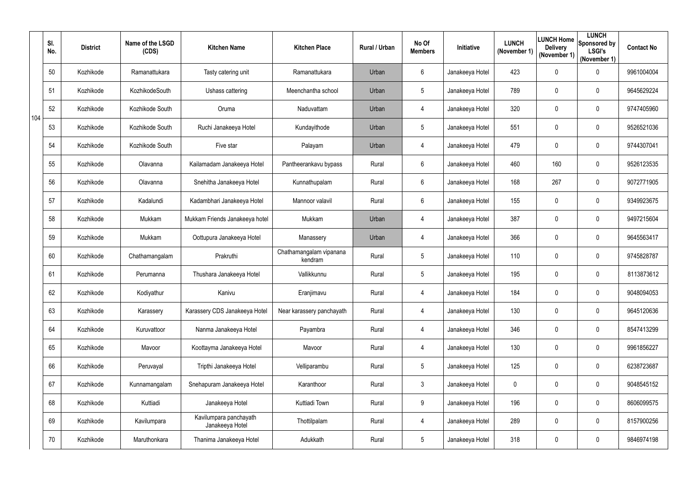|     | SI.<br>No. | <b>District</b> | Name of the LSGD<br>(CDS) | <b>Kitchen Name</b>                       | <b>Kitchen Place</b>               | Rural / Urban | No Of<br><b>Members</b> | Initiative      | <b>LUNCH</b><br>(November 1) | <b>Delivery</b><br>(November 1) | <b>LUNCH</b><br>LUNCH Home Sponsored by<br><b>LSGI's</b><br>(November 1) | <b>Contact No</b> |
|-----|------------|-----------------|---------------------------|-------------------------------------------|------------------------------------|---------------|-------------------------|-----------------|------------------------------|---------------------------------|--------------------------------------------------------------------------|-------------------|
|     | 50         | Kozhikode       | Ramanattukara             | Tasty catering unit                       | Ramanattukara                      | Urban         | 6                       | Janakeeya Hotel | 423                          | $\mathbf 0$                     | $\pmb{0}$                                                                | 9961004004        |
|     | 51         | Kozhikode       | KozhikodeSouth            | Ushass cattering                          | Meenchantha school                 | Urban         | 5                       | Janakeeya Hotel | 789                          | $\mathbf 0$                     | $\mathbf 0$                                                              | 9645629224        |
| 104 | 52         | Kozhikode       | Kozhikode South           | Oruma                                     | Naduvattam                         | Urban         | 4                       | Janakeeya Hotel | 320                          | $\mathbf 0$                     | $\pmb{0}$                                                                | 9747405960        |
|     | 53         | Kozhikode       | Kozhikode South           | Ruchi Janakeeya Hotel                     | Kundayithode                       | Urban         | 5                       | Janakeeya Hotel | 551                          | $\mathbf 0$                     | $\mathbf 0$                                                              | 9526521036        |
|     | 54         | Kozhikode       | Kozhikode South           | Five star                                 | Palayam                            | Urban         | 4                       | Janakeeya Hotel | 479                          | $\mathbf 0$                     | $\pmb{0}$                                                                | 9744307041        |
|     | 55         | Kozhikode       | Olavanna                  | Kailamadam Janakeeya Hotel                | Pantheerankavu bypass              | Rural         | 6                       | Janakeeya Hotel | 460                          | 160                             | $\pmb{0}$                                                                | 9526123535        |
|     | 56         | Kozhikode       | Olavanna                  | Snehitha Janakeeya Hotel                  | Kunnathupalam                      | Rural         | 6                       | Janakeeya Hotel | 168                          | 267                             | $\pmb{0}$                                                                | 9072771905        |
|     | 57         | Kozhikode       | Kadalundi                 | Kadambhari Janakeeya Hotel                | Mannoor valavil                    | Rural         | 6                       | Janakeeya Hotel | 155                          | $\mathbf 0$                     | $\mathbf 0$                                                              | 9349923675        |
|     | 58         | Kozhikode       | Mukkam                    | Mukkam Friends Janakeeya hotel            | Mukkam                             | Urban         | 4                       | Janakeeya Hotel | 387                          | $\mathbf 0$                     | $\mathbf 0$                                                              | 9497215604        |
|     | 59         | Kozhikode       | Mukkam                    | Oottupura Janakeeya Hotel                 | Manassery                          | Urban         | 4                       | Janakeeya Hotel | 366                          | $\mathbf 0$                     | $\mathbf 0$                                                              | 9645563417        |
|     | 60         | Kozhikode       | Chathamangalam            | Prakruthi                                 | Chathamangalam vipanana<br>kendram | Rural         | 5                       | Janakeeya Hotel | 110                          | $\mathbf 0$                     | $\mathbf 0$                                                              | 9745828787        |
|     | 61         | Kozhikode       | Perumanna                 | Thushara Janakeeya Hotel                  | Vallikkunnu                        | Rural         | 5                       | Janakeeya Hotel | 195                          | $\mathbf 0$                     | $\mathbf 0$                                                              | 8113873612        |
|     | 62         | Kozhikode       | Kodiyathur                | Kanivu                                    | Eranjimavu                         | Rural         |                         | Janakeeya Hotel | 184                          | $\mathbf 0$                     | $\mathbf 0$                                                              | 9048094053        |
|     | 63         | Kozhikode       | Karassery                 | Karassery CDS Janakeeya Hotel             | Near karassery panchayath          | Rural         | 4                       | Janakeeya Hotel | 130                          | $\mathbf 0$                     | $\pmb{0}$                                                                | 9645120636        |
|     | 64         | Kozhikode       | Kuruvattoor               | Nanma Janakeeya Hotel                     | Payambra                           | Rural         | 4                       | Janakeeya Hotel | 346                          | $\mathbf 0$                     | $\pmb{0}$                                                                | 8547413299        |
|     | 65         | Kozhikode       | Mavoor                    | Koottayma Janakeeya Hotel                 | Mavoor                             | Rural         | 4                       | Janakeeya Hotel | 130                          | $\mathbf 0$                     | $\pmb{0}$                                                                | 9961856227        |
|     | 66         | Kozhikode       | Peruvayal                 | Tripthi Janakeeya Hotel                   | Velliparambu                       | Rural         | $5\phantom{.0}$         | Janakeeya Hotel | 125                          | $\mathbf 0$                     | $\pmb{0}$                                                                | 6238723687        |
|     | 67         | Kozhikode       | Kunnamangalam             | Snehapuram Janakeeya Hotel                | Karanthoor                         | Rural         | $\mathfrak{Z}$          | Janakeeya Hotel | $\mathbf 0$                  | $\mathbf 0$                     | $\pmb{0}$                                                                | 9048545152        |
|     | 68         | Kozhikode       | Kuttiadi                  | Janakeeya Hotel                           | Kuttiadi Town                      | Rural         | 9                       | Janakeeya Hotel | 196                          | $\mathbf 0$                     | $\pmb{0}$                                                                | 8606099575        |
|     | 69         | Kozhikode       | Kavilumpara               | Kavilumpara panchayath<br>Janakeeya Hotel | Thottilpalam                       | Rural         | 4                       | Janakeeya Hotel | 289                          | $\mathbf 0$                     | $\pmb{0}$                                                                | 8157900256        |
|     | 70         | Kozhikode       | Maruthonkara              | Thanima Janakeeya Hotel                   | Adukkath                           | Rural         | $5\phantom{.0}$         | Janakeeya Hotel | 318                          | $\mathbf 0$                     | $\pmb{0}$                                                                | 9846974198        |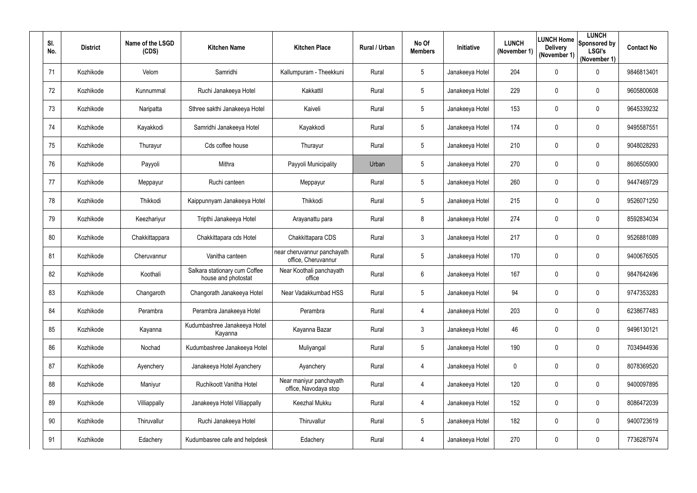| SI.<br>No. | <b>District</b> | Name of the LSGD<br>(CDS) | <b>Kitchen Name</b>                                  | <b>Kitchen Place</b>                               | Rural / Urban | No Of<br><b>Members</b> | <b>Initiative</b> | <b>LUNCH</b><br>(November 1) | <b>Delivery</b><br>(November 1) | <b>LUNCH</b><br><b>ILUNCH Home</b> Sponsored by<br><b>LSGI's</b><br>(November 1) | <b>Contact No</b> |
|------------|-----------------|---------------------------|------------------------------------------------------|----------------------------------------------------|---------------|-------------------------|-------------------|------------------------------|---------------------------------|----------------------------------------------------------------------------------|-------------------|
| 71         | Kozhikode       | Velom                     | Samridhi                                             | Kallumpuram - Theekkuni                            | Rural         | $5\overline{)}$         | Janakeeya Hotel   | 204                          | $\mathbf 0$                     | $\pmb{0}$                                                                        | 9846813401        |
| 72         | Kozhikode       | Kunnummal                 | Ruchi Janakeeya Hotel                                | Kakkattil                                          | Rural         | $5\overline{)}$         | Janakeeya Hotel   | 229                          | $\mathbf 0$                     | 0                                                                                | 9605800608        |
| 73         | Kozhikode       | Naripatta                 | Sthree sakthi Janakeeya Hotel                        | Kaiveli                                            | Rural         | $5\overline{)}$         | Janakeeya Hotel   | 153                          | $\mathbf 0$                     | $\pmb{0}$                                                                        | 9645339232        |
| 74         | Kozhikode       | Kayakkodi                 | Samridhi Janakeeya Hotel                             | Kayakkodi                                          | Rural         | 5                       | Janakeeya Hotel   | 174                          | $\mathbf 0$                     | 0                                                                                | 9495587551        |
| 75         | Kozhikode       | Thurayur                  | Cds coffee house                                     | Thurayur                                           | Rural         | $5\phantom{.0}$         | Janakeeya Hotel   | 210                          | 0                               | $\pmb{0}$                                                                        | 9048028293        |
| 76         | Kozhikode       | Payyoli                   | Mithra                                               | Payyoli Municipality                               | Urban         | $5\phantom{.0}$         | Janakeeya Hotel   | 270                          | $\mathbf 0$                     | $\pmb{0}$                                                                        | 8606505900        |
| 77         | Kozhikode       | Meppayur                  | Ruchi canteen                                        | Meppayur                                           | Rural         | 5 <sub>5</sub>          | Janakeeya Hotel   | 260                          | 0                               | $\pmb{0}$                                                                        | 9447469729        |
| 78         | Kozhikode       | Thikkodi                  | Kaippunnyam Janakeeya Hotel                          | Thikkodi                                           | Rural         | $5\overline{)}$         | Janakeeya Hotel   | 215                          | 0                               | 0                                                                                | 9526071250        |
| 79         | Kozhikode       | Keezhariyur               | Tripthi Janakeeya Hotel                              | Arayanattu para                                    | Rural         | 8                       | Janakeeya Hotel   | 274                          | $\mathbf 0$                     | $\pmb{0}$                                                                        | 8592834034        |
| 80         | Kozhikode       | Chakkittappara            | Chakkittapara cds Hotel                              | Chakkittapara CDS                                  | Rural         | 3 <sup>1</sup>          | Janakeeya Hotel   | 217                          | $\mathbf 0$                     | $\pmb{0}$                                                                        | 9526881089        |
| 81         | Kozhikode       | Cheruvannur               | Vanitha canteen                                      | near cheruvannur panchayath<br>office, Cheruvannur | Rural         | $5\overline{)}$         | Janakeeya Hotel   | 170                          | $\mathbf 0$                     | 0                                                                                | 9400676505        |
| 82         | Kozhikode       | Koothali                  | Salkara stationary cum Coffee<br>house and photostat | Near Koothali panchayath<br>office                 | Rural         | 6                       | Janakeeya Hotel   | 167                          | $\overline{0}$                  | $\pmb{0}$                                                                        | 9847642496        |
| 83         | Kozhikode       | Changaroth                | Changorath Janakeeya Hotel                           | Near Vadakkumbad HSS                               | Rural         | 5                       | Janakeeya Hotel   | 94                           | $\mathbf 0$                     | 0                                                                                | 9747353283        |
| 84         | Kozhikode       | Perambra                  | Perambra Janakeeya Hotel                             | Perambra                                           | Rural         | 4                       | Janakeeya Hotel   | 203                          | $\mathbf 0$                     | $\mathbf 0$                                                                      | 6238677483        |
| 85         | Kozhikode       | Kayanna                   | Kudumbashree Janakeeya Hotel<br>Kayanna              | Kayanna Bazar                                      | Rural         | $\mathfrak{Z}$          | Janakeeya Hotel   | 46                           | $\mathbf 0$                     | $\boldsymbol{0}$                                                                 | 9496130121        |
| 86         | Kozhikode       | Nochad                    | Kudumbashree Janakeeya Hotel                         | Muliyangal                                         | Rural         | $5\overline{)}$         | Janakeeya Hotel   | 190                          | $\mathbf 0$                     | $\boldsymbol{0}$                                                                 | 7034944936        |
| 87         | Kozhikode       | Ayenchery                 | Janakeeya Hotel Ayanchery                            | Ayanchery                                          | Rural         | 4                       | Janakeeya Hotel   | $\mathbf 0$                  | $\overline{0}$                  | $\boldsymbol{0}$                                                                 | 8078369520        |
| 88         | Kozhikode       | Maniyur                   | Ruchikoott Vanitha Hotel                             | Near maniyur panchayath<br>office, Navodaya stop   | Rural         | 4                       | Janakeeya Hotel   | 120                          | $\mathbf 0$                     | $\pmb{0}$                                                                        | 9400097895        |
| 89         | Kozhikode       | Villiappally              | Janakeeya Hotel Villiappally                         | Keezhal Mukku                                      | Rural         | 4                       | Janakeeya Hotel   | 152                          | $\mathbf 0$                     | $\boldsymbol{0}$                                                                 | 8086472039        |
| 90         | Kozhikode       | Thiruvallur               | Ruchi Janakeeya Hotel                                | Thiruvallur                                        | Rural         | $5\overline{)}$         | Janakeeya Hotel   | 182                          | $\mathbf 0$                     | $\boldsymbol{0}$                                                                 | 9400723619        |
| 91         | Kozhikode       | Edachery                  | Kudumbasree cafe and helpdesk                        | Edachery                                           | Rural         | 4                       | Janakeeya Hotel   | 270                          | $\mathbf 0$                     | $\pmb{0}$                                                                        | 7736287974        |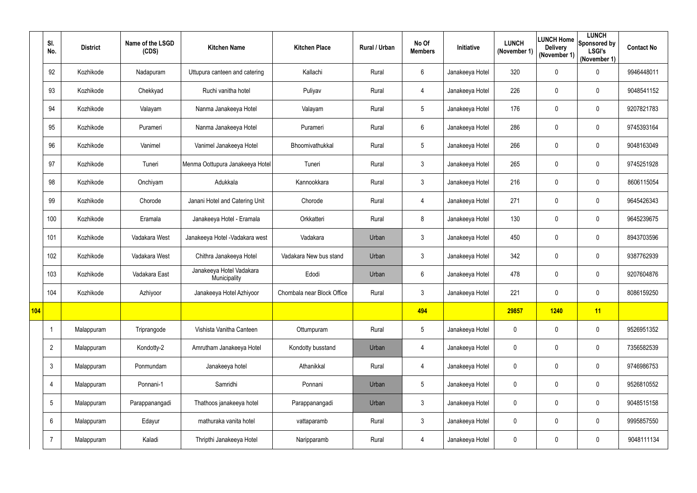|     | SI.<br>No.      | <b>District</b> | Name of the LSGD<br>(CDS) | <b>Kitchen Name</b>                      | <b>Kitchen Place</b>       | Rural / Urban | No Of<br><b>Members</b> | Initiative      | <b>LUNCH</b><br>(November 1) | <b>LUNCH Home</b><br><b>Delivery</b><br>(November 1) | <b>LUNCH</b><br>Sponsored by<br><b>LSGI's</b><br>(November 1) | <b>Contact No</b> |
|-----|-----------------|-----------------|---------------------------|------------------------------------------|----------------------------|---------------|-------------------------|-----------------|------------------------------|------------------------------------------------------|---------------------------------------------------------------|-------------------|
|     | 92              | Kozhikode       | Nadapuram                 | Uttupura canteen and catering            | Kallachi                   | Rural         | 6                       | Janakeeya Hotel | 320                          | $\boldsymbol{0}$                                     | $\mathbf 0$                                                   | 9946448011        |
|     | 93              | Kozhikode       | Chekkyad                  | Ruchi vanitha hotel                      | Puliyav                    | Rural         | 4                       | Janakeeya Hotel | 226                          | 0                                                    | $\mathbf 0$                                                   | 9048541152        |
|     | 94              | Kozhikode       | Valayam                   | Nanma Janakeeya Hotel                    | Valayam                    | Rural         | 5                       | Janakeeya Hotel | 176                          | $\mathbf 0$                                          | $\mathbf 0$                                                   | 9207821783        |
|     | 95              | Kozhikode       | Purameri                  | Nanma Janakeeya Hotel                    | Purameri                   | Rural         | 6                       | Janakeeya Hotel | 286                          | $\mathbf 0$                                          | $\mathbf 0$                                                   | 9745393164        |
|     | 96              | Kozhikode       | Vanimel                   | Vanimel Janakeeya Hotel                  | Bhoomivathukkal            | Rural         | 5                       | Janakeeya Hotel | 266                          | 0                                                    | $\mathbf 0$                                                   | 9048163049        |
|     | 97              | Kozhikode       | Tuneri                    | Menma Oottupura Janakeeya Hotel          | Tuneri                     | Rural         | $\mathfrak{Z}$          | Janakeeya Hotel | 265                          | $\boldsymbol{0}$                                     | $\mathbf 0$                                                   | 9745251928        |
|     | 98              | Kozhikode       | Onchiyam                  | Adukkala                                 | Kannookkara                | Rural         | $\mathfrak{Z}$          | Janakeeya Hotel | 216                          | $\boldsymbol{0}$                                     | $\mathbf 0$                                                   | 8606115054        |
|     | 99              | Kozhikode       | Chorode                   | Janani Hotel and Catering Unit           | Chorode                    | Rural         | 4                       | Janakeeya Hotel | 271                          | $\mathbf 0$                                          | $\mathbf 0$                                                   | 9645426343        |
|     | 100             | Kozhikode       | Eramala                   | Janakeeya Hotel - Eramala                | Orkkatteri                 | Rural         | 8                       | Janakeeya Hotel | 130                          | $\boldsymbol{0}$                                     | $\mathbf 0$                                                   | 9645239675        |
|     | 101             | Kozhikode       | Vadakara West             | Janakeeya Hotel - Vadakara west          | Vadakara                   | Urban         | 3                       | Janakeeya Hotel | 450                          | 0                                                    | 0                                                             | 8943703596        |
|     | 102             | Kozhikode       | Vadakara West             | Chithra Janakeeya Hotel                  | Vadakara New bus stand     | Urban         | $\mathfrak{Z}$          | Janakeeya Hotel | 342                          | $\mathbf 0$                                          | 0                                                             | 9387762939        |
|     | 103             | Kozhikode       | Vadakara East             | Janakeeya Hotel Vadakara<br>Municipality | Edodi                      | Urban         | 6                       | Janakeeya Hotel | 478                          | $\boldsymbol{0}$                                     | 0                                                             | 9207604876        |
|     | 104             | Kozhikode       | Azhiyoor                  | Janakeeya Hotel Azhiyoor                 | Chombala near Block Office | Rural         | 3                       | Janakeeya Hotel | 221                          | $\mathbf 0$                                          | 0                                                             | 8086159250        |
| 104 |                 |                 |                           |                                          |                            |               | 494                     |                 | 29857                        | <b>1240</b>                                          | 11                                                            |                   |
|     | -1              | Malappuram      | Triprangode               | Vishista Vanitha Canteen                 | Ottumpuram                 | Rural         | 5                       | Janakeeya Hotel | $\pmb{0}$                    | $\mathbf 0$                                          | $\pmb{0}$                                                     | 9526951352        |
|     | $\overline{2}$  | Malappuram      | Kondotty-2                | Amrutham Janakeeya Hotel                 | Kondotty busstand          | Urban         | 4                       | Janakeeya Hotel | $\pmb{0}$                    | $\mathbf 0$                                          | $\pmb{0}$                                                     | 7356582539        |
|     | $\mathfrak{Z}$  | Malappuram      | Ponmundam                 | Janakeeya hotel                          | Athanikkal                 | Rural         | 4                       | Janakeeya Hotel | $\mathbf 0$                  | $\boldsymbol{0}$                                     | $\boldsymbol{0}$                                              | 9746986753        |
|     | 4               | Malappuram      | Ponnani-1                 | Samridhi                                 | Ponnani                    | Urban         | 5                       | Janakeeya Hotel | $\pmb{0}$                    | $\boldsymbol{0}$                                     | $\pmb{0}$                                                     | 9526810552        |
|     | $5\phantom{.0}$ | Malappuram      | Parappanangadi            | Thathoos janakeeya hotel                 | Parappanangadi             | Urban         | $\mathfrak{Z}$          | Janakeeya Hotel | $\mathbf 0$                  | $\boldsymbol{0}$                                     | $\boldsymbol{0}$                                              | 9048515158        |
|     | $6\phantom{.}$  | Malappuram      | Edayur                    | mathuraka vanita hotel                   | vattaparamb                | Rural         | $\mathfrak{Z}$          | Janakeeya Hotel | $\mathbf 0$                  | $\boldsymbol{0}$                                     | $\boldsymbol{0}$                                              | 9995857550        |
|     |                 | Malappuram      | Kaladi                    | Thripthi Janakeeya Hotel                 | Naripparamb                | Rural         | 4                       | Janakeeya Hotel | $\pmb{0}$                    | $\pmb{0}$                                            | $\pmb{0}$                                                     | 9048111134        |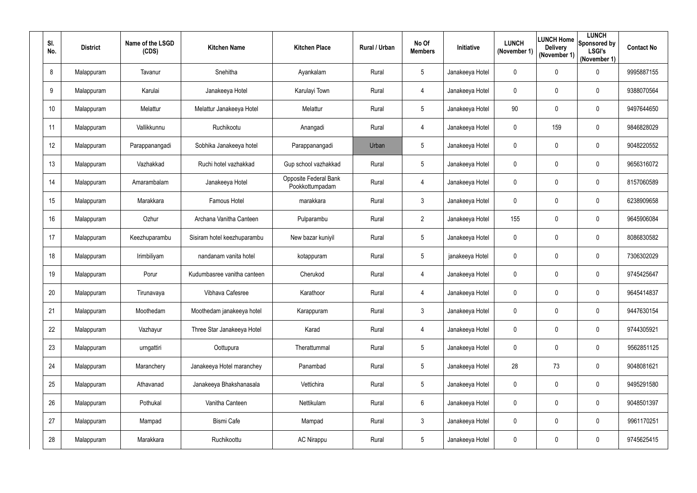| SI.<br>No.       | <b>District</b> | Name of the LSGD<br>(CDS) | <b>Kitchen Name</b>         | <b>Kitchen Place</b>                     | Rural / Urban | No Of<br><b>Members</b> | <b>Initiative</b> | <b>LUNCH</b><br>(November 1) | <b>Delivery</b><br>(November 1) | <b>LUNCH</b><br>LUNCH Home Sponsored by<br><b>LSGI's</b><br>(November 1) | <b>Contact No</b> |
|------------------|-----------------|---------------------------|-----------------------------|------------------------------------------|---------------|-------------------------|-------------------|------------------------------|---------------------------------|--------------------------------------------------------------------------|-------------------|
| 8                | Malappuram      | Tavanur                   | Snehitha                    | Ayankalam                                | Rural         | 5                       | Janakeeya Hotel   | $\mathbf 0$                  | $\mathbf 0$                     | 0                                                                        | 9995887155        |
| 9                | Malappuram      | Karulai                   | Janakeeya Hotel             | Karulayi Town                            | Rural         | 4                       | Janakeeya Hotel   | $\mathbf 0$                  | 0                               | $\overline{0}$                                                           | 9388070564        |
| 10 <sup>°</sup>  | Malappuram      | Melattur                  | Melattur Janakeeya Hotel    | Melattur                                 | Rural         | 5                       | Janakeeya Hotel   | 90                           | 0                               | $\overline{0}$                                                           | 9497644650        |
| 11               | Malappuram      | Vallikkunnu               | Ruchikootu                  | Anangadi                                 | Rural         | 4                       | Janakeeya Hotel   | $\mathbf 0$                  | 159                             | $\boldsymbol{0}$                                                         | 9846828029        |
| $12 \,$          | Malappuram      | Parappanangadi            | Sobhika Janakeeya hotel     | Parappanangadi                           | Urban         | 5                       | Janakeeya Hotel   | $\mathbf 0$                  | 0                               | $\mathbf 0$                                                              | 9048220552        |
| 13               | Malappuram      | Vazhakkad                 | Ruchi hotel vazhakkad       | Gup school vazhakkad                     | Rural         | 5                       | Janakeeya Hotel   | $\mathbf 0$                  | $\mathbf 0$                     | $\mathbf 0$                                                              | 9656316072        |
| 14               | Malappuram      | Amarambalam               | Janakeeya Hotel             | Opposite Federal Bank<br>Pookkottumpadam | Rural         | 4                       | Janakeeya Hotel   | $\pmb{0}$                    | $\mathbf 0$                     | $\mathbf 0$                                                              | 8157060589        |
| 15 <sub>15</sub> | Malappuram      | Marakkara                 | Famous Hotel                | marakkara                                | Rural         | 3                       | Janakeeya Hotel   | $\mathbf 0$                  | 0                               | $\mathbf 0$                                                              | 6238909658        |
| 16               | Malappuram      | Ozhur                     | Archana Vanitha Canteen     | Pulparambu                               | Rural         | $\overline{2}$          | Janakeeya Hotel   | 155                          | $\mathbf 0$                     | $\boldsymbol{0}$                                                         | 9645906084        |
| 17               | Malappuram      | Keezhuparambu             | Sisiram hotel keezhuparambu | New bazar kuniyil                        | Rural         | 5                       | Janakeeya Hotel   | $\mathbf 0$                  | 0                               | $\mathbf 0$                                                              | 8086830582        |
| 18               | Malappuram      | Irimbiliyam               | nandanam vanita hotel       | kotappuram                               | Rural         | 5                       | janakeeya Hotel   | $\mathbf 0$                  | 0                               | $\mathbf 0$                                                              | 7306302029        |
| 19               | Malappuram      | Porur                     | Kudumbasree vanitha canteen | Cherukod                                 | Rural         | 4                       | Janakeeya Hotel   | $\mathbf 0$                  | $\mathbf 0$                     | $\mathbf 0$                                                              | 9745425647        |
| 20               | Malappuram      | Tirunavaya                | Vibhava Cafesree            | Karathoor                                | Rural         | 4                       | Janakeeya Hotel   | $\mathbf{0}$                 | $\mathbf 0$                     | 0                                                                        | 9645414837        |
| 21               | Malappuram      | Moothedam                 | Moothedam janakeeya hotel   | Karappuram                               | Rural         | $\mathfrak{Z}$          | Janakeeya Hotel   | $\mathbf 0$                  | $\mathbf 0$                     | $\pmb{0}$                                                                | 9447630154        |
| 22               | Malappuram      | Vazhayur                  | Three Star Janakeeya Hotel  | Karad                                    | Rural         | 4                       | Janakeeya Hotel   | $\mathbf 0$                  | $\mathbf 0$                     | $\boldsymbol{0}$                                                         | 9744305921        |
| 23               | Malappuram      | urngattiri                | Oottupura                   | Therattummal                             | Rural         | $5\overline{)}$         | Janakeeya Hotel   | $\mathbf 0$                  | $\mathbf 0$                     | $\boldsymbol{0}$                                                         | 9562851125        |
| 24               | Malappuram      | Maranchery                | Janakeeya Hotel maranchey   | Panambad                                 | Rural         | $5\overline{)}$         | Janakeeya Hotel   | 28                           | 73                              | $\boldsymbol{0}$                                                         | 9048081621        |
| 25               | Malappuram      | Athavanad                 | Janakeeya Bhakshanasala     | Vettichira                               | Rural         | $5\overline{)}$         | Janakeeya Hotel   | $\mathbf 0$                  | $\mathbf 0$                     | $\boldsymbol{0}$                                                         | 9495291580        |
| 26               | Malappuram      | Pothukal                  | Vanitha Canteen             | Nettikulam                               | Rural         | $6\overline{6}$         | Janakeeya Hotel   | $\mathbf 0$                  | $\mathbf 0$                     | $\pmb{0}$                                                                | 9048501397        |
| 27               | Malappuram      | Mampad                    | <b>Bismi Cafe</b>           | Mampad                                   | Rural         | $\mathfrak{Z}$          | Janakeeya Hotel   | $\pmb{0}$                    | $\mathbf 0$                     | $\boldsymbol{0}$                                                         | 9961170251        |
| 28               | Malappuram      | Marakkara                 | Ruchikoottu                 | <b>AC Nirappu</b>                        | Rural         | $5\overline{)}$         | Janakeeya Hotel   | $\mathbf 0$                  | $\mathbf 0$                     | $\pmb{0}$                                                                | 9745625415        |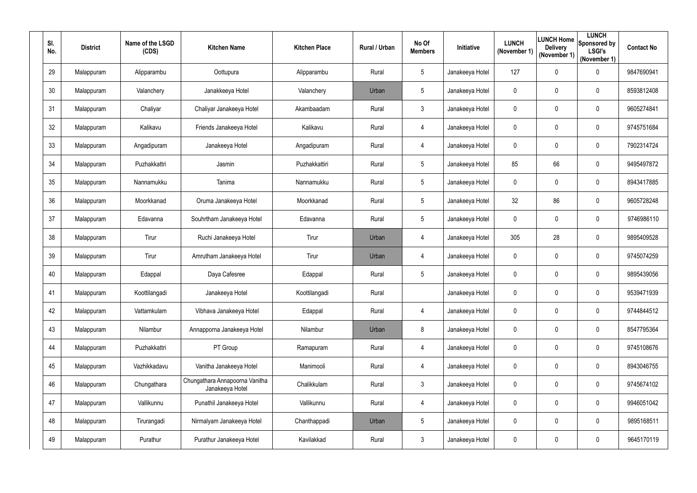| SI.<br>No.      | <b>District</b> | Name of the LSGD<br>(CDS) | <b>Kitchen Name</b>                               | <b>Kitchen Place</b> | Rural / Urban | No Of<br><b>Members</b> | <b>Initiative</b> | <b>LUNCH</b><br>(November 1) | <b>Delivery</b><br>(November 1) | <b>LUNCH</b><br><b>LUNCH Home</b> Sponsored by<br><b>LSGI's</b><br>(November 1) | <b>Contact No</b> |
|-----------------|-----------------|---------------------------|---------------------------------------------------|----------------------|---------------|-------------------------|-------------------|------------------------------|---------------------------------|---------------------------------------------------------------------------------|-------------------|
| 29              | Malappuram      | Alipparambu               | Oottupura                                         | Alipparambu          | Rural         | 5                       | Janakeeya Hotel   | 127                          | $\mathbf 0$                     | $\overline{0}$                                                                  | 9847690941        |
| 30 <sub>2</sub> | Malappuram      | Valanchery                | Janakkeeya Hotel                                  | Valanchery           | Urban         | 5                       | Janakeeya Hotel   | $\mathbf 0$                  | $\mathbf 0$                     | $\overline{0}$                                                                  | 8593812408        |
| 31              | Malappuram      | Chaliyar                  | Chaliyar Janakeeya Hotel                          | Akambaadam           | Rural         | 3 <sup>1</sup>          | Janakeeya Hotel   | $\mathbf 0$                  | 0                               | $\overline{0}$                                                                  | 9605274841        |
| 32              | Malappuram      | Kalikavu                  | Friends Janakeeya Hotel                           | Kalikavu             | Rural         | 4                       | Janakeeya Hotel   | $\mathbf 0$                  | $\mathbf 0$                     | $\overline{0}$                                                                  | 9745751684        |
| 33              | Malappuram      | Angadipuram               | Janakeeya Hotel                                   | Angadipuram          | Rural         | 4                       | Janakeeya Hotel   | $\mathbf 0$                  | 0                               | $\mathbf 0$                                                                     | 7902314724        |
| 34              | Malappuram      | Puzhakkattri              | Jasmin                                            | Puzhakkattiri        | Rural         | 5                       | Janakeeya Hotel   | 85                           | 66                              | $\mathbf 0$                                                                     | 9495497872        |
| 35              | Malappuram      | Nannamukku                | Tanima                                            | Nannamukku           | Rural         | 5                       | Janakeeya Hotel   | $\pmb{0}$                    | $\mathbf 0$                     | $\boldsymbol{0}$                                                                | 8943417885        |
| 36              | Malappuram      | Moorkkanad                | Oruma Janakeeya Hotel                             | Moorkkanad           | Rural         | 5                       | Janakeeya Hotel   | 32                           | 86                              | $\mathbf 0$                                                                     | 9605728248        |
| 37              | Malappuram      | Edavanna                  | Souhrtham Janakeeya Hotel                         | Edavanna             | Rural         | $5\overline{)}$         | Janakeeya Hotel   | $\mathbf 0$                  | $\mathbf 0$                     | $\boldsymbol{0}$                                                                | 9746986110        |
| 38              | Malappuram      | Tirur                     | Ruchi Janakeeya Hotel                             | Tirur                | Urban         | 4                       | Janakeeya Hotel   | 305                          | 28                              | $\boldsymbol{0}$                                                                | 9895409528        |
| 39              | Malappuram      | Tirur                     | Amrutham Janakeeya Hotel                          | Tirur                | Urban         | 4                       | Janakeeya Hotel   | $\mathbf 0$                  | $\mathbf 0$                     | $\boldsymbol{0}$                                                                | 9745074259        |
| 40              | Malappuram      | Edappal                   | Daya Cafesree                                     | Edappal              | Rural         | 5                       | Janakeeya Hotel   | $\mathbf 0$                  | $\mathbf 0$                     | $\overline{0}$                                                                  | 9895439056        |
| 41              | Malappuram      | Koottilangadi             | Janakeeya Hotel                                   | Koottilangadi        | Rural         |                         | Janakeeya Hotel   | $\mathbf{0}$                 | $\mathbf 0$                     | 0                                                                               | 9539471939        |
| 42              | Malappuram      | Vattamkulam               | Vibhava Janakeeya Hotel                           | Edappal              | Rural         | 4                       | Janakeeya Hotel   | $\mathbf 0$                  | $\mathbf 0$                     | $\mathbf 0$                                                                     | 9744844512        |
| 43              | Malappuram      | Nilambur                  | Annapporna Janakeeya Hotel                        | Nilambur             | Urban         | 8                       | Janakeeya Hotel   | $\mathbf 0$                  | $\mathbf 0$                     | $\boldsymbol{0}$                                                                | 8547795364        |
| 44              | Malappuram      | Puzhakkattri              | PT Group                                          | Ramapuram            | Rural         | 4                       | Janakeeya Hotel   | $\mathbf 0$                  | $\mathbf 0$                     | $\boldsymbol{0}$                                                                | 9745108676        |
| 45              | Malappuram      | Vazhikkadavu              | Vanitha Janakeeya Hotel                           | Manimooli            | Rural         | 4                       | Janakeeya Hotel   | $\pmb{0}$                    | $\mathbf 0$                     | $\boldsymbol{0}$                                                                | 8943046755        |
| 46              | Malappuram      | Chungathara               | Chungathara Annapoorna Vanitha<br>Janakeeya Hotel | Chalikkulam          | Rural         | $\mathfrak{Z}$          | Janakeeya Hotel   | $\mathbf 0$                  | $\mathbf 0$                     | $\boldsymbol{0}$                                                                | 9745674102        |
| 47              | Malappuram      | Vallikunnu                | Punathil Janakeeya Hotel                          | Vallikunnu           | Rural         | 4                       | Janakeeya Hotel   | $\mathbf 0$                  | $\mathbf 0$                     | $\pmb{0}$                                                                       | 9946051042        |
| 48              | Malappuram      | Tirurangadi               | Nirmalyam Janakeeya Hotel                         | Chanthappadi         | Urban         | 5                       | Janakeeya Hotel   | $\mathbf 0$                  | $\mathbf 0$                     | $\boldsymbol{0}$                                                                | 9895168511        |
| 49              | Malappuram      | Purathur                  | Purathur Janakeeya Hotel                          | Kavilakkad           | Rural         | $\mathfrak{Z}$          | Janakeeya Hotel   | $\mathbf 0$                  | $\mathbf 0$                     | $\pmb{0}$                                                                       | 9645170119        |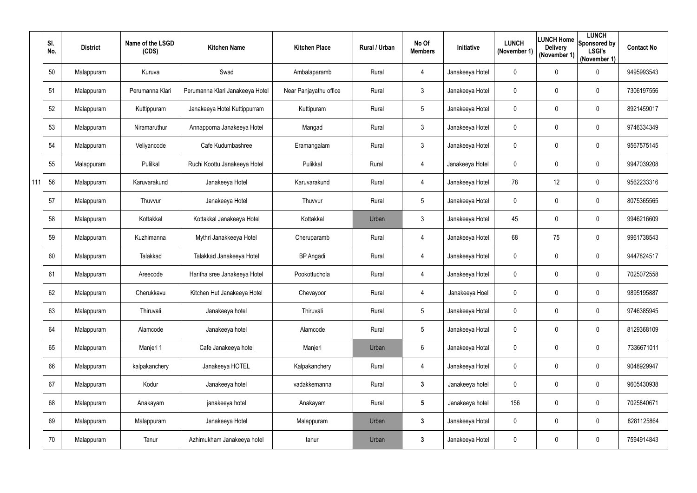|     | SI.<br>No. | <b>District</b> | Name of the LSGD<br>(CDS) | <b>Kitchen Name</b>             | <b>Kitchen Place</b>   | Rural / Urban | No Of<br><b>Members</b> | Initiative      | <b>LUNCH</b><br>(November 1) | <b>LUNCH Home</b><br><b>Delivery</b><br>(November 1) | <b>LUNCH</b><br>Sponsored by<br><b>LSGI's</b><br>(November 1) | <b>Contact No</b> |
|-----|------------|-----------------|---------------------------|---------------------------------|------------------------|---------------|-------------------------|-----------------|------------------------------|------------------------------------------------------|---------------------------------------------------------------|-------------------|
|     | 50         | Malappuram      | Kuruva                    | Swad                            | Ambalaparamb           | Rural         | 4                       | Janakeeya Hotel | $\mathbf 0$                  | $\mathbf 0$                                          | $\mathbf 0$                                                   | 9495993543        |
|     | 51         | Malappuram      | Perumanna Klari           | Perumanna Klari Janakeeya Hotel | Near Panjayathu office | Rural         | 3                       | Janakeeya Hotel | 0                            | 0                                                    | 0                                                             | 7306197556        |
|     | 52         | Malappuram      | Kuttippuram               | Janakeeya Hotel Kuttippurram    | Kuttipuram             | Rural         | $5\overline{)}$         | Janakeeya Hotel | $\mathbf 0$                  | $\mathbf 0$                                          | $\mathbf 0$                                                   | 8921459017        |
|     | 53         | Malappuram      | Niramaruthur              | Annapporna Janakeeya Hotel      | Mangad                 | Rural         | 3                       | Janakeeya Hotel | $\mathbf 0$                  | $\mathbf 0$                                          | 0                                                             | 9746334349        |
|     | 54         | Malappuram      | Veliyancode               | Cafe Kudumbashree               | Eramangalam            | Rural         | 3                       | Janakeeya Hotel | $\mathbf 0$                  | 0                                                    | 0                                                             | 9567575145        |
|     | 55         | Malappuram      | Pulilkal                  | Ruchi Koottu Janakeeya Hotel    | Pulikkal               | Rural         | 4                       | Janakeeya Hotel | $\mathbf 0$                  | $\mathbf 0$                                          | 0                                                             | 9947039208        |
| 111 | 56         | Malappuram      | Karuvarakund              | Janakeeya Hotel                 | Karuvarakund           | Rural         | 4                       | Janakeeya Hotel | 78                           | 12                                                   | 0                                                             | 9562233316        |
|     | 57         | Malappuram      | Thuvvur                   | Janakeeya Hotel                 | Thuvvur                | Rural         | 5                       | Janakeeya Hotel | 0                            | $\mathbf 0$                                          | 0                                                             | 8075365565        |
|     | 58         | Malappuram      | Kottakkal                 | Kottakkal Janakeeya Hotel       | Kottakkal              | Urban         | 3                       | Janakeeya Hotel | 45                           | 0                                                    | 0                                                             | 9946216609        |
|     | 59         | Malappuram      | Kuzhimanna                | Mythri Janakkeeya Hotel         | Cheruparamb            | Rural         | 4                       | Janakeeya Hotel | 68                           | 75                                                   | $\mathbf 0$                                                   | 9961738543        |
|     | 60         | Malappuram      | Talakkad                  | Talakkad Janakeeya Hotel        | BP Angadi              | Rural         | 4                       | Janakeeya Hotel | $\mathbf 0$                  | 0                                                    | 0                                                             | 9447824517        |
|     | 61         | Malappuram      | Areecode                  | Haritha sree Janakeeya Hotel    | Pookottuchola          | Rural         | 4                       | Janakeeya Hotel | 0                            | 0                                                    | $\mathbf 0$                                                   | 7025072558        |
|     | 62         | Malappuram      | Cherukkavu                | Kitchen Hut Janakeeya Hotel     | Chevayoor              | Rural         |                         | Janakeeya Hoel  | $\mathbf 0$                  | 0                                                    | 0                                                             | 9895195887        |
|     | 63         | Malappuram      | Thiruvali                 | Janakeeya hotel                 | Thiruvali              | Rural         | $5\overline{)}$         | Janakeeya Hotal | $\mathbf 0$                  | $\mathbf 0$                                          | $\pmb{0}$                                                     | 9746385945        |
|     | 64         | Malappuram      | Alamcode                  | Janakeeya hotel                 | Alamcode               | Rural         | $5\phantom{.0}$         | Janakeeya Hotal | $\mathbf 0$                  | $\mathbf 0$                                          | $\boldsymbol{0}$                                              | 8129368109        |
|     | 65         | Malappuram      | Manjeri 1                 | Cafe Janakeeya hotel            | Manjeri                | Urban         | $6\phantom{.0}$         | Janakeeya Hotal | $\pmb{0}$                    | $\mathbf 0$                                          | $\boldsymbol{0}$                                              | 7336671011        |
|     | 66         | Malappuram      | kalpakanchery             | Janakeeya HOTEL                 | Kalpakanchery          | Rural         | 4                       | Janakeeya Hotel | $\mathbf 0$                  | 0                                                    | $\boldsymbol{0}$                                              | 9048929947        |
|     | 67         | Malappuram      | Kodur                     | Janakeeya hotel                 | vadakkemanna           | Rural         | 3 <sup>1</sup>          | Janakeeya hotel | $\mathbf 0$                  | $\mathbf 0$                                          | $\pmb{0}$                                                     | 9605430938        |
|     | 68         | Malappuram      | Anakayam                  | janakeeya hotel                 | Anakayam               | Rural         | $5\phantom{.0}$         | Janakeeya hotel | 156                          | 0                                                    | $\pmb{0}$                                                     | 7025840671        |
|     | 69         | Malappuram      | Malappuram                | Janakeeya Hotel                 | Malappuram             | Urban         | $\mathbf{3}$            | Janakeeya Hotal | $\mathbf 0$                  | $\mathbf 0$                                          | $\boldsymbol{0}$                                              | 8281125864        |
|     | 70         | Malappuram      | Tanur                     | Azhimukham Janakeeya hotel      | tanur                  | Urban         | $\mathbf{3}$            | Janakeeya Hotel | $\pmb{0}$                    | 0                                                    | $\pmb{0}$                                                     | 7594914843        |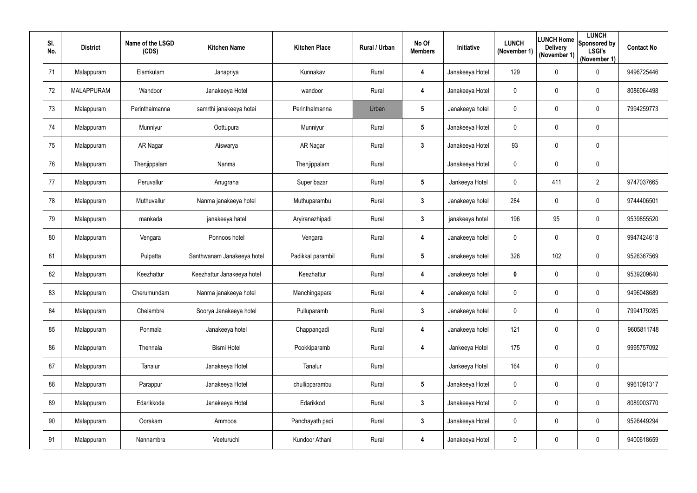| SI.<br>No. | <b>District</b>   | Name of the LSGD<br>(CDS) | <b>Kitchen Name</b>        | <b>Kitchen Place</b> | Rural / Urban | No Of<br><b>Members</b> | <b>Initiative</b> | <b>LUNCH</b><br>(November 1) | <b>Delivery</b><br>(November 1) | <b>LUNCH</b><br>LUNCH Home Sponsored by<br><b>LSGI's</b><br>(November 1) | <b>Contact No</b> |
|------------|-------------------|---------------------------|----------------------------|----------------------|---------------|-------------------------|-------------------|------------------------------|---------------------------------|--------------------------------------------------------------------------|-------------------|
| 71         | Malappuram        | Elamkulam                 | Janapriya                  | Kunnakav             | Rural         | 4                       | Janakeeya Hotel   | 129                          | $\mathbf 0$                     | $\boldsymbol{0}$                                                         | 9496725446        |
| 72         | <b>MALAPPURAM</b> | Wandoor                   | Janakeeya Hotel            | wandoor              | Rural         | 4                       | Janakeeya Hotel   | $\mathbf 0$                  | $\mathbf 0$                     | $\overline{0}$                                                           | 8086064498        |
| 73         | Malappuram        | Perinthalmanna            | samrthi janakeeya hotei    | Perinthalmanna       | Urban         | $5\phantom{.0}$         | Janakeeya hotel   | $\mathbf 0$                  | 0                               | $\overline{0}$                                                           | 7994259773        |
| 74         | Malappuram        | Munniyur                  | Oottupura                  | Munniyur             | Rural         | $5\overline{)}$         | Janakeeya Hotel   | $\mathbf 0$                  | $\mathbf 0$                     | $\boldsymbol{0}$                                                         |                   |
| 75         | Malappuram        | AR Nagar                  | Aiswarya                   | AR Nagar             | Rural         | $\mathbf{3}$            | Janakeeya Hotel   | 93                           | 0                               | $\mathbf 0$                                                              |                   |
| 76         | Malappuram        | Thenjippalam              | Nanma                      | Thenjippalam         | Rural         |                         | Janakeeya Hotel   | $\mathbf 0$                  | $\mathbf 0$                     | $\mathbf 0$                                                              |                   |
| 77         | Malappuram        | Peruvallur                | Anugraha                   | Super bazar          | Rural         | $5\overline{)}$         | Jankeeya Hotel    | $\pmb{0}$                    | 411                             | $\overline{2}$                                                           | 9747037665        |
| 78         | Malappuram        | Muthuvallur               | Nanma janakeeya hotel      | Muthuparambu         | Rural         | $\mathbf{3}$            | Janakeeya hotel   | 284                          | $\mathbf 0$                     | $\mathbf 0$                                                              | 9744406501        |
| 79         | Malappuram        | mankada                   | janakeeya hatel            | Aryiranazhipadi      | Rural         | $\mathbf{3}$            | janakeeya hotel   | 196                          | 95                              | $\boldsymbol{0}$                                                         | 9539855520        |
| 80         | Malappuram        | Vengara                   | Ponnoos hotel              | Vengara              | Rural         | 4                       | Janakeeya hotel   | $\mathbf 0$                  | $\mathbf 0$                     | $\boldsymbol{0}$                                                         | 9947424618        |
| 81         | Malappuram        | Pulpatta                  | Santhwanam Janakeeya hotel | Padikkal parambil    | Rural         | $5\phantom{.0}$         | Janakeeya hotel   | 326                          | 102                             | $\boldsymbol{0}$                                                         | 9526367569        |
| 82         | Malappuram        | Keezhattur                | Keezhattur Janakeeya hotel | Keezhattur           | Rural         | 4                       | Janakeeya hotel   | $\mathbf 0$                  | $\overline{0}$                  | $\boldsymbol{0}$                                                         | 9539209640        |
| 83         | Malappuram        | Cherumundam               | Nanma janakeeya hotel      | Manchingapara        | Rural         | 4                       | Janakeeya hotel   | $\mathbf{0}$                 | $\mathbf 0$                     | 0                                                                        | 9496048689        |
| 84         | Malappuram        | Chelambre                 | Soorya Janakeeya hotel     | Pulluparamb          | Rural         | $3\phantom{a}$          | Janakeeya hotel   | $\mathbf 0$                  | $\mathbf 0$                     | $\pmb{0}$                                                                | 7994179285        |
| 85         | Malappuram        | Ponmala                   | Janakeeya hotel            | Chappangadi          | Rural         | 4                       | Janakeeya hotel   | 121                          | $\overline{0}$                  | $\boldsymbol{0}$                                                         | 9605811748        |
| 86         | Malappuram        | Thennala                  | <b>Bismi Hotel</b>         | Pookkiparamb         | Rural         | 4                       | Jankeeya Hotel    | 175                          | $\mathbf 0$                     | $\boldsymbol{0}$                                                         | 9995757092        |
| 87         | Malappuram        | Tanalur                   | Janakeeya Hotel            | Tanalur              | Rural         |                         | Jankeeya Hotel    | 164                          | $\mathbf 0$                     | $\pmb{0}$                                                                |                   |
| 88         | Malappuram        | Parappur                  | Janakeeya Hotel            | chullipparambu       | Rural         | $5\phantom{.0}$         | Janakeeya Hotel   | $\mathbf 0$                  | $\mathbf 0$                     | $\pmb{0}$                                                                | 9961091317        |
| 89         | Malappuram        | Edarikkode                | Janakeeya Hotel            | Edarikkod            | Rural         | $\mathbf{3}$            | Janakeeya Hotel   | $\mathbf 0$                  | $\boldsymbol{0}$                | $\pmb{0}$                                                                | 8089003770        |
| 90         | Malappuram        | Oorakam                   | Ammoos                     | Panchayath padi      | Rural         | $\mathbf{3}$            | Janakeeya Hotel   | $\pmb{0}$                    | $\mathbf 0$                     | $\boldsymbol{0}$                                                         | 9526449294        |
| 91         | Malappuram        | Nannambra                 | Veeturuchi                 | Kundoor Athani       | Rural         | 4                       | Janakeeya Hotel   | $\mathbf 0$                  | $\mathbf 0$                     | $\pmb{0}$                                                                | 9400618659        |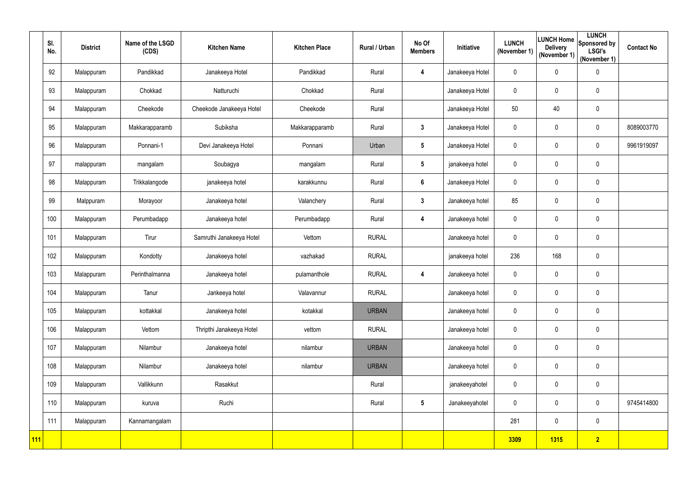|     | SI.<br>No. | <b>District</b> | Name of the LSGD<br>(CDS) | <b>Kitchen Name</b>      | <b>Kitchen Place</b> | Rural / Urban | No Of<br><b>Members</b> | Initiative      | <b>LUNCH</b><br>(November 1) | <b>LUNCH Home</b><br><b>Delivery</b><br>(November 1) | <b>LUNCH</b><br>Sponsored by<br><b>LSGI's</b><br>(November 1) | <b>Contact No</b> |
|-----|------------|-----------------|---------------------------|--------------------------|----------------------|---------------|-------------------------|-----------------|------------------------------|------------------------------------------------------|---------------------------------------------------------------|-------------------|
|     | 92         | Malappuram      | Pandikkad                 | Janakeeya Hotel          | Pandikkad            | Rural         | 4                       | Janakeeya Hotel | $\mathbf 0$                  | $\mathbf 0$                                          | $\boldsymbol{0}$                                              |                   |
|     | 93         | Malappuram      | Chokkad                   | Natturuchi               | Chokkad              | Rural         |                         | Janakeeya Hotel | $\mathbf 0$                  | 0                                                    | $\pmb{0}$                                                     |                   |
|     | 94         | Malappuram      | Cheekode                  | Cheekode Janakeeya Hotel | Cheekode             | Rural         |                         | Janakeeya Hotel | 50                           | 40                                                   | $\boldsymbol{0}$                                              |                   |
|     | 95         | Malappuram      | Makkarapparamb            | Subiksha                 | Makkarapparamb       | Rural         | $3\phantom{a}$          | Janakeeya Hotel | $\mathbf 0$                  | $\overline{0}$                                       | $\boldsymbol{0}$                                              | 8089003770        |
|     | 96         | Malappuram      | Ponnani-1                 | Devi Janakeeya Hotel     | Ponnani              | Urban         | $5\phantom{.0}$         | Janakeeya Hotel | $\mathbf 0$                  | 0                                                    | $\mathbf 0$                                                   | 9961919097        |
|     | 97         | malappuram      | mangalam                  | Soubagya                 | mangalam             | Rural         | $5\phantom{.0}$         | janakeeya hotel | $\mathbf 0$                  | $\overline{0}$                                       | $\pmb{0}$                                                     |                   |
|     | 98         | Malappuram      | Trikkalangode             | janakeeya hotel          | karakkunnu           | Rural         | 6                       | Janakeeya Hotel | $\boldsymbol{0}$             | $\overline{0}$                                       | $\boldsymbol{0}$                                              |                   |
|     | 99         | Malppuram       | Morayoor                  | Janakeeya hotel          | Valanchery           | Rural         | $3\phantom{a}$          | Janakeeya hotel | 85                           | $\overline{0}$                                       | $\mathbf 0$                                                   |                   |
|     | 100        | Malappuram      | Perumbadapp               | Janakeeya hotel          | Perumbadapp          | Rural         | 4                       | Janakeeya hotel | $\mathbf 0$                  | $\mathbf 0$                                          | $\pmb{0}$                                                     |                   |
|     | 101        | Malappuram      | Tirur                     | Samruthi Janakeeya Hotel | Vettom               | <b>RURAL</b>  |                         | Janakeeya hotel | $\mathbf 0$                  | 0                                                    | $\boldsymbol{0}$                                              |                   |
|     | 102        | Malappuram      | Kondotty                  | Janakeeya hotel          | vazhakad             | <b>RURAL</b>  |                         | janakeeya hotel | 236                          | 168                                                  | $\pmb{0}$                                                     |                   |
|     | 103        | Malappuram      | Perinthalmanna            | Janakeeya hotel          | pulamanthole         | <b>RURAL</b>  | 4                       | Janakeeya hotel | $\mathbf 0$                  | $\overline{0}$                                       | $\boldsymbol{0}$                                              |                   |
|     | 104        | Malappuram      | Tanur                     | Jankeeya hotel           | Valavannur           | <b>RURAL</b>  |                         | Janakeeya hotel | $\mathbf{0}$                 | $\overline{0}$                                       | $\overline{0}$                                                |                   |
|     | 105        | Malappuram      | kottakkal                 | Janakeeya hotel          | kotakkal             | <b>URBAN</b>  |                         | Janakeeya hotel | $\mathbf 0$                  | $\boldsymbol{0}$                                     | $\pmb{0}$                                                     |                   |
|     | 106        | Malappuram      | Vettom                    | Thripthi Janakeeya Hotel | vettom               | <b>RURAL</b>  |                         | Janakeeya hotel | $\mathbf 0$                  | $\overline{0}$                                       | $\pmb{0}$                                                     |                   |
|     | 107        | Malappuram      | Nilambur                  | Janakeeya hotel          | nilambur             | <b>URBAN</b>  |                         | Janakeeya hotel | $\mathbf 0$                  | $\overline{0}$                                       | $\pmb{0}$                                                     |                   |
|     | 108        | Malappuram      | Nilambur                  | Janakeeya hotel          | nilambur             | <b>URBAN</b>  |                         | Janakeeya hotel | $\mathbf 0$                  | $\boldsymbol{0}$                                     | $\pmb{0}$                                                     |                   |
|     | 109        | Malappuram      | Vallikkunn                | Rasakkut                 |                      | Rural         |                         | janakeeyahotel  | $\mathbf 0$                  | $\boldsymbol{0}$                                     | $\pmb{0}$                                                     |                   |
|     | 110        | Malappuram      | kuruva                    | Ruchi                    |                      | Rural         | $5\phantom{.0}$         | Janakeeyahotel  | $\mathbf 0$                  | $\overline{0}$                                       | $\pmb{0}$                                                     | 9745414800        |
|     | 111        | Malappuram      | Kannamangalam             |                          |                      |               |                         |                 | 281                          | $\boldsymbol{0}$                                     | $\pmb{0}$                                                     |                   |
| 111 |            |                 |                           |                          |                      |               |                         |                 | 3309                         | <b>1315</b>                                          | $\overline{2}$                                                |                   |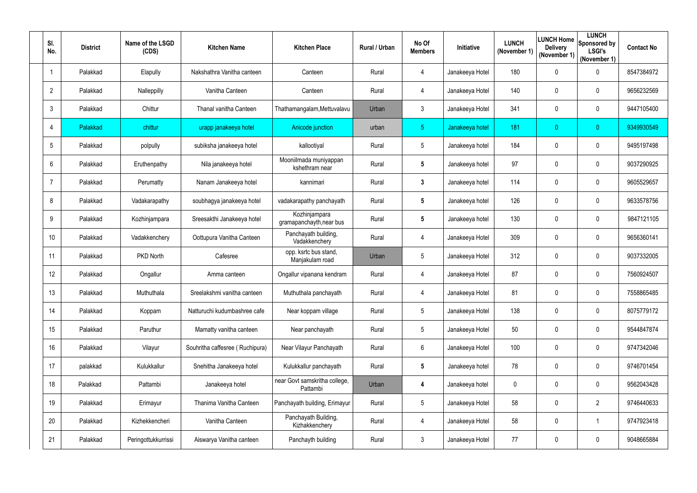| SI.<br>No.     | <b>District</b> | Name of the LSGD<br>(CDS) | <b>Kitchen Name</b>             | <b>Kitchen Place</b>                      | Rural / Urban | No Of<br><b>Members</b> | Initiative      | <b>LUNCH</b><br>(November 1) | LUNCH Home<br><b>Delivery</b><br>(November 1) | <b>LUNCH</b><br>Sponsored by<br><b>LSGI's</b><br>(November 1) | <b>Contact No</b> |
|----------------|-----------------|---------------------------|---------------------------------|-------------------------------------------|---------------|-------------------------|-----------------|------------------------------|-----------------------------------------------|---------------------------------------------------------------|-------------------|
|                | Palakkad        | Elapully                  | Nakshathra Vanitha canteen      | Canteen                                   | Rural         | 4                       | Janakeeya Hotel | 180                          | $\mathbf 0$                                   | $\mathbf 0$                                                   | 8547384972        |
| $\overline{2}$ | Palakkad        | Nalleppilly               | Vanitha Canteen                 | Canteen                                   | Rural         | 4                       | Janakeeya Hotel | 140                          | 0                                             | $\mathbf 0$                                                   | 9656232569        |
| 3              | Palakkad        | Chittur                   | Thanal vanitha Canteen          | Thathamangalam, Mettuvalavu               | Urban         | $\mathfrak{Z}$          | Janakeeya Hotel | 341                          | $\mathbf 0$                                   | $\mathbf 0$                                                   | 9447105400        |
| 4              | Palakkad        | chittur                   | urapp janakeeya hotel           | Anicode junction                          | urban         | 5 <sub>1</sub>          | Janakeeya hotel | 181                          | $\overline{0}$                                | $\overline{0}$                                                | 9349930549        |
| 5              | Palakkad        | polpully                  | subiksha janakeeya hotel        | kallootiyal                               | Rural         | $5\phantom{.0}$         | Janakeeya hotel | 184                          | $\mathbf 0$                                   | $\mathbf 0$                                                   | 9495197498        |
| 6              | Palakkad        | Eruthenpathy              | Nila janakeeya hotel            | Mooniilmada muniyappan<br>kshethram near  | Rural         | 5                       | Janakeeya hotel | 97                           | $\mathbf 0$                                   | $\mathbf 0$                                                   | 9037290925        |
|                | Palakkad        | Perumatty                 | Nanam Janakeeya hotel           | kannimari                                 | Rural         | 3                       | Janakeeya hotel | 114                          | 0                                             | $\mathbf 0$                                                   | 9605529657        |
| 8              | Palakkad        | Vadakarapathy             | soubhagya janakeeya hotel       | vadakarapathy panchayath                  | Rural         | 5                       | Janakeeya hotel | 126                          | 0                                             | $\mathbf 0$                                                   | 9633578756        |
| 9              | Palakkad        | Kozhinjampara             | Sreesakthi Janakeeya hotel      | Kozhinjampara<br>gramapanchayth, near bus | Rural         | 5                       | Janakeeya hotel | 130                          | $\mathbf 0$                                   | $\mathbf 0$                                                   | 9847121105        |
| 10             | Palakkad        | Vadakkenchery             | Oottupura Vanitha Canteen       | Panchayath building,<br>Vadakkenchery     | Rural         | 4                       | Janakeeya Hotel | 309                          | 0                                             | $\mathbf 0$                                                   | 9656360141        |
| 11             | Palakkad        | PKD North                 | Cafesree                        | opp. ksrtc bus stand,<br>Manjakulam road  | Urban         | $5\phantom{.0}$         | Janakeeya Hotel | 312                          | $\mathbf 0$                                   | $\mathbf 0$                                                   | 9037332005        |
| 12             | Palakkad        | Ongallur                  | Amma canteen                    | Ongallur vipanana kendram                 | Rural         | 4                       | Janakeeya Hotel | 87                           | 0                                             | $\mathbf 0$                                                   | 7560924507        |
| 13             | Palakkad        | Muthuthala                | Sreelakshmi vanitha canteen     | Muthuthala panchayath                     | Rural         |                         | Janakeeya Hotel | 81                           | $\mathbf 0$                                   | $\pmb{0}$                                                     | 7558865485        |
| 14             | Palakkad        | Koppam                    | Natturuchi kudumbashree cafe    | Near koppam village                       | Rural         | $5\phantom{.0}$         | Janakeeya Hotel | 138                          | 0                                             | $\boldsymbol{0}$                                              | 8075779172        |
| 15             | Palakkad        | Paruthur                  | Mamatty vanitha canteen         | Near panchayath                           | Rural         | 5 <sup>5</sup>          | Janakeeya Hotel | 50                           | $\overline{0}$                                | $\boldsymbol{0}$                                              | 9544847874        |
| 16             | Palakkad        | Vilayur                   | Souhritha caffesree (Ruchipura) | Near Vilayur Panchayath                   | Rural         | 6                       | Janakeeya Hotel | 100                          | 0                                             | $\boldsymbol{0}$                                              | 9747342046        |
| 17             | palakkad        | Kulukkallur               | Snehitha Janakeeya hotel        | Kulukkallur panchayath                    | Rural         | $5\overline{)}$         | Janakeeya hotel | 78                           | 0                                             | $\mathbf 0$                                                   | 9746701454        |
| 18             | Palakkad        | Pattambi                  | Janakeeya hotel                 | near Govt samskritha college,<br>Pattambi | Urban         | 4                       | Janakeeya hotel | $\mathbf 0$                  | 0                                             | $\pmb{0}$                                                     | 9562043428        |
| 19             | Palakkad        | Erimayur                  | Thanima Vanitha Canteen         | Panchayath building, Erimayur             | Rural         | 5 <sup>5</sup>          | Janakeeya Hotel | 58                           | 0                                             | $\overline{2}$                                                | 9746440633        |
| 20             | Palakkad        | Kizhekkencheri            | Vanitha Canteen                 | Panchayath Building,<br>Kizhakkenchery    | Rural         | 4                       | Janakeeya Hotel | 58                           | 0                                             | $\mathbf 1$                                                   | 9747923418        |
| 21             | Palakkad        | Peringottukkurrissi       | Aiswarya Vanitha canteen        | Panchayth building                        | Rural         | $\mathfrak{Z}$          | Janakeeya Hotel | 77                           | 0                                             | $\pmb{0}$                                                     | 9048665884        |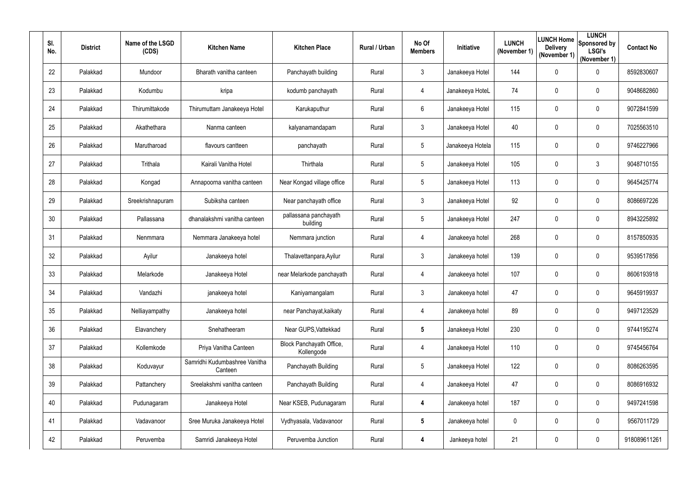| SI.<br>No. | <b>District</b> | Name of the LSGD<br>(CDS) | <b>Kitchen Name</b>                      | <b>Kitchen Place</b>                   | Rural / Urban | No Of<br><b>Members</b> | <b>Initiative</b> | <b>LUNCH</b><br>(November 1) | <b>Delivery</b><br>(November 1) | <b>LUNCH</b><br><b>ILUNCH Home</b> Sponsored by<br><b>LSGI's</b><br>(November 1) | <b>Contact No</b> |
|------------|-----------------|---------------------------|------------------------------------------|----------------------------------------|---------------|-------------------------|-------------------|------------------------------|---------------------------------|----------------------------------------------------------------------------------|-------------------|
| 22         | Palakkad        | Mundoor                   | Bharath vanitha canteen                  | Panchayath building                    | Rural         | $\mathfrak{Z}$          | Janakeeya Hotel   | 144                          | $\mathbf 0$                     | $\mathbf 0$                                                                      | 8592830607        |
| 23         | Palakkad        | Kodumbu                   | kripa                                    | kodumb panchayath                      | Rural         | 4                       | Janakeeya HoteL   | 74                           | $\mathbf 0$                     | $\mathbf 0$                                                                      | 9048682860        |
| 24         | Palakkad        | Thirumittakode            | Thirumuttam Janakeeya Hotel              | Karukaputhur                           | Rural         | 6                       | Janakeeya Hotel   | 115                          | $\mathbf 0$                     | $\mathbf 0$                                                                      | 9072841599        |
| 25         | Palakkad        | Akathethara               | Nanma canteen                            | kalyanamandapam                        | Rural         | 3 <sup>1</sup>          | Janakeeya Hotel   | 40                           | $\overline{0}$                  | $\pmb{0}$                                                                        | 7025563510        |
| 26         | Palakkad        | Marutharoad               | flavours cantteen                        | panchayath                             | Rural         | $5\overline{)}$         | Janakeeya Hotela  | 115                          | 0                               | $\mathbf 0$                                                                      | 9746227966        |
| 27         | Palakkad        | Trithala                  | Kairali Vanitha Hotel                    | Thirthala                              | Rural         | $5\overline{)}$         | Janakeeya Hotel   | 105                          | $\mathbf 0$                     | $\mathfrak{Z}$                                                                   | 9048710155        |
| 28         | Palakkad        | Kongad                    | Annapoorna vanitha canteen               | Near Kongad village office             | Rural         | 5 <sub>5</sub>          | Janakeeya Hotel   | 113                          | 0                               | $\pmb{0}$                                                                        | 9645425774        |
| 29         | Palakkad        | Sreekrishnapuram          | Subiksha canteen                         | Near panchayath office                 | Rural         | 3 <sup>1</sup>          | Janakeeya Hotel   | 92                           | 0                               | $\mathbf 0$                                                                      | 8086697226        |
| 30         | Palakkad        | Pallassana                | dhanalakshmi vanitha canteen             | pallassana panchayath<br>building      | Rural         | $5\phantom{.0}$         | Janakeeya Hotel   | 247                          | $\overline{0}$                  | $\pmb{0}$                                                                        | 8943225892        |
| 31         | Palakkad        | Nenmmara                  | Nemmara Janakeeya hotel                  | Nemmara junction                       | Rural         | 4                       | Janakeeya hotel   | 268                          | 0                               | $\pmb{0}$                                                                        | 8157850935        |
| 32         | Palakkad        | Ayilur                    | Janakeeya hotel                          | Thalavettanpara, Ayilur                | Rural         | 3 <sup>1</sup>          | Janakeeya hotel   | 139                          | 0                               | $\mathbf 0$                                                                      | 9539517856        |
| 33         | Palakkad        | Melarkode                 | Janakeeya Hotel                          | near Melarkode panchayath              | Rural         | 4                       | Janakeeya hotel   | 107                          | $\overline{0}$                  | $\mathbf 0$                                                                      | 8606193918        |
| 34         | Palakkad        | Vandazhi                  | janakeeya hotel                          | Kaniyamangalam                         | Rural         | 3                       | Janakeeya hotel   | 47                           | $\mathbf 0$                     | $\pmb{0}$                                                                        | 9645919937        |
| 35         | Palakkad        | Nelliayampathy            | Janakeeya hotel                          | near Panchayat, kaikaty                | Rural         | 4                       | Janakeeya hotel   | 89                           | $\overline{0}$                  | $\pmb{0}$                                                                        | 9497123529        |
| 36         | Palakkad        | Elavanchery               | Snehatheeram                             | Near GUPS, Vattekkad                   | Rural         | $5\phantom{.0}$         | Janakeeya Hotel   | 230                          | $\overline{0}$                  | $\boldsymbol{0}$                                                                 | 9744195274        |
| 37         | Palakkad        | Kollemkode                | Priya Vanitha Canteen                    | Block Panchayath Office,<br>Kollengode | Rural         | 4                       | Janakeeya Hotel   | 110                          | 0                               | $\boldsymbol{0}$                                                                 | 9745456764        |
| 38         | Palakkad        | Koduvayur                 | Samridhi Kudumbashree Vanitha<br>Canteen | Panchayath Building                    | Rural         | $5\overline{)}$         | Janakeeya Hotel   | 122                          | $\overline{0}$                  | $\boldsymbol{0}$                                                                 | 8086263595        |
| 39         | Palakkad        | Pattanchery               | Sreelakshmi vanitha canteen              | Panchayath Building                    | Rural         | 4                       | Janakeeya Hotel   | 47                           | $\overline{0}$                  | $\pmb{0}$                                                                        | 8086916932        |
| 40         | Palakkad        | Pudunagaram               | Janakeeya Hotel                          | Near KSEB, Pudunagaram                 | Rural         | 4                       | Janakeeya hotel   | 187                          | $\boldsymbol{0}$                | $\boldsymbol{0}$                                                                 | 9497241598        |
| 41         | Palakkad        | Vadavanoor                | Sree Muruka Janakeeya Hotel              | Vydhyasala, Vadavanoor                 | Rural         | $5\overline{)}$         | Janakeeya hotel   | 0                            | 0                               | $\boldsymbol{0}$                                                                 | 9567011729        |
| 42         | Palakkad        | Peruvemba                 | Samridi Janakeeya Hotel                  | Peruvemba Junction                     | Rural         | 4                       | Jankeeya hotel    | 21                           | $\mathbf 0$                     | $\pmb{0}$                                                                        | 918089611261      |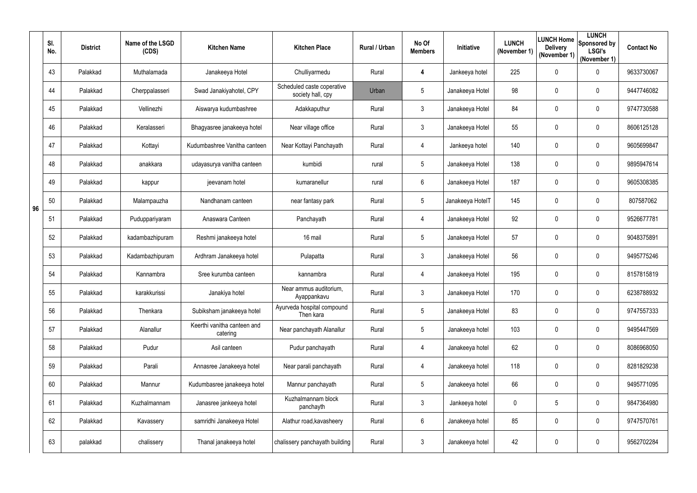|    | SI.<br>No. | <b>District</b> | Name of the LSGD<br>(CDS) | <b>Kitchen Name</b>                     | <b>Kitchen Place</b>                            | Rural / Urban | No Of<br><b>Members</b> | Initiative       | <b>LUNCH</b><br>(November 1) | LUNCH Home<br><b>Delivery</b><br>(November 1) | <b>LUNCH</b><br>Sponsored by<br><b>LSGI's</b><br>(November 1) | <b>Contact No</b> |
|----|------------|-----------------|---------------------------|-----------------------------------------|-------------------------------------------------|---------------|-------------------------|------------------|------------------------------|-----------------------------------------------|---------------------------------------------------------------|-------------------|
|    | 43         | Palakkad        | Muthalamada               | Janakeeya Hotel                         | Chulliyarmedu                                   | Rural         | 4                       | Jankeeya hotel   | 225                          | $\mathbf 0$                                   | $\pmb{0}$                                                     | 9633730067        |
|    | 44         | Palakkad        | Cherppalasseri            | Swad Janakiyahotel, CPY                 | Scheduled caste coperative<br>society hall, cpy | Urban         | 5                       | Janakeeya Hotel  | 98                           | $\mathbf 0$                                   | $\pmb{0}$                                                     | 9447746082        |
|    | 45         | Palakkad        | Vellinezhi                | Aiswarya kudumbashree                   | Adakkaputhur                                    | Rural         | $\mathfrak{Z}$          | Janakeeya Hotel  | 84                           | $\mathbf 0$                                   | $\pmb{0}$                                                     | 9747730588        |
|    | 46         | Palakkad        | Keralasseri               | Bhagyasree janakeeya hotel              | Near village office                             | Rural         | $3\overline{3}$         | Janakeeya Hotel  | 55                           | $\mathbf 0$                                   | $\pmb{0}$                                                     | 8606125128        |
|    | 47         | Palakkad        | Kottayi                   | Kudumbashree Vanitha canteen            | Near Kottayi Panchayath                         | Rural         | 4                       | Jankeeya hotel   | 140                          | $\mathbf 0$                                   | $\pmb{0}$                                                     | 9605699847        |
|    | 48         | Palakkad        | anakkara                  | udayasurya vanitha canteen              | kumbidi                                         | rural         | 5                       | Janakeeya Hotel  | 138                          | $\mathbf 0$                                   | $\pmb{0}$                                                     | 9895947614        |
|    | 49         | Palakkad        | kappur                    | jeevanam hotel                          | kumaranellur                                    | rural         | 6                       | Janakeeya Hotel  | 187                          | $\mathbf 0$                                   | $\mathbf 0$                                                   | 9605308385        |
| 96 | 50         | Palakkad        | Malampauzha               | Nandhanam canteen                       | near fantasy park                               | Rural         | $5\phantom{.0}$         | Janakeeya HotelT | 145                          | $\mathbf 0$                                   | $\mathbf 0$                                                   | 807587062         |
|    | 51         | Palakkad        | Puduppariyaram            | Anaswara Canteen                        | Panchayath                                      | Rural         | 4                       | Janakeeya Hotel  | 92                           | $\overline{0}$                                | $\mathbf 0$                                                   | 9526677781        |
|    | 52         | Palakkad        | kadambazhipuram           | Reshmi janakeeya hotel                  | 16 mail                                         | Rural         | $5\phantom{.0}$         | Janakeeya Hotel  | 57                           | 0                                             | $\mathbf 0$                                                   | 9048375891        |
|    | 53         | Palakkad        | Kadambazhipuram           | Ardhram Janakeeya hotel                 | Pulapatta                                       | Rural         | 3                       | Janakeeya Hotel  | 56                           | $\mathbf 0$                                   | $\mathbf 0$                                                   | 9495775246        |
|    | 54         | Palakkad        | Kannambra                 | Sree kurumba canteen                    | kannambra                                       | Rural         | 4                       | Janakeeya Hotel  | 195                          | $\mathbf 0$                                   | $\pmb{0}$                                                     | 8157815819        |
|    | 55         | Palakkad        | karakkurissi              | Janakiya hotel                          | Near ammus auditorium,<br>Ayappankavu           | Rural         | 3                       | Janakeeya Hotel  | 170                          | $\mathbf 0$                                   | $\mathbf 0$                                                   | 6238788932        |
|    | 56         | Palakkad        | Thenkara                  | Subiksham janakeeya hotel               | Ayurveda hospital compound<br>Then kara         | Rural         | $5\phantom{.0}$         | Janakeeya Hotel  | 83                           | $\mathbf 0$                                   | $\mathbf 0$                                                   | 9747557333        |
|    | 57         | Palakkad        | Alanallur                 | Keerthi vanitha canteen and<br>catering | Near panchayath Alanallur                       | Rural         | 5                       | Janakeeya hotel  | 103                          | $\overline{0}$                                | $\boldsymbol{0}$                                              | 9495447569        |
|    | 58         | Palakkad        | Pudur                     | Asil canteen                            | Pudur panchayath                                | Rural         | 4                       | Janakeeya hotel  | 62                           | $\mathbf 0$                                   | $\boldsymbol{0}$                                              | 8086968050        |
|    | 59         | Palakkad        | Parali                    | Annasree Janakeeya hotel                | Near parali panchayath                          | Rural         | 4                       | Janakeeya hotel  | 118                          | $\mathbf 0$                                   | $\boldsymbol{0}$                                              | 8281829238        |
|    | 60         | Palakkad        | Mannur                    | Kudumbasree janakeeya hotel             | Mannur panchayath                               | Rural         | 5                       | Janakeeya hotel  | 66                           | $\mathbf 0$                                   | $\boldsymbol{0}$                                              | 9495771095        |
|    | 61         | Palakkad        | Kuzhalmannam              | Janasree jankeeya hotel                 | Kuzhalmannam block<br>panchayth                 | Rural         | $\mathfrak{Z}$          | Jankeeya hotel   | $\mathbf 0$                  | 5                                             | $\boldsymbol{0}$                                              | 9847364980        |
|    | 62         | Palakkad        | Kavassery                 | samridhi Janakeeya Hotel                | Alathur road, kavasheery                        | Rural         | 6                       | Janakeeya hotel  | 85                           | $\overline{0}$                                | $\boldsymbol{0}$                                              | 9747570761        |
|    | 63         | palakkad        | chalissery                | Thanal janakeeya hotel                  | chalissery panchayath building                  | Rural         | 3                       | Janakeeya hotel  | 42                           | $\mathbf 0$                                   | $\pmb{0}$                                                     | 9562702284        |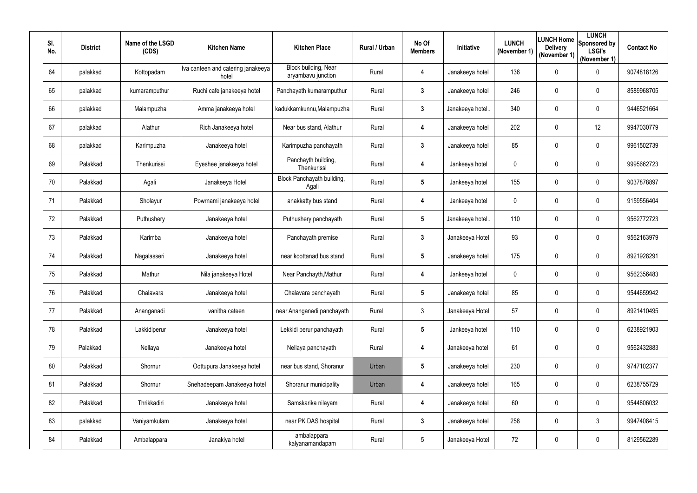| SI.<br>No. | <b>District</b> | Name of the LSGD<br>(CDS) | <b>Kitchen Name</b>                         | <b>Kitchen Place</b>                       | Rural / Urban | No Of<br><b>Members</b> | Initiative       | <b>LUNCH</b><br>(November 1) | LUNCH Home<br><b>Delivery</b><br>(November 1) | <b>LUNCH</b><br>Sponsored by<br><b>LSGI's</b><br>(November 1) | <b>Contact No</b> |
|------------|-----------------|---------------------------|---------------------------------------------|--------------------------------------------|---------------|-------------------------|------------------|------------------------------|-----------------------------------------------|---------------------------------------------------------------|-------------------|
| 64         | palakkad        | Kottopadam                | Iva canteen and catering janakeeya<br>hotel | Block building, Near<br>aryambavu junction | Rural         | 4                       | Janakeeya hotel  | 136                          | $\mathbf 0$                                   | $\pmb{0}$                                                     | 9074818126        |
| 65         | palakkad        | kumaramputhur             | Ruchi cafe janakeeya hotel                  | Panchayath kumaramputhur                   | Rural         | $3\phantom{.0}$         | Janakeeya hotel  | 246                          | $\mathbf 0$                                   | $\pmb{0}$                                                     | 8589968705        |
| 66         | palakkad        | Malampuzha                | Amma janakeeya hotel                        | kadukkamkunnu, Malampuzha                  | Rural         | $\mathbf{3}$            | Janakeeya hotel  | 340                          | $\mathbf 0$                                   | $\pmb{0}$                                                     | 9446521664        |
| 67         | palakkad        | Alathur                   | Rich Janakeeya hotel                        | Near bus stand, Alathur                    | Rural         | 4                       | Janakeeya hotel  | 202                          | $\mathbf 0$                                   | 12                                                            | 9947030779        |
| 68         | palakkad        | Karimpuzha                | Janakeeya hotel                             | Karimpuzha panchayath                      | Rural         | $\mathbf{3}$            | Janakeeya hotel  | 85                           | $\mathbf 0$                                   | $\pmb{0}$                                                     | 9961502739        |
| 69         | Palakkad        | Thenkurissi               | Eyeshee janakeeya hotel                     | Panchayth building,<br>Thenkurissi         | Rural         | 4                       | Jankeeya hotel   | $\mathbf 0$                  | $\mathbf 0$                                   | $\pmb{0}$                                                     | 9995662723        |
| 70         | Palakkad        | Agali                     | Janakeeya Hotel                             | Block Panchayath building,<br>Agali        | Rural         | $5\phantom{.0}$         | Jankeeya hotel   | 155                          | $\mathbf 0$                                   | $\pmb{0}$                                                     | 9037878897        |
| 71         | Palakkad        | Sholayur                  | Powrnami janakeeya hotel                    | anakkatty bus stand                        | Rural         | 4                       | Jankeeya hotel   | $\mathbf 0$                  | 0                                             | 0                                                             | 9159556404        |
| 72         | Palakkad        | Puthushery                | Janakeeya hotel                             | Puthushery panchayath                      | Rural         | $5\phantom{.0}$         | Janakeeya hotel. | 110                          | $\mathbf 0$                                   | 0                                                             | 9562772723        |
| 73         | Palakkad        | Karimba                   | Janakeeya hotel                             | Panchayath premise                         | Rural         | $\mathbf{3}$            | Janakeeya Hotel  | 93                           | 0                                             | 0                                                             | 9562163979        |
| 74         | Palakkad        | Nagalasseri               | Janakeeya hotel                             | near koottanad bus stand                   | Rural         | $5\phantom{.0}$         | Janakeeya hotel  | 175                          | $\mathbf 0$                                   | $\mathbf 0$                                                   | 8921928291        |
| 75         | Palakkad        | Mathur                    | Nila janakeeya Hotel                        | Near Panchayth, Mathur                     | Rural         | 4                       | Jankeeya hotel   | 0                            | $\mathbf 0$                                   | 0                                                             | 9562356483        |
| 76         | Palakkad        | Chalavara                 | Janakeeya hotel                             | Chalavara panchayath                       | Rural         | 5                       | Janakeeya hotel  | 85                           | $\mathbf 0$                                   | $\boldsymbol{0}$                                              | 9544659942        |
| 77         | Palakkad        | Ananganadi                | vanitha cateen                              | near Ananganadi panchayath                 | Rural         | $\mathfrak{Z}$          | Janakeeya Hotel  | 57                           | $\mathbf 0$                                   | $\pmb{0}$                                                     | 8921410495        |
| 78         | Palakkad        | Lakkidiperur              | Janakeeya hotel                             | Lekkidi perur panchayath                   | Rural         | $5\overline{)}$         | Jankeeya hotel   | 110                          | $\mathbf 0$                                   | $\boldsymbol{0}$                                              | 6238921903        |
| 79         | Palakkad        | Nellaya                   | Janakeeya hotel                             | Nellaya panchayath                         | Rural         | 4                       | Janakeeya hotel  | 61                           | $\overline{0}$                                | $\boldsymbol{0}$                                              | 9562432883        |
| 80         | Palakkad        | Shornur                   | Oottupura Janakeeya hotel                   | near bus stand, Shoranur                   | Urban         | $5\overline{)}$         | Janakeeya hotel  | 230                          | $\mathbf 0$                                   | $\mathbf 0$                                                   | 9747102377        |
| 81         | Palakkad        | Shornur                   | Snehadeepam Janakeeya hotel                 | Shoranur municipality                      | Urban         | 4                       | Janakeeya hotel  | 165                          | $\overline{0}$                                | $\pmb{0}$                                                     | 6238755729        |
| 82         | Palakkad        | Thrikkadiri               | Janakeeya hotel                             | Samskarika nilayam                         | Rural         | 4                       | Janakeeya hotel  | 60                           | $\overline{0}$                                | $\boldsymbol{0}$                                              | 9544806032        |
| 83         | palakkad        | Vaniyamkulam              | Janakeeya hotel                             | near PK DAS hospital                       | Rural         | $\mathbf{3}$            | Janakeeya hotel  | 258                          | $\overline{0}$                                | $\mathfrak{Z}$                                                | 9947408415        |
| 84         | Palakkad        | Ambalappara               | Janakiya hotel                              | ambalappara<br>kalyanamandapam             | Rural         | $5\phantom{.0}$         | Janakeeya Hotel  | 72                           | $\overline{0}$                                | $\pmb{0}$                                                     | 8129562289        |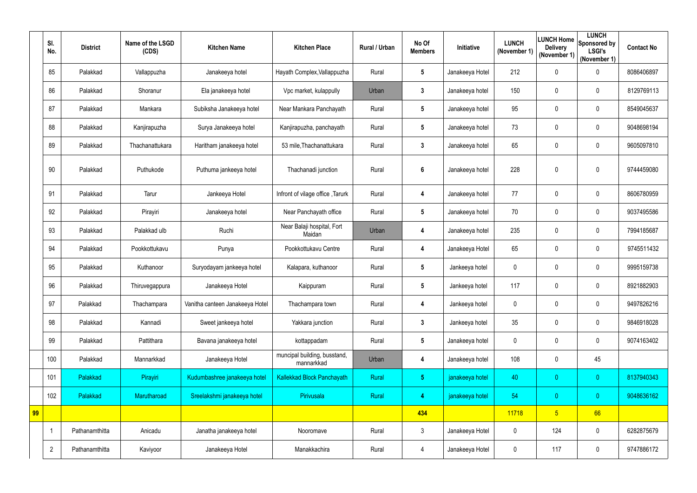|    | SI.<br>No.     | <b>District</b> | Name of the LSGD<br>(CDS) | <b>Kitchen Name</b>             | <b>Kitchen Place</b>                       | Rural / Urban | No Of<br><b>Members</b> | Initiative      | <b>LUNCH</b><br>(November 1) | <b>Delivery</b><br>(November 1) | <b>LUNCH</b><br>LUNCH Home Sponsored by<br><b>LSGI's</b><br>(November 1) | <b>Contact No</b> |
|----|----------------|-----------------|---------------------------|---------------------------------|--------------------------------------------|---------------|-------------------------|-----------------|------------------------------|---------------------------------|--------------------------------------------------------------------------|-------------------|
|    | 85             | Palakkad        | Vallappuzha               | Janakeeya hotel                 | Hayath Complex, Vallappuzha                | Rural         | $5\phantom{.0}$         | Janakeeya Hotel | 212                          | 0                               | $\mathbf 0$                                                              | 8086406897        |
|    | 86             | Palakkad        | Shoranur                  | Ela janakeeya hotel             | Vpc market, kulappully                     | Urban         | $3\phantom{a}$          | Janakeeya hotel | 150                          | 0                               | $\mathbf 0$                                                              | 8129769113        |
|    | 87             | Palakkad        | Mankara                   | Subiksha Janakeeya hotel        | Near Mankara Panchayath                    | Rural         | $5\phantom{.0}$         | Janakeeya hotel | 95                           | 0                               | $\boldsymbol{0}$                                                         | 8549045637        |
|    | 88             | Palakkad        | Kanjirapuzha              | Surya Janakeeya hotel           | Kanjirapuzha, panchayath                   | Rural         | $5\phantom{.0}$         | Janakeeya hotel | 73                           | 0                               | $\mathbf 0$                                                              | 9048698194        |
|    | 89             | Palakkad        | Thachanattukara           | Haritham janakeeya hotel        | 53 mile, Thachanattukara                   | Rural         | $\mathbf{3}$            | Janakeeya hotel | 65                           | 0                               | $\mathbf 0$                                                              | 9605097810        |
|    | 90             | Palakkad        | Puthukode                 | Puthuma jankeeya hotel          | Thachanadi junction                        | Rural         | $6\phantom{.}6$         | Janakeeya hotel | 228                          | 0                               | $\mathbf 0$                                                              | 9744459080        |
|    | 91             | Palakkad        | Tarur                     | Jankeeya Hotel                  | Infront of vilage office, Tarurk           | Rural         | 4                       | Janakeeya hotel | 77                           | 0                               | $\mathbf 0$                                                              | 8606780959        |
|    | 92             | Palakkad        | Pirayiri                  | Janakeeya hotel                 | Near Panchayath office                     | Rural         | $5\phantom{.0}$         | Janakeeya hotel | 70                           | 0                               | $\mathbf 0$                                                              | 9037495586        |
|    | 93             | Palakkad        | Palakkad ulb              | Ruchi                           | Near Balaji hospital, Fort<br>Maidan       | Urban         | 4                       | Janakeeya hotel | 235                          | $\boldsymbol{0}$                | $\mathbf 0$                                                              | 7994185687        |
|    | 94             | Palakkad        | Pookkottukavu             | Punya                           | Pookkottukavu Centre                       | Rural         | 4                       | Janakeeya Hotel | 65                           | 0                               | $\mathbf 0$                                                              | 9745511432        |
|    | 95             | Palakkad        | Kuthanoor                 | Suryodayam jankeeya hotel       | Kalapara, kuthanoor                        | Rural         | $5\phantom{.0}$         | Jankeeya hotel  | 0                            | $\boldsymbol{0}$                | $\mathbf 0$                                                              | 9995159738        |
|    | 96             | Palakkad        | Thiruvegappura            | Janakeeya Hotel                 | Kaippuram                                  | Rural         | $5\phantom{.0}$         | Jankeeya hotel  | 117                          | 0                               | $\mathbf 0$                                                              | 8921882903        |
|    | 97             | Palakkad        | Thachampara               | Vanitha canteen Janakeeya Hotel | Thachampara town                           | Rural         | 4                       | Jankeeya hotel  | $\mathbf 0$                  | $\mathbf{0}$                    | $\mathbf 0$                                                              | 9497826216        |
|    | 98             | Palakkad        | Kannadi                   | Sweet jankeeya hotel            | Yakkara junction                           | Rural         | $\mathbf{3}$            | Jankeeya hotel  | 35                           | 0                               | $\pmb{0}$                                                                | 9846918028        |
|    | 99             | Palakkad        | Pattithara                | Bavana janakeeya hotel          | kottappadam                                | Rural         | $5\phantom{.0}$         | Janakeeya hotel | $\mathbf 0$                  | 0                               | $\mathbf 0$                                                              | 9074163402        |
|    | 100            | Palakkad        | Mannarkkad                | Janakeeya Hotel                 | muncipal building, busstand,<br>mannarkkad | Urban         | 4                       | Janakeeya hotel | 108                          | 0                               | 45                                                                       |                   |
|    | 101            | Palakkad        | Pirayiri                  | Kudumbashree janakeeya hotel    | <b>Kallekkad Block Panchayath</b>          | Rural         | 5 <sub>1</sub>          | janakeeya hotel | 40                           | $\overline{0}$                  | $\overline{0}$                                                           | 8137940343        |
|    | 102            | Palakkad        | Marutharoad               | Sreelakshmi janakeeya hotel     | Pirivusala                                 | Rural         | $\overline{4}$          | janakeeya hotel | 54                           | $\overline{0}$                  | $\overline{0}$                                                           | 9048636162        |
| 99 |                |                 |                           |                                 |                                            |               | 434                     |                 | 11718                        | 5 <sub>5</sub>                  | 66                                                                       |                   |
|    |                | Pathanamthitta  | Anicadu                   | Janatha janakeeya hotel         | Nooromave                                  | Rural         | $\mathfrak{Z}$          | Janakeeya Hotel | $\mathbf 0$                  | 124                             | $\pmb{0}$                                                                | 6282875679        |
|    | $\overline{2}$ | Pathanamthitta  | Kaviyoor                  | Janakeeya Hotel                 | Manakkachira                               | Rural         | 4                       | Janakeeya Hotel | 0                            | 117                             | $\pmb{0}$                                                                | 9747886172        |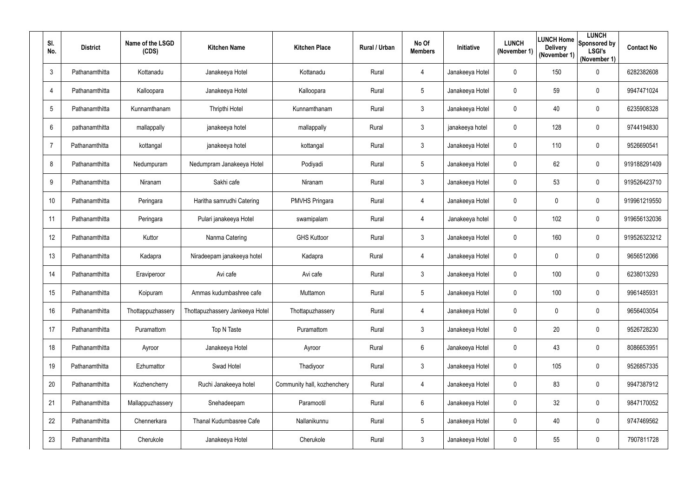| SI.<br>No.       | <b>District</b> | Name of the LSGD<br>(CDS) | <b>Kitchen Name</b>             | <b>Kitchen Place</b>        | Rural / Urban | No Of<br><b>Members</b> | Initiative      | <b>LUNCH</b><br>(November 1) | LUNCH Home<br><b>Delivery</b><br>(November 1) | <b>LUNCH</b><br>Sponsored by<br><b>LSGI's</b><br>(November 1) | <b>Contact No</b> |
|------------------|-----------------|---------------------------|---------------------------------|-----------------------------|---------------|-------------------------|-----------------|------------------------------|-----------------------------------------------|---------------------------------------------------------------|-------------------|
| 3                | Pathanamthitta  | Kottanadu                 | Janakeeya Hotel                 | Kottanadu                   | Rural         | 4                       | Janakeeya Hotel | $\mathbf 0$                  | 150                                           | $\mathbf 0$                                                   | 6282382608        |
| 4                | Pathanamthitta  | Kalloopara                | Janakeeya Hotel                 | Kalloopara                  | Rural         | 5                       | Janakeeya Hotel | $\mathbf 0$                  | 59                                            | $\mathbf 0$                                                   | 9947471024        |
| 5                | Pathanamthitta  | Kunnamthanam              | Thripthi Hotel                  | Kunnamthanam                | Rural         | $\mathfrak{Z}$          | Janakeeya Hotel | $\mathbf 0$                  | 40                                            | $\mathbf 0$                                                   | 6235908328        |
| 6                | pathanamthitta  | mallappally               | janakeeya hotel                 | mallappally                 | Rural         | $\mathfrak{Z}$          | janakeeya hotel | $\mathbf 0$                  | 128                                           | $\boldsymbol{0}$                                              | 9744194830        |
| $\overline{7}$   | Pathanamthitta  | kottangal                 | janakeeya hotel                 | kottangal                   | Rural         | $\mathfrak{Z}$          | Janakeeya Hotel | $\mathbf 0$                  | 110                                           | $\mathbf 0$                                                   | 9526690541        |
| 8                | Pathanamthitta  | Nedumpuram                | Nedumpram Janakeeya Hotel       | Podiyadi                    | Rural         | 5                       | Janakeeya Hotel | $\mathbf 0$                  | 62                                            | $\boldsymbol{0}$                                              | 919188291409      |
| 9                | Pathanamthitta  | Niranam                   | Sakhi cafe                      | Niranam                     | Rural         | $\mathfrak{Z}$          | Janakeeya Hotel | $\mathbf 0$                  | 53                                            | $\boldsymbol{0}$                                              | 919526423710      |
| 10 <sup>°</sup>  | Pathanamthitta  | Peringara                 | Haritha samrudhi Catering       | <b>PMVHS Pringara</b>       | Rural         | 4                       | Janakeeya Hotel | $\mathbf 0$                  | 0                                             | $\mathbf 0$                                                   | 919961219550      |
| 11               | Pathanamthitta  | Peringara                 | Pulari janakeeya Hotel          | swamipalam                  | Rural         | 4                       | Janakeeya hotel | $\mathbf 0$                  | 102                                           | $\boldsymbol{0}$                                              | 919656132036      |
| 12               | Pathanamthitta  | Kuttor                    | Nanma Catering                  | <b>GHS Kuttoor</b>          | Rural         | $\mathbf{3}$            | Janakeeya Hotel | $\mathbf 0$                  | 160                                           | $\mathbf 0$                                                   | 919526323212      |
| 13               | Pathanamthitta  | Kadapra                   | Niradeepam janakeeya hotel      | Kadapra                     | Rural         | 4                       | Janakeeya Hotel | $\mathbf 0$                  | $\boldsymbol{0}$                              | $\boldsymbol{0}$                                              | 9656512066        |
| 14               | Pathanamthitta  | Eraviperoor               | Avi cafe                        | Avi cafe                    | Rural         | 3                       | Janakeeya Hotel | $\mathbf 0$                  | 100                                           | $\overline{0}$                                                | 6238013293        |
| 15 <sub>15</sub> | Pathanamthitta  | Koipuram                  | Ammas kudumbashree cafe         | Muttamon                    | Rural         |                         | Janakeeya Hotel | $\mathbf{0}$                 | 100                                           | 0                                                             | 9961485931        |
| 16 <sup>°</sup>  | Pathanamthitta  | Thottappuzhassery         | Thottapuzhassery Jankeeya Hotel | Thottapuzhassery            | Rural         | 4                       | Janakeeya Hotel | $\mathbf 0$                  | $\mathbf 0$                                   | $\boldsymbol{0}$                                              | 9656403054        |
| 17               | Pathanamthitta  | Puramattom                | Top N Taste                     | Puramattom                  | Rural         | $\mathfrak{Z}$          | Janakeeya Hotel | $\mathbf 0$                  | 20                                            | $\pmb{0}$                                                     | 9526728230        |
| 18               | Pathanamthitta  | Ayroor                    | Janakeeya Hotel                 | Ayroor                      | Rural         | $6\overline{6}$         | Janakeeya Hotel | $\pmb{0}$                    | 43                                            | $\boldsymbol{0}$                                              | 8086653951        |
| 19               | Pathanamthitta  | Ezhumattor                | Swad Hotel                      | Thadiyoor                   | Rural         | $\mathfrak{Z}$          | Janakeeya Hotel | $\mathbf 0$                  | 105                                           | $\boldsymbol{0}$                                              | 9526857335        |
| 20               | Pathanamthitta  | Kozhencherry              | Ruchi Janakeeya hotel           | Community hall, kozhenchery | Rural         | 4                       | Janakeeya Hotel | $\mathbf 0$                  | 83                                            | $\pmb{0}$                                                     | 9947387912        |
| 21               | Pathanamthitta  | Mallappuzhassery          | Snehadeepam                     | Paramootil                  | Rural         | 6                       | Janakeeya Hotel | $\mathbf 0$                  | 32                                            | $\boldsymbol{0}$                                              | 9847170052        |
| 22               | Pathanamthitta  | Chennerkara               | Thanal Kudumbasree Cafe         | Nallanikunnu                | Rural         | 5                       | Janakeeya Hotel | $\mathbf 0$                  | 40                                            | $\boldsymbol{0}$                                              | 9747469562        |
| 23               | Pathanamthitta  | Cherukole                 | Janakeeya Hotel                 | Cherukole                   | Rural         | $\mathfrak{S}$          | Janakeeya Hotel | $\pmb{0}$                    | 55                                            | $\pmb{0}$                                                     | 7907811728        |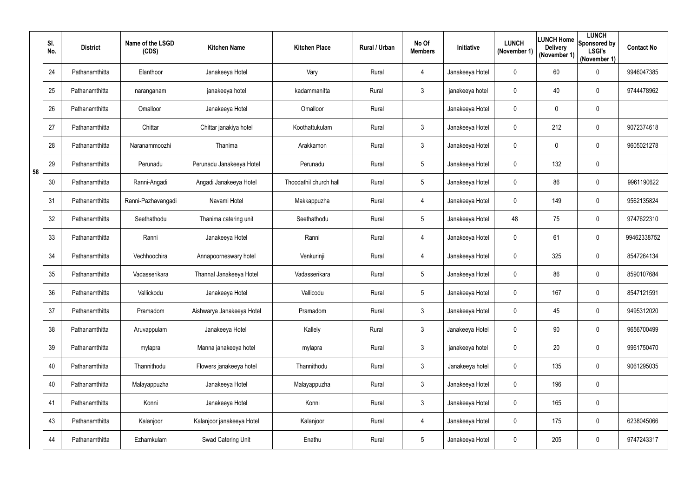|    | SI.<br>No. | <b>District</b> | Name of the LSGD<br>(CDS) | <b>Kitchen Name</b>       | <b>Kitchen Place</b>   | Rural / Urban | No Of<br><b>Members</b> | Initiative      | <b>LUNCH</b><br>(November 1) | <b>Delivery</b><br>(November 1) | <b>LUNCH</b><br><b>ILUNCH Home</b> Sponsored by<br><b>LSGI's</b><br>(November 1) | <b>Contact No</b> |
|----|------------|-----------------|---------------------------|---------------------------|------------------------|---------------|-------------------------|-----------------|------------------------------|---------------------------------|----------------------------------------------------------------------------------|-------------------|
|    | 24         | Pathanamthitta  | Elanthoor                 | Janakeeya Hotel           | Vary                   | Rural         | 4                       | Janakeeya Hotel | $\mathbf{0}$                 | 60                              | $\pmb{0}$                                                                        | 9946047385        |
|    | 25         | Pathanamthitta  | naranganam                | janakeeya hotel           | kadammanitta           | Rural         | 3                       | janakeeya hotel | $\mathbf 0$                  | 40                              | $\mathbf 0$                                                                      | 9744478962        |
|    | 26         | Pathanamthitta  | Omalloor                  | Janakeeya Hotel           | Omalloor               | Rural         |                         | Janakeeya Hotel | 0                            | 0                               | $\mathbf 0$                                                                      |                   |
|    | 27         | Pathanamthitta  | Chittar                   | Chittar janakiya hotel    | Koothattukulam         | Rural         | $\mathfrak{Z}$          | Janakeeya Hotel | $\mathbf 0$                  | 212                             | $\overline{0}$                                                                   | 9072374618        |
|    | 28         | Pathanamthitta  | Naranammoozhi             | Thanima                   | Arakkamon              | Rural         | $\mathfrak{Z}$          | Janakeeya Hotel | $\mathbf 0$                  | 0                               | $\pmb{0}$                                                                        | 9605021278        |
| 58 | 29         | Pathanamthitta  | Perunadu                  | Perunadu Janakeeya Hotel  | Perunadu               | Rural         | $5\phantom{.0}$         | Janakeeya Hotel | $\mathbf 0$                  | 132                             | $\boldsymbol{0}$                                                                 |                   |
|    | 30         | Pathanamthitta  | Ranni-Angadi              | Angadi Janakeeya Hotel    | Thoodathil church hall | Rural         | $5\overline{)}$         | Janakeeya Hotel | 0                            | 86                              | 0                                                                                | 9961190622        |
|    | 31         | Pathanamthitta  | Ranni-Pazhavangadi        | Navami Hotel              | Makkappuzha            | Rural         | 4                       | Janakeeya Hotel | $\mathbf 0$                  | 149                             | $\mathbf 0$                                                                      | 9562135824        |
|    | 32         | Pathanamthitta  | Seethathodu               | Thanima catering unit     | Seethathodu            | Rural         | $5\phantom{.0}$         | Janakeeya Hotel | 48                           | 75                              | $\boldsymbol{0}$                                                                 | 9747622310        |
|    | 33         | Pathanamthitta  | Ranni                     | Janakeeya Hotel           | Ranni                  | Rural         | 4                       | Janakeeya Hotel | $\mathbf 0$                  | 61                              | $\boldsymbol{0}$                                                                 | 99462338752       |
|    | 34         | Pathanamthitta  | Vechhoochira              | Annapoorneswary hotel     | Venkurinji             | Rural         | 4                       | Janakeeya Hotel | $\mathbf 0$                  | 325                             | 0                                                                                | 8547264134        |
|    | 35         | Pathanamthitta  | Vadasserikara             | Thannal Janakeeya Hotel   | Vadasserikara          | Rural         | $5\overline{)}$         | Janakeeya Hotel | $\mathbf 0$                  | 86                              | $\overline{0}$                                                                   | 8590107684        |
|    | 36         | Pathanamthitta  | Vallickodu                | Janakeeya Hotel           | Vallicodu              | Rural         | $5\overline{)}$         | Janakeeya Hotel | $\mathbf 0$                  | 167                             | 0                                                                                | 8547121591        |
|    | 37         | Pathanamthitta  | Pramadom                  | Aishwarya Janakeeya Hotel | Pramadom               | Rural         | $\mathfrak{Z}$          | Janakeeya Hotel | $\mathbf 0$                  | 45                              | $\pmb{0}$                                                                        | 9495312020        |
|    | 38         | Pathanamthitta  | Aruvappulam               | Janakeeya Hotel           | Kallely                | Rural         | $\mathfrak{Z}$          | Janakeeya Hotel | $\mathbf 0$                  | 90                              | $\boldsymbol{0}$                                                                 | 9656700499        |
|    | 39         | Pathanamthitta  | mylapra                   | Manna janakeeya hotel     | mylapra                | Rural         | $\mathfrak{Z}$          | janakeeya hotel | $\mathbf 0$                  | 20                              | $\boldsymbol{0}$                                                                 | 9961750470        |
|    | 40         | Pathanamthitta  | Thannithodu               | Flowers janakeeya hotel   | Thannithodu            | Rural         | $\mathfrak{Z}$          | Janakeeya hotel | $\mathbf 0$                  | 135                             | $\boldsymbol{0}$                                                                 | 9061295035        |
|    | 40         | Pathanamthitta  | Malayappuzha              | Janakeeya Hotel           | Malayappuzha           | Rural         | $\mathfrak{Z}$          | Janakeeya Hotel | $\mathbf 0$                  | 196                             | $\pmb{0}$                                                                        |                   |
|    | 41         | Pathanamthitta  | Konni                     | Janakeeya Hotel           | Konni                  | Rural         | $\mathfrak{Z}$          | Janakeeya Hotel | $\mathbf 0$                  | 165                             | $\pmb{0}$                                                                        |                   |
|    | 43         | Pathanamthitta  | Kalanjoor                 | Kalanjoor janakeeya Hotel | Kalanjoor              | Rural         | 4                       | Janakeeya Hotel | $\mathbf 0$                  | 175                             | $\pmb{0}$                                                                        | 6238045066        |
|    | 44         | Pathanamthitta  | Ezhamkulam                | Swad Catering Unit        | Enathu                 | Rural         | $5\phantom{.0}$         | Janakeeya Hotel | $\mathbf 0$                  | 205                             | $\pmb{0}$                                                                        | 9747243317        |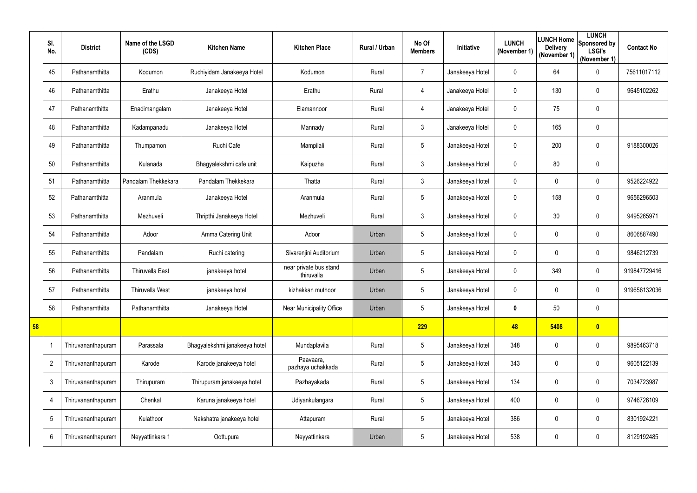|    | SI.<br>No.     | <b>District</b>    | Name of the LSGD<br>(CDS) | <b>Kitchen Name</b>           | <b>Kitchen Place</b>                 | Rural / Urban | No Of<br><b>Members</b> | Initiative      | <b>LUNCH</b><br>(November 1) | <b>Delivery</b><br>(November 1) | <b>LUNCH</b><br>LUNCH Home Sponsored by<br><b>LSGI's</b><br>(November 1) | <b>Contact No</b> |
|----|----------------|--------------------|---------------------------|-------------------------------|--------------------------------------|---------------|-------------------------|-----------------|------------------------------|---------------------------------|--------------------------------------------------------------------------|-------------------|
|    | 45             | Pathanamthitta     | Kodumon                   | Ruchiyidam Janakeeya Hotel    | Kodumon                              | Rural         | $\overline{7}$          | Janakeeya Hotel | $\mathbf{0}$                 | 64                              | $\pmb{0}$                                                                | 75611017112       |
|    | 46             | Pathanamthitta     | Erathu                    | Janakeeya Hotel               | Erathu                               | Rural         | 4                       | Janakeeya Hotel | $\mathbf 0$                  | 130                             | $\mathbf 0$                                                              | 9645102262        |
|    | 47             | Pathanamthitta     | Enadimangalam             | Janakeeya Hotel               | Elamannoor                           | Rural         | 4                       | Janakeeya Hotel | $\mathbf 0$                  | 75                              | $\pmb{0}$                                                                |                   |
|    | 48             | Pathanamthitta     | Kadampanadu               | Janakeeya Hotel               | Mannady                              | Rural         | 3                       | Janakeeya Hotel | $\mathbf 0$                  | 165                             | $\pmb{0}$                                                                |                   |
|    | 49             | Pathanamthitta     | Thumpamon                 | Ruchi Cafe                    | Mampilali                            | Rural         | 5                       | Janakeeya Hotel | $\mathbf{0}$                 | 200                             | $\pmb{0}$                                                                | 9188300026        |
|    | 50             | Pathanamthitta     | Kulanada                  | Bhagyalekshmi cafe unit       | Kaipuzha                             | Rural         | $\mathfrak{Z}$          | Janakeeya Hotel | $\mathbf 0$                  | 80                              | $\pmb{0}$                                                                |                   |
|    | 51             | Pathanamthitta     | Pandalam Thekkekara       | Pandalam Thekkekara           | Thatta                               | Rural         | $\mathfrak{Z}$          | Janakeeya Hotel | $\mathbf 0$                  | $\mathbf 0$                     | $\mathbf 0$                                                              | 9526224922        |
|    | 52             | Pathanamthitta     | Aranmula                  | Janakeeya Hotel               | Aranmula                             | Rural         | 5                       | Janakeeya Hotel | $\overline{0}$               | 158                             | $\pmb{0}$                                                                | 9656296503        |
|    | 53             | Pathanamthitta     | Mezhuveli                 | Thripthi Janakeeya Hotel      | Mezhuveli                            | Rural         | 3                       | Janakeeya Hotel | $\mathbf 0$                  | 30                              | $\mathbf 0$                                                              | 9495265971        |
|    | 54             | Pathanamthitta     | Adoor                     | Amma Catering Unit            | Adoor                                | Urban         | 5                       | Janakeeya Hotel | $\mathbf 0$                  | $\mathbf 0$                     | $\mathbf 0$                                                              | 8606887490        |
|    | 55             | Pathanamthitta     | Pandalam                  | Ruchi catering                | Sivarenjini Auditorium               | Urban         | 5                       | Janakeeya Hotel | $\mathbf 0$                  | $\mathbf 0$                     | $\pmb{0}$                                                                | 9846212739        |
|    | 56             | Pathanamthitta     | <b>Thiruvalla East</b>    | janakeeya hotel               | near private bus stand<br>thiruvalla | Urban         | 5                       | Janakeeya Hotel | $\mathbf 0$                  | 349                             | $\pmb{0}$                                                                | 919847729416      |
|    | 57             | Pathanamthitta     | Thiruvalla West           | janakeeya hotel               | kizhakkan muthoor                    | Urban         | 5                       | Janakeeya Hotel | 0                            | $\mathbf 0$                     | $\mathbf 0$                                                              | 919656132036      |
|    | 58             | Pathanamthitta     | Pathanamthitta            | Janakeeya Hotel               | Near Municipality Office             | Urban         | 5                       | Janakeeya Hotel | $\boldsymbol{0}$             | 50                              | $\pmb{0}$                                                                |                   |
| 58 |                |                    |                           |                               |                                      |               | 229                     |                 | 48                           | 5408                            | $\bullet$                                                                |                   |
|    | -1             | Thiruvananthapuram | Parassala                 | Bhagyalekshmi janakeeya hotel | Mundaplavila                         | Rural         | 5                       | Janakeeya Hotel | 348                          | $\mathbf 0$                     | $\pmb{0}$                                                                | 9895463718        |
|    | $\overline{2}$ | Thiruvananthapuram | Karode                    | Karode janakeeya hotel        | Paavaara,<br>pazhaya uchakkada       | Rural         | 5                       | Janakeeya Hotel | 343                          | $\mathbf 0$                     | $\pmb{0}$                                                                | 9605122139        |
|    | 3              | Thiruvananthapuram | Thirupuram                | Thirupuram janakeeya hotel    | Pazhayakada                          | Rural         | 5                       | Janakeeya Hotel | 134                          | $\mathbf 0$                     | $\pmb{0}$                                                                | 7034723987        |
|    | 4              | Thiruvananthapuram | Chenkal                   | Karuna janakeeya hotel        | Udiyankulangara                      | Rural         | 5                       | Janakeeya Hotel | 400                          | $\mathbf 0$                     | $\pmb{0}$                                                                | 9746726109        |
|    | 5              | Thiruvananthapuram | Kulathoor                 | Nakshatra janakeeya hotel     | Attapuram                            | Rural         | 5                       | Janakeeya Hotel | 386                          | $\mathbf 0$                     | $\pmb{0}$                                                                | 8301924221        |
|    | 6              | Thiruvananthapuram | Neyyattinkara 1           | Oottupura                     | Neyyattinkara                        | Urban         | 5                       | Janakeeya Hotel | 538                          | $\mathbf 0$                     | $\pmb{0}$                                                                | 8129192485        |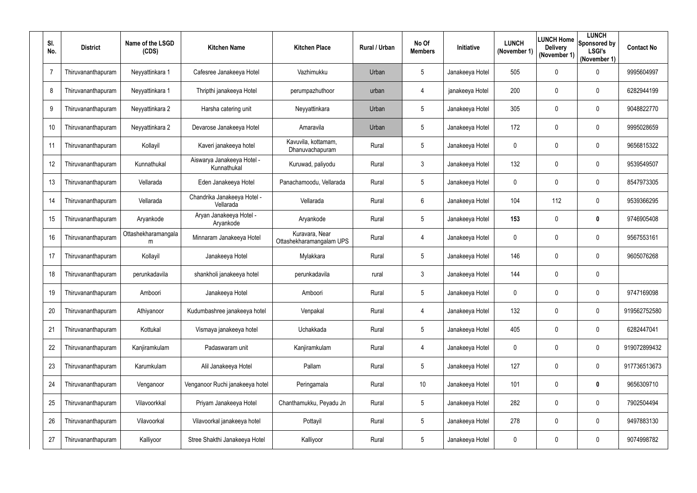| SI.<br>No.      | <b>District</b>    | Name of the LSGD<br>(CDS) | <b>Kitchen Name</b>                       | <b>Kitchen Place</b>                       | Rural / Urban | No Of<br><b>Members</b> | Initiative      | <b>LUNCH</b><br>(November 1) | LUNCH Home<br><b>Delivery</b><br>(November 1) | <b>LUNCH</b><br>Sponsored by<br><b>LSGI's</b><br>(November 1) | <b>Contact No</b> |
|-----------------|--------------------|---------------------------|-------------------------------------------|--------------------------------------------|---------------|-------------------------|-----------------|------------------------------|-----------------------------------------------|---------------------------------------------------------------|-------------------|
| 7               | Thiruvananthapuram | Neyyattinkara 1           | Cafesree Janakeeya Hotel                  | Vazhimukku                                 | Urban         | 5                       | Janakeeya Hotel | 505                          | 0                                             | 0                                                             | 9995604997        |
| 8               | Thiruvananthapuram | Neyyattinkara 1           | Thripthi janakeeya Hotel                  | perumpazhuthoor                            | urban         | 4                       | janakeeya Hotel | 200                          | 0                                             | $\mathbf 0$                                                   | 6282944199        |
| 9               | Thiruvananthapuram | Neyyattinkara 2           | Harsha catering unit                      | Neyyattinkara                              | Urban         | 5                       | Janakeeya Hotel | 305                          | 0                                             | 0                                                             | 9048822770        |
| 10 <sup>°</sup> | Thiruvananthapuram | Neyyattinkara 2           | Devarose Janakeeya Hotel                  | Amaravila                                  | Urban         | 5                       | Janakeeya Hotel | 172                          | $\mathbf 0$                                   | $\mathbf 0$                                                   | 9995028659        |
| 11              | Thiruvananthapuram | Kollayil                  | Kaveri janakeeya hotel                    | Kavuvila, kottamam,<br>Dhanuvachapuram     | Rural         | 5                       | Janakeeya Hotel | 0                            | 0                                             | $\mathbf 0$                                                   | 9656815322        |
| 12              | Thiruvananthapuram | Kunnathukal               | Aiswarya Janakeeya Hotel -<br>Kunnathukal | Kuruwad, paliyodu                          | Rural         | 3                       | Janakeeya Hotel | 132                          | 0                                             | $\mathbf 0$                                                   | 9539549507        |
| 13              | Thiruvananthapuram | Vellarada                 | Eden Janakeeya Hotel                      | Panachamoodu, Vellarada                    | Rural         | 5                       | Janakeeya Hotel | $\mathbf 0$                  | 0                                             | 0                                                             | 8547973305        |
| 14              | Thiruvananthapuram | Vellarada                 | Chandrika Janakeeya Hotel -<br>Vellarada  | Vellarada                                  | Rural         | 6                       | Janakeeya Hotel | 104                          | 112                                           | $\mathbf 0$                                                   | 9539366295        |
| 15              | Thiruvananthapuram | Aryankode                 | Aryan Janakeeya Hotel -<br>Aryankode      | Aryankode                                  | Rural         | 5                       | Janakeeya Hotel | 153                          | $\boldsymbol{0}$                              | $\boldsymbol{0}$                                              | 9746905408        |
| 16              | Thiruvananthapuram | Ottashekharamangala<br>m  | Minnaram Janakeeya Hotel                  | Kuravara, Near<br>Ottashekharamangalam UPS | Rural         | 4                       | Janakeeya Hotel | $\mathbf 0$                  | 0                                             | $\mathbf 0$                                                   | 9567553161        |
| 17              | Thiruvananthapuram | Kollayil                  | Janakeeya Hotel                           | Mylakkara                                  | Rural         | 5                       | Janakeeya Hotel | 146                          | 0                                             | $\pmb{0}$                                                     | 9605076268        |
| 18              | Thiruvananthapuram | perunkadavila             | shankholi janakeeya hotel                 | perunkadavila                              | rural         | 3                       | Janakeeya Hotel | 144                          | $\mathbf 0$                                   | $\mathbf 0$                                                   |                   |
| 19              | Thiruvananthapuram | Amboori                   | Janakeeya Hotel                           | Amboori                                    | Rural         | 5                       | Janakeeya Hotel | $\mathbf 0$                  | $\mathbf 0$                                   | $\boldsymbol{0}$                                              | 9747169098        |
| 20              | Thiruvananthapuram | Athiyanoor                | Kudumbashree janakeeya hotel              | Venpakal                                   | Rural         | 4                       | Janakeeya Hotel | 132                          | $\mathbf 0$                                   | $\pmb{0}$                                                     | 919562752580      |
| 21              | Thiruvananthapuram | Kottukal                  | Vismaya janakeeya hotel                   | Uchakkada                                  | Rural         | 5                       | Janakeeya Hotel | 405                          | $\boldsymbol{0}$                              | $\boldsymbol{0}$                                              | 6282447041        |
| 22              | Thiruvananthapuram | Kanjiramkulam             | Padaswaram unit                           | Kanjiramkulam                              | Rural         | 4                       | Janakeeya Hotel | $\mathbf 0$                  | 0                                             | $\boldsymbol{0}$                                              | 919072899432      |
| 23              | Thiruvananthapuram | Karumkulam                | Alil Janakeeya Hotel                      | Pallam                                     | Rural         | 5                       | Janakeeya Hotel | 127                          | 0                                             | $\boldsymbol{0}$                                              | 917736513673      |
| 24              | Thiruvananthapuram | Venganoor                 | Venganoor Ruchi janakeeya hotel           | Peringamala                                | Rural         | 10                      | Janakeeya Hotel | 101                          | 0                                             | $\boldsymbol{0}$                                              | 9656309710        |
| 25              | Thiruvananthapuram | Vilavoorkkal              | Priyam Janakeeya Hotel                    | Chanthamukku, Peyadu Jn                    | Rural         | 5                       | Janakeeya Hotel | 282                          | 0                                             | $\boldsymbol{0}$                                              | 7902504494        |
| 26              | Thiruvananthapuram | Vilavoorkal               | Vilavoorkal janakeeya hotel               | Pottayil                                   | Rural         | 5                       | Janakeeya Hotel | 278                          | 0                                             | $\overline{0}$                                                | 9497883130        |
| 27              | Thiruvananthapuram | Kalliyoor                 | Stree Shakthi Janakeeya Hotel             | Kalliyoor                                  | Rural         | 5                       | Janakeeya Hotel | 0                            | 0                                             | $\boldsymbol{0}$                                              | 9074998782        |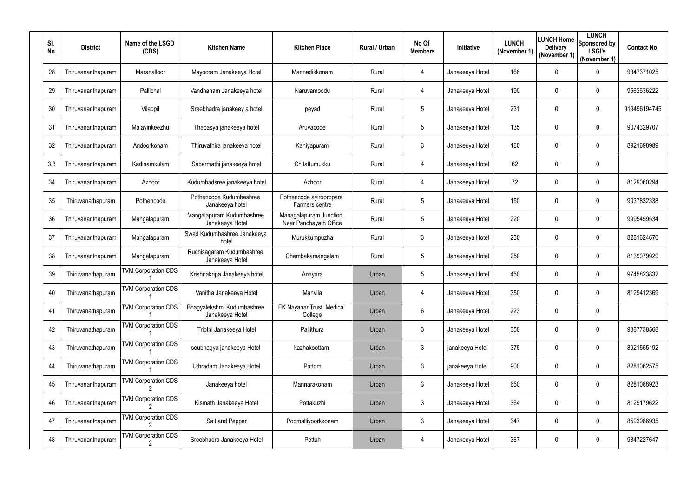| SI.<br>No. | <b>District</b>    | Name of the LSGD<br>(CDS)  | <b>Kitchen Name</b>                           | <b>Kitchen Place</b>                              | Rural / Urban | No Of<br><b>Members</b> | Initiative      | <b>LUNCH</b><br>(November 1) | LUNCH Home<br><b>Delivery</b><br>(November 1) | <b>LUNCH</b><br>Sponsored by<br><b>LSGI's</b><br>(November 1) | <b>Contact No</b> |
|------------|--------------------|----------------------------|-----------------------------------------------|---------------------------------------------------|---------------|-------------------------|-----------------|------------------------------|-----------------------------------------------|---------------------------------------------------------------|-------------------|
| 28         | Thiruvananthapuram | Maranalloor                | Mayooram Janakeeya Hotel                      | Mannadikkonam                                     | Rural         | 4                       | Janakeeya Hotel | 166                          | $\mathbf 0$                                   | $\pmb{0}$                                                     | 9847371025        |
| 29         | Thiruvananthapuram | Pallichal                  | Vandhanam Janakeeya hotel                     | Naruvamoodu                                       | Rural         | 4                       | Janakeeya Hotel | 190                          | 0                                             | 0                                                             | 9562636222        |
| 30         | Thiruvananthapuram | Vilappil                   | Sreebhadra janakeey a hotel                   | peyad                                             | Rural         | 5                       | Janakeeya Hotel | 231                          | $\mathbf 0$                                   | $\pmb{0}$                                                     | 919496194745      |
| 31         | Thiruvananthapuram | Malayinkeezhu              | Thapasya janakeeya hotel                      | Aruvacode                                         | Rural         | 5                       | Janakeeya Hotel | 135                          | 0                                             | $\boldsymbol{0}$                                              | 9074329707        |
| 32         | Thiruvananthapuram | Andoorkonam                | Thiruvathira janakeeya hotel                  | Kaniyapuram                                       | Rural         | 3                       | Janakeeya Hotel | 180                          | 0                                             | 0                                                             | 8921698989        |
| 3,3        | Thiruvananthapuram | Kadinamkulam               | Sabarmathi janakeeya hotel                    | Chitattumukku                                     | Rural         | 4                       | Janakeeya Hotel | 62                           | $\mathbf 0$                                   | $\pmb{0}$                                                     |                   |
| 34         | Thiruvananthapuram | Azhoor                     | Kudumbadsree janakeeya hotel                  | Azhoor                                            | Rural         | 4                       | Janakeeya Hotel | 72                           | $\mathbf 0$                                   | 0                                                             | 8129060294        |
| 35         | Thiruvanathapuram  | Pothencode                 | Pothencode Kudumbashree<br>Janakeeya hotel    | Pothencode ayiroorppara<br>Farmers centre         | Rural         | 5                       | Janakeeya Hotel | 150                          | 0                                             | 0                                                             | 9037832338        |
| 36         | Thiruvananthapuram | Mangalapuram               | Mangalapuram Kudumbashree<br>Janakeeya Hotel  | Managalapuram Junction,<br>Near Panchayath Office | Rural         | 5                       | Janakeeya Hotel | 220                          | $\mathbf 0$                                   | 0                                                             | 9995459534        |
| 37         | Thiruvananthapuram | Mangalapuram               | Swad Kudumbashree Janakeeya<br>hotel          | Murukkumpuzha                                     | Rural         | 3                       | Janakeeya Hotel | 230                          | 0                                             | 0                                                             | 8281624670        |
| 38         | Thiruvananthapuram | Mangalapuram               | Ruchisagaram Kudumbashree<br>Janakeeya Hotel  | Chembakamangalam                                  | Rural         | 5                       | Janakeeya Hotel | 250                          | $\mathbf 0$                                   | $\mathbf 0$                                                   | 8139079929        |
| 39         | Thiruvanathapuram  | <b>TVM Corporation CDS</b> | Krishnakripa Janakeeya hotel                  | Anayara                                           | Urban         | 5                       | Janakeeya Hotel | 450                          | 0                                             | 0                                                             | 9745823832        |
| 40         | Thiruvanathapuram  | <b>TVM Corporation CDS</b> | Vanitha Janakeeya Hotel                       | Manvila                                           | Urban         |                         | Janakeeya Hotel | 350                          | $\mathbf 0$                                   | 0                                                             | 8129412369        |
| 41         | Thiruvanathapuram  | <b>TVM Corporation CDS</b> | Bhagyalekshmi Kudumbashree<br>Janakeeya Hotel | EK Nayanar Trust, Medical<br>College              | Urban         | 6                       | Janakeeya Hotel | 223                          | $\mathbf 0$                                   | $\boldsymbol{0}$                                              |                   |
| 42         | Thiruvanathapuram  | <b>TVM Corporation CDS</b> | Tripthi Janakeeya Hotel                       | Pallithura                                        | Urban         | $\mathfrak{Z}$          | Janakeeya Hotel | 350                          | $\mathbf 0$                                   | $\boldsymbol{0}$                                              | 9387738568        |
| 43         | Thiruvanathapuram  | <b>TVM Corporation CDS</b> | soubhagya janakeeya Hotel                     | kazhakoottam                                      | Urban         | $\mathfrak{Z}$          | janakeeya Hotel | 375                          | 0                                             | $\boldsymbol{0}$                                              | 8921555192        |
| 44         | Thiruvanathapuram  | <b>TVM Corporation CDS</b> | Uthradam Janakeeya Hotel                      | Pattom                                            | Urban         | 3                       | janakeeya Hotel | 900                          | 0                                             | $\mathbf 0$                                                   | 8281062575        |
| 45         | Thiruvananthapuram | <b>TVM Corporation CDS</b> | Janakeeya hotel                               | Mannarakonam                                      | Urban         | $\mathfrak{Z}$          | Janakeeya Hotel | 650                          | $\mathbf 0$                                   | $\boldsymbol{0}$                                              | 8281088923        |
| 46         | Thiruvananthapuram | <b>TVM Corporation CDS</b> | Kismath Janakeeya Hotel                       | Pottakuzhi                                        | Urban         | $\mathfrak{Z}$          | Janakeeya Hotel | 364                          | $\mathbf 0$                                   | $\boldsymbol{0}$                                              | 8129179622        |
| 47         | Thiruvananthapuram | <b>TVM Corporation CDS</b> | Salt and Pepper                               | Poomalliyoorkkonam                                | Urban         | $\mathfrak{Z}$          | Janakeeya Hotel | 347                          | $\boldsymbol{0}$                              | $\boldsymbol{0}$                                              | 8593986935        |
| 48         | Thiruvananthapuram | <b>TVM Corporation CDS</b> | Sreebhadra Janakeeya Hotel                    | Pettah                                            | Urban         | 4                       | Janakeeya Hotel | 367                          | $\mathbf 0$                                   | $\boldsymbol{0}$                                              | 9847227647        |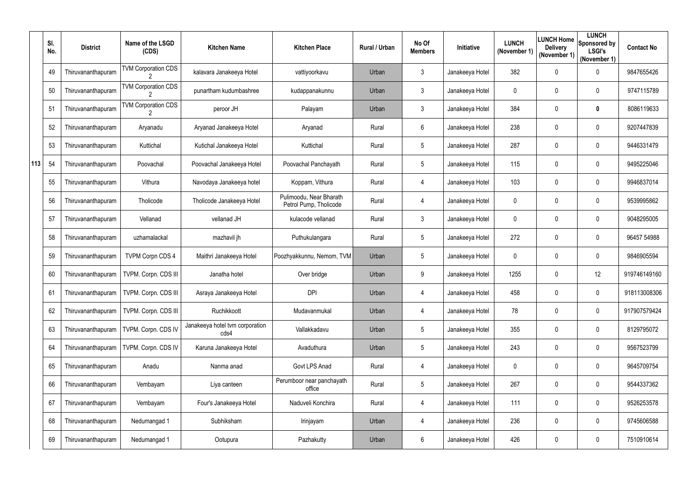|     | SI.<br>No. | <b>District</b>    | Name of the LSGD<br>(CDS)                 | <b>Kitchen Name</b>                     | <b>Kitchen Place</b>                              | Rural / Urban | No Of<br><b>Members</b> | Initiative      | <b>LUNCH</b><br>(November 1) | <b>LUNCH Home</b><br><b>Delivery</b><br>(November 1) | <b>LUNCH</b><br>Sponsored by<br><b>LSGI's</b><br>(November 1) | <b>Contact No</b> |
|-----|------------|--------------------|-------------------------------------------|-----------------------------------------|---------------------------------------------------|---------------|-------------------------|-----------------|------------------------------|------------------------------------------------------|---------------------------------------------------------------|-------------------|
|     | 49         | Thiruvananthapuram | <b>TVM Corporation CDS</b>                | kalavara Janakeeya Hotel                | vattiyoorkavu                                     | Urban         | $\mathfrak{Z}$          | Janakeeya Hotel | 382                          | $\mathbf 0$                                          | $\mathbf 0$                                                   | 9847655426        |
|     | 50         | Thiruvananthapuram | <b>TVM Corporation CDS</b>                | punartham kudumbashree                  | kudappanakunnu                                    | Urban         | 3                       | Janakeeya Hotel | 0                            | 0                                                    | 0                                                             | 9747115789        |
|     | 51         | Thiruvananthapuram | <b>TVM Corporation CDS</b>                | peroor JH                               | Palayam                                           | Urban         | 3                       | Janakeeya Hotel | 384                          | 0                                                    | $\mathbf 0$                                                   | 8086119633        |
|     | 52         | Thiruvananthapuram | Aryanadu                                  | Aryanad Janakeeya Hotel                 | Aryanad                                           | Rural         | 6                       | Janakeeya Hotel | 238                          | $\mathbf 0$                                          | 0                                                             | 9207447839        |
|     | 53         | Thiruvananthapuram | Kuttichal                                 | Kutichal Janakeeya Hotel                | Kuttichal                                         | Rural         | 5                       | Janakeeya Hotel | 287                          | 0                                                    | $\mathbf 0$                                                   | 9446331479        |
| 113 | 54         | Thiruvananthapuram | Poovachal                                 | Poovachal Janakeeya Hotel               | Poovachal Panchayath                              | Rural         | $5\overline{)}$         | Janakeeya Hotel | 115                          | $\mathbf 0$                                          | 0                                                             | 9495225046        |
|     | 55         | Thiruvananthapuram | Vithura                                   | Navodaya Janakeeya hotel                | Koppam, Vithura                                   | Rural         | 4                       | Janakeeya Hotel | 103                          | $\mathbf 0$                                          | 0                                                             | 9946837014        |
|     | 56         | Thiruvananthapuram | Tholicode                                 | Tholicode Janakeeya Hotel               | Pulimoodu, Near Bharath<br>Petrol Pump, Tholicode | Rural         | 4                       | Janakeeya Hotel | $\mathbf{0}$                 | 0                                                    | $\mathbf 0$                                                   | 9539995862        |
|     | 57         | Thiruvananthapuram | Vellanad                                  | vellanad JH                             | kulacode vellanad                                 | Rural         | $\mathfrak{Z}$          | Janakeeya Hotel | $\mathbf 0$                  | $\mathbf 0$                                          | 0                                                             | 9048295005        |
|     | 58         | Thiruvananthapuram | uzhamalackal                              | mazhavil jh                             | Puthukulangara                                    | Rural         | 5                       | Janakeeya Hotel | 272                          | 0                                                    | 0                                                             | 96457 54988       |
|     | 59         | Thiruvananthapuram | <b>TVPM Corpn CDS 4</b>                   | Maithri Janakeeya Hotel                 | Poozhyakkunnu, Nemom, TVM                         | Urban         | 5                       | Janakeeya Hotel | $\mathbf 0$                  | $\mathbf 0$                                          | 0                                                             | 9846905594        |
|     | 60         | Thiruvananthapuram | TVPM. Corpn. CDS III                      | Janatha hotel                           | Over bridge                                       | Urban         | 9                       | Janakeeya Hotel | 1255                         | 0                                                    | 12                                                            | 919746149160      |
|     | 61         |                    | Thiruvananthapuram   TVPM. Corpn. CDS III | Asraya Janakeeya Hotel                  | <b>DPI</b>                                        | Urban         |                         | Janakeeya Hotel | 458                          | 0                                                    | 0                                                             | 918113008306      |
|     | 62         | Thiruvananthapuram | TVPM. Corpn. CDS III                      | Ruchikkoott                             | Mudavanmukal                                      | Urban         | 4                       | Janakeeya Hotel | 78                           | 0                                                    | $\pmb{0}$                                                     | 917907579424      |
|     | 63         | Thiruvananthapuram | TVPM. Corpn. CDS IV                       | Janakeeya hotel tvm corporation<br>cds4 | Vallakkadavu                                      | Urban         | $5\phantom{.0}$         | Janakeeya Hotel | 355                          | 0                                                    | $\boldsymbol{0}$                                              | 8129795072        |
|     | 64         | Thiruvananthapuram | TVPM. Corpn. CDS IV                       | Karuna Janakeeya Hotel                  | Avaduthura                                        | Urban         | 5                       | Janakeeya Hotel | 243                          | 0                                                    | $\boldsymbol{0}$                                              | 9567523799        |
|     | 65         | Thiruvananthapuram | Anadu                                     | Nanma anad                              | Govt LPS Anad                                     | Rural         | 4                       | Janakeeya Hotel | $\mathbf 0$                  | 0                                                    | $\boldsymbol{0}$                                              | 9645709754        |
|     | 66         | Thiruvananthapuram | Vembayam                                  | Liya canteen                            | Perumboor near panchayath<br>office               | Rural         | $5\phantom{.0}$         | Janakeeya Hotel | 267                          | 0                                                    | $\boldsymbol{0}$                                              | 9544337362        |
|     | 67         | Thiruvananthapuram | Vembayam                                  | Four's Janakeeya Hotel                  | Naduveli Konchira                                 | Rural         | 4                       | Janakeeya Hotel | 111                          | 0                                                    | $\boldsymbol{0}$                                              | 9526253578        |
|     | 68         | Thiruvananthapuram | Nedumangad 1                              | Subhiksham                              | Irinjayam                                         | Urban         | 4                       | Janakeeya Hotel | 236                          | 0                                                    | $\boldsymbol{0}$                                              | 9745606588        |
|     | 69         | Thiruvananthapuram | Nedumangad 1                              | Ootupura                                | Pazhakutty                                        | Urban         | 6                       | Janakeeya Hotel | 426                          | 0                                                    | $\pmb{0}$                                                     | 7510910614        |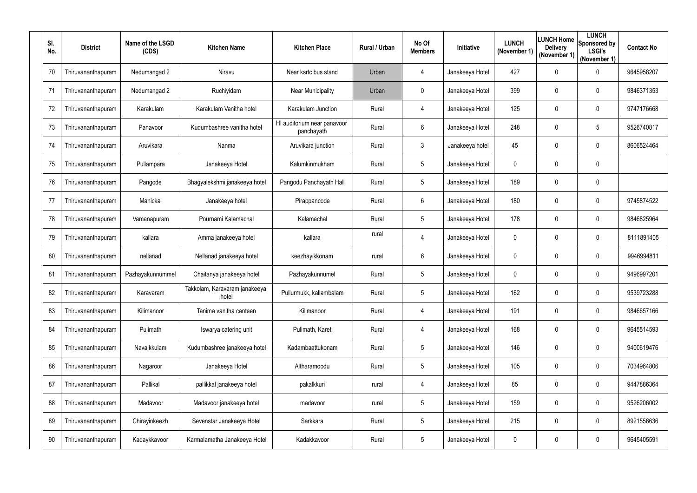| SI.<br>No. | <b>District</b>    | Name of the LSGD<br>(CDS) | <b>Kitchen Name</b>                    | <b>Kitchen Place</b>                      | Rural / Urban | No Of<br><b>Members</b> | Initiative      | <b>LUNCH</b><br>(November 1) | LUNCH Home<br><b>Delivery</b><br>(November 1) | <b>LUNCH</b><br>Sponsored by<br><b>LSGI's</b><br>(November 1) | <b>Contact No</b> |
|------------|--------------------|---------------------------|----------------------------------------|-------------------------------------------|---------------|-------------------------|-----------------|------------------------------|-----------------------------------------------|---------------------------------------------------------------|-------------------|
| 70         | Thiruvananthapuram | Nedumangad 2              | Niravu                                 | Near ksrtc bus stand                      | Urban         | 4                       | Janakeeya Hotel | 427                          | 0                                             | 0                                                             | 9645958207        |
| 71         | Thiruvananthapuram | Nedumangad 2              | Ruchiyidam                             | <b>Near Municipality</b>                  | Urban         | $\mathbf 0$             | Janakeeya Hotel | 399                          | 0                                             | $\overline{0}$                                                | 9846371353        |
| 72         | Thiruvananthapuram | Karakulam                 | Karakulam Vanitha hotel                | Karakulam Junction                        | Rural         | 4                       | Janakeeya Hotel | 125                          | 0                                             | $\mathbf 0$                                                   | 9747176668        |
| 73         | Thiruvananthapuram | Panavoor                  | Kudumbashree vanitha hotel             | HI auditorium near panavoor<br>panchayath | Rural         | 6                       | Janakeeya Hotel | 248                          | $\mathbf 0$                                   | $5\phantom{.0}$                                               | 9526740817        |
| 74         | Thiruvananthapuram | Aruvikara                 | Nanma                                  | Aruvikara junction                        | Rural         | 3                       | Janakeeya hotel | 45                           | 0                                             | $\mathbf 0$                                                   | 8606524464        |
| 75         | Thiruvananthapuram | Pullampara                | Janakeeya Hotel                        | Kalumkinmukham                            | Rural         | 5                       | Janakeeya Hotel | $\mathbf 0$                  | 0                                             | $\mathbf 0$                                                   |                   |
| 76         | Thiruvananthapuram | Pangode                   | Bhagyalekshmi janakeeya hotel          | Pangodu Panchayath Hall                   | Rural         | 5                       | Janakeeya Hotel | 189                          | $\mathbf 0$                                   | $\boldsymbol{0}$                                              |                   |
| 77         | Thiruvananthapuram | Manickal                  | Janakeeya hotel                        | Pirappancode                              | Rural         | 6                       | Janakeeya Hotel | 180                          | 0                                             | $\mathbf 0$                                                   | 9745874522        |
| 78         | Thiruvananthapuram | Vamanapuram               | Pournami Kalamachal                    | Kalamachal                                | Rural         | 5                       | Janakeeya Hotel | 178                          | $\boldsymbol{0}$                              | $\boldsymbol{0}$                                              | 9846825964        |
| 79         | Thiruvananthapuram | kallara                   | Amma janakeeya hotel                   | kallara                                   | rural         | 4                       | Janakeeya Hotel | $\mathbf 0$                  | 0                                             | $\mathbf 0$                                                   | 8111891405        |
| 80         | Thiruvananthapuram | nellanad                  | Nellanad janakeeya hotel               | keezhayikkonam                            | rural         | 6                       | Janakeeya Hotel | 0                            | 0                                             | $\mathbf 0$                                                   | 9946994811        |
| 81         | Thiruvananthapuram | Pazhayakunnummel          | Chaitanya janakeeya hotel              | Pazhayakunnumel                           | Rural         | 5                       | Janakeeya Hotel | $\pmb{0}$                    | 0                                             | $\mathbf 0$                                                   | 9496997201        |
| 82         | Thiruvananthapuram | Karavaram                 | Takkolam, Karavaram janakeeya<br>hotel | Pullurmukk, kallambalam                   | Rural         | $5\overline{)}$         | Janakeeya Hotel | 162                          | 0                                             | 0                                                             | 9539723288        |
| 83         | Thiruvananthapuram | Kilimanoor                | Tanima vanitha canteen                 | Kilimanoor                                | Rural         | 4                       | Janakeeya Hotel | 191                          | $\mathbf 0$                                   | $\boldsymbol{0}$                                              | 9846657166        |
| 84         | Thiruvananthapuram | Pulimath                  | Iswarya catering unit                  | Pulimath, Karet                           | Rural         | 4                       | Janakeeya Hotel | 168                          | $\boldsymbol{0}$                              | $\boldsymbol{0}$                                              | 9645514593        |
| 85         | Thiruvananthapuram | Navaikkulam               | Kudumbashree janakeeya hotel           | Kadambaattukonam                          | Rural         | $5\overline{)}$         | Janakeeya Hotel | 146                          | $\boldsymbol{0}$                              | $\boldsymbol{0}$                                              | 9400619476        |
| 86         | Thiruvananthapuram | Nagaroor                  | Janakeeya Hotel                        | Altharamoodu                              | Rural         | 5                       | Janakeeya Hotel | 105                          | 0                                             | $\overline{0}$                                                | 7034964806        |
| 87         | Thiruvananthapuram | Pallikal                  | pallikkal janakeeya hotel              | pakalkkuri                                | rural         | 4                       | Janakeeya Hotel | 85                           | 0                                             | $\boldsymbol{0}$                                              | 9447886364        |
| 88         | Thiruvananthapuram | Madavoor                  | Madavoor janakeeya hotel               | madavoor                                  | rural         | 5                       | Janakeeya Hotel | 159                          | $\mathbf 0$                                   | $\boldsymbol{0}$                                              | 9526206002        |
| 89         | Thiruvananthapuram | Chirayinkeezh             | Sevenstar Janakeeya Hotel              | Sarkkara                                  | Rural         | 5                       | Janakeeya Hotel | 215                          | 0                                             | $\overline{0}$                                                | 8921556636        |
| 90         | Thiruvananthapuram | Kadaykkavoor              | Karmalamatha Janakeeya Hotel           | Kadakkavoor                               | Rural         | $5\phantom{.0}$         | Janakeeya Hotel | 0                            | 0                                             | $\boldsymbol{0}$                                              | 9645405591        |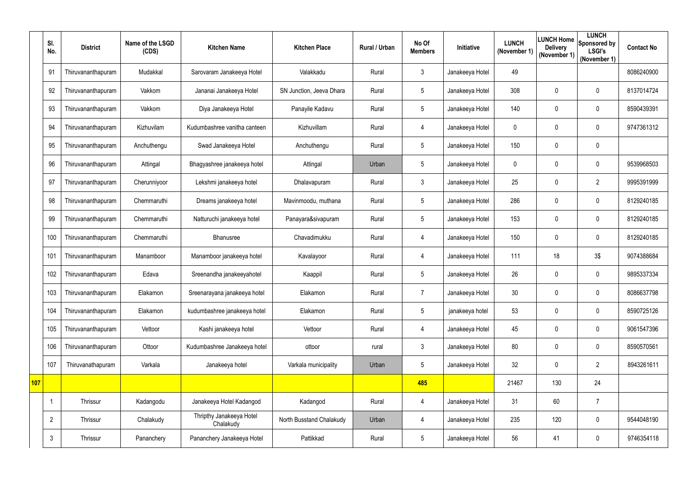|     | SI.<br>No.     | <b>District</b>    | Name of the LSGD<br>(CDS) | <b>Kitchen Name</b>                   | <b>Kitchen Place</b>     | Rural / Urban | No Of<br><b>Members</b> | Initiative      | <b>LUNCH</b><br>(November 1) | <b>LUNCH Home</b><br><b>Delivery</b><br>(November 1) | <b>LUNCH</b><br>Sponsored by<br><b>LSGI's</b><br>(November 1) | <b>Contact No</b> |
|-----|----------------|--------------------|---------------------------|---------------------------------------|--------------------------|---------------|-------------------------|-----------------|------------------------------|------------------------------------------------------|---------------------------------------------------------------|-------------------|
|     | 91             | Thiruvananthapuram | Mudakkal                  | Sarovaram Janakeeya Hotel             | Valakkadu                | Rural         | 3                       | Janakeeya Hotel | 49                           |                                                      |                                                               | 8086240900        |
|     | 92             | Thiruvananthapuram | Vakkom                    | Jananai Janakeeya Hotel               | SN Junction, Jeeva Dhara | Rural         | 5                       | Janakeeya Hotel | 308                          | $\mathbf 0$                                          | 0                                                             | 8137014724        |
|     | 93             | Thiruvananthapuram | Vakkom                    | Diya Janakeeya Hotel                  | Panayile Kadavu          | Rural         | 5                       | Janakeeya Hotel | 140                          | 0                                                    | $\mathbf 0$                                                   | 8590439391        |
|     | 94             | Thiruvananthapuram | Kizhuvilam                | Kudumbashree vanitha canteen          | Kizhuvillam              | Rural         | 4                       | Janakeeya Hotel | $\mathbf 0$                  | $\mathbf 0$                                          | 0                                                             | 9747361312        |
|     | 95             | Thiruvananthapuram | Anchuthengu               | Swad Janakeeya Hotel                  | Anchuthengu              | Rural         | $5\overline{)}$         | Janakeeya Hotel | 150                          | 0                                                    | $\mathbf 0$                                                   |                   |
|     | 96             | Thiruvananthapuram | Attingal                  | Bhagyashree janakeeya hotel           | Attingal                 | Urban         | $5\overline{)}$         | Janakeeya Hotel | $\mathbf 0$                  | $\mathbf 0$                                          | 0                                                             | 9539968503        |
|     | 97             | Thiruvananthapuram | Cherunniyoor              | Lekshmi janakeeya hotel               | Dhalavapuram             | Rural         | 3                       | Janakeeya Hotel | 25                           | $\mathbf 0$                                          | $\overline{2}$                                                | 9995391999        |
|     | 98             | Thiruvananthapuram | Chemmaruthi               | Dreams janakeeya hotel                | Mavinmoodu, muthana      | Rural         | 5                       | Janakeeya Hotel | 286                          | 0                                                    | $\mathbf 0$                                                   | 8129240185        |
|     | 99             | Thiruvananthapuram | Chemmaruthi               | Natturuchi janakeeya hotel            | Panayara&sivapuram       | Rural         | 5                       | Janakeeya Hotel | 153                          | 0                                                    | 0                                                             | 8129240185        |
|     | 100            | Thiruvananthapuram | Chemmaruthi               | Bhanusree                             | Chavadimukku             | Rural         | 4                       | Janakeeya Hotel | 150                          | 0                                                    | 0                                                             | 8129240185        |
|     | 101            | Thiruvananthapuram | Manamboor                 | Manamboor janakeeya hotel             | Kavalayoor               | Rural         | 4                       | Janakeeya Hotel | 111                          | 18                                                   | 3\$                                                           | 9074388684        |
|     | 102            | Thiruvananthapuram | Edava                     | Sreenandha janakeeyahotel             | Kaappil                  | Rural         | $5\overline{)}$         | Janakeeya Hotel | 26                           | 0                                                    | 0                                                             | 9895337334        |
|     | 103            | Thiruvananthapuram | Elakamon                  | Sreenarayana janakeeya hotel          | Elakamon                 | Rural         | $\overline{7}$          | Janakeeya Hotel | 30 <sup>°</sup>              | $\mathbf 0$                                          | 0                                                             | 8086637798        |
|     | 104            | Thiruvananthapuram | Elakamon                  | kudumbashree janakeeya hotel          | Elakamon                 | Rural         | 5                       | janakeeya hotel | 53                           | $\mathbf 0$                                          | $\pmb{0}$                                                     | 8590725126        |
|     | 105            | Thiruvananthapuram | Vettoor                   | Kashi janakeeya hotel                 | Vettoor                  | Rural         | 4                       | Janakeeya Hotel | 45                           | $\mathbf 0$                                          | $\boldsymbol{0}$                                              | 9061547396        |
|     | 106            | Thiruvananthapuram | Ottoor                    | Kudumbashree Janakeeya hotel          | ottoor                   | rural         | $\mathfrak{Z}$          | Janakeeya Hotel | 80                           | 0                                                    | $\boldsymbol{0}$                                              | 8590570561        |
|     | 107            | Thiruvanathapuram  | Varkala                   | Janakeeya hotel                       | Varkala municipality     | Urban         | $5\phantom{.0}$         | Janakeeya Hotel | 32                           | $\mathbf 0$                                          | $\overline{2}$                                                | 8943261611        |
| 107 |                |                    |                           |                                       |                          |               | 485                     |                 | 21467                        | 130                                                  | 24                                                            |                   |
|     |                | Thrissur           | Kadangodu                 | Janakeeya Hotel Kadangod              | Kadangod                 | Rural         | 4                       | Janakeeya Hotel | 31                           | 60                                                   | $\overline{7}$                                                |                   |
|     | $\overline{2}$ | Thrissur           | Chalakudy                 | Thripthy Janakeeya Hotel<br>Chalakudy | North Busstand Chalakudy | Urban         | 4                       | Janakeeya Hotel | 235                          | 120                                                  | $\pmb{0}$                                                     | 9544048190        |
|     | 3              | Thrissur           | Pananchery                | Pananchery Janakeeya Hotel            | Pattikkad                | Rural         | $5\phantom{.0}$         | Janakeeya Hotel | 56                           | 41                                                   | $\pmb{0}$                                                     | 9746354118        |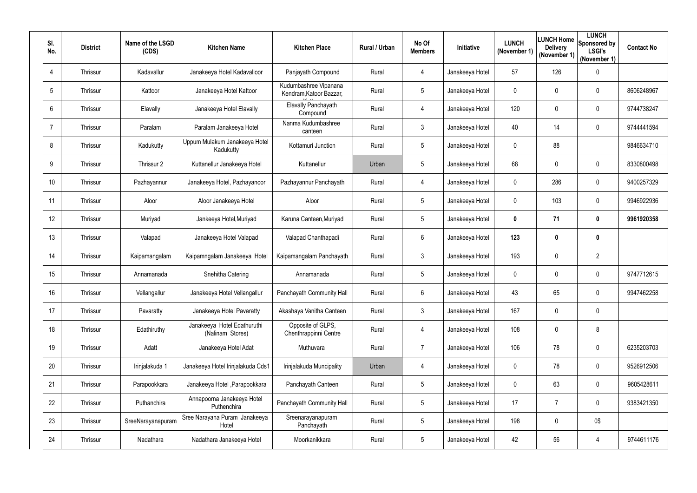| SI.<br>No.     | <b>District</b> | Name of the LSGD<br>(CDS) | <b>Kitchen Name</b>                             | <b>Kitchen Place</b>                             | Rural / Urban | No Of<br><b>Members</b> | <b>Initiative</b> | <b>LUNCH</b><br>(November 1) | LUNCH Home<br><b>Delivery</b><br>(November 1) | <b>LUNCH</b><br>Sponsored by<br><b>LSGI's</b><br>(November 1) | <b>Contact No</b> |
|----------------|-----------------|---------------------------|-------------------------------------------------|--------------------------------------------------|---------------|-------------------------|-------------------|------------------------------|-----------------------------------------------|---------------------------------------------------------------|-------------------|
| $\overline{4}$ | Thrissur        | Kadavallur                | Janakeeya Hotel Kadavalloor                     | Panjayath Compound                               | Rural         | 4                       | Janakeeya Hotel   | 57                           | 126                                           | $\mathbf 0$                                                   |                   |
| 5              | Thrissur        | Kattoor                   | Janakeeya Hotel Kattoor                         | Kudumbashree Vipanana<br>Kendram, Katoor Bazzar, | Rural         | 5 <sub>5</sub>          | Janakeeya Hotel   | $\mathbf 0$                  | 0                                             | $\pmb{0}$                                                     | 8606248967        |
| 6              | Thrissur        | Elavally                  | Janakeeya Hotel Elavally                        | <b>Elavally Panchayath</b><br>Compound           | Rural         | 4                       | Janakeeya Hotel   | 120                          | 0                                             | $\pmb{0}$                                                     | 9744738247        |
| $\overline{7}$ | Thrissur        | Paralam                   | Paralam Janakeeya Hotel                         | Nanma Kudumbashree<br>canteen                    | Rural         | 3                       | Janakeeya Hotel   | 40                           | 14                                            | $\mathbf 0$                                                   | 9744441594        |
| 8              | Thrissur        | Kadukutty                 | Uppum Mulakum Janakeeya Hotel<br>Kadukutty      | Kottamuri Junction                               | Rural         | $5\overline{)}$         | Janakeeya Hotel   | $\mathbf 0$                  | 88                                            |                                                               | 9846634710        |
| 9              | Thrissur        | Thrissur 2                | Kuttanellur Janakeeya Hotel                     | Kuttanellur                                      | Urban         | $5\overline{)}$         | Janakeeya Hotel   | 68                           | 0                                             | $\pmb{0}$                                                     | 8330800498        |
| 10             | Thrissur        | Pazhayannur               | Janakeeya Hotel, Pazhayanoor                    | Pazhayannur Panchayath                           | Rural         | 4                       | Janakeeya Hotel   | $\mathbf 0$                  | 286                                           | $\pmb{0}$                                                     | 9400257329        |
| 11             | Thrissur        | Aloor                     | Aloor Janakeeya Hotel                           | Aloor                                            | Rural         | $5\overline{)}$         | Janakeeya Hotel   | $\mathbf{0}$                 | 103                                           | $\mathbf 0$                                                   | 9946922936        |
| 12             | Thrissur        | Muriyad                   | Jankeeya Hotel, Muriyad                         | Karuna Canteen, Muriyad                          | Rural         | $5\overline{)}$         | Janakeeya Hotel   | $\mathbf 0$                  | 71                                            | $\boldsymbol{0}$                                              | 9961920358        |
| 13             | Thrissur        | Valapad                   | Janakeeya Hotel Valapad                         | Valapad Chanthapadi                              | Rural         | 6                       | Janakeeya Hotel   | 123                          | $\bm{0}$                                      | $\boldsymbol{0}$                                              |                   |
| 14             | Thrissur        | Kaipamangalam             | Kaipamngalam Janakeeya Hotel                    | Kaipamangalam Panchayath                         | Rural         | $\mathfrak{Z}$          | Janakeeya Hotel   | 193                          | $\mathbf 0$                                   | $\overline{2}$                                                |                   |
| 15             | Thrissur        | Annamanada                | Snehitha Catering                               | Annamanada                                       | Rural         | 5 <sub>5</sub>          | Janakeeya Hotel   | 0                            | 0                                             | $\mathbf 0$                                                   | 9747712615        |
| 16             | Thrissur        | Vellangallur              | Janakeeya Hotel Vellangallur                    | Panchayath Community Hall                        | Rural         | 6                       | Janakeeya Hotel   | 43                           | 65                                            | $\pmb{0}$                                                     | 9947462258        |
| 17             | Thrissur        | Pavaratty                 | Janakeeya Hotel Pavaratty                       | Akashaya Vanitha Canteen                         | Rural         | $\mathfrak{Z}$          | Janakeeya Hotel   | 167                          | $\overline{0}$                                | $\mathbf 0$                                                   |                   |
| 18             | Thrissur        | Edathiruthy               | Janakeeya Hotel Edathuruthi<br>(Nalinam Stores) | Opposite of GLPS,<br>Chenthrappinni Centre       | Rural         | 4                       | Janakeeya Hotel   | 108                          | $\overline{0}$                                | 8                                                             |                   |
| 19             | Thrissur        | Adatt                     | Janakeeya Hotel Adat                            | Muthuvara                                        | Rural         | $7^{\circ}$             | Janakeeya Hotel   | 106                          | 78                                            | $\boldsymbol{0}$                                              | 6235203703        |
| 20             | Thrissur        | Irinjalakuda 1            | Janakeeya Hotel Irinjalakuda Cds1               | Irinjalakuda Muncipality                         | Urban         | 4                       | Janakeeya Hotel   | $\mathbf 0$                  | 78                                            | $\mathbf 0$                                                   | 9526912506        |
| 21             | Thrissur        | Parapookkara              | Janakeeya Hotel, Parapookkara                   | Panchayath Canteen                               | Rural         | $5\overline{)}$         | Janakeeya Hotel   | $\mathbf 0$                  | 63                                            | $\pmb{0}$                                                     | 9605428611        |
| 22             | Thrissur        | Puthanchira               | Annapoorna Janakeeya Hotel<br>Puthenchira       | Panchayath Community Hall                        | Rural         | $5\overline{)}$         | Janakeeya Hotel   | 17                           | 7                                             | $\mathbf 0$                                                   | 9383421350        |
| 23             | Thrissur        | SreeNarayanapuram         | Sree Narayana Puram Janakeeya<br>Hotel          | Sreenarayanapuram<br>Panchayath                  | Rural         | $5\phantom{.0}$         | Janakeeya Hotel   | 198                          | 0                                             | 0\$                                                           |                   |
| 24             | Thrissur        | Nadathara                 | Nadathara Janakeeya Hotel                       | Moorkanikkara                                    | Rural         | $5\phantom{.0}$         | Janakeeya Hotel   | 42                           | 56                                            | $\overline{4}$                                                | 9744611176        |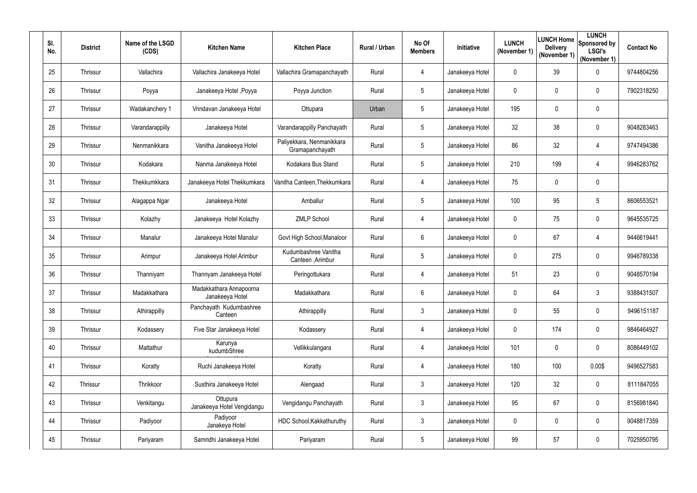| SI.<br>No. | <b>District</b> | Name of the LSGD<br>(CDS) | <b>Kitchen Name</b>                        | <b>Kitchen Place</b>                         | Rural / Urban | No Of<br><b>Members</b> | <b>Initiative</b> | <b>LUNCH</b><br>(November 1) | LUNCH Home<br><b>Delivery</b><br>(November 1) | <b>LUNCH</b><br>Sponsored by<br><b>LSGI's</b><br>(November 1) | <b>Contact No</b> |
|------------|-----------------|---------------------------|--------------------------------------------|----------------------------------------------|---------------|-------------------------|-------------------|------------------------------|-----------------------------------------------|---------------------------------------------------------------|-------------------|
| 25         | Thrissur        | Vallachira                | Vallachira Janakeeya Hotel                 | Vallachira Gramapanchayath                   | Rural         | 4                       | Janakeeya Hotel   | 0                            | 39                                            | $\pmb{0}$                                                     | 9744804256        |
| 26         | Thrissur        | Poyya                     | Janakeeya Hotel , Poyya                    | Poyya Junction                               | Rural         | 5 <sub>5</sub>          | Janakeeya Hotel   | $\mathbf 0$                  | 0                                             | $\pmb{0}$                                                     | 7902318250        |
| 27         | Thrissur        | Wadakanchery 1            | Vrindavan Janakeeya Hotel                  | Ottupara                                     | Urban         | $5\overline{)}$         | Janakeeya Hotel   | 195                          | 0                                             | $\pmb{0}$                                                     |                   |
| 28         | Thrissur        | Varandarappilly           | Janakeeya Hotel                            | Varandarappilly Panchayath                   | Rural         | 5 <sub>5</sub>          | Janakeeya Hotel   | 32                           | 38                                            | $\mathbf 0$                                                   | 9048283463        |
| 29         | Thrissur        | Nenmanikkara              | Vanitha Janakeeya Hotel                    | Paliyekkara, Nenmanikkara<br>Gramapanchayath | Rural         | $5\overline{)}$         | Janakeeya Hotel   | 86                           | 32                                            | $\overline{4}$                                                | 9747494386        |
| 30         | Thrissur        | Kodakara                  | Nanma Janakeeya Hotel                      | Kodakara Bus Stand                           | Rural         | $5\overline{)}$         | Janakeeya Hotel   | 210                          | 199                                           | $\overline{4}$                                                | 9946283762        |
| 31         | Thrissur        | Thekkumkkara              | Janakeeya Hotel Thekkumkara                | Vanitha Canteen, Thekkumkara                 | Rural         | 4                       | Janakeeya Hotel   | 75                           | 0                                             | $\pmb{0}$                                                     |                   |
| 32         | Thrissur        | Alagappa Ngar             | Janakeeya Hotel                            | Amballur                                     | Rural         | $5\overline{)}$         | Janakeeya Hotel   | 100                          | 95                                            | 5                                                             | 8606553521        |
| 33         | Thrissur        | Kolazhy                   | Janakeeya Hotel Kolazhy                    | <b>ZMLP School</b>                           | Rural         | 4                       | Janakeeya Hotel   | $\mathbf 0$                  | 75                                            | $\pmb{0}$                                                     | 9645535725        |
| 34         | Thrissur        | Manalur                   | Janakeeya Hotel Manalur                    | Govt High School, Manaloor                   | Rural         | 6                       | Janakeeya Hotel   | 0                            | 67                                            | $\overline{4}$                                                | 9446619441        |
| 35         | Thrissur        | Arimpur                   | Janakeeya Hotel Arimbur                    | Kudumbashree Vanitha<br>Canteen, Arimbur     | Rural         | $5\overline{)}$         | Janakeeya Hotel   | $\mathbf 0$                  | 275                                           | $\mathbf 0$                                                   | 9946789338        |
| 36         | Thrissur        | Thanniyam                 | Thannyam Janakeeya Hotel                   | Peringottukara                               | Rural         | 4                       | Janakeeya Hotel   | 51                           | 23                                            | $\mathbf 0$                                                   | 9048570194        |
| 37         | Thrissur        | Madakkathara              | Madakkathara Annapoorna<br>Janakeeya Hotel | Madakkathara                                 | Rural         | 6                       | Janakeeya Hotel   | $\mathbf 0$                  | 64                                            | 3                                                             | 9388431507        |
| 38         | Thrissur        | Athirappilly              | Panchayath Kudumbashree<br>Canteen         | Athirappilly                                 | Rural         | $\mathfrak{Z}$          | Janakeeya Hotel   | $\mathbf 0$                  | 55                                            | $\pmb{0}$                                                     | 9496151187        |
| 39         | Thrissur        | Kodassery                 | Five Star Janakeeya Hotel                  | Kodassery                                    | Rural         | 4                       | Janakeeya Hotel   | $\mathbf 0$                  | 174                                           | $\boldsymbol{0}$                                              | 9846464927        |
| 40         | Thrissur        | Mattathur                 | Karunya<br>kudumbShree                     | Vellikkulangara                              | Rural         | 4                       | Janakeeya Hotel   | 101                          | $\overline{0}$                                | $\pmb{0}$                                                     | 8086449102        |
| 41         | Thrissur        | Koratty                   | Ruchi Janakeeya Hotel                      | Koratty                                      | Rural         | 4                       | Janakeeya Hotel   | 180                          | 100                                           | 0.00\$                                                        | 9496527583        |
| 42         | Thrissur        | Thrikkoor                 | Susthira Janakeeya Hotel                   | Alengaad                                     | Rural         | 3 <sup>1</sup>          | Janakeeya Hotel   | 120                          | 32                                            | $\pmb{0}$                                                     | 8111847055        |
| 43         | Thrissur        | Venkitangu                | Ottupura<br>Janakeeya Hotel Vengidangu     | Vengidangu Panchayath                        | Rural         | $\mathfrak{Z}$          | Janakeeya Hotel   | 95                           | 67                                            | $\pmb{0}$                                                     | 8156981840        |
| 44         | Thrissur        | Padiyoor                  | Padiyoor<br>Janakeya Hotel                 | HDC School, Kakkathuruthy                    | Rural         | $\mathfrak{Z}$          | Janakeeya Hotel   | $\mathbf 0$                  | $\overline{0}$                                | $\pmb{0}$                                                     | 9048817359        |
| 45         | Thrissur        | Pariyaram                 | Samridhi Janakeeya Hotel                   | Pariyaram                                    | Rural         | $5\phantom{.0}$         | Janakeeya Hotel   | 99                           | 57                                            | $\pmb{0}$                                                     | 7025950795        |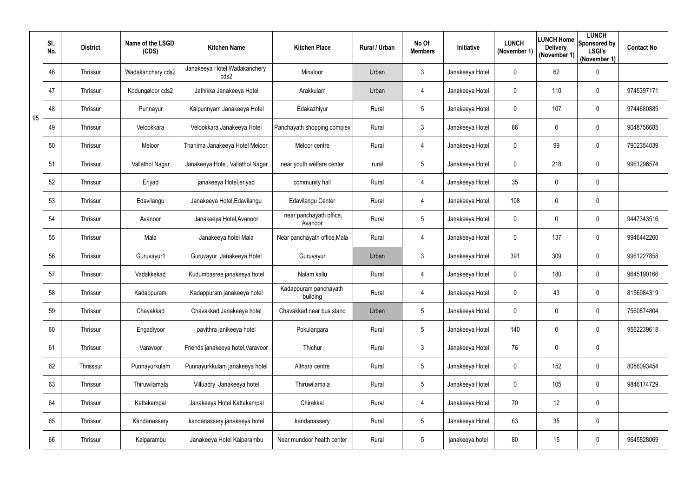|    | SI.<br>No. | <b>District</b> | Name of the LSGD<br>(CDS) | <b>Kitchen Name</b>                   | <b>Kitchen Place</b>               | Rural / Urban | No Of<br><b>Members</b> | Initiative      | <b>LUNCH</b><br>(November 1) | <b>LUNCH Home</b><br><b>Delivery</b><br>(November 1) | <b>LUNCH</b><br>Sponsored by<br><b>LSGI's</b><br>(November 1) | <b>Contact No</b> |
|----|------------|-----------------|---------------------------|---------------------------------------|------------------------------------|---------------|-------------------------|-----------------|------------------------------|------------------------------------------------------|---------------------------------------------------------------|-------------------|
|    | 46         | Thrissur        | Wadakanchery cds2         | Janakeeya Hotel, Wadakanchery<br>cds2 | Minaloor                           | Urban         | 3                       | Janakeeya Hotel | $\mathbf 0$                  | 62                                                   | $\mathbf 0$                                                   |                   |
|    | 47         | Thrissur        | Kodungaloor cds2          | Jathikka Janakeeya Hotel              | Arakkulam                          | Urban         | 4                       | Janakeeya Hotel | $\mathbf 0$                  | 110                                                  | $\pmb{0}$                                                     | 9745397171        |
| 95 | 48         | Thrissur        | Punnayur                  | Kaipunnyam Janakeeya Hotel            | Edakazhiyur                        | Rural         | 5                       | Janakeeya Hotel | $\mathbf 0$                  | 107                                                  | $\pmb{0}$                                                     | 9744680885        |
|    | 49         | Thrissur        | Velookkara                | Velookkara Janakeeya Hotel            | Panchayath shopping complex        | Rural         | 3                       | Janakeeya Hotel | 86                           | $\mathbf 0$                                          | $\mathbf 0$                                                   | 9048756685        |
|    | 50         | Thrissur        | Meloor                    | Thanima Janakeeya Hotel Meloor        | Meloor centre                      | Rural         | 4                       | Janakeeya Hotel | $\mathbf 0$                  | 99                                                   | $\mathbf 0$                                                   | 7902354039        |
|    | 51         | Thrissur        | Vallathol Nagar           | Janakeeya Hotel, Vallathol Nagar      | near youth welfare center          | rural         | 5                       | Janakeeya Hotel | $\mathbf 0$                  | 218                                                  | $\mathbf 0$                                                   | 9961296574        |
|    | 52         | Thrissur        | Eriyad                    | janakeeya Hotel, eriyad               | community hall                     | Rural         | 4                       | Janakeeya Hotel | 35                           | $\mathbf 0$                                          | $\pmb{0}$                                                     |                   |
|    | 53         | Thrissur        | Edavilangu                | Janakeeya Hotel, Edavilangu           | Edavilangu Center                  | Rural         | 4                       | Janakeeya Hotel | 108                          | $\mathbf 0$                                          | $\mathbf 0$                                                   |                   |
|    | 54         | Thrissur        | Avanoor                   | Janakeeya Hotel, Avanoor              | near panchayath office,<br>Avanoor | Rural         | 5                       | Janakeeya Hotel | $\mathbf 0$                  | $\overline{0}$                                       | $\pmb{0}$                                                     | 9447343516        |
|    | 55         | Thrissur        | Mala                      | Janakeeya hotel Mala                  | Near panchayath office, Mala       | Rural         | 4                       | Janakeeya Hotel | $\mathbf 0$                  | 137                                                  | $\mathbf 0$                                                   | 9946442260        |
|    | 56         | Thrissur        | Guruvayur1                | Guruvayur Janakeeya Hotel             | Guruvayur                          | Urban         | 3                       | Janakeeya Hotel | 391                          | 309                                                  | $\pmb{0}$                                                     | 9961227858        |
|    | 57         | Thrissur        | Vadakkekad                | Kudumbasree janakeeya hotel           | Nalam kallu                        | Rural         | 4                       | Janakeeya Hotel | $\mathbf 0$                  | 180                                                  | $\mathbf 0$                                                   | 9645190166        |
|    | 58         | Thrissur        | Kadappuram                | Kadappuram janakeeya hotel            | Kadappuram panchayath<br>building  | Rural         | 4                       | Janakeeya Hotel | $\overline{0}$               | 43                                                   | 0                                                             | 8156984319        |
|    | 59         | Thrissur        | Chavakkad                 | Chavakkad Janakeeya hotel             | Chavakkad, near bus stand          | Urban         | 5                       | Janakeeya Hotel | $\mathbf 0$                  | $\mathbf 0$                                          | $\pmb{0}$                                                     | 7560874804        |
|    | 60         | Thrissur        | Engadiyoor                | pavithra janikeeya hotel              | Pokulangara                        | Rural         | 5                       | Janakeeya Hotel | 140                          | $\mathbf 0$                                          | $\pmb{0}$                                                     | 9562239618        |
|    | 61         | Thrissur        | Varavoor                  | Friends janakeeya hotel, Varavoor     | Thichur                            | Rural         | $\mathfrak{Z}$          | Janakeeya Hotel | 76                           | $\mathbf 0$                                          | $\mathbf 0$                                                   |                   |
|    | 62         | Thrisssur       | Punnayurkulam             | Punnayurkkulam janakeeya hotel        | Althara centre                     | Rural         | 5                       | Janakeeya Hotel | $\mathbf 0$                  | 152                                                  | $\pmb{0}$                                                     | 8086093454        |
|    | 63         | Thrissur        | Thiruwilamala             | Villuadry Janakeeya hotel             | Thiruwilamala                      | Rural         | 5                       | Janakeeya Hotel | $\mathbf 0$                  | 105                                                  | $\pmb{0}$                                                     | 9846174729        |
|    | 64         | Thrissur        | Kattakampal               | Janakeeya Hotel Kattakampal           | Chirakkal                          | Rural         | 4                       | Janakeeya Hotel | 70                           | 12                                                   | $\pmb{0}$                                                     |                   |
|    | 65         | Thrissur        | Kandanassery              | kandanassery janakeeya hotel          | kandanassery                       | Rural         | 5                       | Janakeeya Hotel | 63                           | 35                                                   | $\pmb{0}$                                                     |                   |
|    | 66         | Thrissur        | Kaiparambu                | Janakeeya Hotel Kaiparambu            | Near mundoor health center         | Rural         | $5\phantom{.0}$         | janakeeya hotel | 80                           | 15                                                   | $\pmb{0}$                                                     | 9645828069        |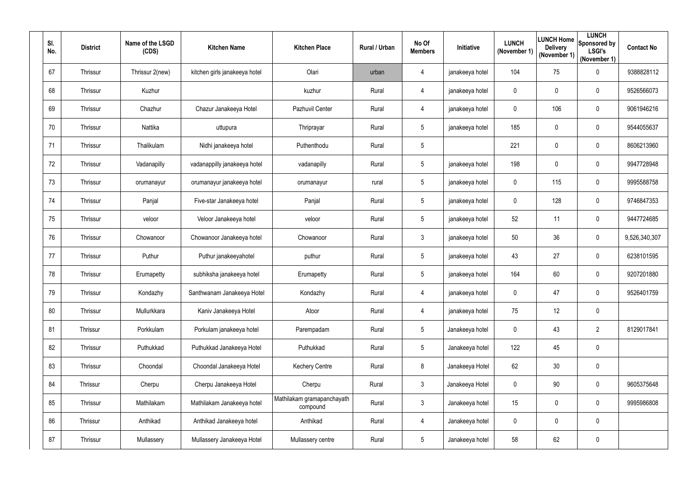| SI.<br>No. |    | <b>District</b> | Name of the LSGD<br>(CDS) | <b>Kitchen Name</b>           | <b>Kitchen Place</b>                   | Rural / Urban | No Of<br><b>Members</b> | <b>Initiative</b> | <b>LUNCH</b><br>(November 1) | <b>Delivery</b><br>(November 1) | <b>LUNCH</b><br><b>ILUNCH Home</b> Sponsored by<br><b>LSGI's</b><br>(November 1) | <b>Contact No</b> |
|------------|----|-----------------|---------------------------|-------------------------------|----------------------------------------|---------------|-------------------------|-------------------|------------------------------|---------------------------------|----------------------------------------------------------------------------------|-------------------|
| 67         |    | Thrissur        | Thrissur 2(new)           | kitchen girls janakeeya hotel | Olari                                  | urban         | 4                       | janakeeya hotel   | 104                          | 75                              | $\pmb{0}$                                                                        | 9388828112        |
|            | 68 | Thrissur        | Kuzhur                    |                               | kuzhur                                 | Rural         | 4                       | janakeeya hotel   | $\mathbf 0$                  | $\mathbf 0$                     | $\mathbf 0$                                                                      | 9526566073        |
|            | 69 | Thrissur        | Chazhur                   | Chazur Janakeeya Hotel        | Pazhuvil Center                        | Rural         | 4                       | janakeeya hotel   | 0                            | 106                             | $\mathbf 0$                                                                      | 9061946216        |
|            | 70 | Thrissur        | Nattika                   | uttupura                      | Thriprayar                             | Rural         | $5\overline{)}$         | janakeeya hotel   | 185                          | $\overline{0}$                  | $\overline{0}$                                                                   | 9544055637        |
| 71         |    | Thrissur        | Thalikulam                | Nidhi janakeeya hotel         | Puthenthodu                            | Rural         | $5\overline{)}$         |                   | 221                          | 0                               | $\pmb{0}$                                                                        | 8606213960        |
|            | 72 | Thrissur        | Vadanapilly               | vadanappilly janakeeya hotel  | vadanapilly                            | Rural         | $5\overline{)}$         | janakeeya hotel   | 198                          | $\mathbf 0$                     | $\mathbf 0$                                                                      | 9947728948        |
|            | 73 | Thrissur        | orumanayur                | orumanayur janakeeya hotel    | orumanayur                             | rural         | $5\overline{)}$         | janakeeya hotel   | 0                            | 115                             | $\pmb{0}$                                                                        | 9995588758        |
|            | 74 | Thrissur        | Panjal                    | Five-star Janakeeya hotel     | Panjal                                 | Rural         | $5\overline{)}$         | janakeeya hotel   | $\mathbf 0$                  | 128                             | $\mathbf 0$                                                                      | 9746847353        |
|            | 75 | Thrissur        | veloor                    | Veloor Janakeeya hotel        | veloor                                 | Rural         | $5\overline{)}$         | janakeeya hotel   | 52                           | 11                              | $\pmb{0}$                                                                        | 9447724685        |
|            | 76 | Thrissur        | Chowanoor                 | Chowanoor Janakeeya hotel     | Chowanoor                              | Rural         | 3 <sup>1</sup>          | janakeeya hotel   | 50                           | 36                              | $\boldsymbol{0}$                                                                 | 9,526,340,307     |
|            | 77 | Thrissur        | Puthur                    | Puthur janakeeyahotel         | puthur                                 | Rural         | $5\overline{)}$         | janakeeya hotel   | 43                           | 27                              | $\pmb{0}$                                                                        | 6238101595        |
|            | 78 | Thrissur        | Erumapetty                | subhiksha janakeeya hotel     | Erumapetty                             | Rural         | $5\overline{)}$         | janakeeya hotel   | 164                          | 60                              | $\pmb{0}$                                                                        | 9207201880        |
|            | 79 | Thrissur        | Kondazhy                  | Santhwanam Janakeeya Hotel    | Kondazhy                               | Rural         | 4                       | janakeeya hotel   | $\mathbf{0}$                 | 47                              | $\pmb{0}$                                                                        | 9526401759        |
|            | 80 | Thrissur        | Mullurkkara               | Kaniv Janakeeya Hotel         | Atoor                                  | Rural         | 4                       | janakeeya hotel   | 75                           | 12                              | $\pmb{0}$                                                                        |                   |
|            | 81 | Thrissur        | Porkkulam                 | Porkulam janakeeya hotel      | Parempadam                             | Rural         | $5\phantom{.0}$         | Janakeeya hotel   | $\mathbf 0$                  | 43                              | $\overline{2}$                                                                   | 8129017841        |
|            | 82 | Thrissur        | Puthukkad                 | Puthukkad Janakeeya Hotel     | Puthukkad                              | Rural         | $5\overline{)}$         | Janakeeya hotel   | 122                          | 45                              | $\pmb{0}$                                                                        |                   |
|            | 83 | Thrissur        | Choondal                  | Choondal Janakeeya Hotel      | <b>Kechery Centre</b>                  | Rural         | 8                       | Janakeeya Hotel   | 62                           | 30                              | $\boldsymbol{0}$                                                                 |                   |
|            | 84 | Thrissur        | Cherpu                    | Cherpu Janakeeya Hotel        | Cherpu                                 | Rural         | $\mathfrak{Z}$          | Janakeeya Hotel   | $\mathbf 0$                  | 90                              | $\pmb{0}$                                                                        | 9605375648        |
|            | 85 | Thrissur        | Mathilakam                | Mathilakam Janakeeya hotel    | Mathilakam gramapanchayath<br>compound | Rural         | $\mathfrak{Z}$          | Janakeeya hotel   | 15                           | $\boldsymbol{0}$                | $\boldsymbol{0}$                                                                 | 9995986808        |
|            | 86 | Thrissur        | Anthikad                  | Anthikad Janakeeya hotel      | Anthikad                               | Rural         | 4                       | Janakeeya hotel   | $\mathbf 0$                  | $\overline{0}$                  | $\mathbf 0$                                                                      |                   |
|            | 87 | Thrissur        | Mullassery                | Mullassery Janakeeya Hotel    | Mullassery centre                      | Rural         | $5\phantom{.0}$         | Janakeeya hotel   | 58                           | 62                              | $\pmb{0}$                                                                        |                   |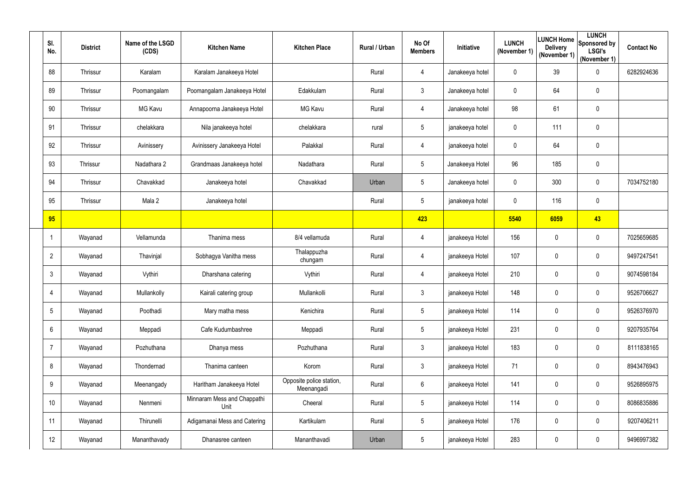| SI.<br>No.      | <b>District</b> | Name of the LSGD<br>(CDS) | <b>Kitchen Name</b>                 | <b>Kitchen Place</b>                   | Rural / Urban | No Of<br><b>Members</b> | Initiative      | <b>LUNCH</b><br>(November 1) | <b>LUNCH Home</b><br><b>Delivery</b><br>(November 1) | <b>LUNCH</b><br>Sponsored by<br><b>LSGI's</b><br>(November 1) | <b>Contact No</b> |
|-----------------|-----------------|---------------------------|-------------------------------------|----------------------------------------|---------------|-------------------------|-----------------|------------------------------|------------------------------------------------------|---------------------------------------------------------------|-------------------|
| 88              | Thrissur        | Karalam                   | Karalam Janakeeya Hotel             |                                        | Rural         | 4                       | Janakeeya hotel | $\mathbf 0$                  | 39                                                   | $\boldsymbol{0}$                                              | 6282924636        |
| 89              | Thrissur        | Poomangalam               | Poomangalam Janakeeya Hotel         | Edakkulam                              | Rural         | 3                       | Janakeeya hotel | $\mathbf 0$                  | 64                                                   | $\boldsymbol{0}$                                              |                   |
| 90              | Thrissur        | <b>MG Kavu</b>            | Annapoorna Janakeeya Hotel          | <b>MG Kavu</b>                         | Rural         | 4                       | Janakeeya hotel | 98                           | 61                                                   | $\mathbf 0$                                                   |                   |
| 91              | Thrissur        | chelakkara                | Nila janakeeya hotel                | chelakkara                             | rural         | 5                       | janakeeya hotel | $\mathbf 0$                  | 111                                                  | $\pmb{0}$                                                     |                   |
| 92              | Thrissur        | Avinissery                | Avinissery Janakeeya Hotel          | Palakkal                               | Rural         | 4                       | janakeeya hotel | $\mathbf 0$                  | 64                                                   | $\mathbf 0$                                                   |                   |
| 93              | Thrissur        | Nadathara 2               | Grandmaas Janakeeya hotel           | Nadathara                              | Rural         | 5                       | Janakeeya Hotel | 96                           | 185                                                  | $\pmb{0}$                                                     |                   |
| 94              | Thrissur        | Chavakkad                 | Janakeeya hotel                     | Chavakkad                              | Urban         | 5                       | Janakeeya hotel | $\mathbf 0$                  | 300                                                  | $\boldsymbol{0}$                                              | 7034752180        |
| 95              | Thrissur        | Mala 2                    | Janakeeya hotel                     |                                        | Rural         | 5                       | janakeeya hotel | $\mathbf 0$                  | 116                                                  | $\mathbf 0$                                                   |                   |
| 95              |                 |                           |                                     |                                        |               | 423                     |                 | 5540                         | 6059                                                 | 43                                                            |                   |
| -1              | Wayanad         | Vellamunda                | Thanima mess                        | 8/4 vellamuda                          | Rural         | 4                       | janakeeya Hotel | 156                          | $\overline{0}$                                       | $\boldsymbol{0}$                                              | 7025659685        |
| $\overline{2}$  | Wayanad         | Thavinjal                 | Sobhagya Vanitha mess               | Thalappuzha<br>chungam                 | Rural         | 4                       | janakeeya Hotel | 107                          | $\overline{0}$                                       | $\mathbf 0$                                                   | 9497247541        |
| 3               | Wayanad         | Vythiri                   | Dharshana catering                  | Vythiri                                | Rural         | 4                       | janakeeya Hotel | 210                          | $\overline{0}$                                       | $\mathbf 0$                                                   | 9074598184        |
|                 | Wayanad         | Mullankolly               | Kairali catering group              | Mullankolli                            | Rural         | 3                       | janakeeya Hotel | 148                          | $\mathbf 0$                                          | 0                                                             | 9526706627        |
| $5\phantom{.0}$ | Wayanad         | Poothadi                  | Mary matha mess                     | Kenichira                              | Rural         | 5                       | janakeeya Hotel | 114                          | $\overline{0}$                                       | $\pmb{0}$                                                     | 9526376970        |
| $6\phantom{.}$  | Wayanad         | Meppadi                   | Cafe Kudumbashree                   | Meppadi                                | Rural         | 5                       | janakeeya Hotel | 231                          | $\mathbf 0$                                          | $\pmb{0}$                                                     | 9207935764        |
| 7               | Wayanad         | Pozhuthana                | Dhanya mess                         | Pozhuthana                             | Rural         | $\mathbf{3}$            | janakeeya Hotel | 183                          | 0                                                    | $\pmb{0}$                                                     | 8111838165        |
| 8               | Wayanad         | Thondernad                | Thanima canteen                     | Korom                                  | Rural         | $\mathbf{3}$            | janakeeya Hotel | 71                           | $\overline{0}$                                       | $\mathbf 0$                                                   | 8943476943        |
| 9               | Wayanad         | Meenangady                | Haritham Janakeeya Hotel            | Opposite police station,<br>Meenangadi | Rural         | 6                       | janakeeya Hotel | 141                          | $\overline{0}$                                       | $\pmb{0}$                                                     | 9526895975        |
| 10              | Wayanad         | Nenmeni                   | Minnaram Mess and Chappathi<br>Unit | Cheeral                                | Rural         | $5\phantom{.0}$         | janakeeya Hotel | 114                          | 0                                                    | $\pmb{0}$                                                     | 8086835886        |
| 11              | Wayanad         | Thirunelli                | Adigamanai Mess and Catering        | Kartikulam                             | Rural         | 5                       | janakeeya Hotel | 176                          | $\mathbf 0$                                          | $\pmb{0}$                                                     | 9207406211        |
| 12              | Wayanad         | Mananthavady              | Dhanasree canteen                   | Mananthavadi                           | Urban         | $5\phantom{.0}$         | janakeeya Hotel | 283                          | $\boldsymbol{0}$                                     | $\pmb{0}$                                                     | 9496997382        |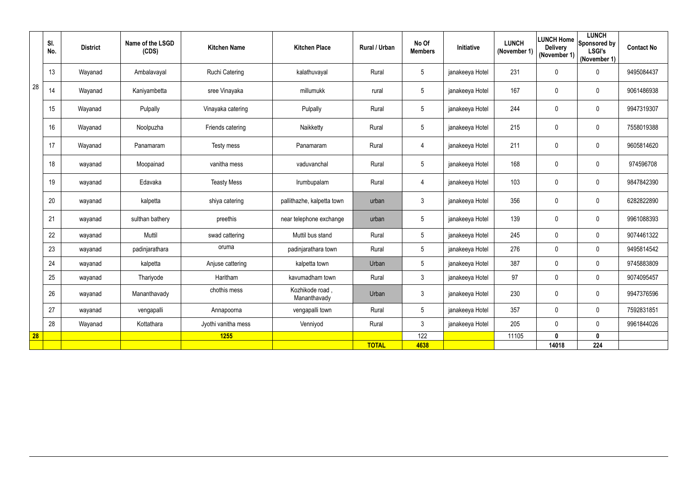|    | SI.<br>No. | <b>District</b> | Name of the LSGD<br>(CDS) | <b>Kitchen Name</b> | <b>Kitchen Place</b>            | <b>Rural / Urban</b> | No Of<br><b>Members</b> | Initiative      | <b>LUNCH</b><br>(November 1) | <b>LUNCH Home</b><br><b>Delivery</b><br>(November 1) | <b>LUNCH</b><br>Sponsored by<br><b>LSGI's</b><br>(November 1) | <b>Contact No</b> |
|----|------------|-----------------|---------------------------|---------------------|---------------------------------|----------------------|-------------------------|-----------------|------------------------------|------------------------------------------------------|---------------------------------------------------------------|-------------------|
|    | 13         | Wayanad         | Ambalavayal               | Ruchi Catering      | kalathuvayal                    | Rural                | $5\overline{)}$         | janakeeya Hotel | 231                          | $\overline{0}$                                       | $\boldsymbol{0}$                                              | 9495084437        |
| 28 | 14         | Wayanad         | Kaniyambetta              | sree Vinayaka       | millumukk                       | rural                | $5\phantom{.0}$         | janakeeya Hotel | 167                          | 0                                                    | $\mathbf 0$                                                   | 9061486938        |
|    | 15         | Wayanad         | Pulpally                  | Vinayaka catering   | Pulpally                        | Rural                | $5\phantom{.0}$         | janakeeya Hotel | 244                          | $\overline{0}$                                       | $\boldsymbol{0}$                                              | 9947319307        |
|    | 16         | Wayanad         | Noolpuzha                 | Friends catering    | Naikketty                       | Rural                | 5                       | janakeeya Hotel | 215                          | $\overline{0}$                                       | $\boldsymbol{0}$                                              | 7558019388        |
|    | 17         | Wayanad         | Panamaram                 | Testy mess          | Panamaram                       | Rural                | 4                       | janakeeya Hotel | 211                          | $\mathbf 0$                                          | $\mathbf 0$                                                   | 9605814620        |
|    | 18         | wayanad         | Moopainad                 | vanitha mess        | vaduvanchal                     | Rural                | 5                       | janakeeya Hotel | 168                          | $\mathbf 0$                                          | $\boldsymbol{0}$                                              | 974596708         |
|    | 19         | wayanad         | Edavaka                   | <b>Teasty Mess</b>  | Irumbupalam                     | Rural                | 4                       | janakeeya Hotel | 103                          | $\mathbf 0$                                          | $\overline{0}$                                                | 9847842390        |
|    | 20         | wayanad         | kalpetta                  | shiya catering      | pallithazhe, kalpetta town      | urban                | 3                       | janakeeya Hotel | 356                          | $\mathbf 0$                                          | $\mathbf 0$                                                   | 6282822890        |
|    | 21         | wayanad         | sulthan bathery           | preethis            | near telephone exchange         | urban                | $5\phantom{.0}$         | janakeeya Hotel | 139                          | $\mathbf 0$                                          | $\mathbf 0$                                                   | 9961088393        |
|    | 22         | wayanad         | Muttil                    | swad cattering      | Muttil bus stand                | Rural                | $5\phantom{.0}$         | janakeeya Hotel | 245                          | $\mathbf 0$                                          | $\mathbf 0$                                                   | 9074461322        |
|    | 23         | wayanad         | padinjarathara            | oruma               | padinjarathara town             | Rural                | 5                       | janakeeya Hotel | 276                          | $\mathbf 0$                                          | $\mathbf 0$                                                   | 9495814542        |
|    | 24         | wayanad         | kalpetta                  | Anjuse cattering    | kalpetta town                   | Urban                | $5\overline{)}$         | janakeeya Hotel | 387                          | $\mathbf 0$                                          | $\mathbf 0$                                                   | 9745883809        |
|    | 25         | wayanad         | Thariyode                 | Haritham            | kavumadham town                 | Rural                | 3                       | janakeeya Hotel | 97                           | $\mathbf 0$                                          | $\mathbf 0$                                                   | 9074095457        |
|    | 26         | wayanad         | Mananthavady              | chothis mess        | Kozhikode road,<br>Mananthavady | Urban                | 3 <sup>1</sup>          | janakeeya Hotel | 230                          | $\overline{0}$                                       | $\overline{0}$                                                | 9947376596        |
|    | 27         | wayanad         | vengapalli                | Annapoorna          | vengapalli town                 | Rural                | $5\overline{)}$         | janakeeya Hotel | 357                          | $\mathbf 0$                                          | $\mathbf 0$                                                   | 7592831851        |
|    | 28         | Wayanad         | Kottathara                | Jyothi vanitha mess | Venniyod                        | Rural                | $\mathfrak{Z}$          | janakeeya Hotel | 205                          | $\mathbf 0$                                          | $\mathbf 0$                                                   | 9961844026        |
| 28 |            |                 |                           | <b>1255</b>         |                                 |                      | 122                     |                 | 11105                        | $\mathbf{0}$                                         | $\mathbf 0$                                                   |                   |
|    |            |                 |                           |                     |                                 | <b>TOTAL</b>         | 4638                    |                 |                              | 14018                                                | 224                                                           |                   |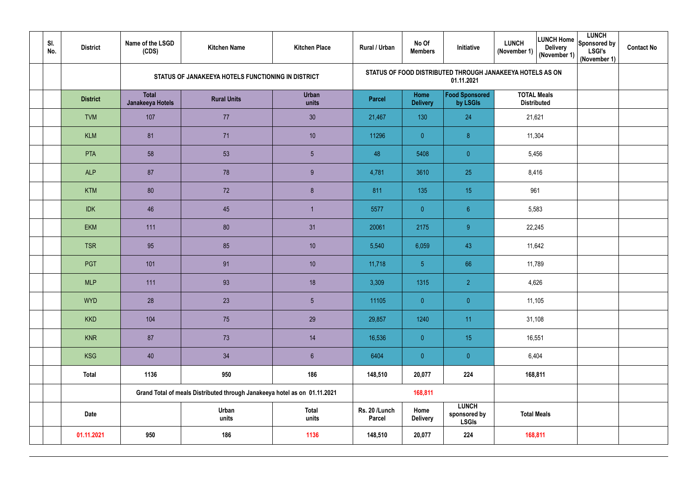| SI.<br>No. | <b>District</b> | Name of the LSGD<br>(CDS)        | <b>Kitchen Name</b>                                                       | <b>Kitchen Place</b>  | Rural / Urban                  | No Of<br><b>Members</b> | Initiative                                   | <b>LUNCH</b><br>LUNCH Home Sponsored by<br><b>LUNCH</b><br><b>Delivery</b><br><b>LSGI's</b><br>(November 1)<br>(November 1)<br>(November 1) | <b>Contact No</b> |
|------------|-----------------|----------------------------------|---------------------------------------------------------------------------|-----------------------|--------------------------------|-------------------------|----------------------------------------------|---------------------------------------------------------------------------------------------------------------------------------------------|-------------------|
|            |                 |                                  | STATUS OF JANAKEEYA HOTELS FUNCTIONING IN DISTRICT                        |                       |                                |                         | 01.11.2021                                   | STATUS OF FOOD DISTRIBUTED THROUGH JANAKEEYA HOTELS AS ON                                                                                   |                   |
|            | <b>District</b> | <b>Total</b><br>Janakeeya Hotels | <b>Rural Units</b>                                                        | <b>Urban</b><br>units | <b>Parcel</b>                  | Home<br><b>Delivery</b> | <b>Food Sponsored</b><br>by LSGIs            | <b>TOTAL Meals</b><br><b>Distributed</b>                                                                                                    |                   |
|            | <b>TVM</b>      | 107                              | 77                                                                        | 30                    | 21,467                         | 130                     | 24                                           | 21,621                                                                                                                                      |                   |
|            | <b>KLM</b>      | 81                               | 71                                                                        | 10                    | 11296                          | $\overline{0}$          | 8 <sub>o</sub>                               | 11,304                                                                                                                                      |                   |
|            | <b>PTA</b>      | 58                               | 53                                                                        | $\overline{5}$        | 48                             | 5408                    | $\overline{0}$                               | 5,456                                                                                                                                       |                   |
|            | <b>ALP</b>      | 87                               | 78                                                                        | 9                     | 4,781                          | 3610                    | 25                                           | 8,416                                                                                                                                       |                   |
|            | <b>KTM</b>      | 80                               | 72                                                                        | 8                     | 811                            | 135                     | 15                                           | 961                                                                                                                                         |                   |
|            | <b>IDK</b>      | 46                               | 45                                                                        |                       | 5577                           | $\overline{0}$          | 6 <sup>1</sup>                               | 5,583                                                                                                                                       |                   |
|            | <b>EKM</b>      | 111                              | 80                                                                        | 31                    | 20061                          | 2175                    | 9 <sup>°</sup>                               | 22,245                                                                                                                                      |                   |
|            | <b>TSR</b>      | 95                               | 85                                                                        | 10                    | 5,540                          | 6,059                   | 43                                           | 11,642                                                                                                                                      |                   |
|            | <b>PGT</b>      | 101                              | 91                                                                        | 10                    | 11,718                         | 5 <sub>5</sub>          | 66                                           | 11,789                                                                                                                                      |                   |
|            | <b>MLP</b>      | 111                              | 93                                                                        | 18                    | 3,309                          | 1315                    | $\overline{2}$                               | 4,626                                                                                                                                       |                   |
|            | <b>WYD</b>      | 28                               | 23                                                                        | $\sqrt{5}$            | 11105                          | $\overline{0}$          | $\overline{0}$                               | 11,105                                                                                                                                      |                   |
|            | <b>KKD</b>      | 104                              | 75                                                                        | 29                    | 29,857                         | 1240                    | 11                                           | 31,108                                                                                                                                      |                   |
|            | <b>KNR</b>      | 87                               | 73                                                                        | 14                    | 16,536                         | $\overline{0}$          | 15                                           | 16,551                                                                                                                                      |                   |
|            | <b>KSG</b>      | 40                               | 34                                                                        | $6\phantom{.}6$       | 6404                           | $\overline{0}$          | $\overline{0}$                               | 6,404                                                                                                                                       |                   |
|            | <b>Total</b>    | 1136                             | 950                                                                       | 186                   | 148,510                        | 20,077                  | 224                                          | 168,811                                                                                                                                     |                   |
|            |                 |                                  | Grand Total of meals Distributed through Janakeeya hotel as on 01.11.2021 |                       |                                | 168,811                 |                                              |                                                                                                                                             |                   |
|            | <b>Date</b>     |                                  | Urban<br>units                                                            | <b>Total</b><br>units | Rs. 20 /Lunch<br><b>Parcel</b> | Home<br><b>Delivery</b> | <b>LUNCH</b><br>sponsored by<br><b>LSGIs</b> | <b>Total Meals</b>                                                                                                                          |                   |
|            | 01.11.2021      | 950                              | 186                                                                       | 1136                  | 148,510                        | 20,077                  | 224                                          | 168,811                                                                                                                                     |                   |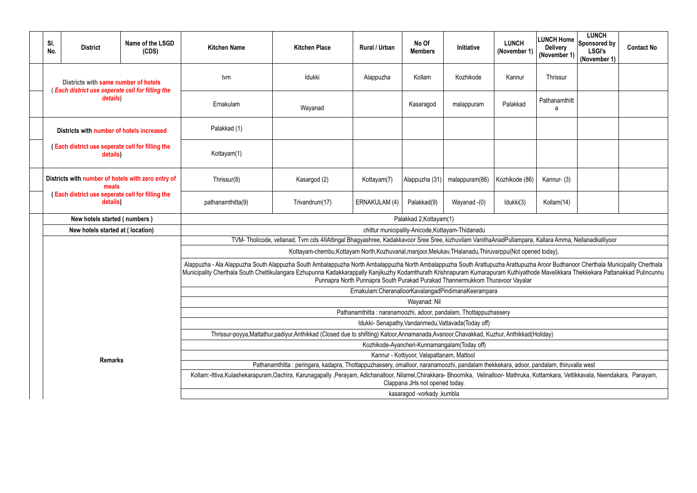| 1)  | <b>LUNCH Home</b><br><b>Delivery</b><br>(November 1) | <b>LUNCH</b><br>Sponsored by<br><b>LSGI's</b><br>(November 1) | <b>Contact No</b>                                                                                           |  |  |  |  |  |  |  |
|-----|------------------------------------------------------|---------------------------------------------------------------|-------------------------------------------------------------------------------------------------------------|--|--|--|--|--|--|--|
|     | Thrissur                                             |                                                               |                                                                                                             |  |  |  |  |  |  |  |
|     | Pathanamthitt<br>а                                   |                                                               |                                                                                                             |  |  |  |  |  |  |  |
|     |                                                      |                                                               |                                                                                                             |  |  |  |  |  |  |  |
|     |                                                      |                                                               |                                                                                                             |  |  |  |  |  |  |  |
| 36) | Kannur- (3)                                          |                                                               |                                                                                                             |  |  |  |  |  |  |  |
|     | Kollam(14)                                           |                                                               |                                                                                                             |  |  |  |  |  |  |  |
|     |                                                      |                                                               |                                                                                                             |  |  |  |  |  |  |  |
|     |                                                      | ara, Kallara Amma, Nellanadkalliyoor                          |                                                                                                             |  |  |  |  |  |  |  |
|     | ened today),                                         |                                                               |                                                                                                             |  |  |  |  |  |  |  |
| ar  |                                                      |                                                               | zha Aroor Budhanoor Cherthala Municipality Cherthala<br>thode Mavelikkara Thekkekara Pattanakkad Pulincunnu |  |  |  |  |  |  |  |
|     |                                                      |                                                               |                                                                                                             |  |  |  |  |  |  |  |
|     |                                                      |                                                               |                                                                                                             |  |  |  |  |  |  |  |
|     |                                                      |                                                               |                                                                                                             |  |  |  |  |  |  |  |
|     | d(Holiday)                                           |                                                               |                                                                                                             |  |  |  |  |  |  |  |
|     |                                                      |                                                               |                                                                                                             |  |  |  |  |  |  |  |
|     | r, pandalam, thiruvalla west                         |                                                               |                                                                                                             |  |  |  |  |  |  |  |
|     |                                                      | a, Kottamkara, Vettikkavala, Neendakara, Panayam,             |                                                                                                             |  |  |  |  |  |  |  |
|     |                                                      |                                                               |                                                                                                             |  |  |  |  |  |  |  |

|  | SI.<br>No.                                                                                                                        | <b>District</b>                                                                                | Name of the LSGD<br>(CDS)                                                                                                                                                                                           | <b>Kitchen Name</b>                                                                                                                                | <b>Kitchen Place</b>                                                                                                                                                                                                                                                                                                                                                                                                                                     | Rural / Urban                                                    | No Of<br><b>Members</b>                       | Initiative                                           | <b>LUNCH</b><br>(November 1) | <b>LUNCH</b><br><b>LUNCH Home</b><br>Sponsored by<br><b>Delivery</b><br><b>LSGI's</b><br>(November 1)<br>(November 1) | <b>Contact No</b> |  |  |  |  |
|--|-----------------------------------------------------------------------------------------------------------------------------------|------------------------------------------------------------------------------------------------|---------------------------------------------------------------------------------------------------------------------------------------------------------------------------------------------------------------------|----------------------------------------------------------------------------------------------------------------------------------------------------|----------------------------------------------------------------------------------------------------------------------------------------------------------------------------------------------------------------------------------------------------------------------------------------------------------------------------------------------------------------------------------------------------------------------------------------------------------|------------------------------------------------------------------|-----------------------------------------------|------------------------------------------------------|------------------------------|-----------------------------------------------------------------------------------------------------------------------|-------------------|--|--|--|--|
|  |                                                                                                                                   | Districts with same number of hotels<br><b>Each district use seperate cell for filling the</b> |                                                                                                                                                                                                                     | tvm                                                                                                                                                | Idukki                                                                                                                                                                                                                                                                                                                                                                                                                                                   | Alappuzha                                                        | Kollam                                        | Kozhikode                                            | Kannur                       | Thrissur                                                                                                              |                   |  |  |  |  |
|  |                                                                                                                                   | details)                                                                                       |                                                                                                                                                                                                                     | Ernakulam                                                                                                                                          | Wayanad                                                                                                                                                                                                                                                                                                                                                                                                                                                  |                                                                  | Kasaragod                                     | malappuram                                           | Palakkad                     | Pathanamthitt<br>a                                                                                                    |                   |  |  |  |  |
|  |                                                                                                                                   | Districts with number of hotels increased                                                      |                                                                                                                                                                                                                     | Palakkad (1)                                                                                                                                       |                                                                                                                                                                                                                                                                                                                                                                                                                                                          |                                                                  |                                               |                                                      |                              |                                                                                                                       |                   |  |  |  |  |
|  |                                                                                                                                   | Each district use seperate cell for filling the<br>details)                                    |                                                                                                                                                                                                                     | Kottayam(1)                                                                                                                                        |                                                                                                                                                                                                                                                                                                                                                                                                                                                          |                                                                  |                                               |                                                      |                              |                                                                                                                       |                   |  |  |  |  |
|  | Districts with number of hotels with zero entry of<br>meals<br><b>Each district use seperate cell for filling the</b><br>details) |                                                                                                |                                                                                                                                                                                                                     | Thrissur(8)                                                                                                                                        | Kasargod (2)                                                                                                                                                                                                                                                                                                                                                                                                                                             | Kottayam(7)                                                      | Alappuzha (31                                 | malappuram(86)                                       | Kozhikode (86)               | Kannur- (3)                                                                                                           |                   |  |  |  |  |
|  |                                                                                                                                   |                                                                                                |                                                                                                                                                                                                                     | pathanamthitta(9)                                                                                                                                  | ERNAKULAM (4)<br>Idukki(3)<br>Trivandrum(17)<br>Palakkad(9)<br>Kollam(14)<br>Wayanad -(0)                                                                                                                                                                                                                                                                                                                                                                |                                                                  |                                               |                                                      |                              |                                                                                                                       |                   |  |  |  |  |
|  |                                                                                                                                   | New hotels started (numbers)                                                                   |                                                                                                                                                                                                                     |                                                                                                                                                    |                                                                                                                                                                                                                                                                                                                                                                                                                                                          |                                                                  | Palakkad 2, Kottayam(1)                       |                                                      |                              |                                                                                                                       |                   |  |  |  |  |
|  |                                                                                                                                   | New hotels started at (location)                                                               |                                                                                                                                                                                                                     | chittur municipality-Anicode, Kottayam-Thidanadu                                                                                                   |                                                                                                                                                                                                                                                                                                                                                                                                                                                          |                                                                  |                                               |                                                      |                              |                                                                                                                       |                   |  |  |  |  |
|  |                                                                                                                                   |                                                                                                |                                                                                                                                                                                                                     | TVM-Tholicode, vellanad, Tvm cds 4IIAttingal Bhagyashree, Kadakkavoor Sree Sree, kizhuvilam VanithaAnadPullampara, Kallara Amma, Nellanadkalliyoor |                                                                                                                                                                                                                                                                                                                                                                                                                                                          |                                                                  |                                               |                                                      |                              |                                                                                                                       |                   |  |  |  |  |
|  |                                                                                                                                   |                                                                                                |                                                                                                                                                                                                                     |                                                                                                                                                    | Kottayam-chembu, Kottayam North, Kozhuvanal, manjoor, Melukav, THalanadu, Thiruvarppu (Not opened today),                                                                                                                                                                                                                                                                                                                                                |                                                                  |                                               |                                                      |                              |                                                                                                                       |                   |  |  |  |  |
|  |                                                                                                                                   |                                                                                                |                                                                                                                                                                                                                     |                                                                                                                                                    | Alappuzha - Ala Alappuzha South Alappuzha South Ambalappuzha North Ambalappuzha North Ambalappuzha South Arattupuzha Arattupuzha Aroor Budhanoor Cherthala Municipality Cherthala<br>Municipality Cherthala South Chettikulangara Ezhupunna Kadakkarappally Kanjikuzhy Kodamthurath Krishnapuram Kumarapuram Kuthiyathode Mavelikkara Thekkekara Pattanakkad Pulincunnu<br>Punnapra North Punnapra South Purakad Purakad Thannermukkom Thuravoor Vayalar |                                                                  |                                               |                                                      |                              |                                                                                                                       |                   |  |  |  |  |
|  |                                                                                                                                   |                                                                                                |                                                                                                                                                                                                                     |                                                                                                                                                    |                                                                                                                                                                                                                                                                                                                                                                                                                                                          | Ernakulam:CheranalloorKavalangadPindimanaKeerampara              |                                               |                                                      |                              |                                                                                                                       |                   |  |  |  |  |
|  |                                                                                                                                   |                                                                                                |                                                                                                                                                                                                                     |                                                                                                                                                    |                                                                                                                                                                                                                                                                                                                                                                                                                                                          |                                                                  | Wayanad: Nil                                  |                                                      |                              |                                                                                                                       |                   |  |  |  |  |
|  |                                                                                                                                   |                                                                                                |                                                                                                                                                                                                                     |                                                                                                                                                    |                                                                                                                                                                                                                                                                                                                                                                                                                                                          | Pathanamthitta: naranamoozhi, adoor, pandalam, Thottappuzhassery |                                               |                                                      |                              |                                                                                                                       |                   |  |  |  |  |
|  |                                                                                                                                   |                                                                                                |                                                                                                                                                                                                                     |                                                                                                                                                    | Thrissur-poyya, Mattathur, padiyur, Anthikkad (Closed due to shifiting) Katoor, Annamanada, Avanoor, Chavakkad, Kuzhur, Anthikkad (Holiday)                                                                                                                                                                                                                                                                                                              |                                                                  |                                               | Idukki- Senapathy, Vandanmedu, Vattavada (Today off) |                              |                                                                                                                       |                   |  |  |  |  |
|  |                                                                                                                                   |                                                                                                |                                                                                                                                                                                                                     |                                                                                                                                                    |                                                                                                                                                                                                                                                                                                                                                                                                                                                          |                                                                  | Kozhikode-Ayancheri-Kunnamangalam (Today off) |                                                      |                              |                                                                                                                       |                   |  |  |  |  |
|  |                                                                                                                                   |                                                                                                |                                                                                                                                                                                                                     |                                                                                                                                                    |                                                                                                                                                                                                                                                                                                                                                                                                                                                          | Kannur - Kottiyoor, Valapattanam, Mattool                        |                                               |                                                      |                              |                                                                                                                       |                   |  |  |  |  |
|  | <b>Remarks</b>                                                                                                                    |                                                                                                |                                                                                                                                                                                                                     | Pathanamthitta: peringara, kadapra, Thottappuzhassery, omalloor, naranamoozhi, pandalam thekkekara, adoor, pandalam, thiruvalla west               |                                                                                                                                                                                                                                                                                                                                                                                                                                                          |                                                                  |                                               |                                                      |                              |                                                                                                                       |                   |  |  |  |  |
|  |                                                                                                                                   |                                                                                                | Kollam:-Ittiva,Kulashekarapuram,Oachira, Karunagapally, Perayam, Adichanalloor, Nilamel,Chirakkara-Bhoomika, Velinalloor-Mathruka, Kottamkara, Vettikkavala, Neendakara, Panayam,<br>Clappana JHs not opened today. |                                                                                                                                                    |                                                                                                                                                                                                                                                                                                                                                                                                                                                          |                                                                  |                                               |                                                      |                              |                                                                                                                       |                   |  |  |  |  |
|  |                                                                                                                                   |                                                                                                |                                                                                                                                                                                                                     |                                                                                                                                                    |                                                                                                                                                                                                                                                                                                                                                                                                                                                          |                                                                  | kasaragod -vorkady, kumbla                    |                                                      |                              |                                                                                                                       |                   |  |  |  |  |